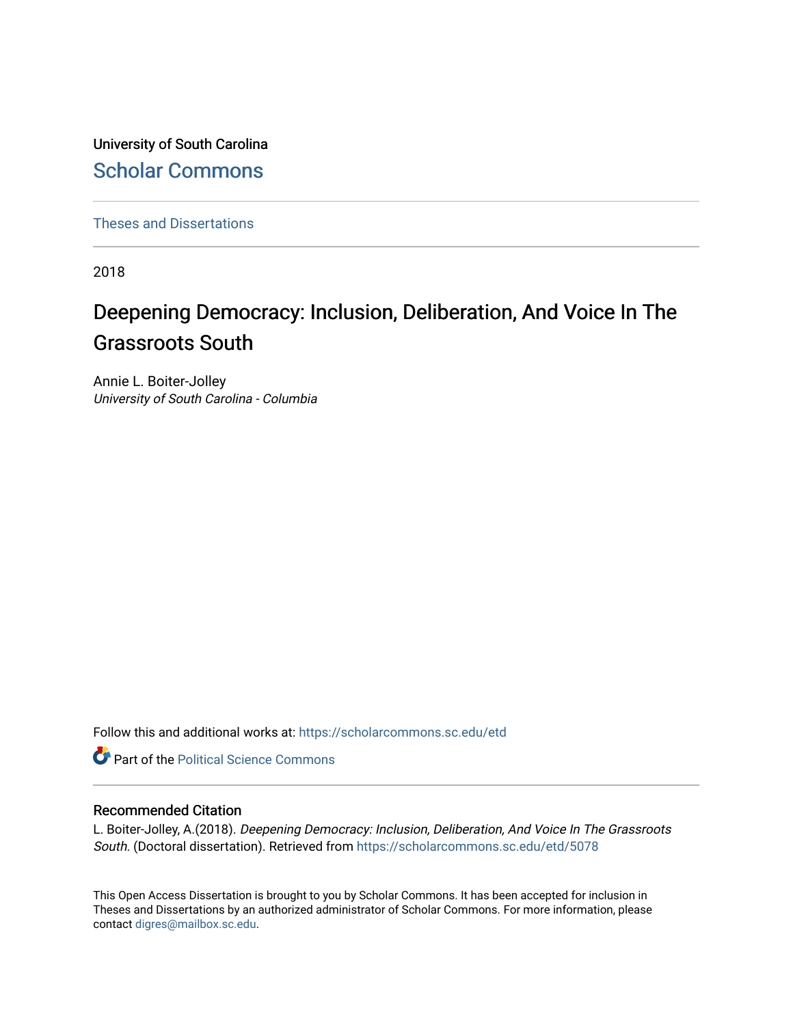University of South Carolina [Scholar Commons](https://scholarcommons.sc.edu/) 

[Theses and Dissertations](https://scholarcommons.sc.edu/etd)

2018

# Deepening Democracy: Inclusion, Deliberation, And Voice In The Grassroots South

Annie L. Boiter-Jolley University of South Carolina - Columbia

Follow this and additional works at: [https://scholarcommons.sc.edu/etd](https://scholarcommons.sc.edu/etd?utm_source=scholarcommons.sc.edu%2Fetd%2F5078&utm_medium=PDF&utm_campaign=PDFCoverPages)

**Part of the Political Science Commons** 

# Recommended Citation

L. Boiter-Jolley, A.(2018). Deepening Democracy: Inclusion, Deliberation, And Voice In The Grassroots South. (Doctoral dissertation). Retrieved from [https://scholarcommons.sc.edu/etd/5078](https://scholarcommons.sc.edu/etd/5078?utm_source=scholarcommons.sc.edu%2Fetd%2F5078&utm_medium=PDF&utm_campaign=PDFCoverPages) 

This Open Access Dissertation is brought to you by Scholar Commons. It has been accepted for inclusion in Theses and Dissertations by an authorized administrator of Scholar Commons. For more information, please contact [digres@mailbox.sc.edu.](mailto:digres@mailbox.sc.edu)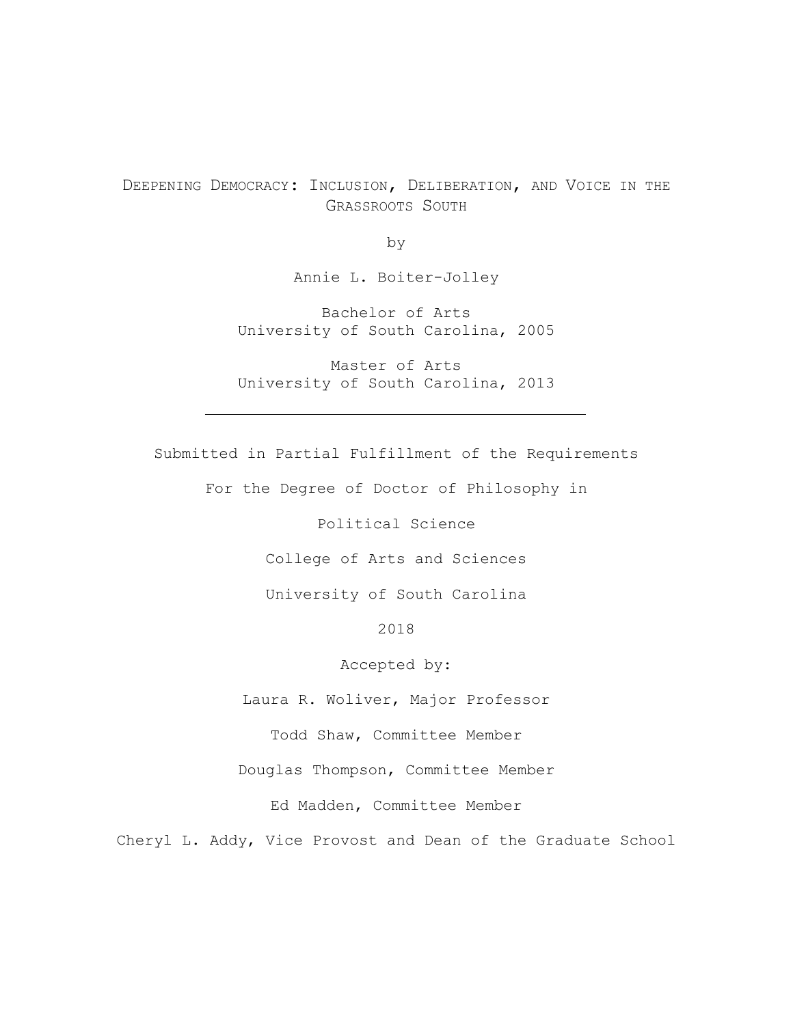# DEEPENING DEMOCRACY: INCLUSION, DELIBERATION, AND VOICE IN THE GRASSROOTS SOUTH

by

Annie L. Boiter-Jolley

Bachelor of Arts University of South Carolina, 2005

Master of Arts University of South Carolina, 2013

Submitted in Partial Fulfillment of the Requirements

For the Degree of Doctor of Philosophy in

Political Science

College of Arts and Sciences

University of South Carolina

2018

Accepted by:

Laura R. Woliver, Major Professor

Todd Shaw, Committee Member

Douglas Thompson, Committee Member

Ed Madden, Committee Member

Cheryl L. Addy, Vice Provost and Dean of the Graduate School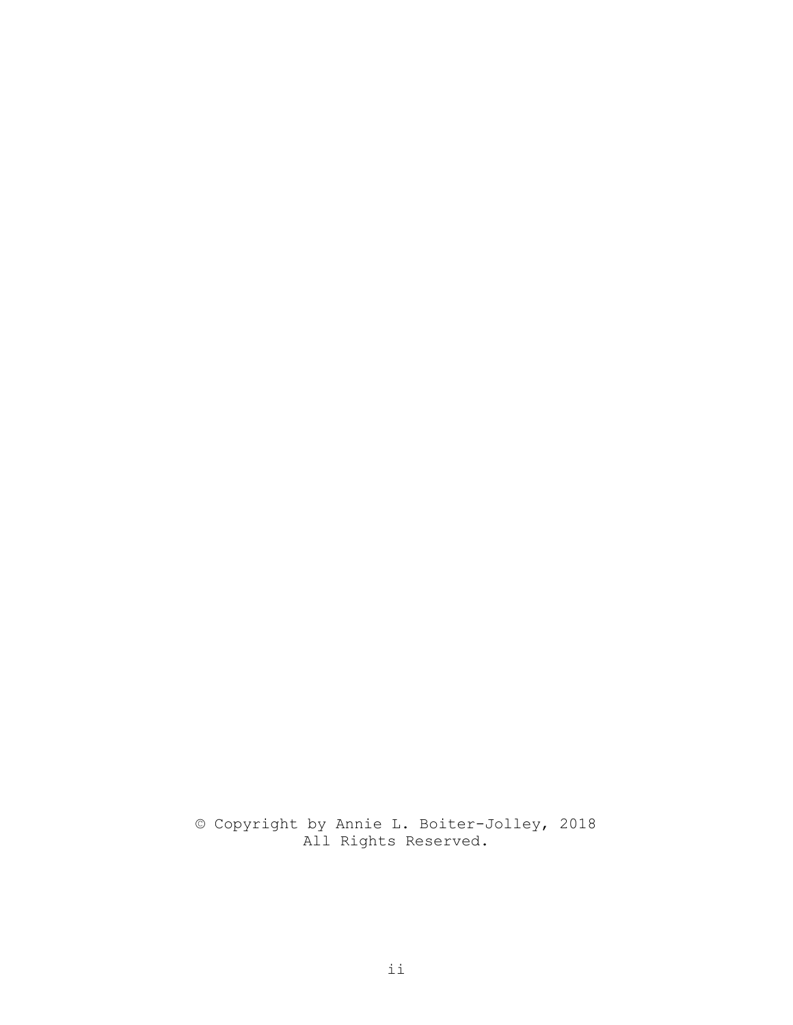© Copyright by Annie L. Boiter-Jolley, 2018 All Rights Reserved.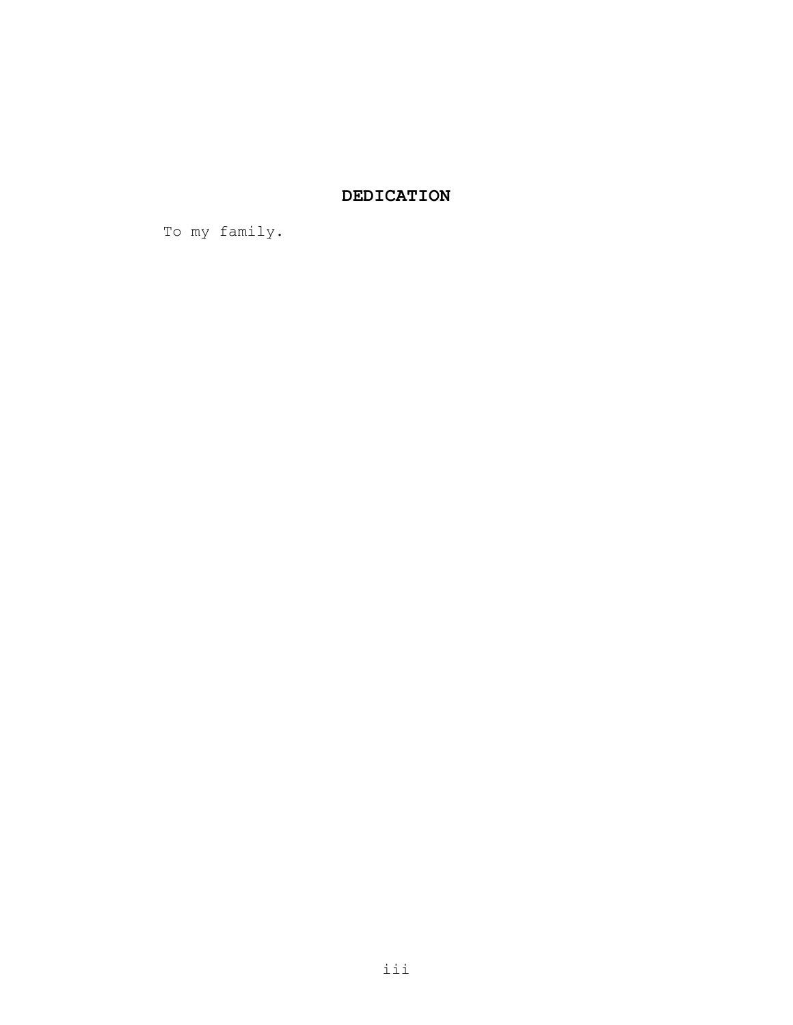# **DEDICATION**

To my family.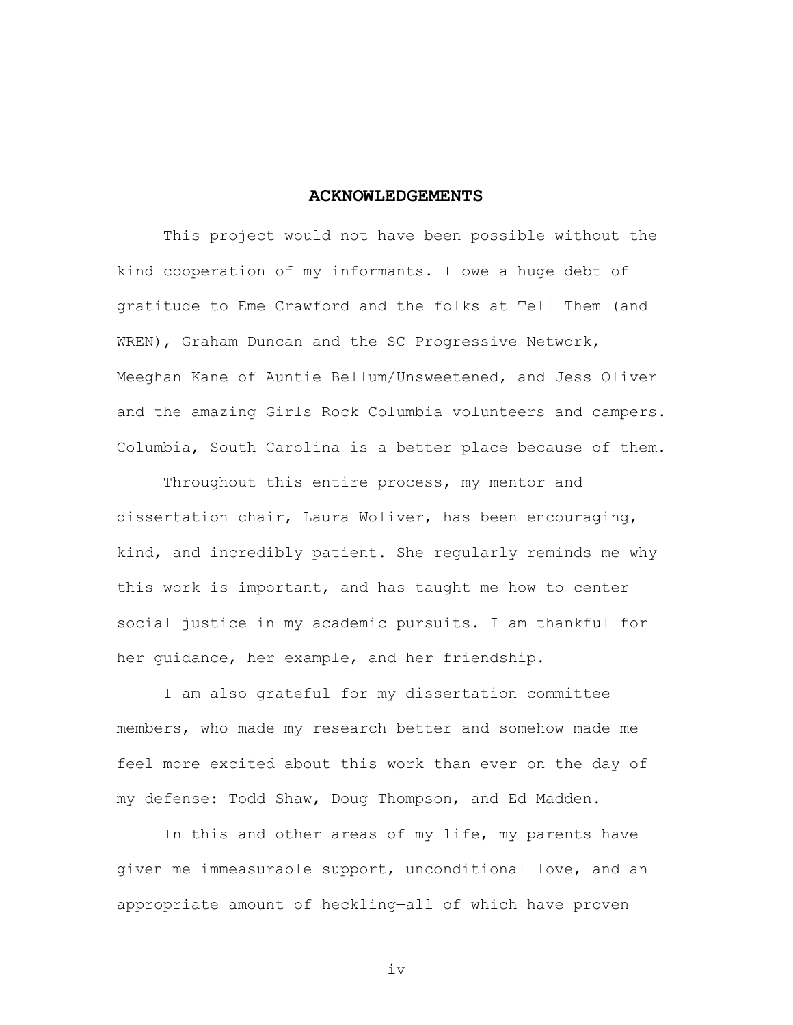#### **ACKNOWLEDGEMENTS**

This project would not have been possible without the kind cooperation of my informants. I owe a huge debt of gratitude to Eme Crawford and the folks at Tell Them (and WREN), Graham Duncan and the SC Progressive Network, Meeghan Kane of Auntie Bellum/Unsweetened, and Jess Oliver and the amazing Girls Rock Columbia volunteers and campers. Columbia, South Carolina is a better place because of them.

Throughout this entire process, my mentor and dissertation chair, Laura Woliver, has been encouraging, kind, and incredibly patient. She regularly reminds me why this work is important, and has taught me how to center social justice in my academic pursuits. I am thankful for her guidance, her example, and her friendship.

I am also grateful for my dissertation committee members, who made my research better and somehow made me feel more excited about this work than ever on the day of my defense: Todd Shaw, Doug Thompson, and Ed Madden.

In this and other areas of my life, my parents have given me immeasurable support, unconditional love, and an appropriate amount of heckling—all of which have proven

iv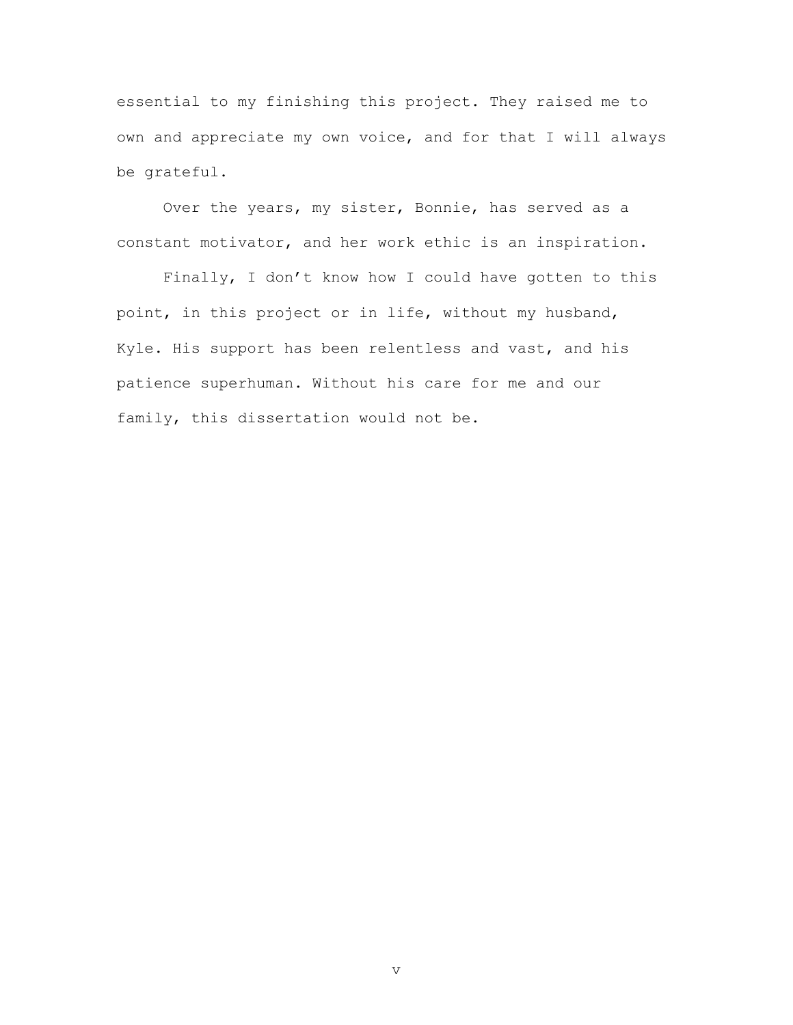essential to my finishing this project. They raised me to own and appreciate my own voice, and for that I will always be grateful.

Over the years, my sister, Bonnie, has served as a constant motivator, and her work ethic is an inspiration.

Finally, I don't know how I could have gotten to this point, in this project or in life, without my husband, Kyle. His support has been relentless and vast, and his patience superhuman. Without his care for me and our family, this dissertation would not be.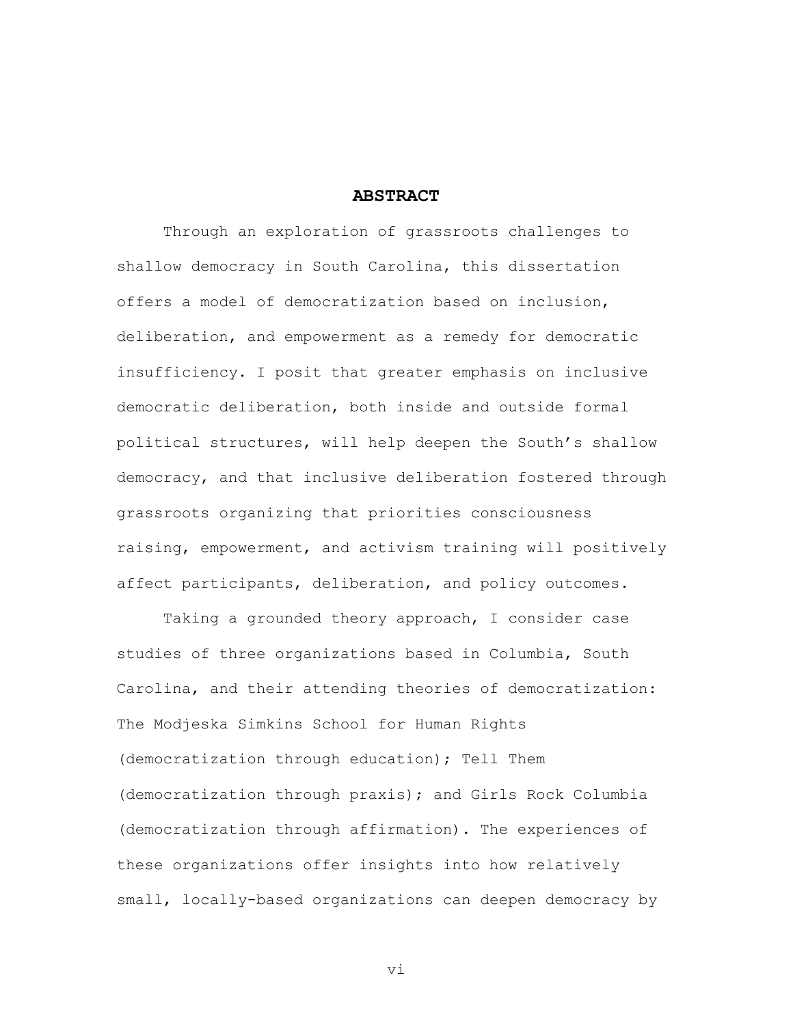#### **ABSTRACT**

Through an exploration of grassroots challenges to shallow democracy in South Carolina, this dissertation offers a model of democratization based on inclusion, deliberation, and empowerment as a remedy for democratic insufficiency. I posit that greater emphasis on inclusive democratic deliberation, both inside and outside formal political structures, will help deepen the South's shallow democracy, and that inclusive deliberation fostered through grassroots organizing that priorities consciousness raising, empowerment, and activism training will positively affect participants, deliberation, and policy outcomes.

Taking a grounded theory approach, I consider case studies of three organizations based in Columbia, South Carolina, and their attending theories of democratization: The Modjeska Simkins School for Human Rights (democratization through education); Tell Them (democratization through praxis); and Girls Rock Columbia (democratization through affirmation). The experiences of these organizations offer insights into how relatively small, locally-based organizations can deepen democracy by

vi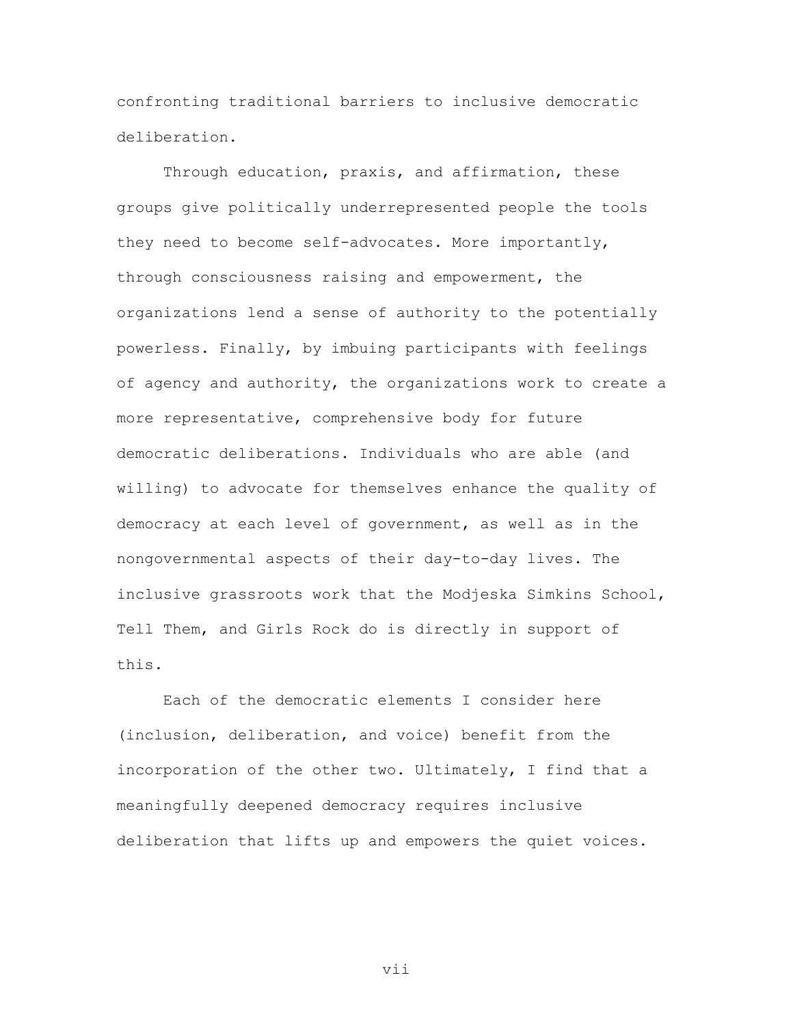confronting traditional barriers to inclusive democratic deliberation.

Through education, praxis, and affirmation, these groups give politically underrepresented people the tools they need to become self-advocates. More importantly, through consciousness raising and empowerment, the organizations lend a sense of authority to the potentially powerless. Finally, by imbuing participants with feelings of agency and authority, the organizations work to create a more representative, comprehensive body for future democratic deliberations. Individuals who are able (and willing) to advocate for themselves enhance the quality of democracy at each level of government, as well as in the nongovernmental aspects of their day-to-day lives. The inclusive grassroots work that the Modjeska Simkins School, Tell Them, and Girls Rock do is directly in support of this.

Each of the democratic elements I consider here (inclusion, deliberation, and voice) benefit from the incorporation of the other two. Ultimately, I find that a meaningfully deepened democracy requires inclusive deliberation that lifts up and empowers the quiet voices.

vii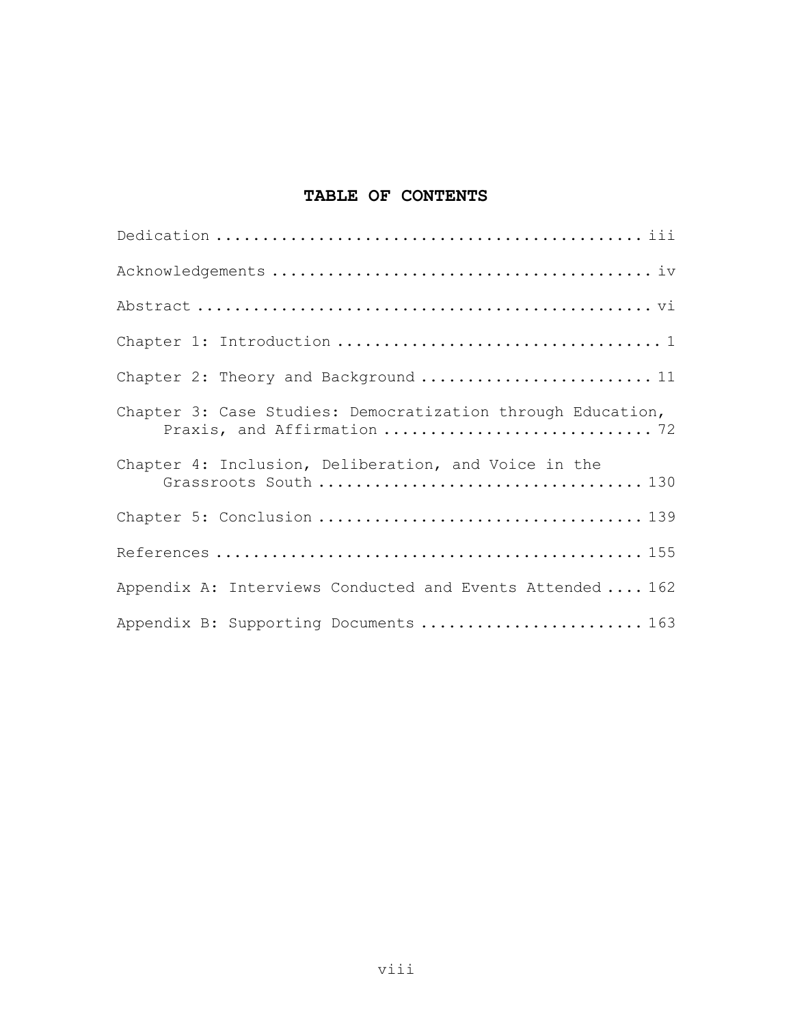# **TABLE OF CONTENTS**

| Chapter 2: Theory and Background  11                                                       |
|--------------------------------------------------------------------------------------------|
| Chapter 3: Case Studies: Democratization through Education,<br>Praxis, and Affirmation  72 |
| Chapter 4: Inclusion, Deliberation, and Voice in the                                       |
|                                                                                            |
|                                                                                            |
| Appendix A: Interviews Conducted and Events Attended  162                                  |
| Appendix B: Supporting Documents  163                                                      |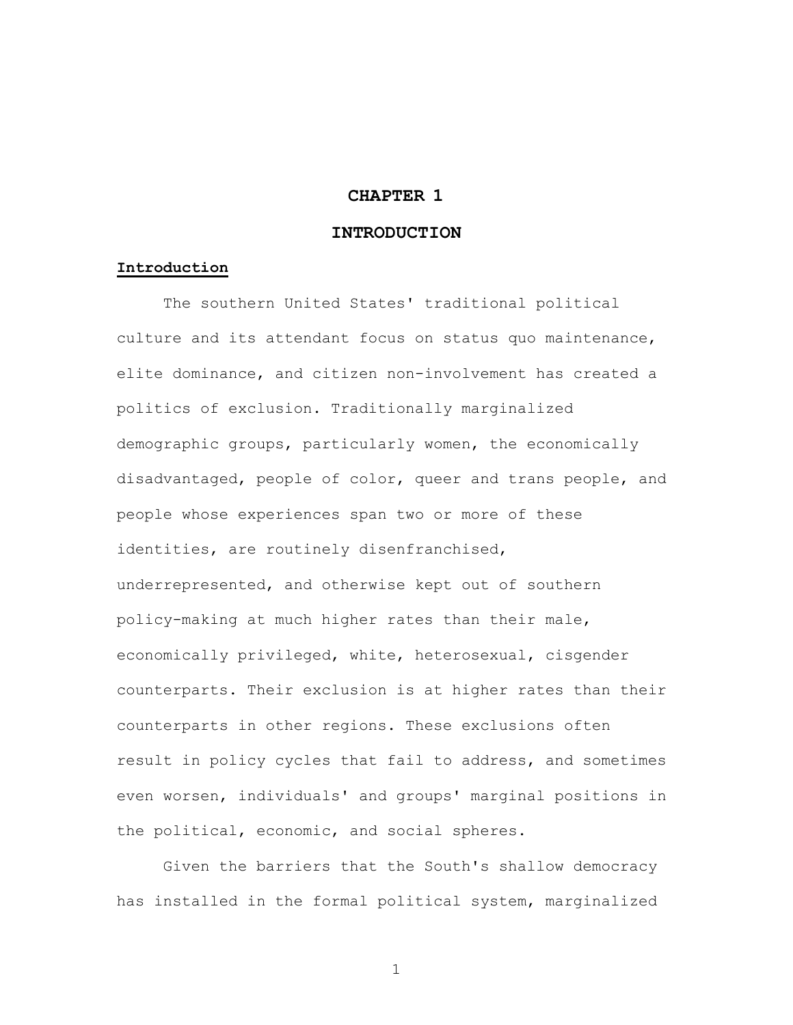# **CHAPTER 1**

## **INTRODUCTION**

#### **Introduction**

The southern United States' traditional political culture and its attendant focus on status quo maintenance, elite dominance, and citizen non-involvement has created a politics of exclusion. Traditionally marginalized demographic groups, particularly women, the economically disadvantaged, people of color, queer and trans people, and people whose experiences span two or more of these identities, are routinely disenfranchised, underrepresented, and otherwise kept out of southern policy-making at much higher rates than their male, economically privileged, white, heterosexual, cisgender counterparts. Their exclusion is at higher rates than their counterparts in other regions. These exclusions often result in policy cycles that fail to address, and sometimes even worsen, individuals' and groups' marginal positions in the political, economic, and social spheres.

Given the barriers that the South's shallow democracy has installed in the formal political system, marginalized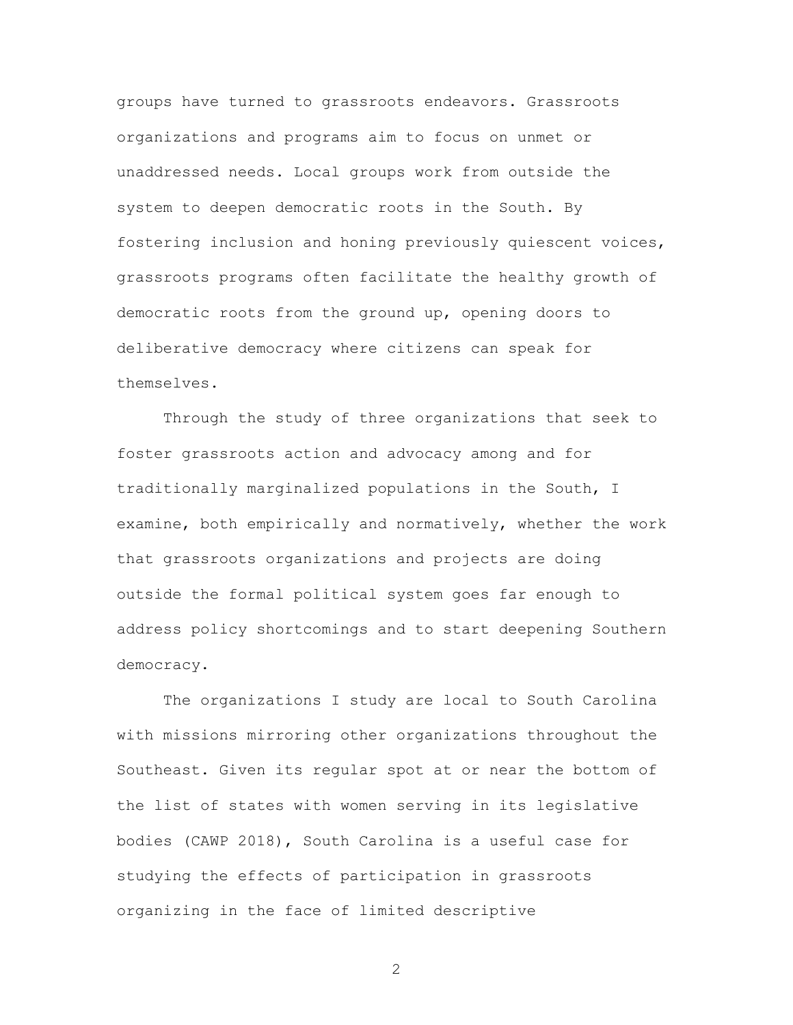groups have turned to grassroots endeavors. Grassroots organizations and programs aim to focus on unmet or unaddressed needs. Local groups work from outside the system to deepen democratic roots in the South. By fostering inclusion and honing previously quiescent voices, grassroots programs often facilitate the healthy growth of democratic roots from the ground up, opening doors to deliberative democracy where citizens can speak for themselves.

Through the study of three organizations that seek to foster grassroots action and advocacy among and for traditionally marginalized populations in the South, I examine, both empirically and normatively, whether the work that grassroots organizations and projects are doing outside the formal political system goes far enough to address policy shortcomings and to start deepening Southern democracy.

The organizations I study are local to South Carolina with missions mirroring other organizations throughout the Southeast. Given its regular spot at or near the bottom of the list of states with women serving in its legislative bodies (CAWP 2018), South Carolina is a useful case for studying the effects of participation in grassroots organizing in the face of limited descriptive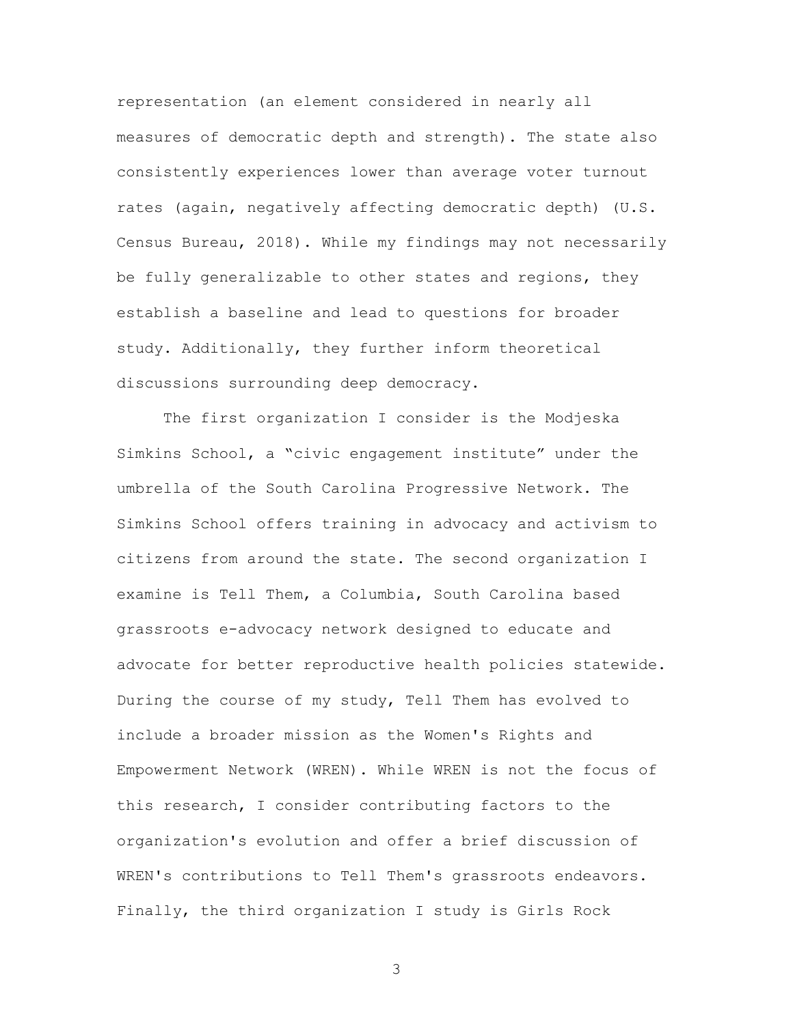representation (an element considered in nearly all measures of democratic depth and strength). The state also consistently experiences lower than average voter turnout rates (again, negatively affecting democratic depth) (U.S. Census Bureau, 2018). While my findings may not necessarily be fully generalizable to other states and regions, they establish a baseline and lead to questions for broader study. Additionally, they further inform theoretical discussions surrounding deep democracy.

The first organization I consider is the Modjeska Simkins School, a "civic engagement institute" under the umbrella of the South Carolina Progressive Network. The Simkins School offers training in advocacy and activism to citizens from around the state. The second organization I examine is Tell Them, a Columbia, South Carolina based grassroots e-advocacy network designed to educate and advocate for better reproductive health policies statewide. During the course of my study, Tell Them has evolved to include a broader mission as the Women's Rights and Empowerment Network (WREN). While WREN is not the focus of this research, I consider contributing factors to the organization's evolution and offer a brief discussion of WREN's contributions to Tell Them's grassroots endeavors. Finally, the third organization I study is Girls Rock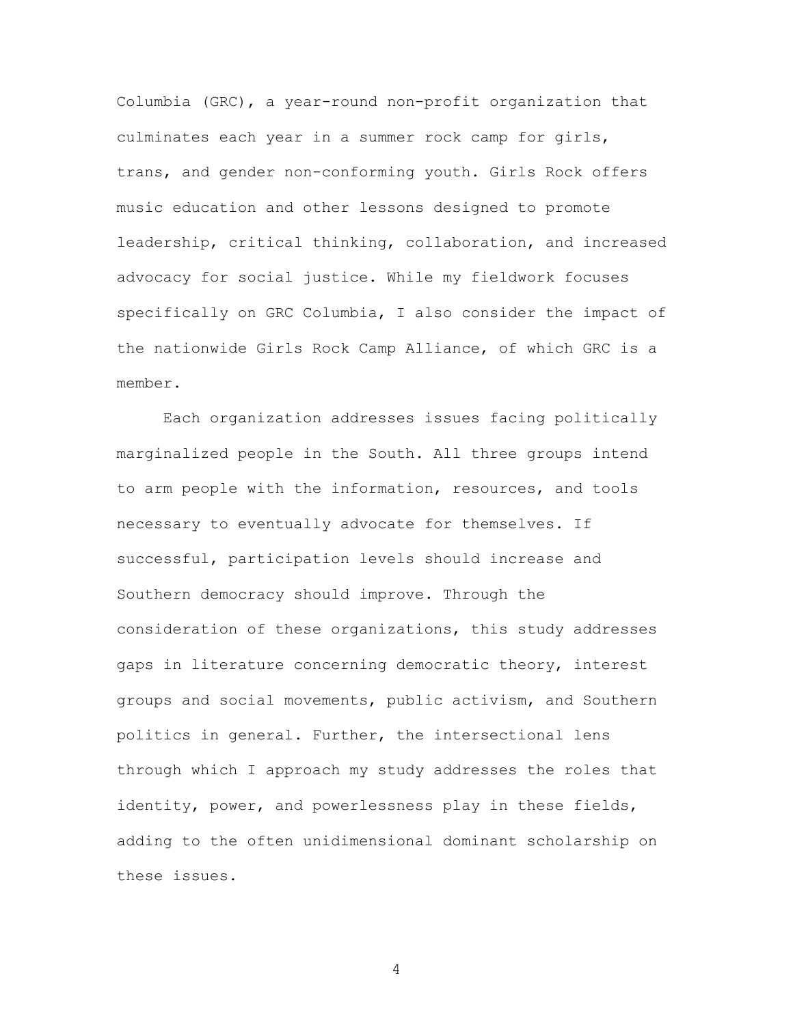Columbia (GRC), a year-round non-profit organization that culminates each year in a summer rock camp for girls, trans, and gender non-conforming youth. Girls Rock offers music education and other lessons designed to promote leadership, critical thinking, collaboration, and increased advocacy for social justice. While my fieldwork focuses specifically on GRC Columbia, I also consider the impact of the nationwide Girls Rock Camp Alliance, of which GRC is a member.

Each organization addresses issues facing politically marginalized people in the South. All three groups intend to arm people with the information, resources, and tools necessary to eventually advocate for themselves. If successful, participation levels should increase and Southern democracy should improve. Through the consideration of these organizations, this study addresses gaps in literature concerning democratic theory, interest groups and social movements, public activism, and Southern politics in general. Further, the intersectional lens through which I approach my study addresses the roles that identity, power, and powerlessness play in these fields, adding to the often unidimensional dominant scholarship on these issues.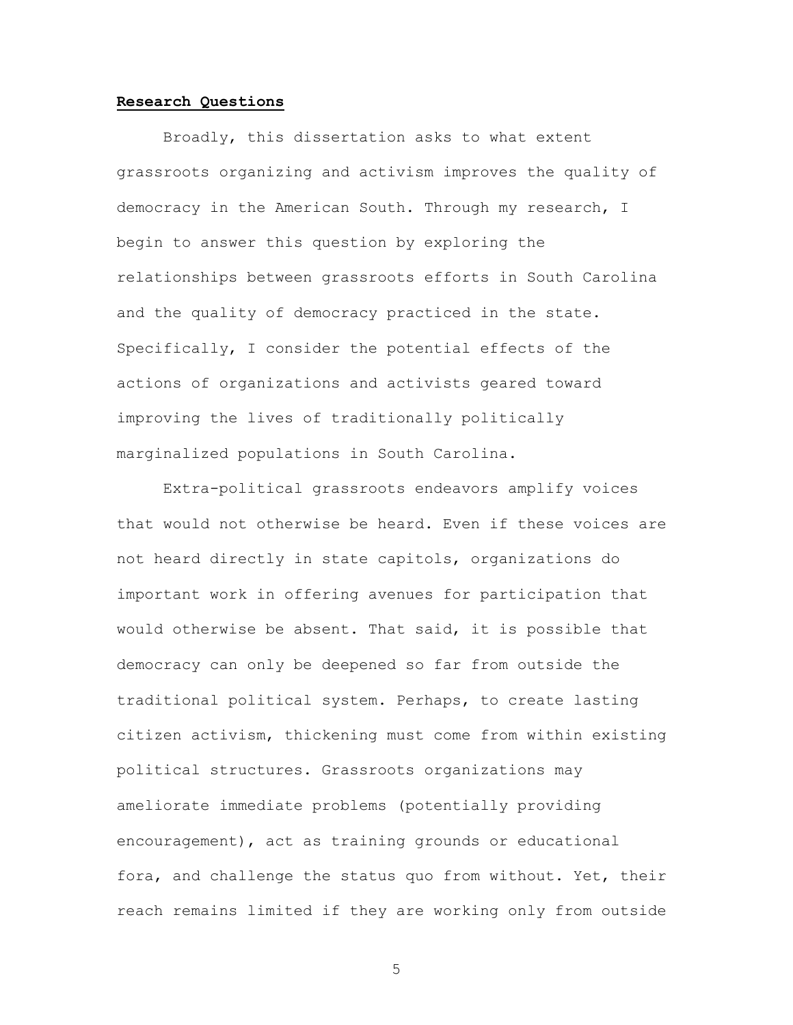#### **Research Questions**

Broadly, this dissertation asks to what extent grassroots organizing and activism improves the quality of democracy in the American South. Through my research, I begin to answer this question by exploring the relationships between grassroots efforts in South Carolina and the quality of democracy practiced in the state. Specifically, I consider the potential effects of the actions of organizations and activists geared toward improving the lives of traditionally politically marginalized populations in South Carolina.

Extra-political grassroots endeavors amplify voices that would not otherwise be heard. Even if these voices are not heard directly in state capitols, organizations do important work in offering avenues for participation that would otherwise be absent. That said, it is possible that democracy can only be deepened so far from outside the traditional political system. Perhaps, to create lasting citizen activism, thickening must come from within existing political structures. Grassroots organizations may ameliorate immediate problems (potentially providing encouragement), act as training grounds or educational fora, and challenge the status quo from without. Yet, their reach remains limited if they are working only from outside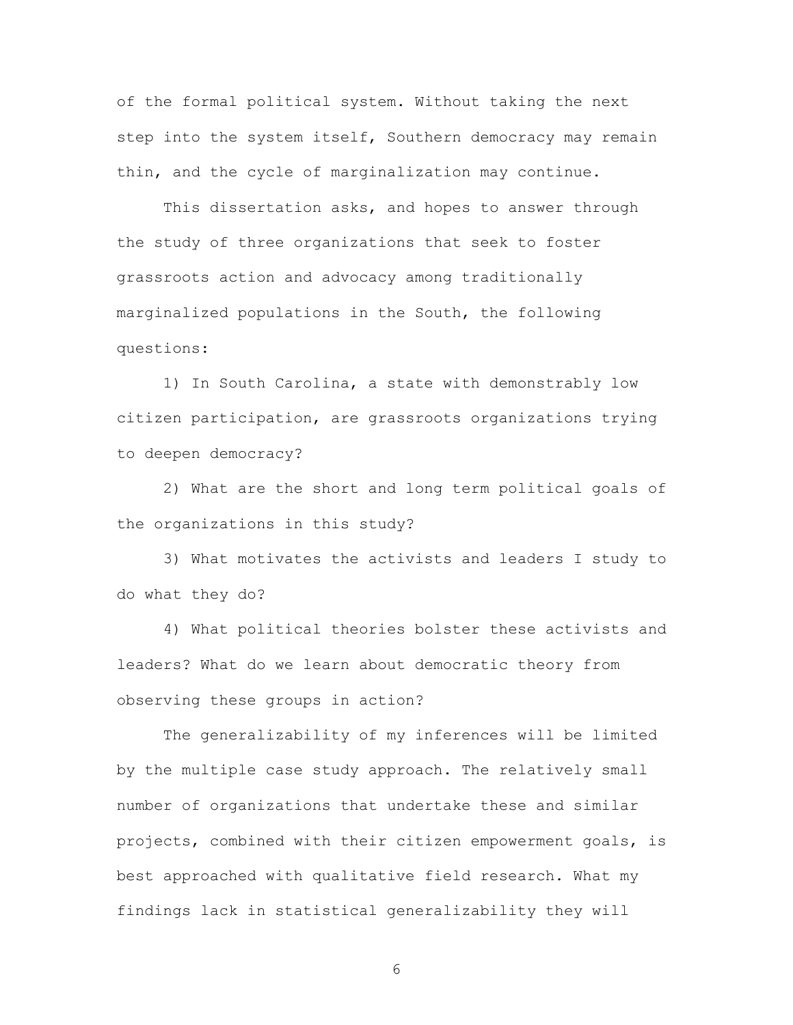of the formal political system. Without taking the next step into the system itself, Southern democracy may remain thin, and the cycle of marginalization may continue.

This dissertation asks, and hopes to answer through the study of three organizations that seek to foster grassroots action and advocacy among traditionally marginalized populations in the South, the following questions:

1) In South Carolina, a state with demonstrably low citizen participation, are grassroots organizations trying to deepen democracy?

2) What are the short and long term political goals of the organizations in this study?

3) What motivates the activists and leaders I study to do what they do?

4) What political theories bolster these activists and leaders? What do we learn about democratic theory from observing these groups in action?

The generalizability of my inferences will be limited by the multiple case study approach. The relatively small number of organizations that undertake these and similar projects, combined with their citizen empowerment goals, is best approached with qualitative field research. What my findings lack in statistical generalizability they will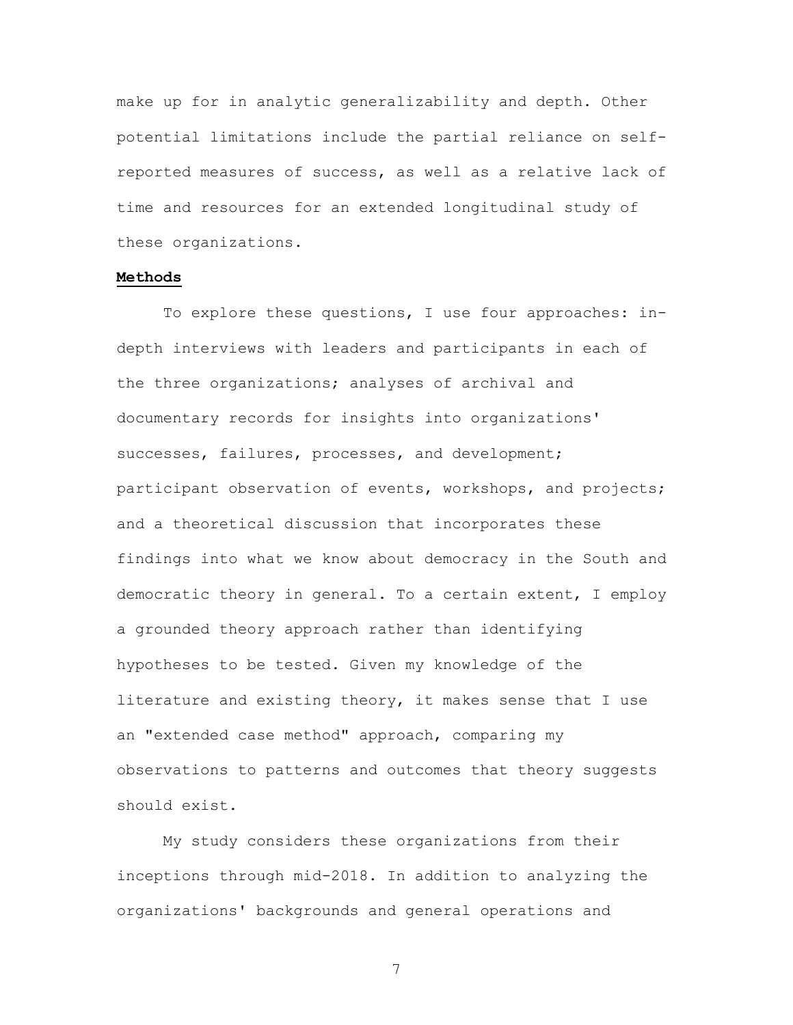make up for in analytic generalizability and depth. Other potential limitations include the partial reliance on selfreported measures of success, as well as a relative lack of time and resources for an extended longitudinal study of these organizations.

#### **Methods**

To explore these questions, I use four approaches: indepth interviews with leaders and participants in each of the three organizations; analyses of archival and documentary records for insights into organizations' successes, failures, processes, and development; participant observation of events, workshops, and projects; and a theoretical discussion that incorporates these findings into what we know about democracy in the South and democratic theory in general. To a certain extent, I employ a grounded theory approach rather than identifying hypotheses to be tested. Given my knowledge of the literature and existing theory, it makes sense that I use an "extended case method" approach, comparing my observations to patterns and outcomes that theory suggests should exist.

My study considers these organizations from their inceptions through mid-2018. In addition to analyzing the organizations' backgrounds and general operations and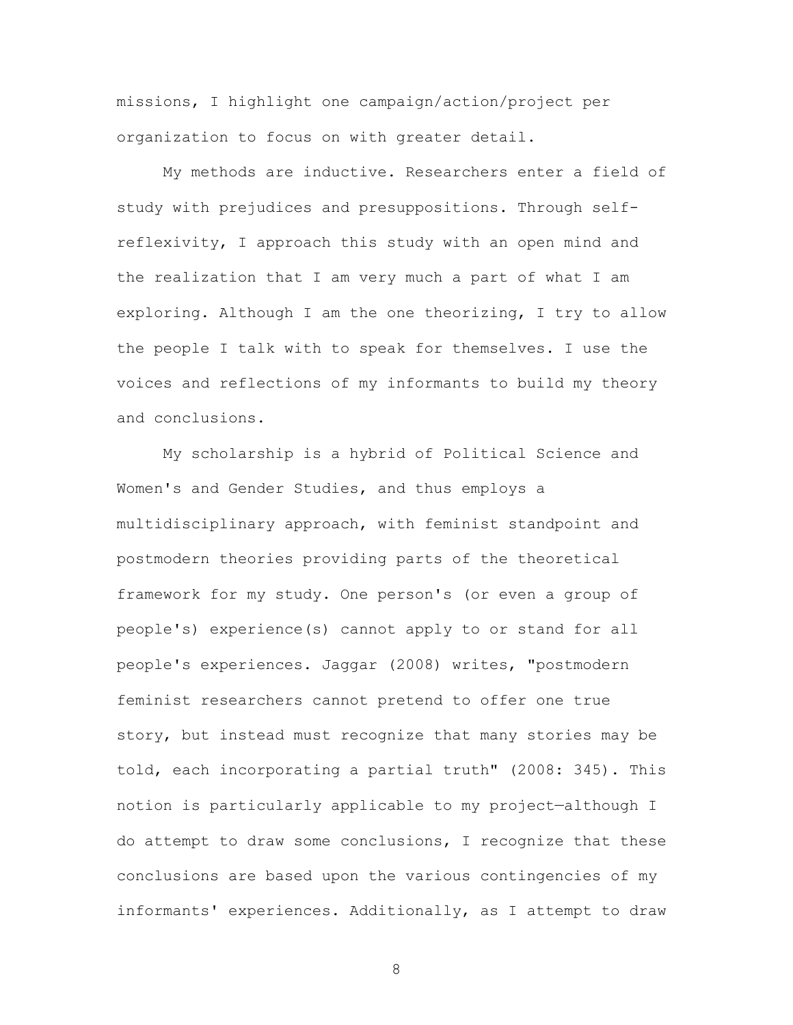missions, I highlight one campaign/action/project per organization to focus on with greater detail.

My methods are inductive. Researchers enter a field of study with prejudices and presuppositions. Through selfreflexivity, I approach this study with an open mind and the realization that I am very much a part of what I am exploring. Although I am the one theorizing, I try to allow the people I talk with to speak for themselves. I use the voices and reflections of my informants to build my theory and conclusions.

My scholarship is a hybrid of Political Science and Women's and Gender Studies, and thus employs a multidisciplinary approach, with feminist standpoint and postmodern theories providing parts of the theoretical framework for my study. One person's (or even a group of people's) experience(s) cannot apply to or stand for all people's experiences. Jaggar (2008) writes, "postmodern feminist researchers cannot pretend to offer one true story, but instead must recognize that many stories may be told, each incorporating a partial truth" (2008: 345). This notion is particularly applicable to my project—although I do attempt to draw some conclusions, I recognize that these conclusions are based upon the various contingencies of my informants' experiences. Additionally, as I attempt to draw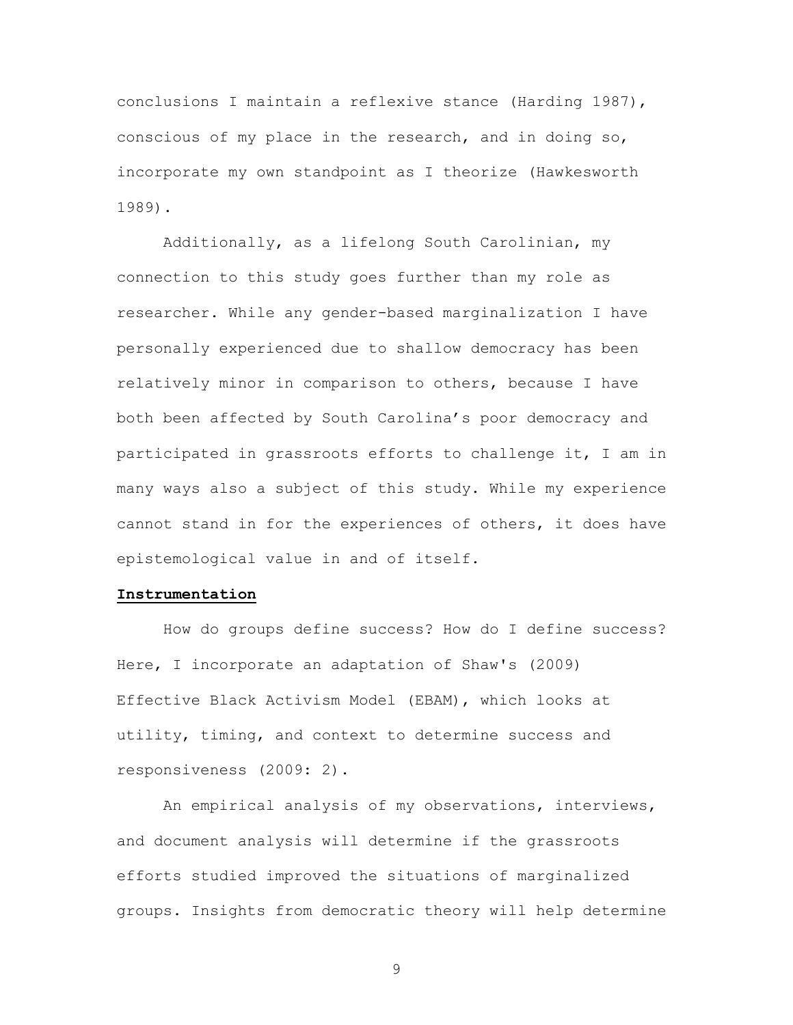conclusions I maintain a reflexive stance (Harding 1987), conscious of my place in the research, and in doing so, incorporate my own standpoint as I theorize (Hawkesworth 1989).

Additionally, as a lifelong South Carolinian, my connection to this study goes further than my role as researcher. While any gender-based marginalization I have personally experienced due to shallow democracy has been relatively minor in comparison to others, because I have both been affected by South Carolina's poor democracy and participated in grassroots efforts to challenge it, I am in many ways also a subject of this study. While my experience cannot stand in for the experiences of others, it does have epistemological value in and of itself.

#### **Instrumentation**

How do groups define success? How do I define success? Here, I incorporate an adaptation of Shaw's (2009) Effective Black Activism Model (EBAM), which looks at utility, timing, and context to determine success and responsiveness (2009: 2).

An empirical analysis of my observations, interviews, and document analysis will determine if the grassroots efforts studied improved the situations of marginalized groups. Insights from democratic theory will help determine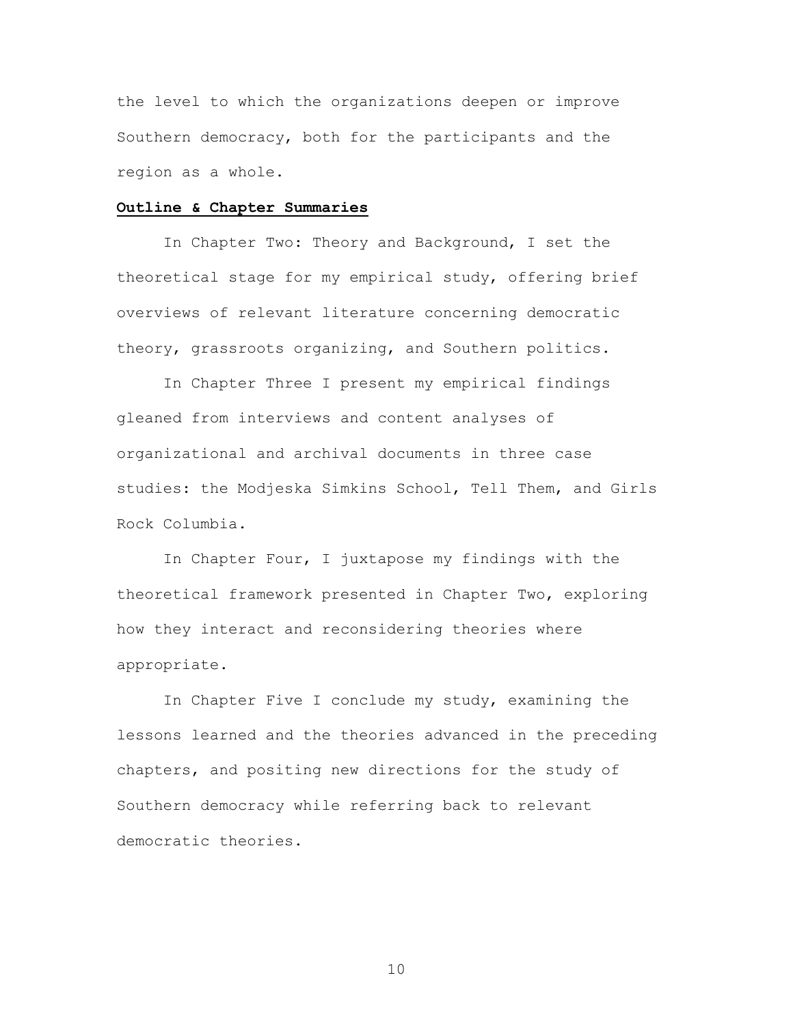the level to which the organizations deepen or improve Southern democracy, both for the participants and the region as a whole.

#### **Outline & Chapter Summaries**

In Chapter Two: Theory and Background, I set the theoretical stage for my empirical study, offering brief overviews of relevant literature concerning democratic theory, grassroots organizing, and Southern politics.

In Chapter Three I present my empirical findings gleaned from interviews and content analyses of organizational and archival documents in three case studies: the Modjeska Simkins School, Tell Them, and Girls Rock Columbia.

In Chapter Four, I juxtapose my findings with the theoretical framework presented in Chapter Two, exploring how they interact and reconsidering theories where appropriate.

In Chapter Five I conclude my study, examining the lessons learned and the theories advanced in the preceding chapters, and positing new directions for the study of Southern democracy while referring back to relevant democratic theories.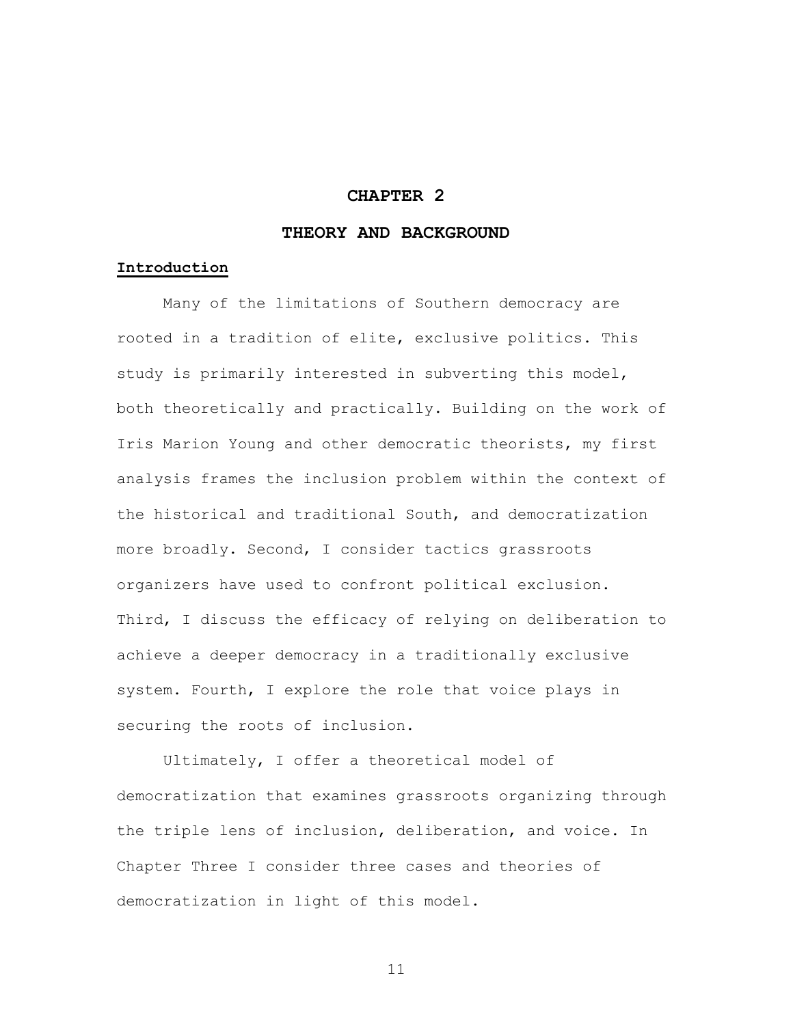## **CHAPTER 2**

## **THEORY AND BACKGROUND**

#### **Introduction**

Many of the limitations of Southern democracy are rooted in a tradition of elite, exclusive politics. This study is primarily interested in subverting this model, both theoretically and practically. Building on the work of Iris Marion Young and other democratic theorists, my first analysis frames the inclusion problem within the context of the historical and traditional South, and democratization more broadly. Second, I consider tactics grassroots organizers have used to confront political exclusion. Third, I discuss the efficacy of relying on deliberation to achieve a deeper democracy in a traditionally exclusive system. Fourth, I explore the role that voice plays in securing the roots of inclusion.

Ultimately, I offer a theoretical model of democratization that examines grassroots organizing through the triple lens of inclusion, deliberation, and voice. In Chapter Three I consider three cases and theories of democratization in light of this model.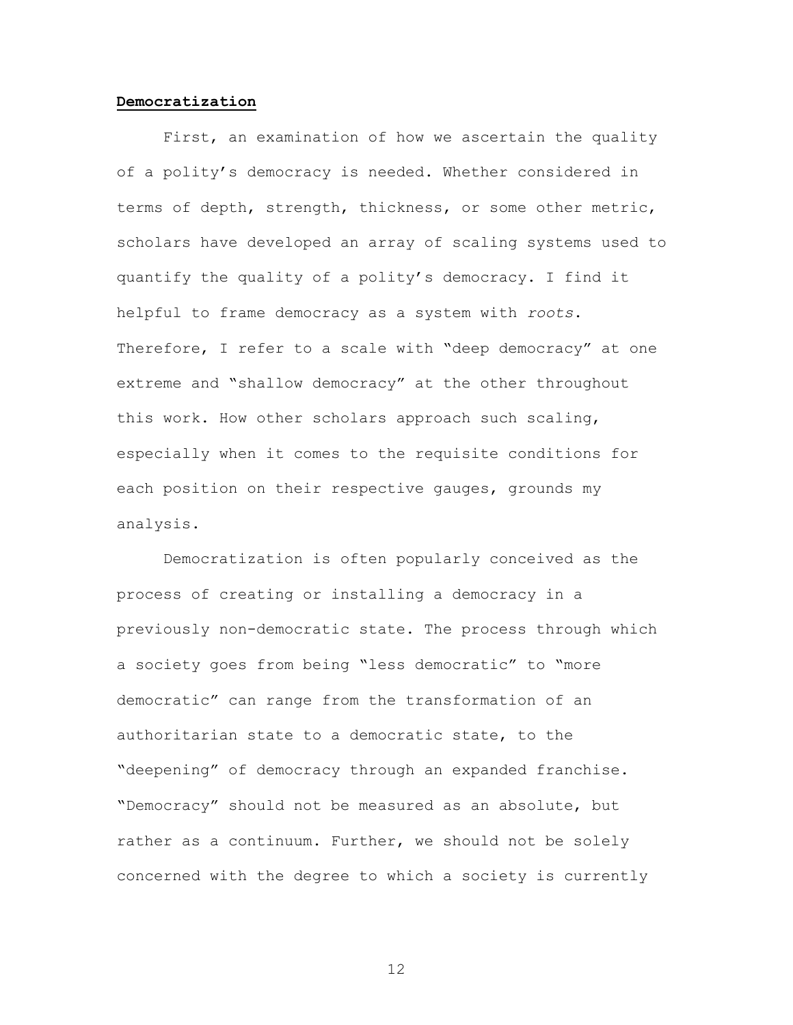#### **Democratization**

First, an examination of how we ascertain the quality of a polity's democracy is needed. Whether considered in terms of depth, strength, thickness, or some other metric, scholars have developed an array of scaling systems used to quantify the quality of a polity's democracy. I find it helpful to frame democracy as a system with *roots*. Therefore, I refer to a scale with "deep democracy" at one extreme and "shallow democracy" at the other throughout this work. How other scholars approach such scaling, especially when it comes to the requisite conditions for each position on their respective gauges, grounds my analysis.

Democratization is often popularly conceived as the process of creating or installing a democracy in a previously non-democratic state. The process through which a society goes from being "less democratic" to "more democratic" can range from the transformation of an authoritarian state to a democratic state, to the "deepening" of democracy through an expanded franchise. "Democracy" should not be measured as an absolute, but rather as a continuum. Further, we should not be solely concerned with the degree to which a society is currently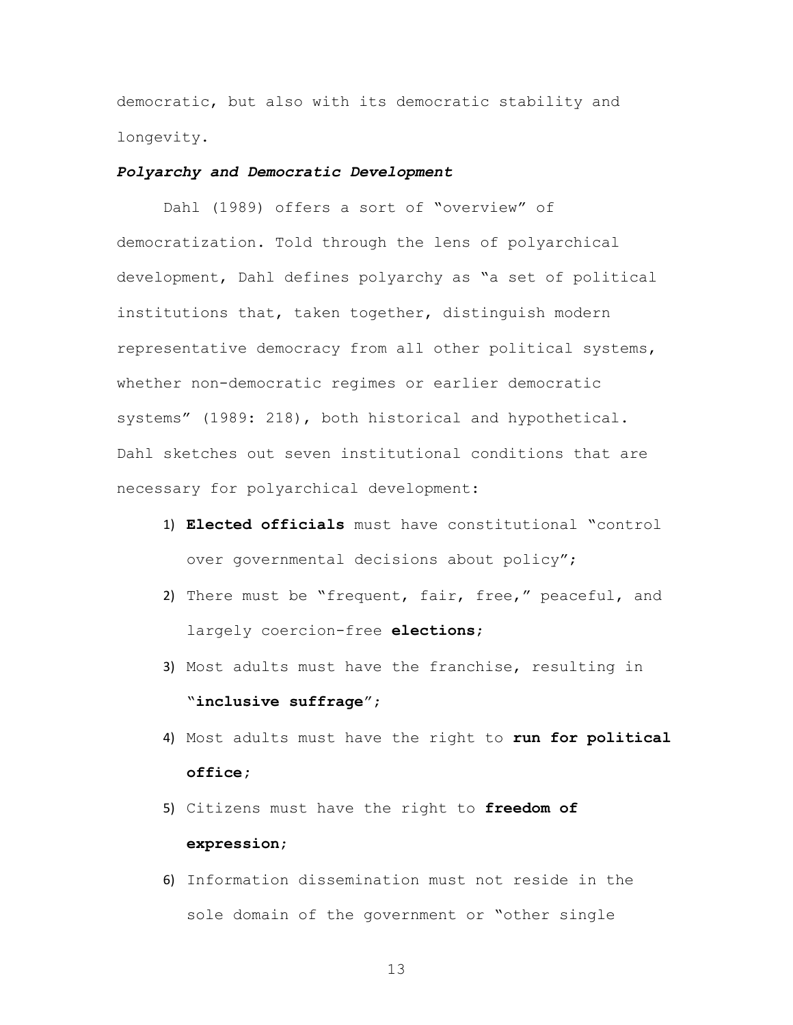democratic, but also with its democratic stability and longevity.

### *Polyarchy and Democratic Development*

Dahl (1989) offers a sort of "overview" of democratization. Told through the lens of polyarchical development, Dahl defines polyarchy as "a set of political institutions that, taken together, distinguish modern representative democracy from all other political systems, whether non-democratic regimes or earlier democratic systems" (1989: 218), both historical and hypothetical. Dahl sketches out seven institutional conditions that are necessary for polyarchical development:

- 1) **Elected officials** must have constitutional "control over governmental decisions about policy";
- 2) There must be "frequent, fair, free," peaceful, and largely coercion-free **elections**;
- 3) Most adults must have the franchise, resulting in "**inclusive suffrage**";
- 4) Most adults must have the right to **run for political office;**
- 5) Citizens must have the right to **freedom of expression**;
- 6) Information dissemination must not reside in the sole domain of the government or "other single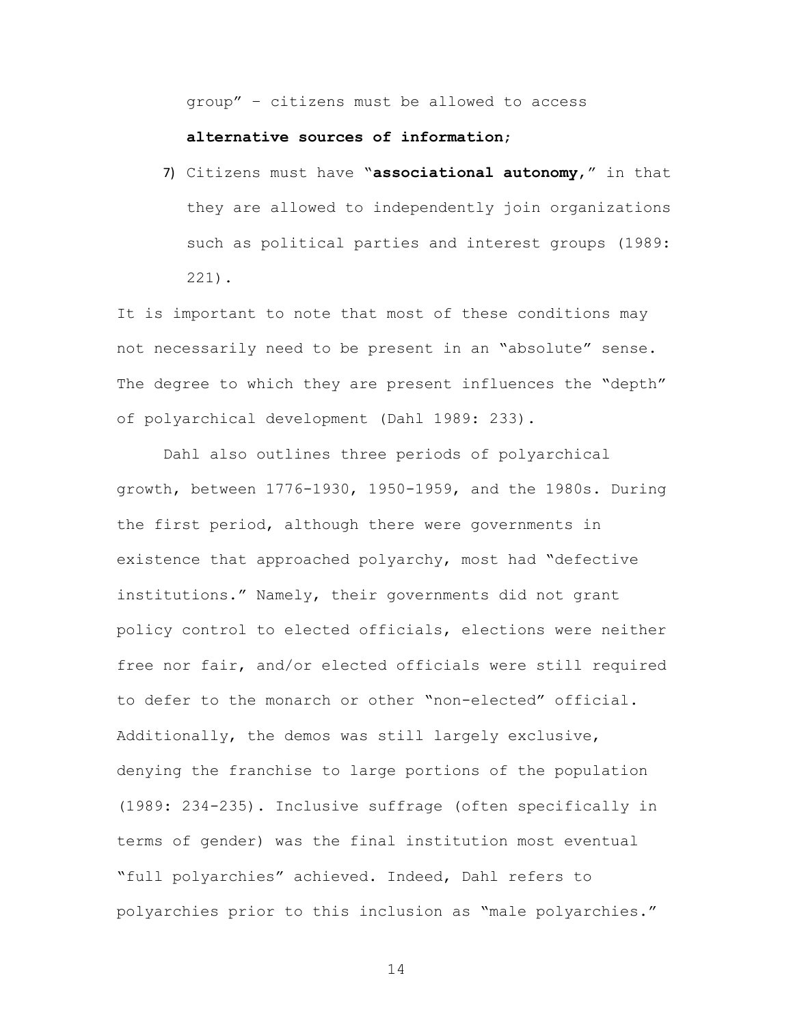group" – citizens must be allowed to access

#### **alternative sources of information**;

7) Citizens must have "**associational autonomy**," in that they are allowed to independently join organizations such as political parties and interest groups (1989: 221).

It is important to note that most of these conditions may not necessarily need to be present in an "absolute" sense. The degree to which they are present influences the "depth" of polyarchical development (Dahl 1989: 233).

Dahl also outlines three periods of polyarchical growth, between 1776-1930, 1950-1959, and the 1980s. During the first period, although there were governments in existence that approached polyarchy, most had "defective institutions." Namely, their governments did not grant policy control to elected officials, elections were neither free nor fair, and/or elected officials were still required to defer to the monarch or other "non-elected" official. Additionally, the demos was still largely exclusive, denying the franchise to large portions of the population (1989: 234-235). Inclusive suffrage (often specifically in terms of gender) was the final institution most eventual "full polyarchies" achieved. Indeed, Dahl refers to polyarchies prior to this inclusion as "male polyarchies."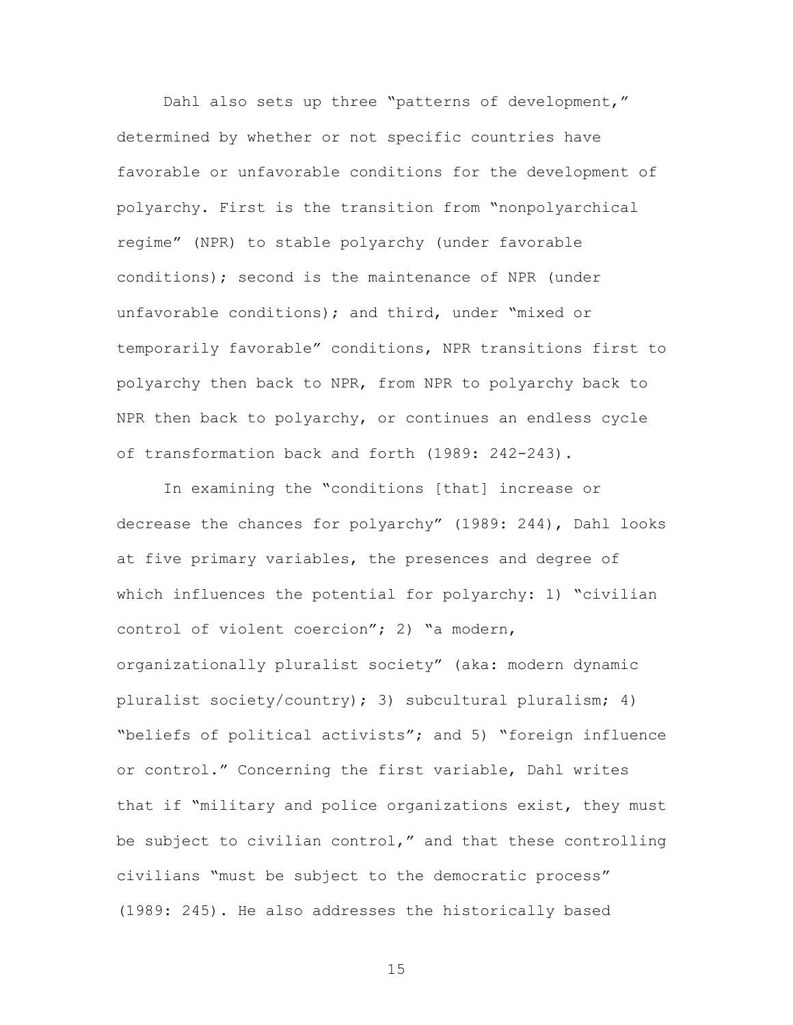Dahl also sets up three "patterns of development," determined by whether or not specific countries have favorable or unfavorable conditions for the development of polyarchy. First is the transition from "nonpolyarchical regime" (NPR) to stable polyarchy (under favorable conditions); second is the maintenance of NPR (under unfavorable conditions); and third, under "mixed or temporarily favorable" conditions, NPR transitions first to polyarchy then back to NPR, from NPR to polyarchy back to NPR then back to polyarchy, or continues an endless cycle of transformation back and forth (1989: 242-243).

In examining the "conditions [that] increase or decrease the chances for polyarchy" (1989: 244), Dahl looks at five primary variables, the presences and degree of which influences the potential for polyarchy: 1) "civilian control of violent coercion"; 2) "a modern, organizationally pluralist society" (aka: modern dynamic pluralist society/country); 3) subcultural pluralism; 4) "beliefs of political activists"; and 5) "foreign influence or control." Concerning the first variable, Dahl writes that if "military and police organizations exist, they must be subject to civilian control," and that these controlling civilians "must be subject to the democratic process" (1989: 245). He also addresses the historically based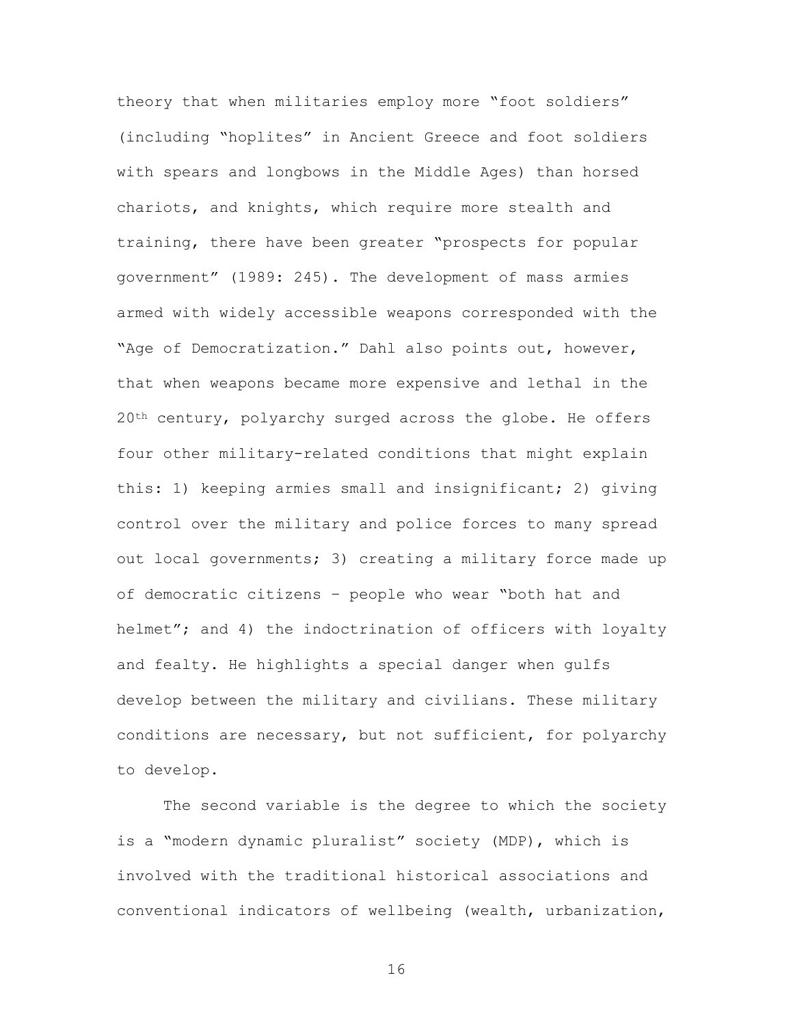theory that when militaries employ more "foot soldiers" (including "hoplites" in Ancient Greece and foot soldiers with spears and longbows in the Middle Ages) than horsed chariots, and knights, which require more stealth and training, there have been greater "prospects for popular government" (1989: 245). The development of mass armies armed with widely accessible weapons corresponded with the "Age of Democratization." Dahl also points out, however, that when weapons became more expensive and lethal in the 20<sup>th</sup> century, polyarchy surged across the globe. He offers four other military-related conditions that might explain this: 1) keeping armies small and insignificant; 2) giving control over the military and police forces to many spread out local governments; 3) creating a military force made up of democratic citizens – people who wear "both hat and helmet"; and 4) the indoctrination of officers with loyalty and fealty. He highlights a special danger when gulfs develop between the military and civilians. These military conditions are necessary, but not sufficient, for polyarchy to develop.

The second variable is the degree to which the society is a "modern dynamic pluralist" society (MDP), which is involved with the traditional historical associations and conventional indicators of wellbeing (wealth, urbanization,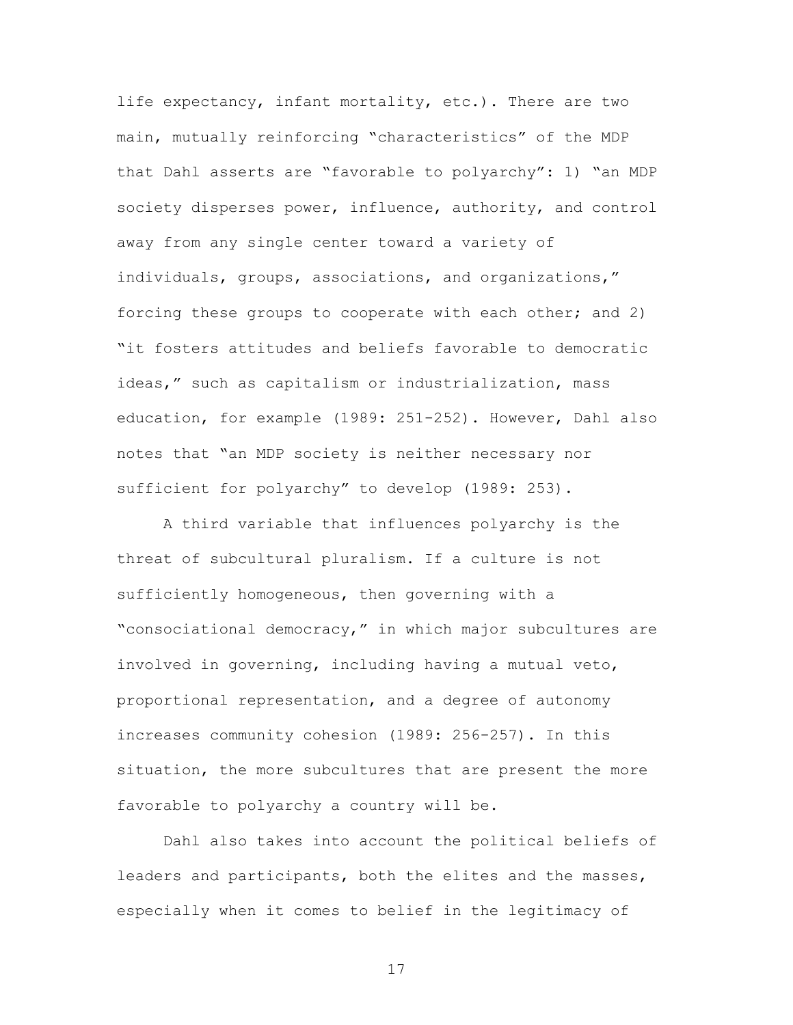life expectancy, infant mortality, etc.). There are two main, mutually reinforcing "characteristics" of the MDP that Dahl asserts are "favorable to polyarchy": 1) "an MDP society disperses power, influence, authority, and control away from any single center toward a variety of individuals, groups, associations, and organizations," forcing these groups to cooperate with each other; and 2) "it fosters attitudes and beliefs favorable to democratic ideas," such as capitalism or industrialization, mass education, for example (1989: 251-252). However, Dahl also notes that "an MDP society is neither necessary nor sufficient for polyarchy" to develop (1989: 253).

A third variable that influences polyarchy is the threat of subcultural pluralism. If a culture is not sufficiently homogeneous, then governing with a "consociational democracy," in which major subcultures are involved in governing, including having a mutual veto, proportional representation, and a degree of autonomy increases community cohesion (1989: 256-257). In this situation, the more subcultures that are present the more favorable to polyarchy a country will be.

Dahl also takes into account the political beliefs of leaders and participants, both the elites and the masses, especially when it comes to belief in the legitimacy of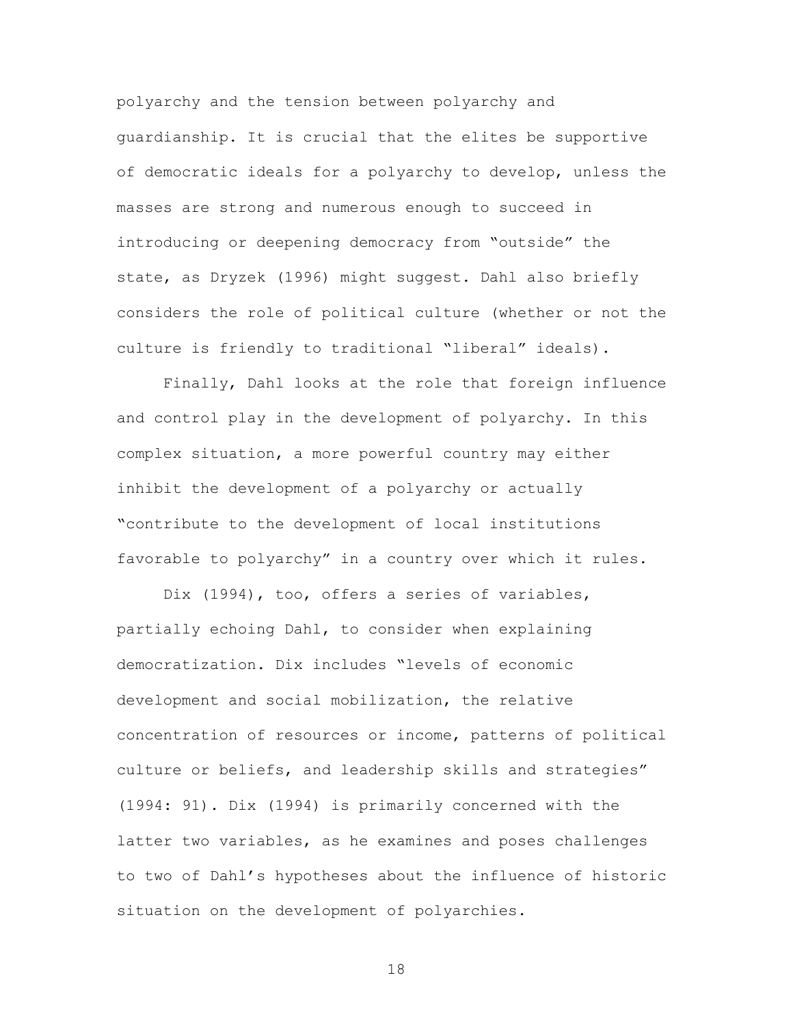polyarchy and the tension between polyarchy and guardianship. It is crucial that the elites be supportive of democratic ideals for a polyarchy to develop, unless the masses are strong and numerous enough to succeed in introducing or deepening democracy from "outside" the state, as Dryzek (1996) might suggest. Dahl also briefly considers the role of political culture (whether or not the culture is friendly to traditional "liberal" ideals).

Finally, Dahl looks at the role that foreign influence and control play in the development of polyarchy. In this complex situation, a more powerful country may either inhibit the development of a polyarchy or actually "contribute to the development of local institutions favorable to polyarchy" in a country over which it rules.

Dix (1994), too, offers a series of variables, partially echoing Dahl, to consider when explaining democratization. Dix includes "levels of economic development and social mobilization, the relative concentration of resources or income, patterns of political culture or beliefs, and leadership skills and strategies" (1994: 91). Dix (1994) is primarily concerned with the latter two variables, as he examines and poses challenges to two of Dahl's hypotheses about the influence of historic situation on the development of polyarchies.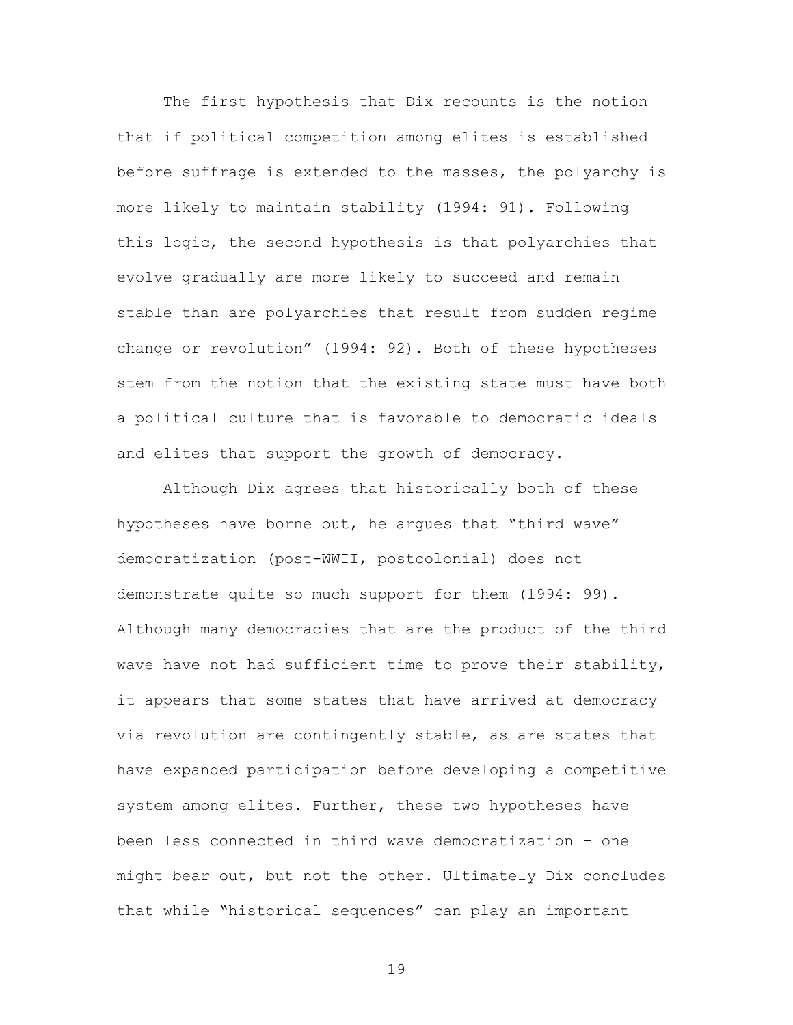The first hypothesis that Dix recounts is the notion that if political competition among elites is established before suffrage is extended to the masses, the polyarchy is more likely to maintain stability (1994: 91). Following this logic, the second hypothesis is that polyarchies that evolve gradually are more likely to succeed and remain stable than are polyarchies that result from sudden regime change or revolution" (1994: 92). Both of these hypotheses stem from the notion that the existing state must have both a political culture that is favorable to democratic ideals and elites that support the growth of democracy.

Although Dix agrees that historically both of these hypotheses have borne out, he argues that "third wave" democratization (post-WWII, postcolonial) does not demonstrate quite so much support for them (1994: 99). Although many democracies that are the product of the third wave have not had sufficient time to prove their stability, it appears that some states that have arrived at democracy via revolution are contingently stable, as are states that have expanded participation before developing a competitive system among elites. Further, these two hypotheses have been less connected in third wave democratization – one might bear out, but not the other. Ultimately Dix concludes that while "historical sequences" can play an important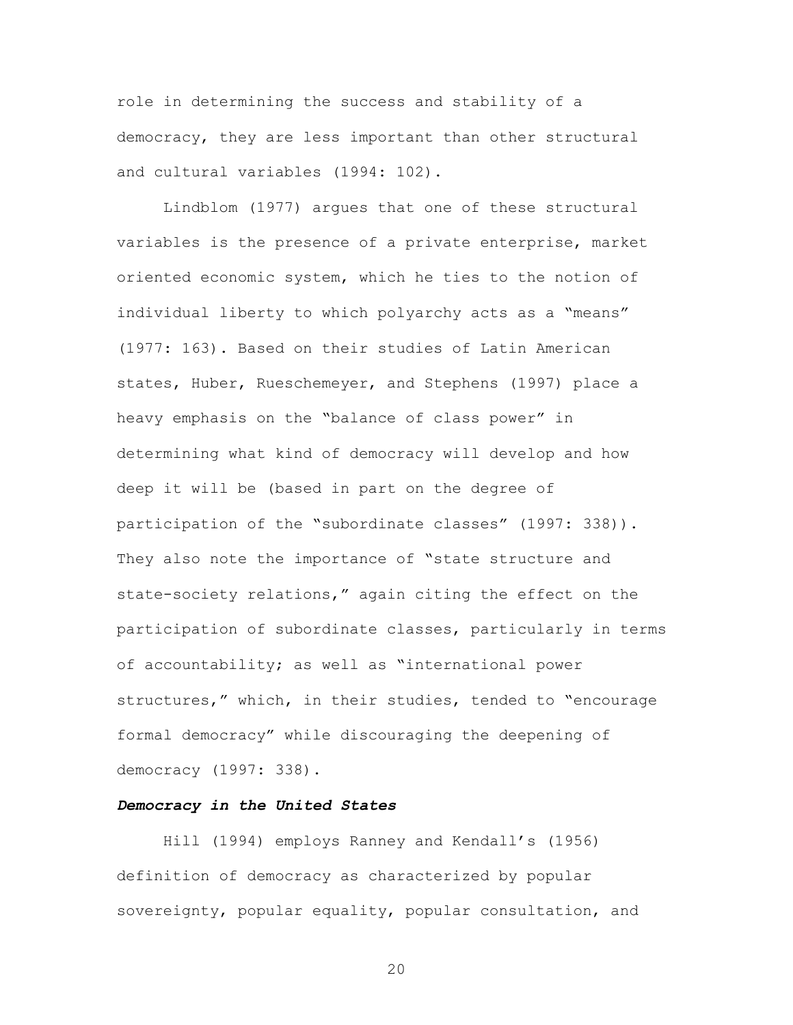role in determining the success and stability of a democracy, they are less important than other structural and cultural variables (1994: 102).

Lindblom (1977) argues that one of these structural variables is the presence of a private enterprise, market oriented economic system, which he ties to the notion of individual liberty to which polyarchy acts as a "means" (1977: 163). Based on their studies of Latin American states, Huber, Rueschemeyer, and Stephens (1997) place a heavy emphasis on the "balance of class power" in determining what kind of democracy will develop and how deep it will be (based in part on the degree of participation of the "subordinate classes" (1997: 338)). They also note the importance of "state structure and state-society relations," again citing the effect on the participation of subordinate classes, particularly in terms of accountability; as well as "international power structures," which, in their studies, tended to "encourage formal democracy" while discouraging the deepening of democracy (1997: 338).

#### *Democracy in the United States*

Hill (1994) employs Ranney and Kendall's (1956) definition of democracy as characterized by popular sovereignty, popular equality, popular consultation, and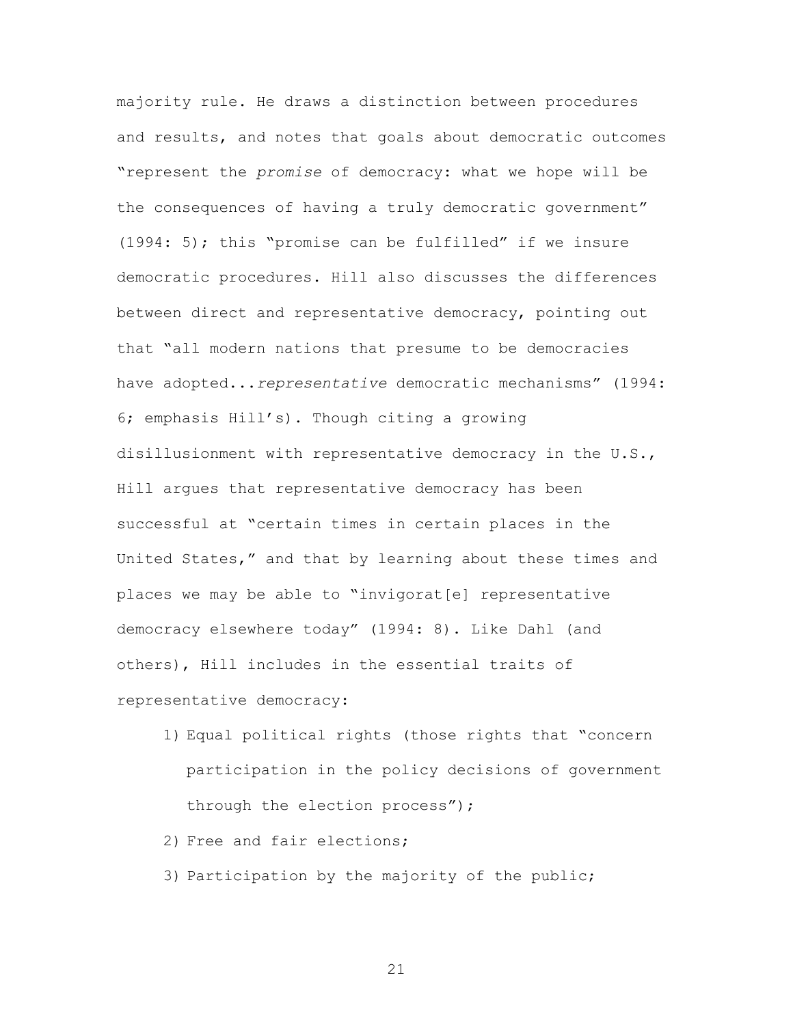majority rule. He draws a distinction between procedures and results, and notes that goals about democratic outcomes "represent the *promise* of democracy: what we hope will be the consequences of having a truly democratic government" (1994: 5); this "promise can be fulfilled" if we insure democratic procedures. Hill also discusses the differences between direct and representative democracy, pointing out that "all modern nations that presume to be democracies have adopted...*representative* democratic mechanisms" (1994: 6; emphasis Hill's). Though citing a growing disillusionment with representative democracy in the U.S., Hill argues that representative democracy has been successful at "certain times in certain places in the United States," and that by learning about these times and places we may be able to "invigorat[e] representative democracy elsewhere today" (1994: 8). Like Dahl (and others), Hill includes in the essential traits of representative democracy:

- 1) Equal political rights (those rights that "concern participation in the policy decisions of government through the election process");
- 2) Free and fair elections;
- 3) Participation by the majority of the public;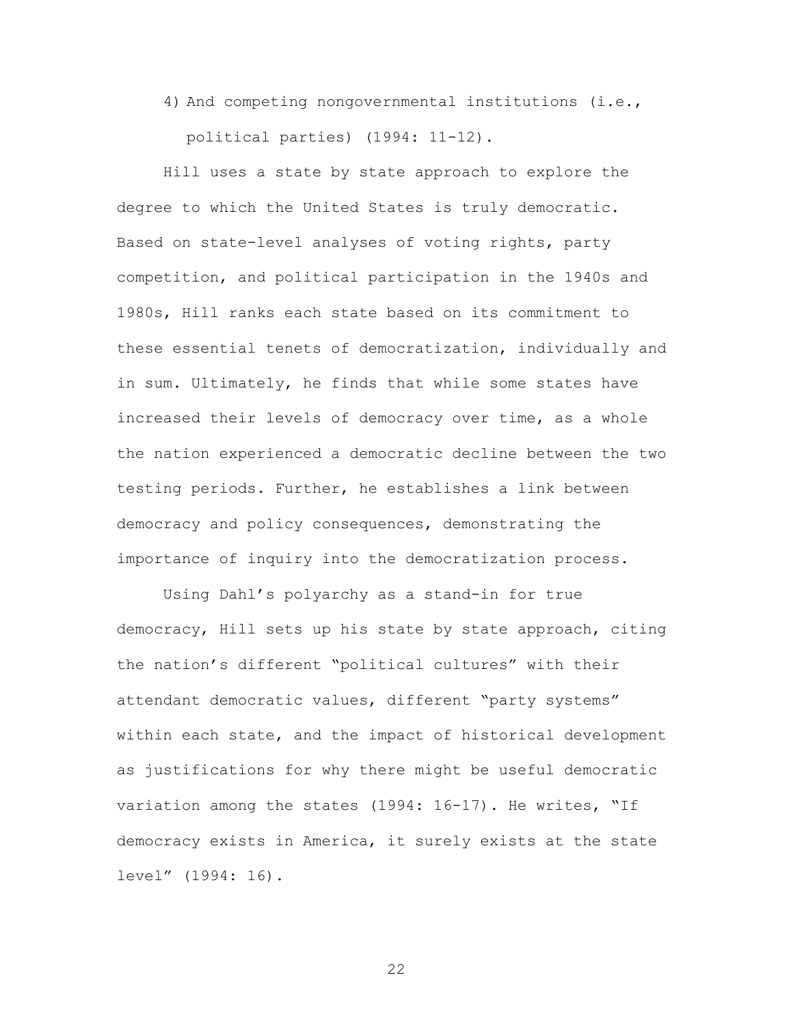4) And competing nongovernmental institutions (i.e., political parties) (1994: 11-12).

Hill uses a state by state approach to explore the degree to which the United States is truly democratic. Based on state-level analyses of voting rights, party competition, and political participation in the 1940s and 1980s, Hill ranks each state based on its commitment to these essential tenets of democratization, individually and in sum. Ultimately, he finds that while some states have increased their levels of democracy over time, as a whole the nation experienced a democratic decline between the two testing periods. Further, he establishes a link between democracy and policy consequences, demonstrating the importance of inquiry into the democratization process.

Using Dahl's polyarchy as a stand-in for true democracy, Hill sets up his state by state approach, citing the nation's different "political cultures" with their attendant democratic values, different "party systems" within each state, and the impact of historical development as justifications for why there might be useful democratic variation among the states (1994: 16-17). He writes, "If democracy exists in America, it surely exists at the state level" (1994: 16).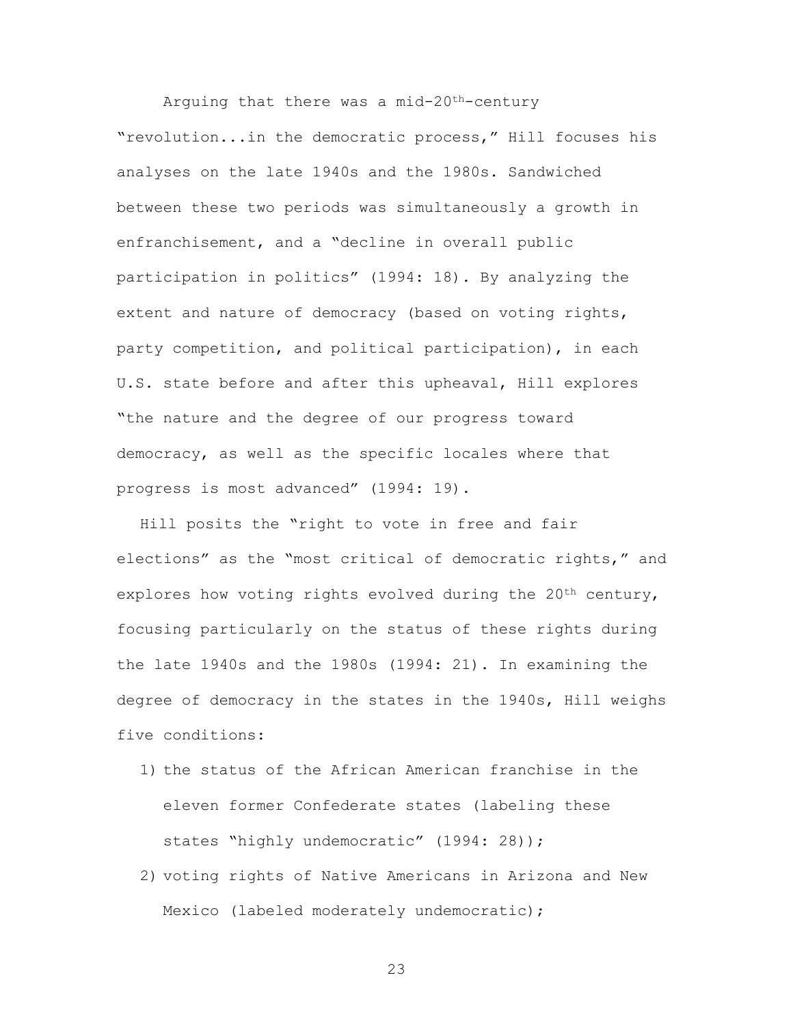Arguing that there was a mid-20th-century "revolution...in the democratic process," Hill focuses his analyses on the late 1940s and the 1980s. Sandwiched between these two periods was simultaneously a growth in enfranchisement, and a "decline in overall public participation in politics" (1994: 18). By analyzing the extent and nature of democracy (based on voting rights, party competition, and political participation), in each U.S. state before and after this upheaval, Hill explores "the nature and the degree of our progress toward democracy, as well as the specific locales where that progress is most advanced" (1994: 19).

Hill posits the "right to vote in free and fair elections" as the "most critical of democratic rights," and explores how voting rights evolved during the  $20<sup>th</sup>$  century, focusing particularly on the status of these rights during the late 1940s and the 1980s (1994: 21). In examining the degree of democracy in the states in the 1940s, Hill weighs five conditions:

- 1) the status of the African American franchise in the eleven former Confederate states (labeling these states "highly undemocratic" (1994: 28));
- 2) voting rights of Native Americans in Arizona and New Mexico (labeled moderately undemocratic);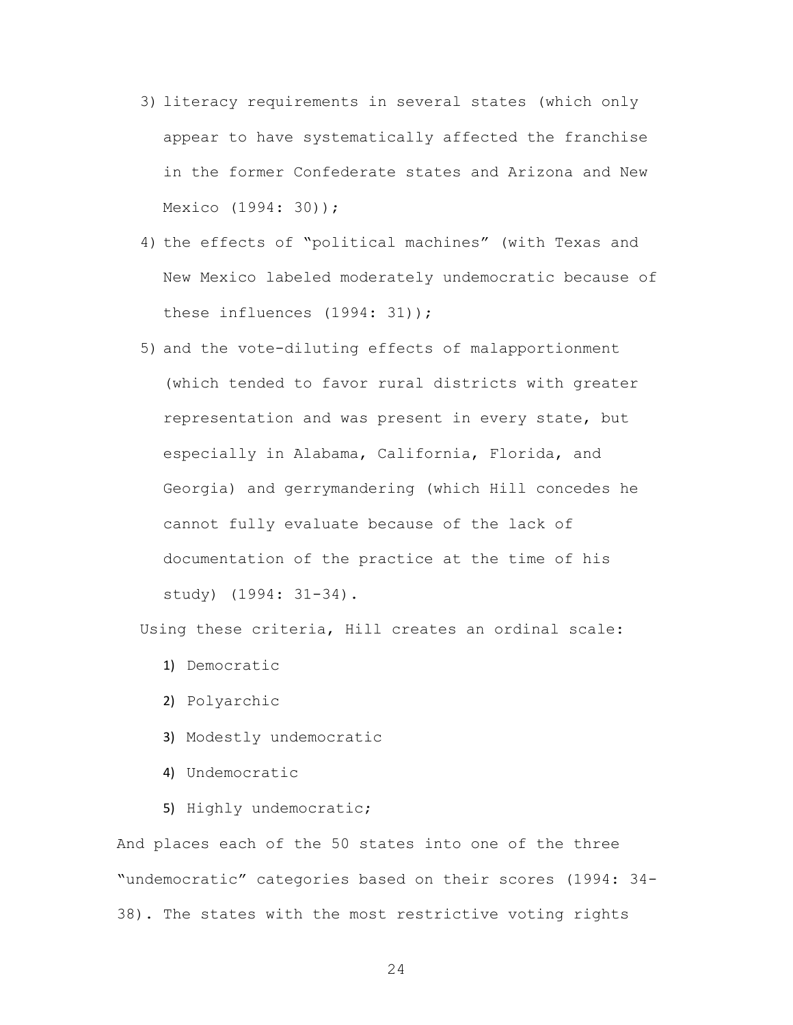- 3) literacy requirements in several states (which only appear to have systematically affected the franchise in the former Confederate states and Arizona and New Mexico (1994: 30));
- 4) the effects of "political machines" (with Texas and New Mexico labeled moderately undemocratic because of these influences (1994: 31));
- 5) and the vote-diluting effects of malapportionment (which tended to favor rural districts with greater representation and was present in every state, but especially in Alabama, California, Florida, and Georgia) and gerrymandering (which Hill concedes he cannot fully evaluate because of the lack of documentation of the practice at the time of his study) (1994: 31-34).

Using these criteria, Hill creates an ordinal scale:

- 1) Democratic
- 2) Polyarchic
- 3) Modestly undemocratic
- 4) Undemocratic
- 5) Highly undemocratic;

And places each of the 50 states into one of the three "undemocratic" categories based on their scores (1994: 34- 38). The states with the most restrictive voting rights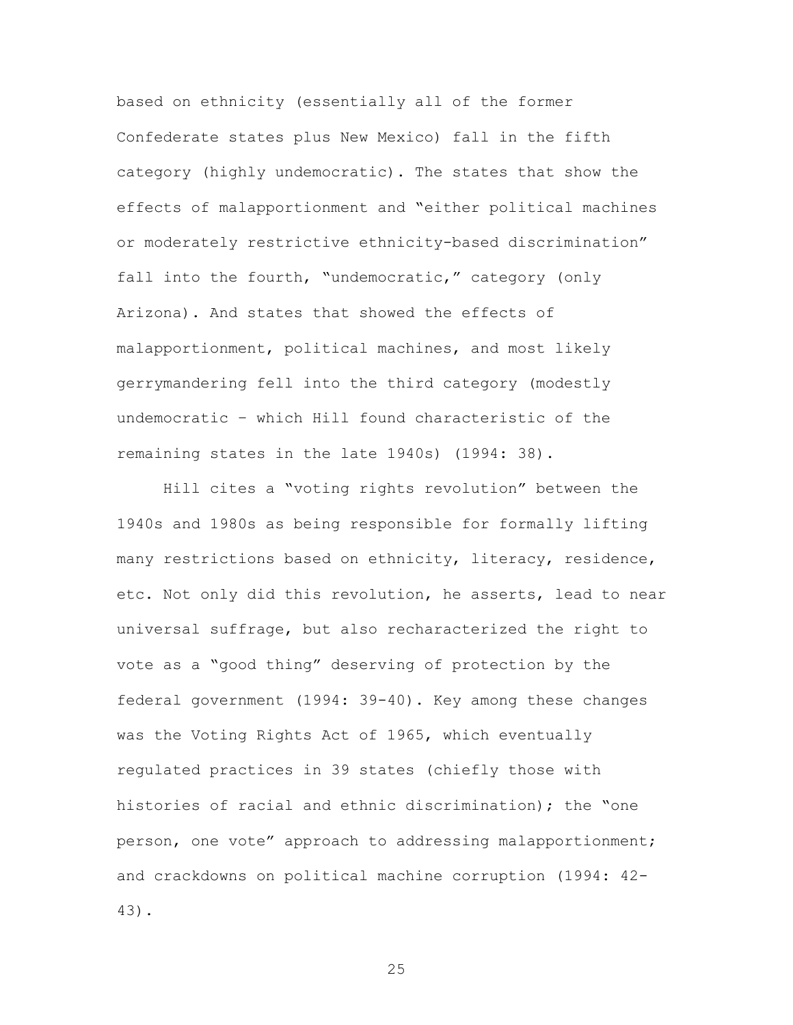based on ethnicity (essentially all of the former Confederate states plus New Mexico) fall in the fifth category (highly undemocratic). The states that show the effects of malapportionment and "either political machines or moderately restrictive ethnicity-based discrimination" fall into the fourth, "undemocratic," category (only Arizona). And states that showed the effects of malapportionment, political machines, and most likely gerrymandering fell into the third category (modestly undemocratic – which Hill found characteristic of the remaining states in the late 1940s) (1994: 38).

Hill cites a "voting rights revolution" between the 1940s and 1980s as being responsible for formally lifting many restrictions based on ethnicity, literacy, residence, etc. Not only did this revolution, he asserts, lead to near universal suffrage, but also recharacterized the right to vote as a "good thing" deserving of protection by the federal government (1994: 39-40). Key among these changes was the Voting Rights Act of 1965, which eventually regulated practices in 39 states (chiefly those with histories of racial and ethnic discrimination); the "one person, one vote" approach to addressing malapportionment; and crackdowns on political machine corruption (1994: 42- 43).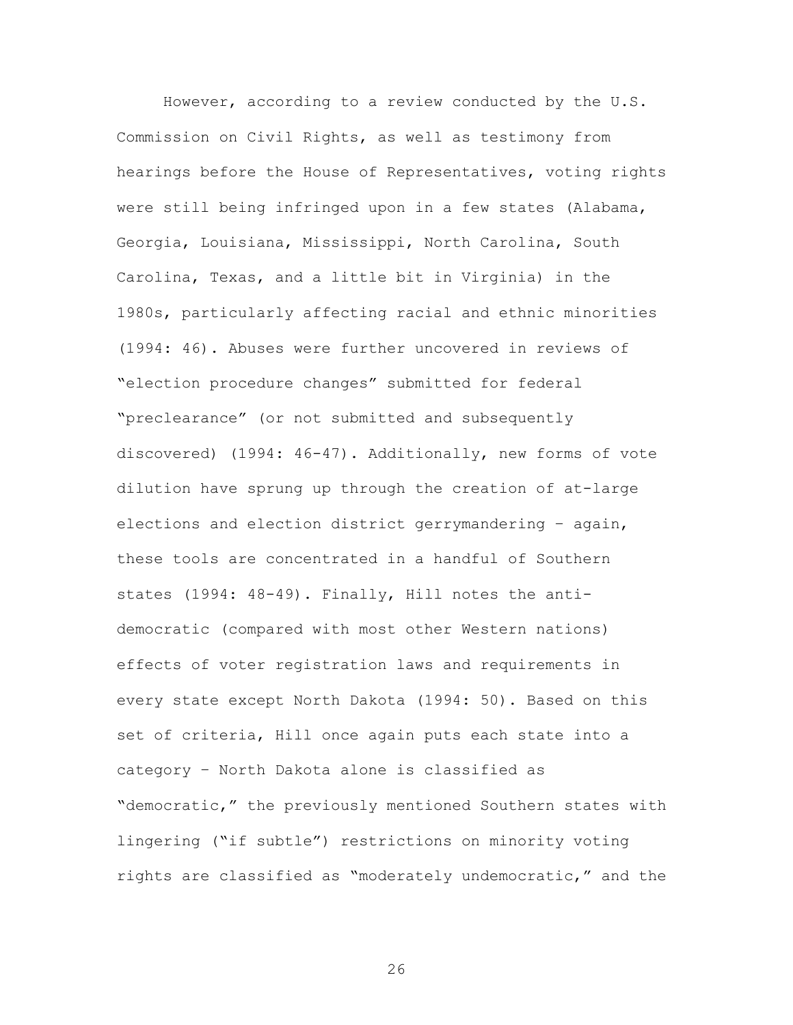However, according to a review conducted by the U.S. Commission on Civil Rights, as well as testimony from hearings before the House of Representatives, voting rights were still being infringed upon in a few states (Alabama, Georgia, Louisiana, Mississippi, North Carolina, South Carolina, Texas, and a little bit in Virginia) in the 1980s, particularly affecting racial and ethnic minorities (1994: 46). Abuses were further uncovered in reviews of "election procedure changes" submitted for federal "preclearance" (or not submitted and subsequently discovered) (1994: 46-47). Additionally, new forms of vote dilution have sprung up through the creation of at-large elections and election district gerrymandering – again, these tools are concentrated in a handful of Southern states (1994: 48-49). Finally, Hill notes the antidemocratic (compared with most other Western nations) effects of voter registration laws and requirements in every state except North Dakota (1994: 50). Based on this set of criteria, Hill once again puts each state into a category – North Dakota alone is classified as "democratic," the previously mentioned Southern states with lingering ("if subtle") restrictions on minority voting rights are classified as "moderately undemocratic," and the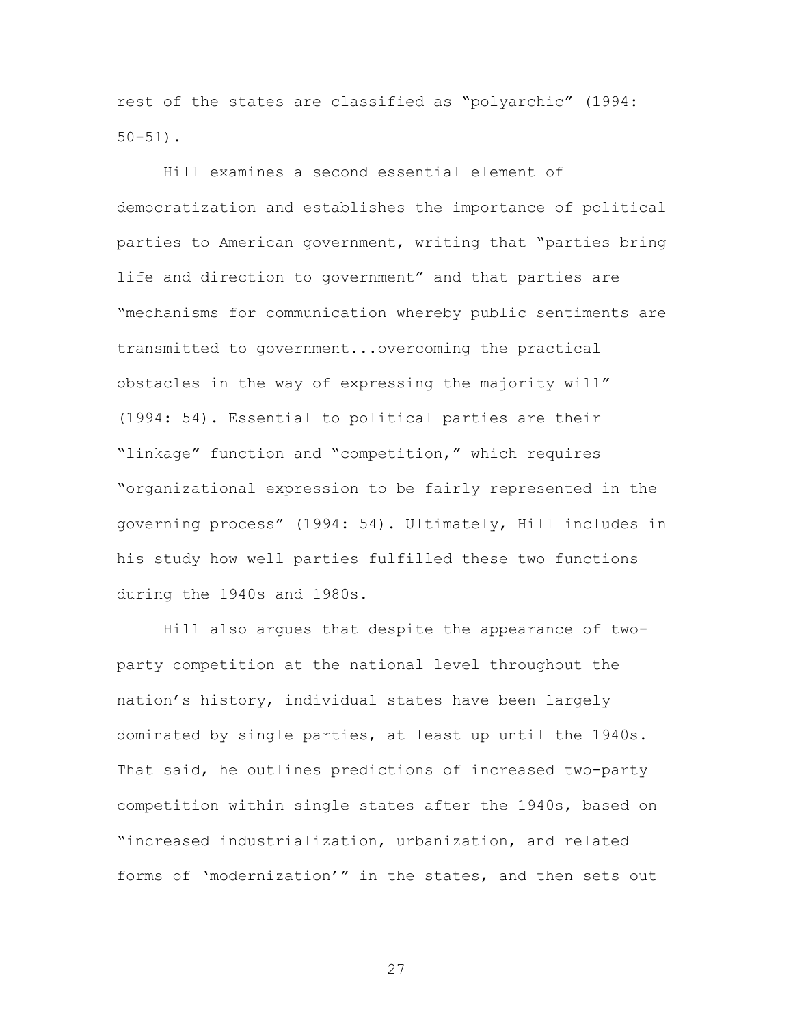rest of the states are classified as "polyarchic" (1994: 50-51).

Hill examines a second essential element of democratization and establishes the importance of political parties to American government, writing that "parties bring life and direction to government" and that parties are "mechanisms for communication whereby public sentiments are transmitted to government...overcoming the practical obstacles in the way of expressing the majority will" (1994: 54). Essential to political parties are their "linkage" function and "competition," which requires "organizational expression to be fairly represented in the governing process" (1994: 54). Ultimately, Hill includes in his study how well parties fulfilled these two functions during the 1940s and 1980s.

Hill also argues that despite the appearance of twoparty competition at the national level throughout the nation's history, individual states have been largely dominated by single parties, at least up until the 1940s. That said, he outlines predictions of increased two-party competition within single states after the 1940s, based on "increased industrialization, urbanization, and related forms of 'modernization'" in the states, and then sets out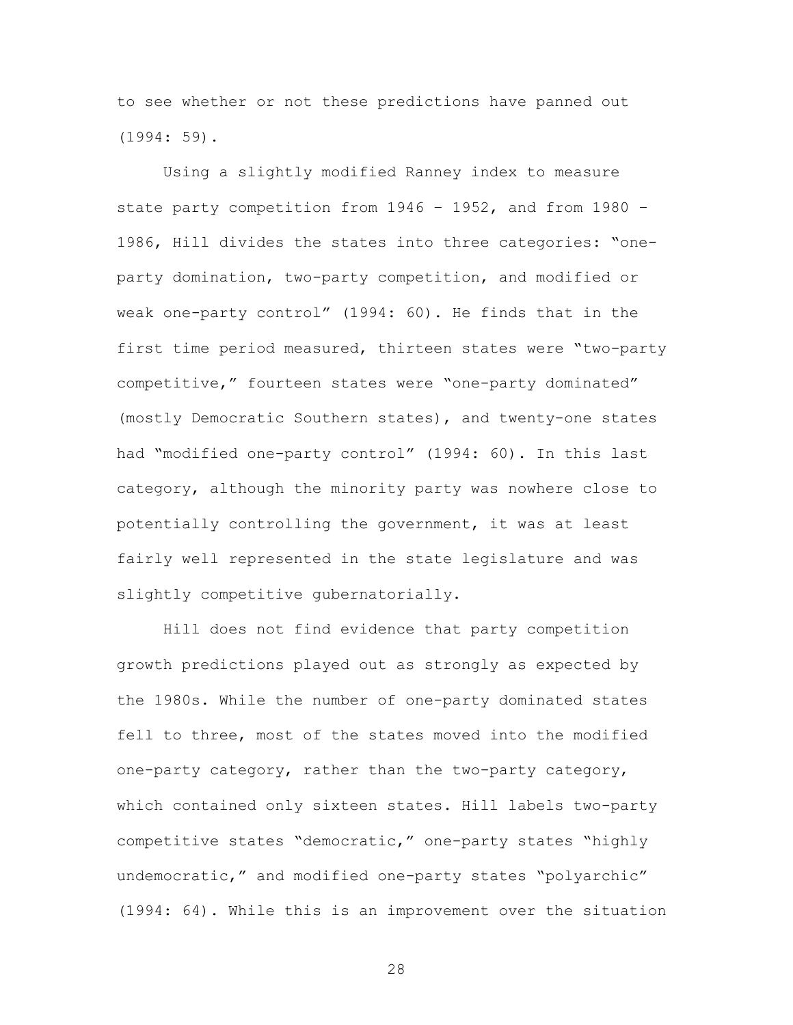to see whether or not these predictions have panned out (1994: 59).

Using a slightly modified Ranney index to measure state party competition from 1946 – 1952, and from 1980 – 1986, Hill divides the states into three categories: "oneparty domination, two-party competition, and modified or weak one-party control" (1994: 60). He finds that in the first time period measured, thirteen states were "two-party competitive," fourteen states were "one-party dominated" (mostly Democratic Southern states), and twenty-one states had "modified one-party control" (1994: 60). In this last category, although the minority party was nowhere close to potentially controlling the government, it was at least fairly well represented in the state legislature and was slightly competitive gubernatorially.

Hill does not find evidence that party competition growth predictions played out as strongly as expected by the 1980s. While the number of one-party dominated states fell to three, most of the states moved into the modified one-party category, rather than the two-party category, which contained only sixteen states. Hill labels two-party competitive states "democratic," one-party states "highly undemocratic," and modified one-party states "polyarchic" (1994: 64). While this is an improvement over the situation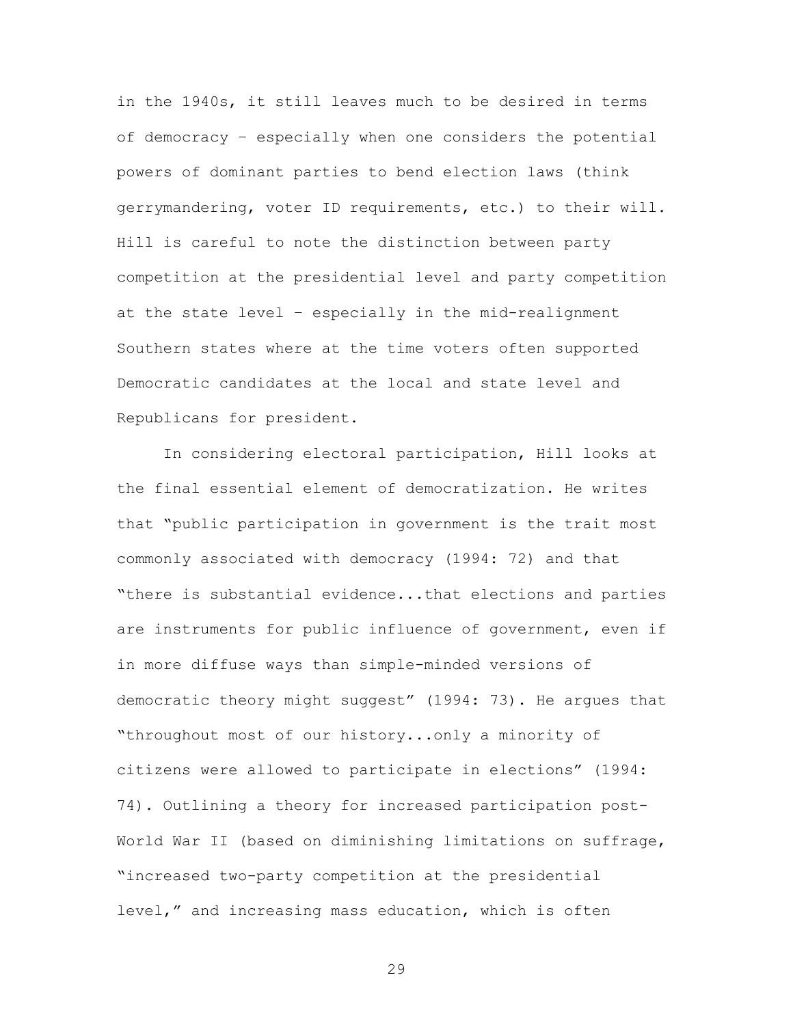in the 1940s, it still leaves much to be desired in terms of democracy – especially when one considers the potential powers of dominant parties to bend election laws (think gerrymandering, voter ID requirements, etc.) to their will. Hill is careful to note the distinction between party competition at the presidential level and party competition at the state level – especially in the mid-realignment Southern states where at the time voters often supported Democratic candidates at the local and state level and Republicans for president.

In considering electoral participation, Hill looks at the final essential element of democratization. He writes that "public participation in government is the trait most commonly associated with democracy (1994: 72) and that "there is substantial evidence...that elections and parties are instruments for public influence of government, even if in more diffuse ways than simple-minded versions of democratic theory might suggest" (1994: 73). He argues that "throughout most of our history...only a minority of citizens were allowed to participate in elections" (1994: 74). Outlining a theory for increased participation post-World War II (based on diminishing limitations on suffrage, "increased two-party competition at the presidential level," and increasing mass education, which is often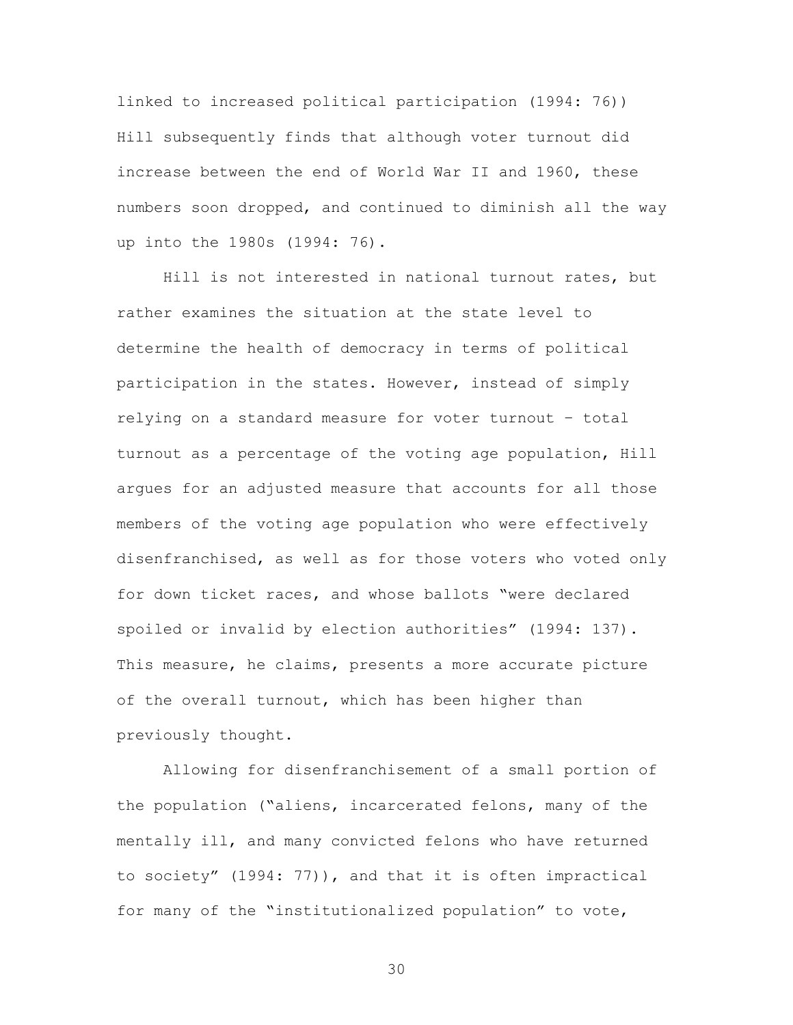linked to increased political participation (1994: 76)) Hill subsequently finds that although voter turnout did increase between the end of World War II and 1960, these numbers soon dropped, and continued to diminish all the way up into the 1980s (1994: 76).

Hill is not interested in national turnout rates, but rather examines the situation at the state level to determine the health of democracy in terms of political participation in the states. However, instead of simply relying on a standard measure for voter turnout – total turnout as a percentage of the voting age population, Hill argues for an adjusted measure that accounts for all those members of the voting age population who were effectively disenfranchised, as well as for those voters who voted only for down ticket races, and whose ballots "were declared spoiled or invalid by election authorities" (1994: 137). This measure, he claims, presents a more accurate picture of the overall turnout, which has been higher than previously thought.

Allowing for disenfranchisement of a small portion of the population ("aliens, incarcerated felons, many of the mentally ill, and many convicted felons who have returned to society" (1994: 77)), and that it is often impractical for many of the "institutionalized population" to vote,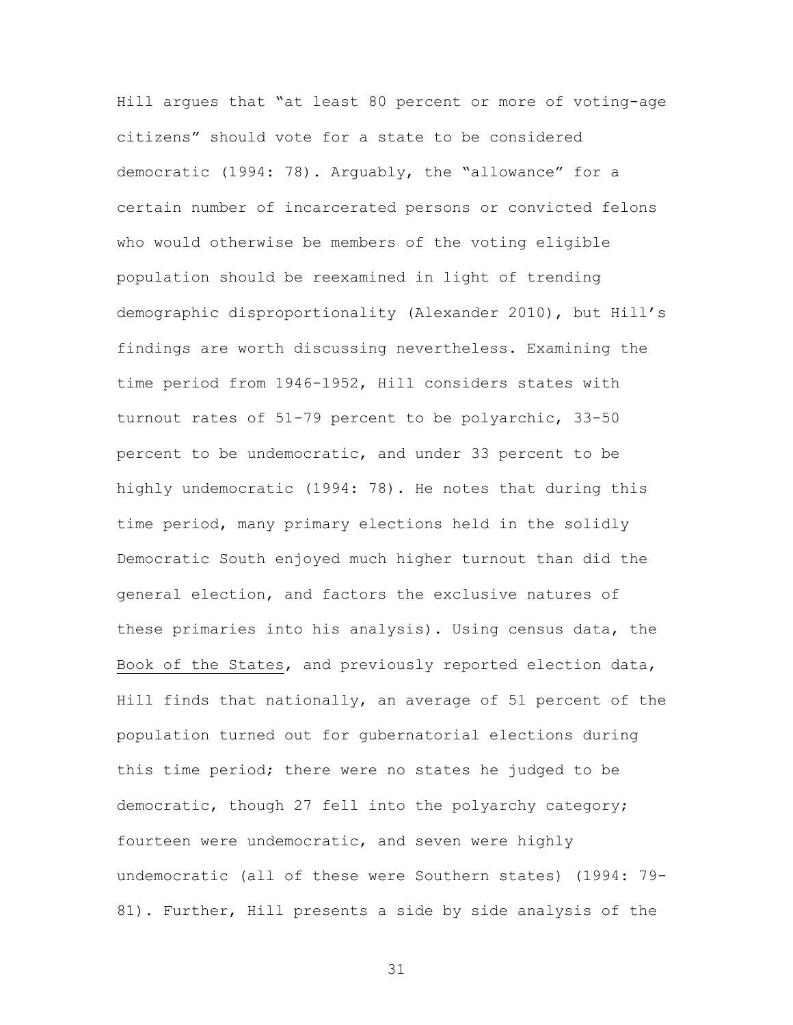Hill argues that "at least 80 percent or more of voting-age citizens" should vote for a state to be considered democratic (1994: 78). Arguably, the "allowance" for a certain number of incarcerated persons or convicted felons who would otherwise be members of the voting eligible population should be reexamined in light of trending demographic disproportionality (Alexander 2010), but Hill's findings are worth discussing nevertheless. Examining the time period from 1946-1952, Hill considers states with turnout rates of 51-79 percent to be polyarchic, 33-50 percent to be undemocratic, and under 33 percent to be highly undemocratic (1994: 78). He notes that during this time period, many primary elections held in the solidly Democratic South enjoyed much higher turnout than did the general election, and factors the exclusive natures of these primaries into his analysis). Using census data, the Book of the States, and previously reported election data, Hill finds that nationally, an average of 51 percent of the population turned out for gubernatorial elections during this time period; there were no states he judged to be democratic, though 27 fell into the polyarchy category; fourteen were undemocratic, and seven were highly undemocratic (all of these were Southern states) (1994: 79- 81). Further, Hill presents a side by side analysis of the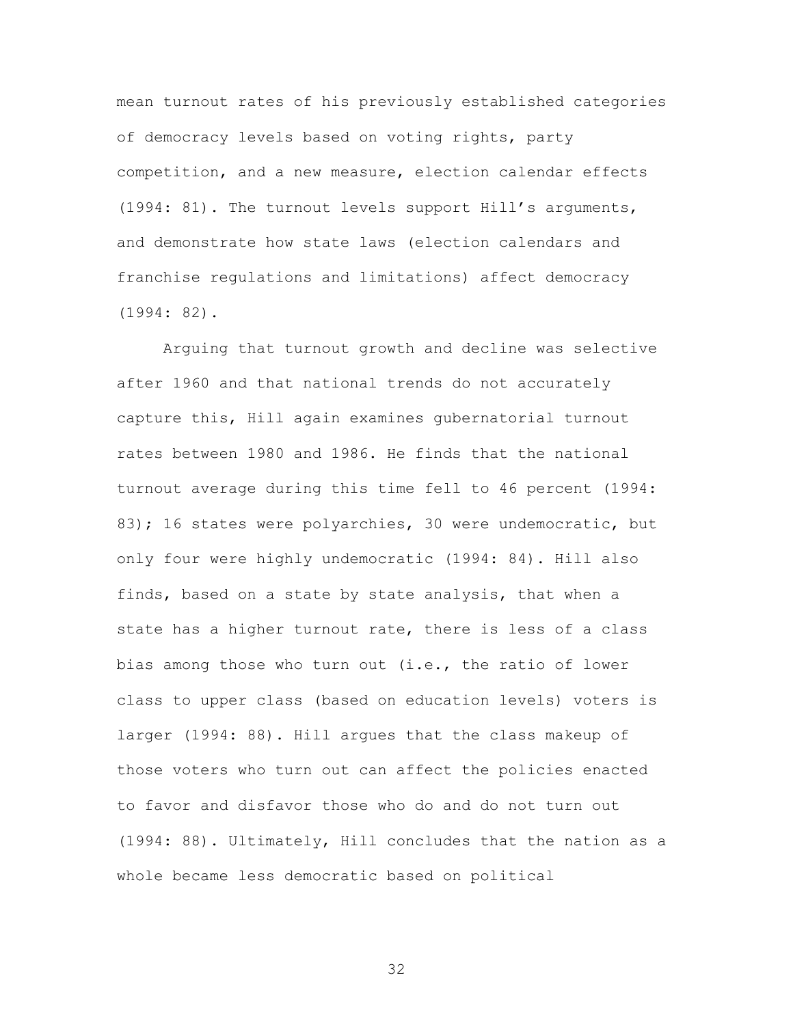mean turnout rates of his previously established categories of democracy levels based on voting rights, party competition, and a new measure, election calendar effects (1994: 81). The turnout levels support Hill's arguments, and demonstrate how state laws (election calendars and franchise regulations and limitations) affect democracy (1994: 82).

Arguing that turnout growth and decline was selective after 1960 and that national trends do not accurately capture this, Hill again examines gubernatorial turnout rates between 1980 and 1986. He finds that the national turnout average during this time fell to 46 percent (1994: 83); 16 states were polyarchies, 30 were undemocratic, but only four were highly undemocratic (1994: 84). Hill also finds, based on a state by state analysis, that when a state has a higher turnout rate, there is less of a class bias among those who turn out (i.e., the ratio of lower class to upper class (based on education levels) voters is larger (1994: 88). Hill argues that the class makeup of those voters who turn out can affect the policies enacted to favor and disfavor those who do and do not turn out (1994: 88). Ultimately, Hill concludes that the nation as a whole became less democratic based on political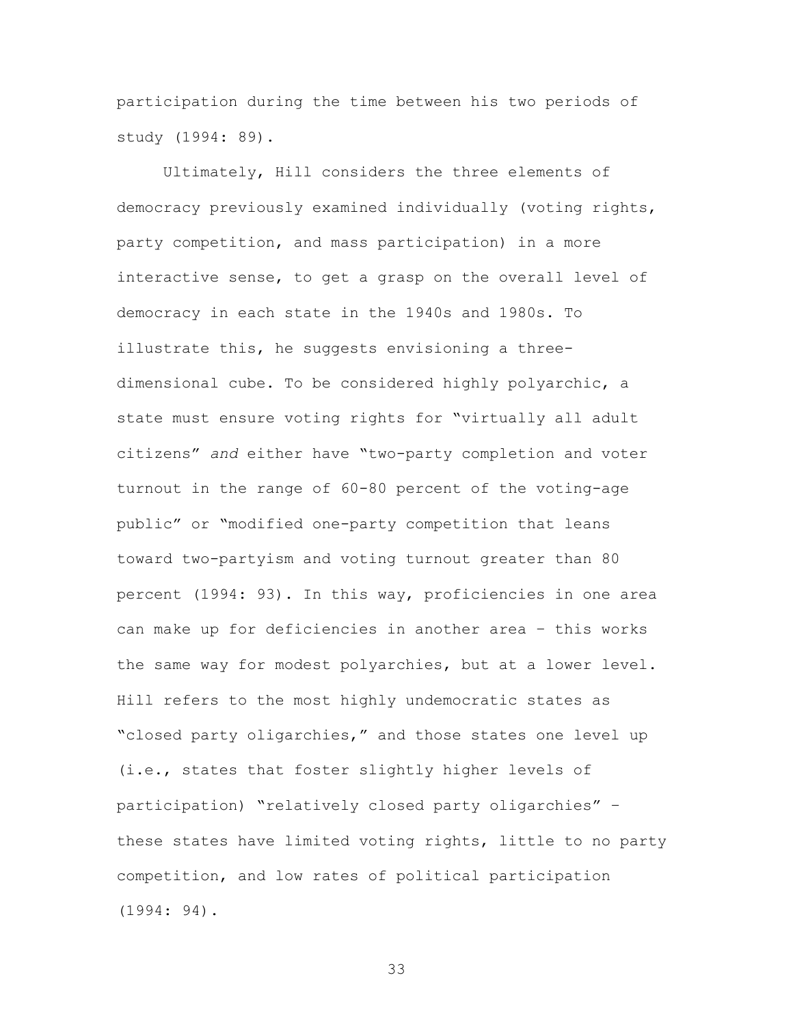participation during the time between his two periods of study (1994: 89).

Ultimately, Hill considers the three elements of democracy previously examined individually (voting rights, party competition, and mass participation) in a more interactive sense, to get a grasp on the overall level of democracy in each state in the 1940s and 1980s. To illustrate this, he suggests envisioning a threedimensional cube. To be considered highly polyarchic, a state must ensure voting rights for "virtually all adult citizens" *and* either have "two-party completion and voter turnout in the range of 60-80 percent of the voting-age public" or "modified one-party competition that leans toward two-partyism and voting turnout greater than 80 percent (1994: 93). In this way, proficiencies in one area can make up for deficiencies in another area – this works the same way for modest polyarchies, but at a lower level. Hill refers to the most highly undemocratic states as "closed party oligarchies," and those states one level up (i.e., states that foster slightly higher levels of participation) "relatively closed party oligarchies" – these states have limited voting rights, little to no party competition, and low rates of political participation (1994: 94).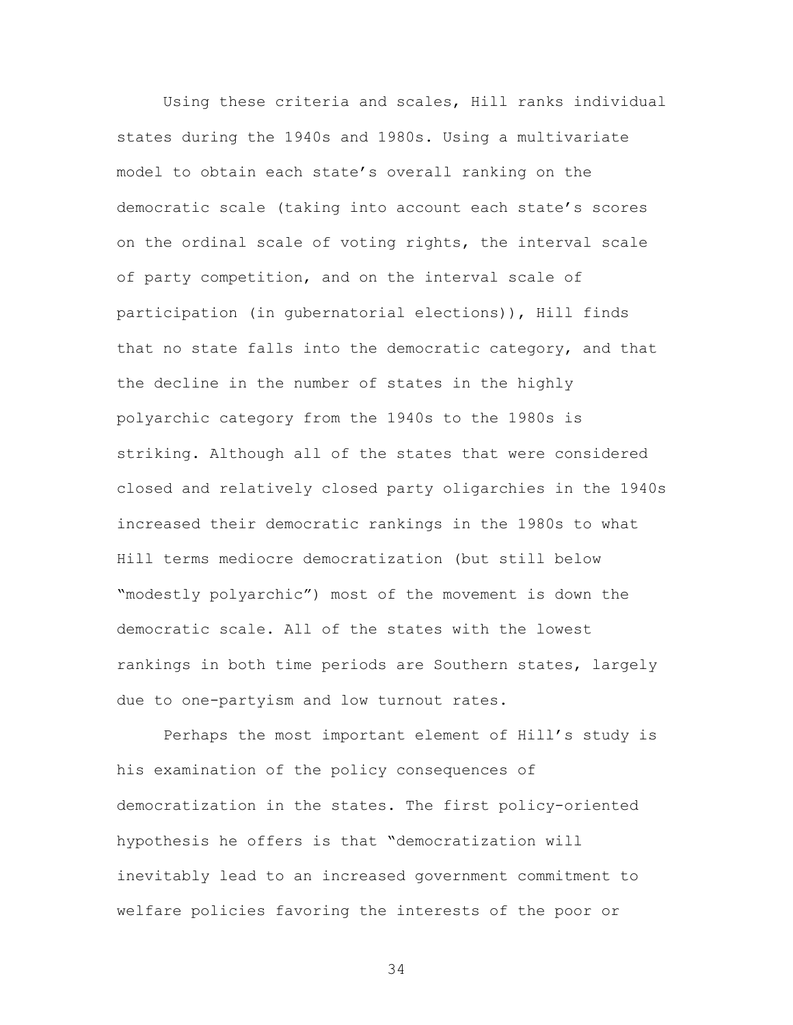Using these criteria and scales, Hill ranks individual states during the 1940s and 1980s. Using a multivariate model to obtain each state's overall ranking on the democratic scale (taking into account each state's scores on the ordinal scale of voting rights, the interval scale of party competition, and on the interval scale of participation (in gubernatorial elections)), Hill finds that no state falls into the democratic category, and that the decline in the number of states in the highly polyarchic category from the 1940s to the 1980s is striking. Although all of the states that were considered closed and relatively closed party oligarchies in the 1940s increased their democratic rankings in the 1980s to what Hill terms mediocre democratization (but still below "modestly polyarchic") most of the movement is down the democratic scale. All of the states with the lowest rankings in both time periods are Southern states, largely due to one-partyism and low turnout rates.

Perhaps the most important element of Hill's study is his examination of the policy consequences of democratization in the states. The first policy-oriented hypothesis he offers is that "democratization will inevitably lead to an increased government commitment to welfare policies favoring the interests of the poor or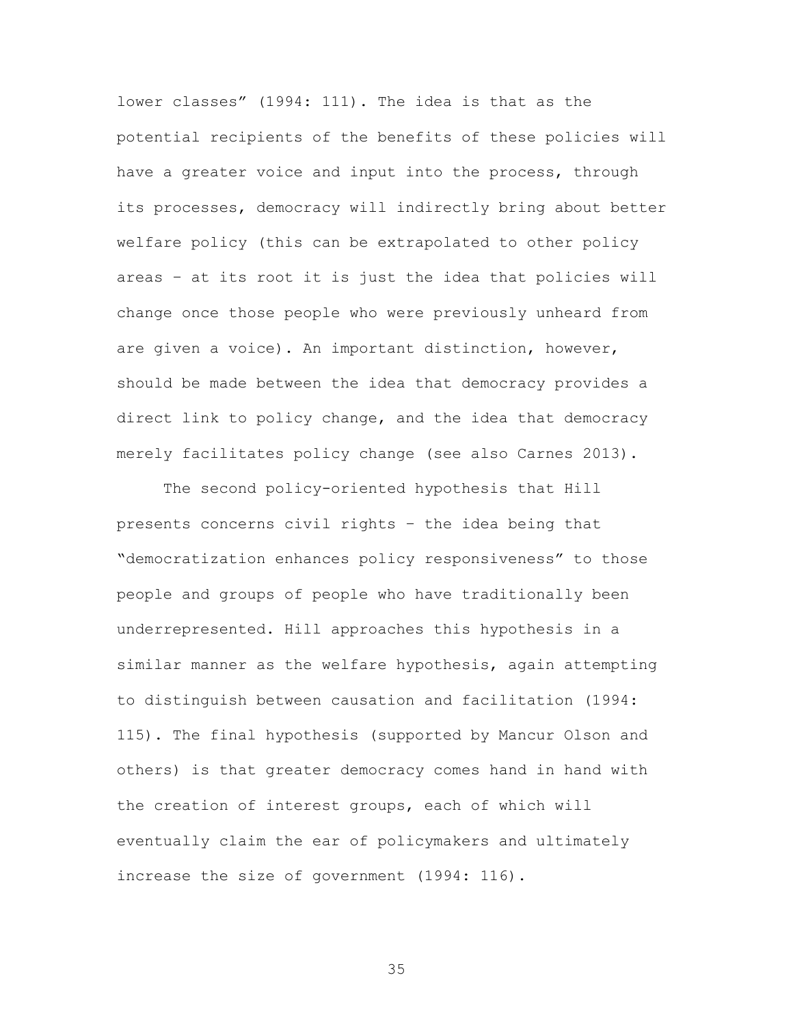lower classes" (1994: 111). The idea is that as the potential recipients of the benefits of these policies will have a greater voice and input into the process, through its processes, democracy will indirectly bring about better welfare policy (this can be extrapolated to other policy areas – at its root it is just the idea that policies will change once those people who were previously unheard from are given a voice). An important distinction, however, should be made between the idea that democracy provides a direct link to policy change, and the idea that democracy merely facilitates policy change (see also Carnes 2013).

The second policy-oriented hypothesis that Hill presents concerns civil rights – the idea being that "democratization enhances policy responsiveness" to those people and groups of people who have traditionally been underrepresented. Hill approaches this hypothesis in a similar manner as the welfare hypothesis, again attempting to distinguish between causation and facilitation (1994: 115). The final hypothesis (supported by Mancur Olson and others) is that greater democracy comes hand in hand with the creation of interest groups, each of which will eventually claim the ear of policymakers and ultimately increase the size of government (1994: 116).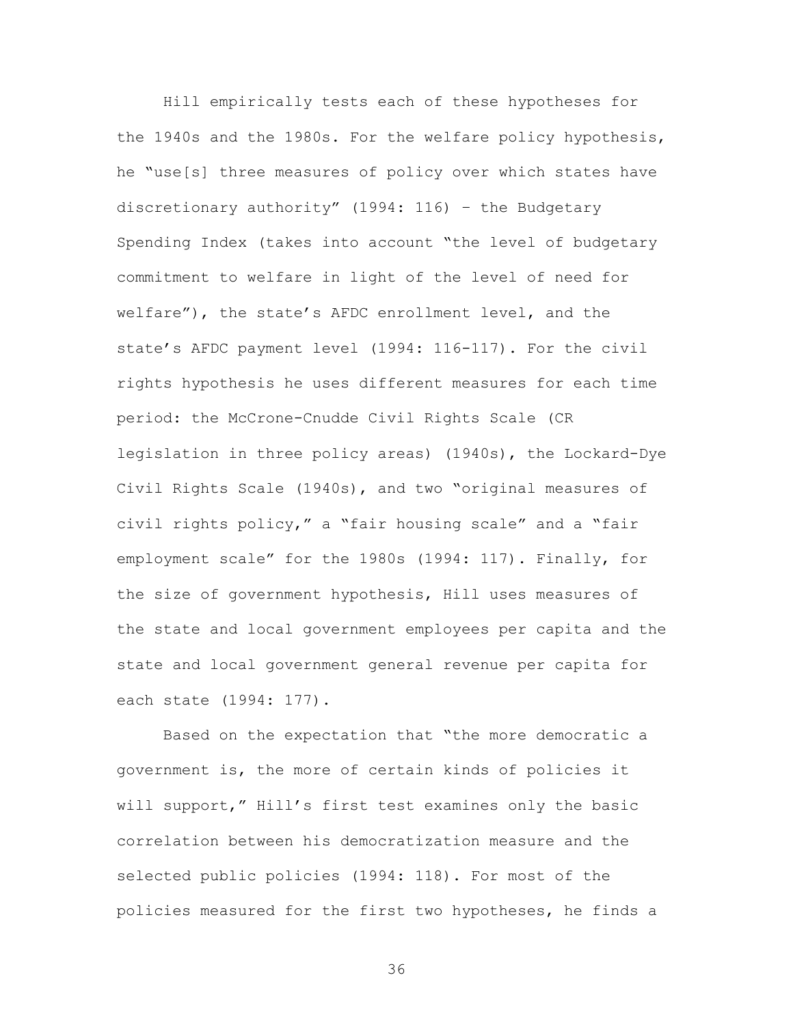Hill empirically tests each of these hypotheses for the 1940s and the 1980s. For the welfare policy hypothesis, he "use[s] three measures of policy over which states have discretionary authority" (1994: 116) – the Budgetary Spending Index (takes into account "the level of budgetary commitment to welfare in light of the level of need for welfare"), the state's AFDC enrollment level, and the state's AFDC payment level (1994: 116-117). For the civil rights hypothesis he uses different measures for each time period: the McCrone-Cnudde Civil Rights Scale (CR legislation in three policy areas) (1940s), the Lockard-Dye Civil Rights Scale (1940s), and two "original measures of civil rights policy," a "fair housing scale" and a "fair employment scale" for the 1980s (1994: 117). Finally, for the size of government hypothesis, Hill uses measures of the state and local government employees per capita and the state and local government general revenue per capita for each state (1994: 177).

Based on the expectation that "the more democratic a government is, the more of certain kinds of policies it will support," Hill's first test examines only the basic correlation between his democratization measure and the selected public policies (1994: 118). For most of the policies measured for the first two hypotheses, he finds a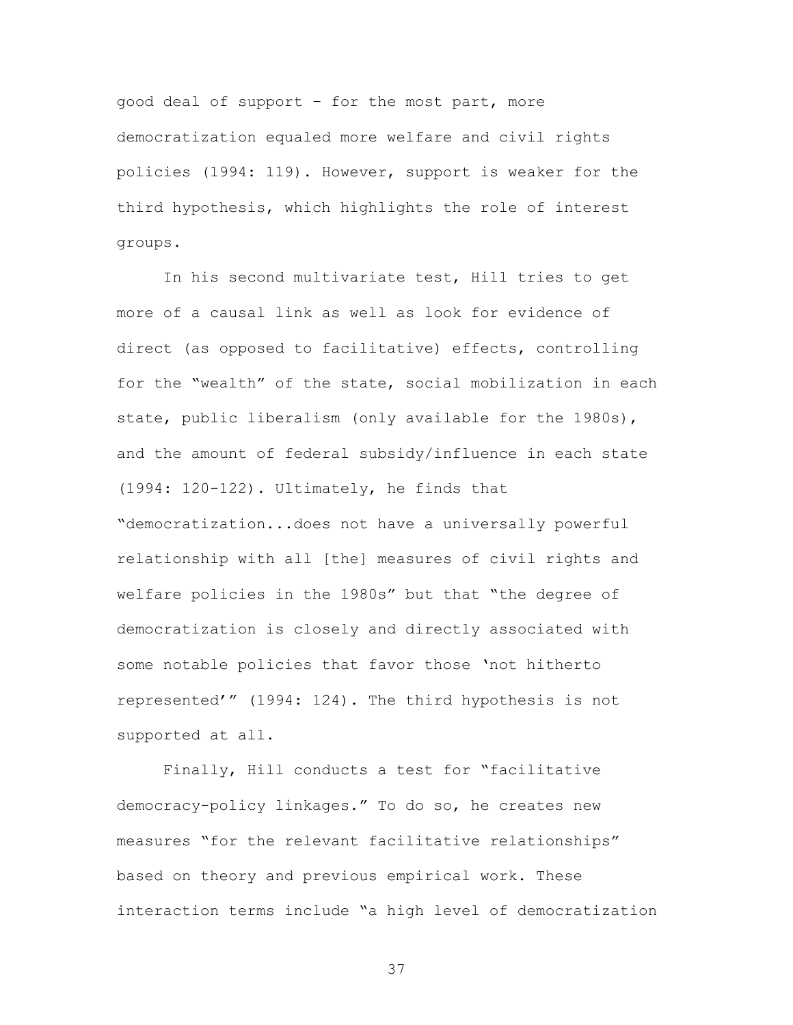good deal of support – for the most part, more democratization equaled more welfare and civil rights policies (1994: 119). However, support is weaker for the third hypothesis, which highlights the role of interest groups.

In his second multivariate test, Hill tries to get more of a causal link as well as look for evidence of direct (as opposed to facilitative) effects, controlling for the "wealth" of the state, social mobilization in each state, public liberalism (only available for the 1980s), and the amount of federal subsidy/influence in each state (1994: 120-122). Ultimately, he finds that "democratization...does not have a universally powerful relationship with all [the] measures of civil rights and welfare policies in the 1980s" but that "the degree of democratization is closely and directly associated with some notable policies that favor those 'not hitherto represented'" (1994: 124). The third hypothesis is not supported at all.

Finally, Hill conducts a test for "facilitative democracy-policy linkages." To do so, he creates new measures "for the relevant facilitative relationships" based on theory and previous empirical work. These interaction terms include "a high level of democratization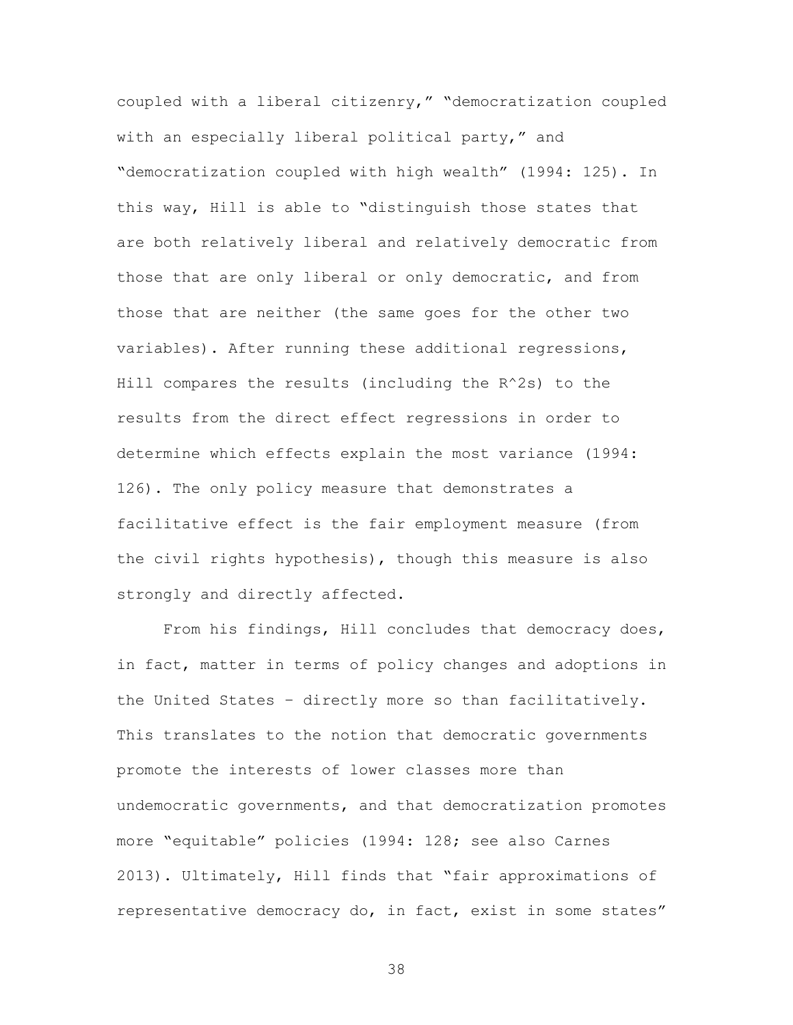coupled with a liberal citizenry," "democratization coupled with an especially liberal political party," and "democratization coupled with high wealth" (1994: 125). In this way, Hill is able to "distinguish those states that are both relatively liberal and relatively democratic from those that are only liberal or only democratic, and from those that are neither (the same goes for the other two variables). After running these additional regressions, Hill compares the results (including the R^2s) to the results from the direct effect regressions in order to determine which effects explain the most variance (1994: 126). The only policy measure that demonstrates a facilitative effect is the fair employment measure (from the civil rights hypothesis), though this measure is also strongly and directly affected.

From his findings, Hill concludes that democracy does, in fact, matter in terms of policy changes and adoptions in the United States – directly more so than facilitatively. This translates to the notion that democratic governments promote the interests of lower classes more than undemocratic governments, and that democratization promotes more "equitable" policies (1994: 128; see also Carnes 2013). Ultimately, Hill finds that "fair approximations of representative democracy do, in fact, exist in some states"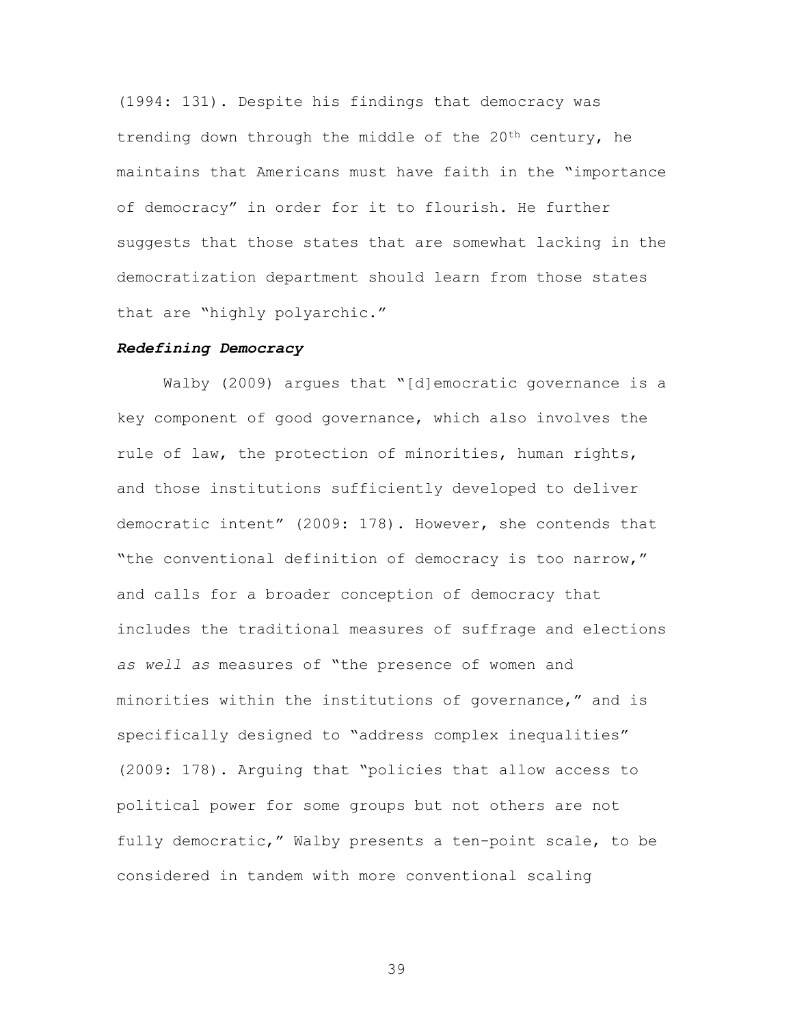(1994: 131). Despite his findings that democracy was trending down through the middle of the 20th century, he maintains that Americans must have faith in the "importance of democracy" in order for it to flourish. He further suggests that those states that are somewhat lacking in the democratization department should learn from those states that are "highly polyarchic."

## *Redefining Democracy*

Walby (2009) argues that "[d]emocratic governance is a key component of good governance, which also involves the rule of law, the protection of minorities, human rights, and those institutions sufficiently developed to deliver democratic intent" (2009: 178). However, she contends that "the conventional definition of democracy is too narrow," and calls for a broader conception of democracy that includes the traditional measures of suffrage and elections *as well as* measures of "the presence of women and minorities within the institutions of governance," and is specifically designed to "address complex inequalities" (2009: 178). Arguing that "policies that allow access to political power for some groups but not others are not fully democratic," Walby presents a ten-point scale, to be considered in tandem with more conventional scaling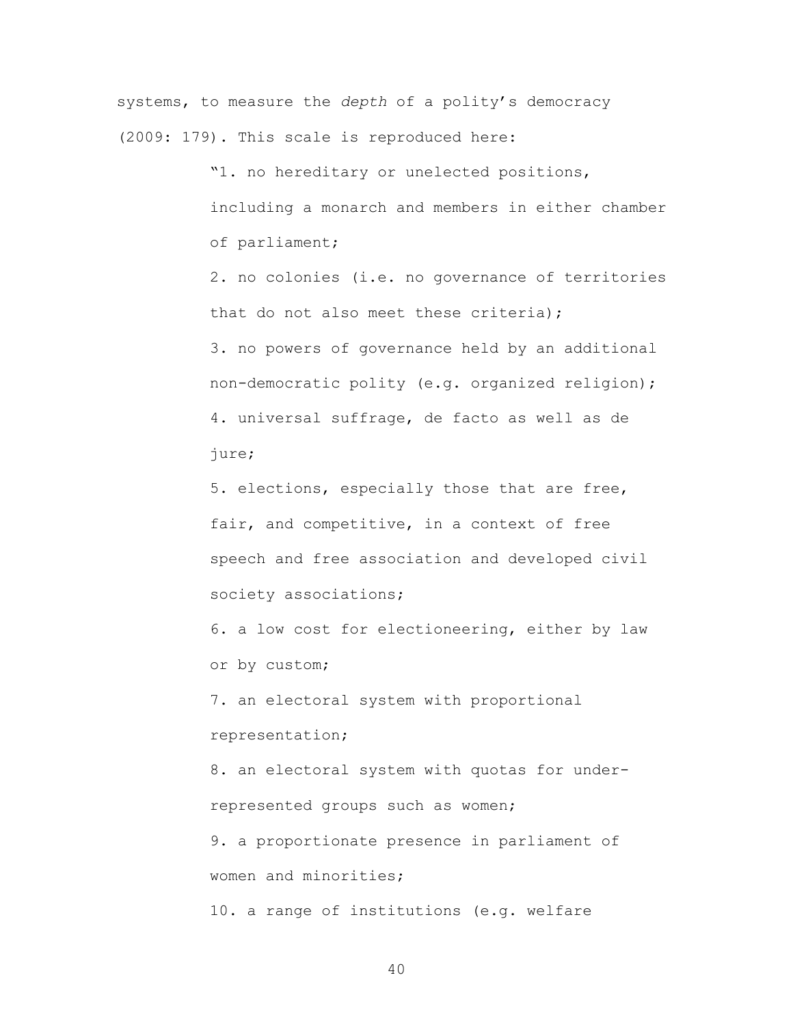systems, to measure the *depth* of a polity's democracy (2009: 179). This scale is reproduced here:

> "1. no hereditary or unelected positions, including a monarch and members in either chamber of parliament;

> 2. no colonies (i.e. no governance of territories that do not also meet these criteria); 3. no powers of governance held by an additional non-democratic polity (e.g. organized religion);

4. universal suffrage, de facto as well as de jure;

5. elections, especially those that are free, fair, and competitive, in a context of free speech and free association and developed civil society associations;

6. a low cost for electioneering, either by law or by custom;

7. an electoral system with proportional representation;

8. an electoral system with quotas for underrepresented groups such as women;

9. a proportionate presence in parliament of women and minorities;

10. a range of institutions (e.g. welfare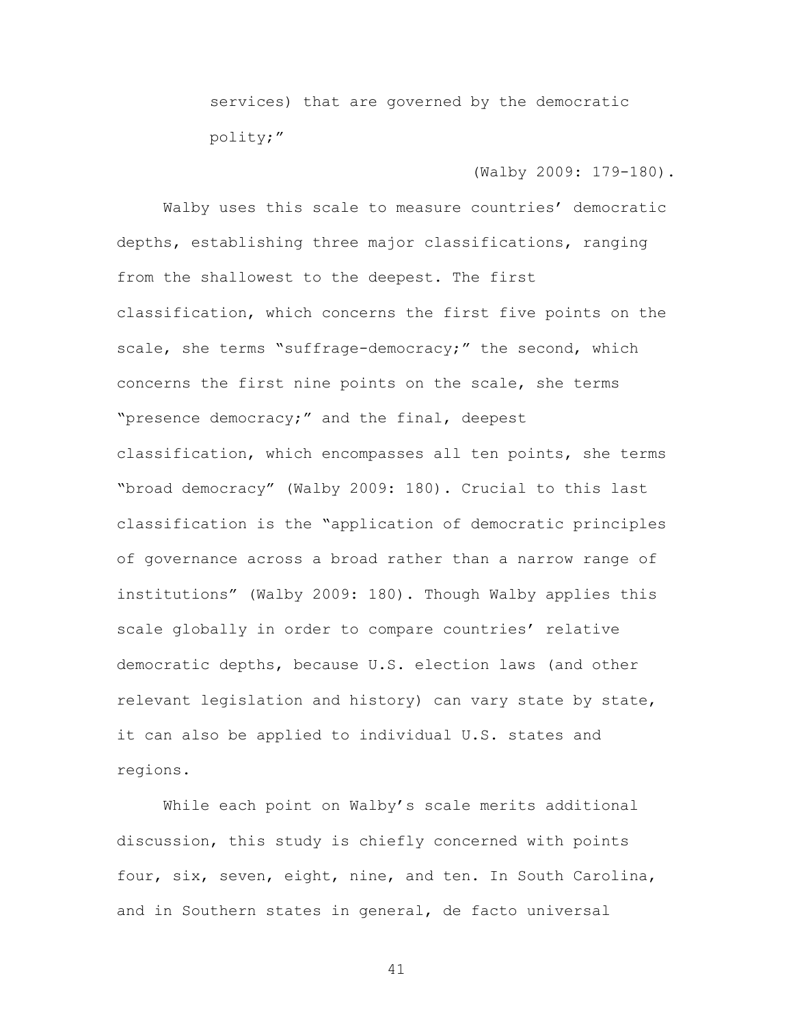services) that are governed by the democratic polity;"

## (Walby 2009: 179-180).

Walby uses this scale to measure countries' democratic depths, establishing three major classifications, ranging from the shallowest to the deepest. The first classification, which concerns the first five points on the scale, she terms "suffrage-democracy;" the second, which concerns the first nine points on the scale, she terms "presence democracy;" and the final, deepest classification, which encompasses all ten points, she terms "broad democracy" (Walby 2009: 180). Crucial to this last classification is the "application of democratic principles of governance across a broad rather than a narrow range of institutions" (Walby 2009: 180). Though Walby applies this scale globally in order to compare countries' relative democratic depths, because U.S. election laws (and other relevant legislation and history) can vary state by state, it can also be applied to individual U.S. states and regions.

While each point on Walby's scale merits additional discussion, this study is chiefly concerned with points four, six, seven, eight, nine, and ten. In South Carolina, and in Southern states in general, de facto universal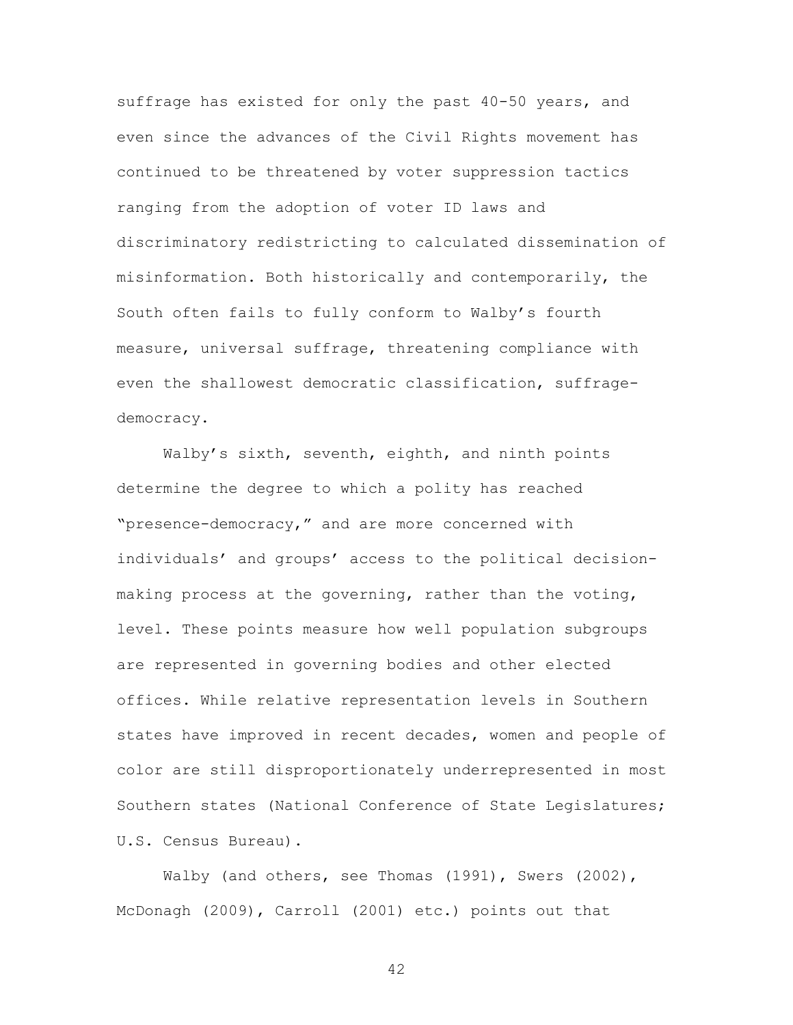suffrage has existed for only the past 40-50 years, and even since the advances of the Civil Rights movement has continued to be threatened by voter suppression tactics ranging from the adoption of voter ID laws and discriminatory redistricting to calculated dissemination of misinformation. Both historically and contemporarily, the South often fails to fully conform to Walby's fourth measure, universal suffrage, threatening compliance with even the shallowest democratic classification, suffragedemocracy.

Walby's sixth, seventh, eighth, and ninth points determine the degree to which a polity has reached "presence-democracy," and are more concerned with individuals' and groups' access to the political decisionmaking process at the governing, rather than the voting, level. These points measure how well population subgroups are represented in governing bodies and other elected offices. While relative representation levels in Southern states have improved in recent decades, women and people of color are still disproportionately underrepresented in most Southern states (National Conference of State Legislatures; U.S. Census Bureau).

Walby (and others, see Thomas (1991), Swers (2002), McDonagh (2009), Carroll (2001) etc.) points out that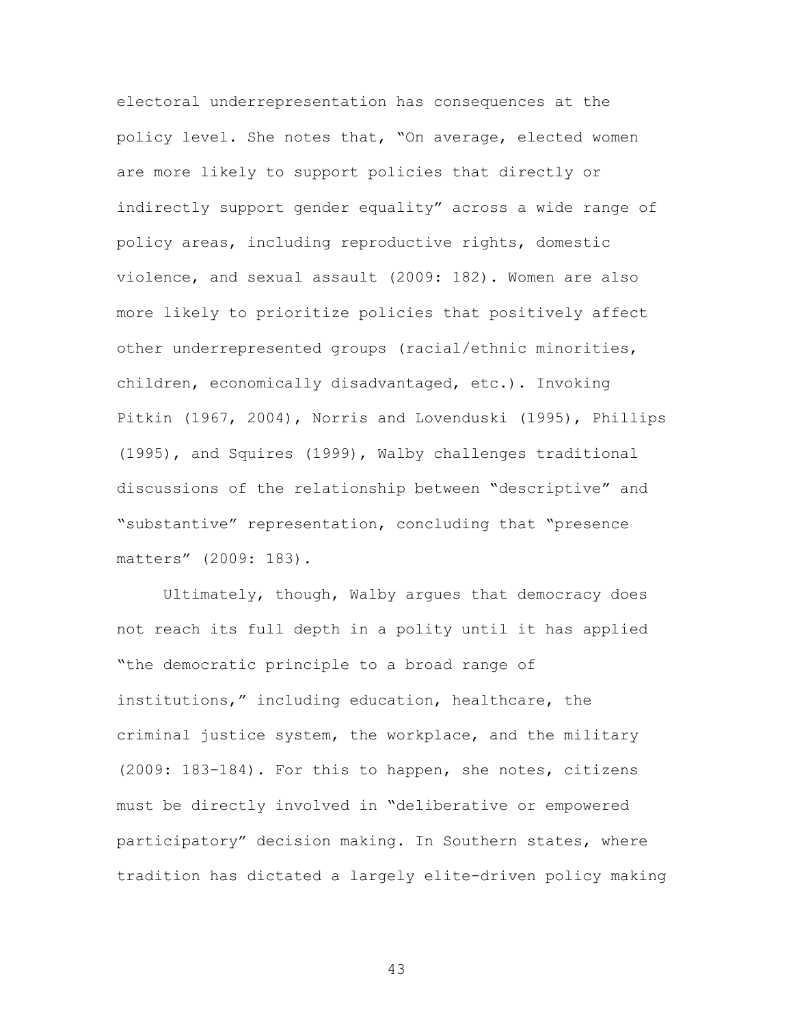electoral underrepresentation has consequences at the policy level. She notes that, "On average, elected women are more likely to support policies that directly or indirectly support gender equality" across a wide range of policy areas, including reproductive rights, domestic violence, and sexual assault (2009: 182). Women are also more likely to prioritize policies that positively affect other underrepresented groups (racial/ethnic minorities, children, economically disadvantaged, etc.). Invoking Pitkin (1967, 2004), Norris and Lovenduski (1995), Phillips (1995), and Squires (1999), Walby challenges traditional discussions of the relationship between "descriptive" and "substantive" representation, concluding that "presence matters" (2009: 183).

Ultimately, though, Walby argues that democracy does not reach its full depth in a polity until it has applied "the democratic principle to a broad range of institutions," including education, healthcare, the criminal justice system, the workplace, and the military (2009: 183-184). For this to happen, she notes, citizens must be directly involved in "deliberative or empowered participatory" decision making. In Southern states, where tradition has dictated a largely elite-driven policy making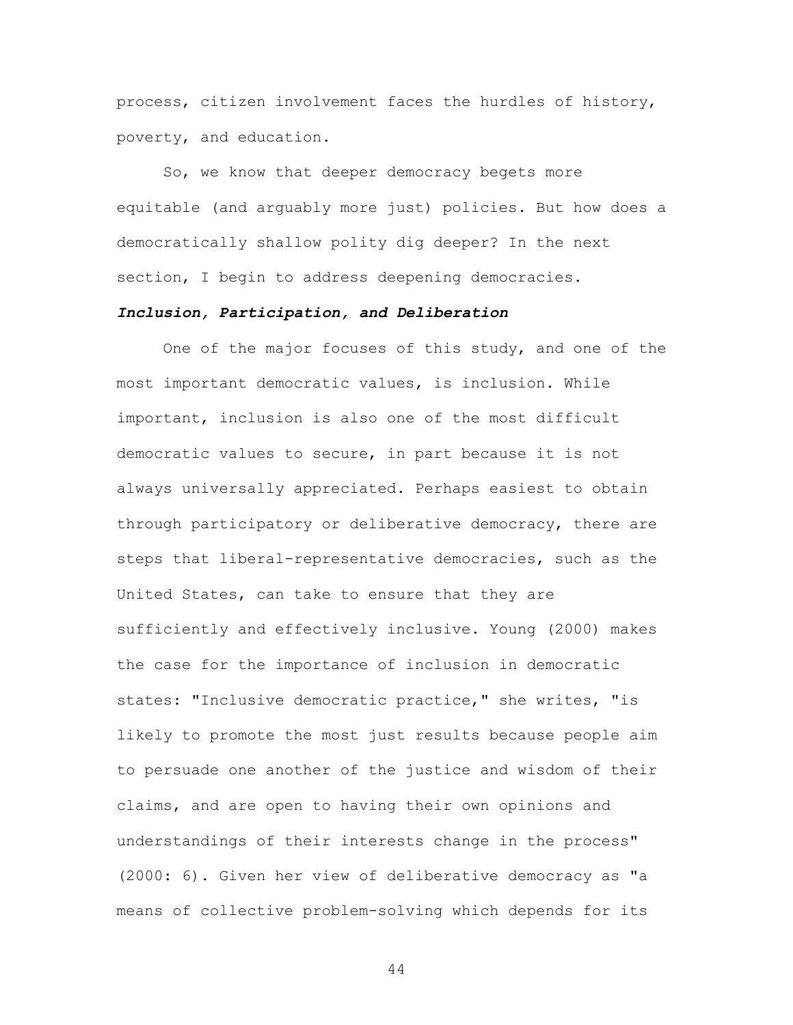process, citizen involvement faces the hurdles of history, poverty, and education.

So, we know that deeper democracy begets more equitable (and arguably more just) policies. But how does a democratically shallow polity dig deeper? In the next section, I begin to address deepening democracies.

# *Inclusion, Participation, and Deliberation*

One of the major focuses of this study, and one of the most important democratic values, is inclusion. While important, inclusion is also one of the most difficult democratic values to secure, in part because it is not always universally appreciated. Perhaps easiest to obtain through participatory or deliberative democracy, there are steps that liberal-representative democracies, such as the United States, can take to ensure that they are sufficiently and effectively inclusive. Young (2000) makes the case for the importance of inclusion in democratic states: "Inclusive democratic practice," she writes, "is likely to promote the most just results because people aim to persuade one another of the justice and wisdom of their claims, and are open to having their own opinions and understandings of their interests change in the process" (2000: 6). Given her view of deliberative democracy as "a means of collective problem-solving which depends for its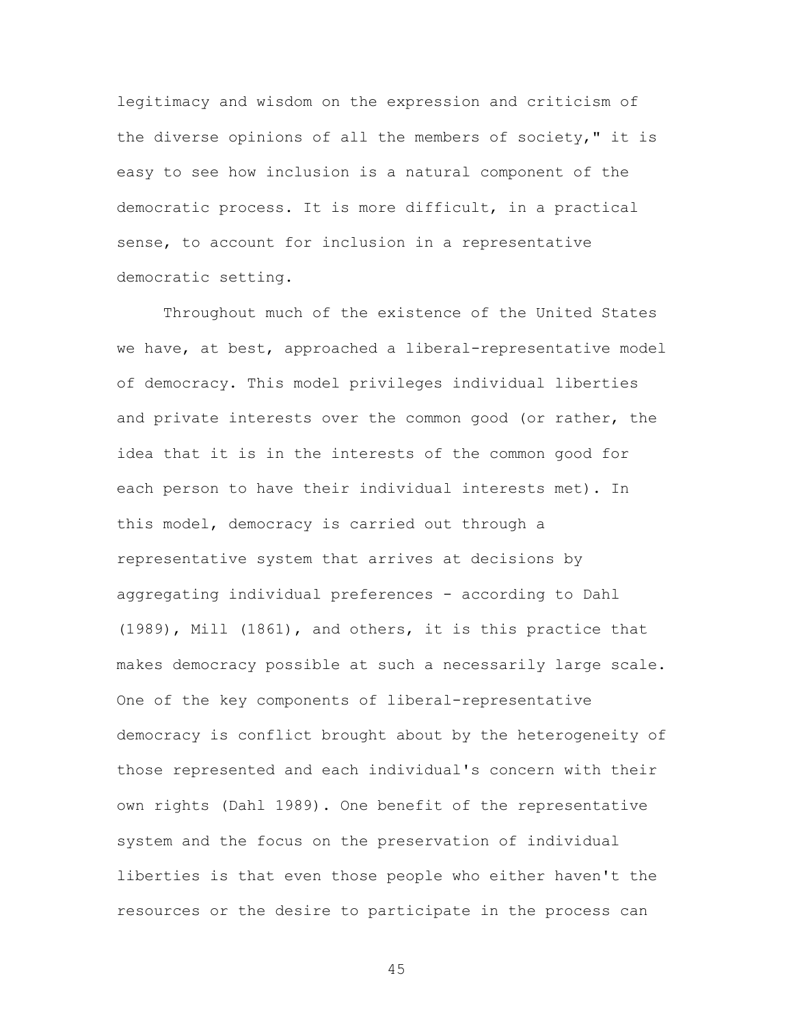legitimacy and wisdom on the expression and criticism of the diverse opinions of all the members of society," it is easy to see how inclusion is a natural component of the democratic process. It is more difficult, in a practical sense, to account for inclusion in a representative democratic setting.

Throughout much of the existence of the United States we have, at best, approached a liberal-representative model of democracy. This model privileges individual liberties and private interests over the common good (or rather, the idea that it is in the interests of the common good for each person to have their individual interests met). In this model, democracy is carried out through a representative system that arrives at decisions by aggregating individual preferences - according to Dahl (1989), Mill (1861), and others, it is this practice that makes democracy possible at such a necessarily large scale. One of the key components of liberal-representative democracy is conflict brought about by the heterogeneity of those represented and each individual's concern with their own rights (Dahl 1989). One benefit of the representative system and the focus on the preservation of individual liberties is that even those people who either haven't the resources or the desire to participate in the process can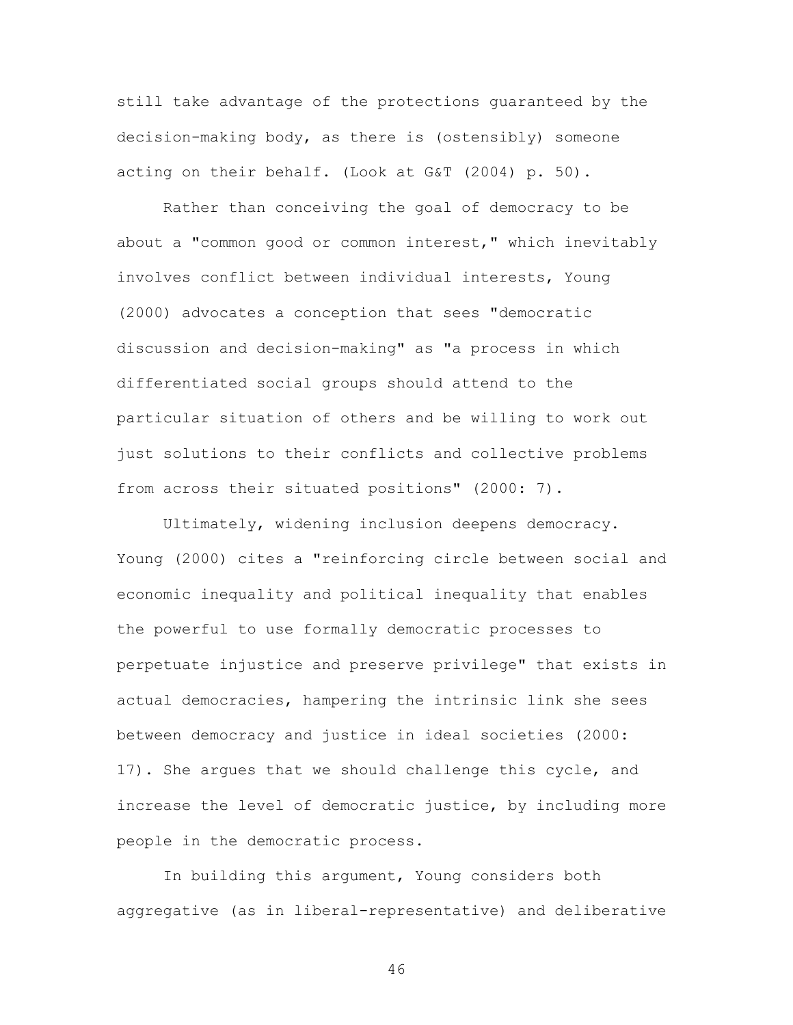still take advantage of the protections guaranteed by the decision-making body, as there is (ostensibly) someone acting on their behalf. (Look at G&T (2004) p. 50).

Rather than conceiving the goal of democracy to be about a "common good or common interest," which inevitably involves conflict between individual interests, Young (2000) advocates a conception that sees "democratic discussion and decision-making" as "a process in which differentiated social groups should attend to the particular situation of others and be willing to work out just solutions to their conflicts and collective problems from across their situated positions" (2000: 7).

Ultimately, widening inclusion deepens democracy. Young (2000) cites a "reinforcing circle between social and economic inequality and political inequality that enables the powerful to use formally democratic processes to perpetuate injustice and preserve privilege" that exists in actual democracies, hampering the intrinsic link she sees between democracy and justice in ideal societies (2000: 17). She argues that we should challenge this cycle, and increase the level of democratic justice, by including more people in the democratic process.

In building this argument, Young considers both aggregative (as in liberal-representative) and deliberative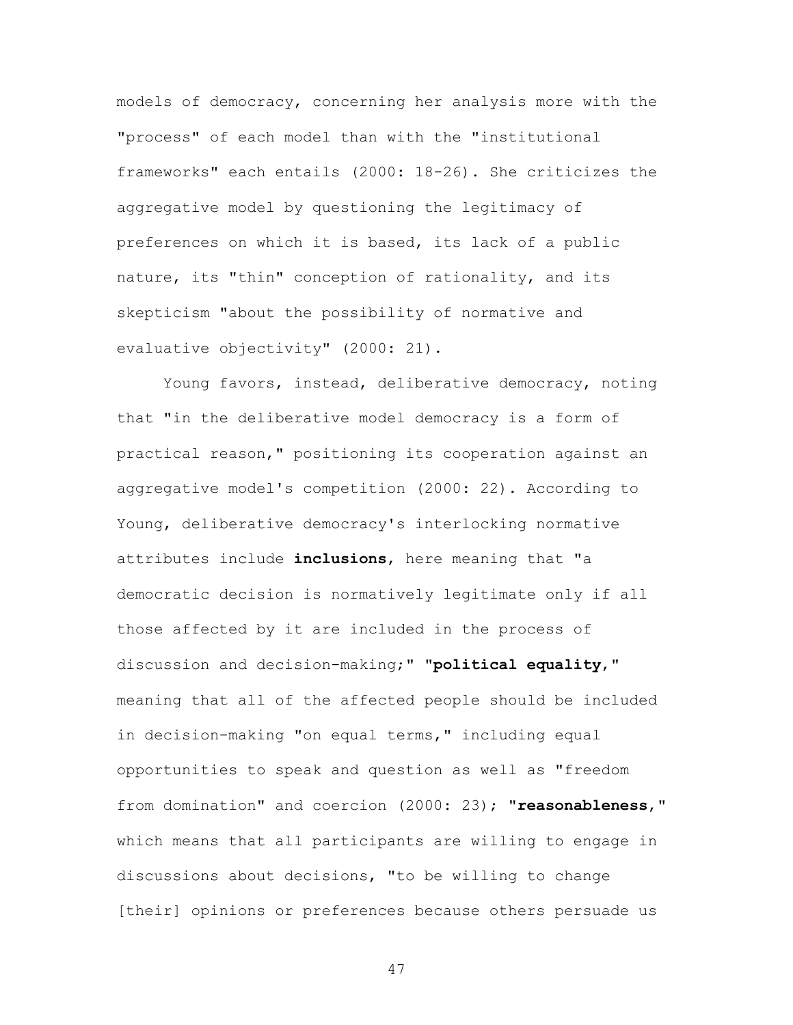models of democracy, concerning her analysis more with the "process" of each model than with the "institutional frameworks" each entails (2000: 18-26). She criticizes the aggregative model by questioning the legitimacy of preferences on which it is based, its lack of a public nature, its "thin" conception of rationality, and its skepticism "about the possibility of normative and evaluative objectivity" (2000: 21).

Young favors, instead, deliberative democracy, noting that "in the deliberative model democracy is a form of practical reason," positioning its cooperation against an aggregative model's competition (2000: 22). According to Young, deliberative democracy's interlocking normative attributes include **inclusions**, here meaning that "a democratic decision is normatively legitimate only if all those affected by it are included in the process of discussion and decision-making;" "**political equality**," meaning that all of the affected people should be included in decision-making "on equal terms," including equal opportunities to speak and question as well as "freedom from domination" and coercion (2000: 23); "**reasonableness**," which means that all participants are willing to engage in discussions about decisions, "to be willing to change [their] opinions or preferences because others persuade us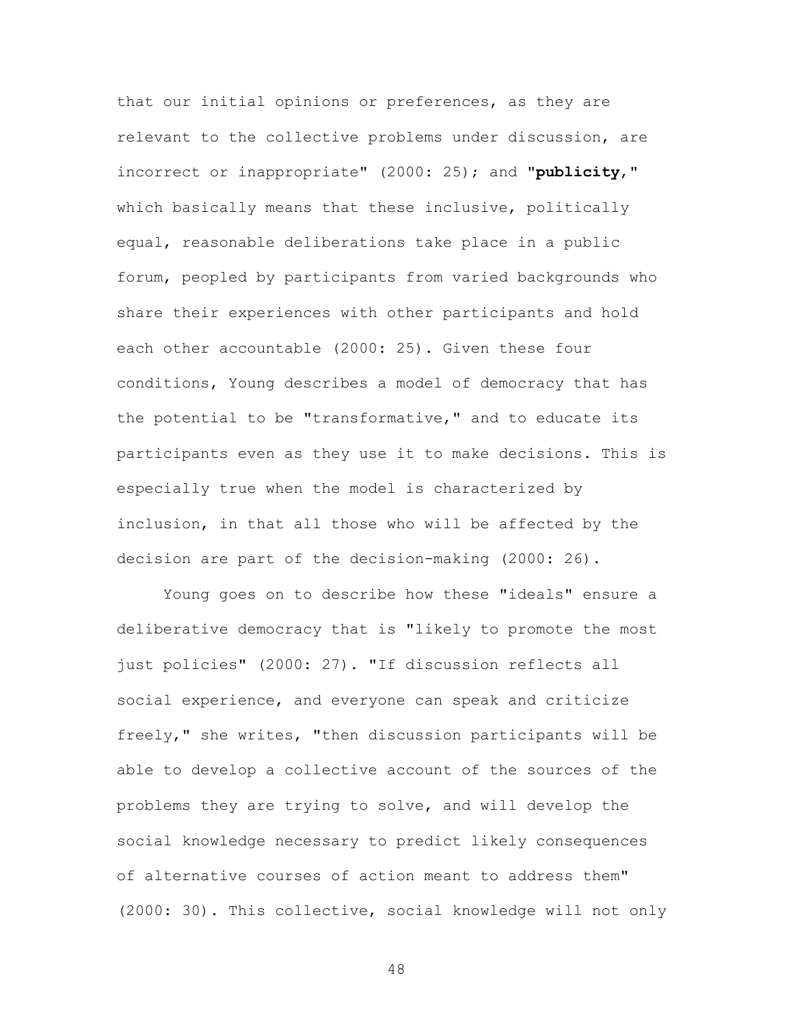that our initial opinions or preferences, as they are relevant to the collective problems under discussion, are incorrect or inappropriate" (2000: 25); and "**publicity**," which basically means that these inclusive, politically equal, reasonable deliberations take place in a public forum, peopled by participants from varied backgrounds who share their experiences with other participants and hold each other accountable (2000: 25). Given these four conditions, Young describes a model of democracy that has the potential to be "transformative," and to educate its participants even as they use it to make decisions. This is especially true when the model is characterized by inclusion, in that all those who will be affected by the decision are part of the decision-making (2000: 26).

Young goes on to describe how these "ideals" ensure a deliberative democracy that is "likely to promote the most just policies" (2000: 27). "If discussion reflects all social experience, and everyone can speak and criticize freely," she writes, "then discussion participants will be able to develop a collective account of the sources of the problems they are trying to solve, and will develop the social knowledge necessary to predict likely consequences of alternative courses of action meant to address them" (2000: 30). This collective, social knowledge will not only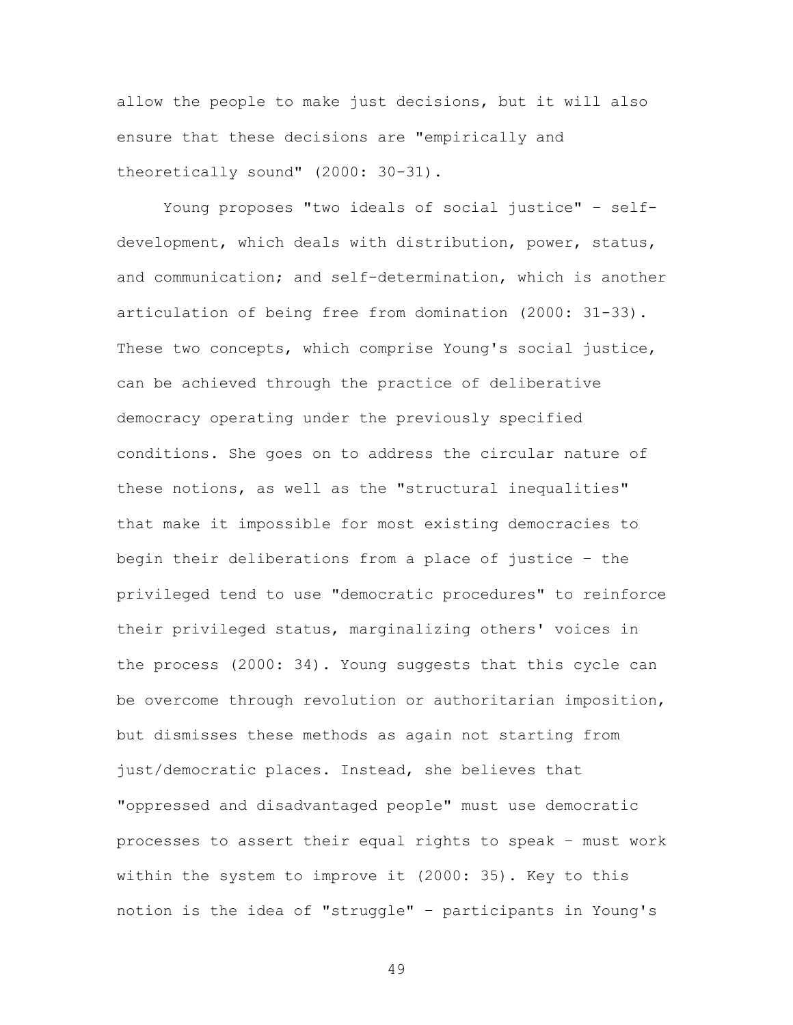allow the people to make just decisions, but it will also ensure that these decisions are "empirically and theoretically sound" (2000: 30-31).

Young proposes "two ideals of social justice" – selfdevelopment, which deals with distribution, power, status, and communication; and self-determination, which is another articulation of being free from domination (2000: 31-33). These two concepts, which comprise Young's social justice, can be achieved through the practice of deliberative democracy operating under the previously specified conditions. She goes on to address the circular nature of these notions, as well as the "structural inequalities" that make it impossible for most existing democracies to begin their deliberations from a place of justice – the privileged tend to use "democratic procedures" to reinforce their privileged status, marginalizing others' voices in the process (2000: 34). Young suggests that this cycle can be overcome through revolution or authoritarian imposition, but dismisses these methods as again not starting from just/democratic places. Instead, she believes that "oppressed and disadvantaged people" must use democratic processes to assert their equal rights to speak – must work within the system to improve it (2000: 35). Key to this notion is the idea of "struggle" – participants in Young's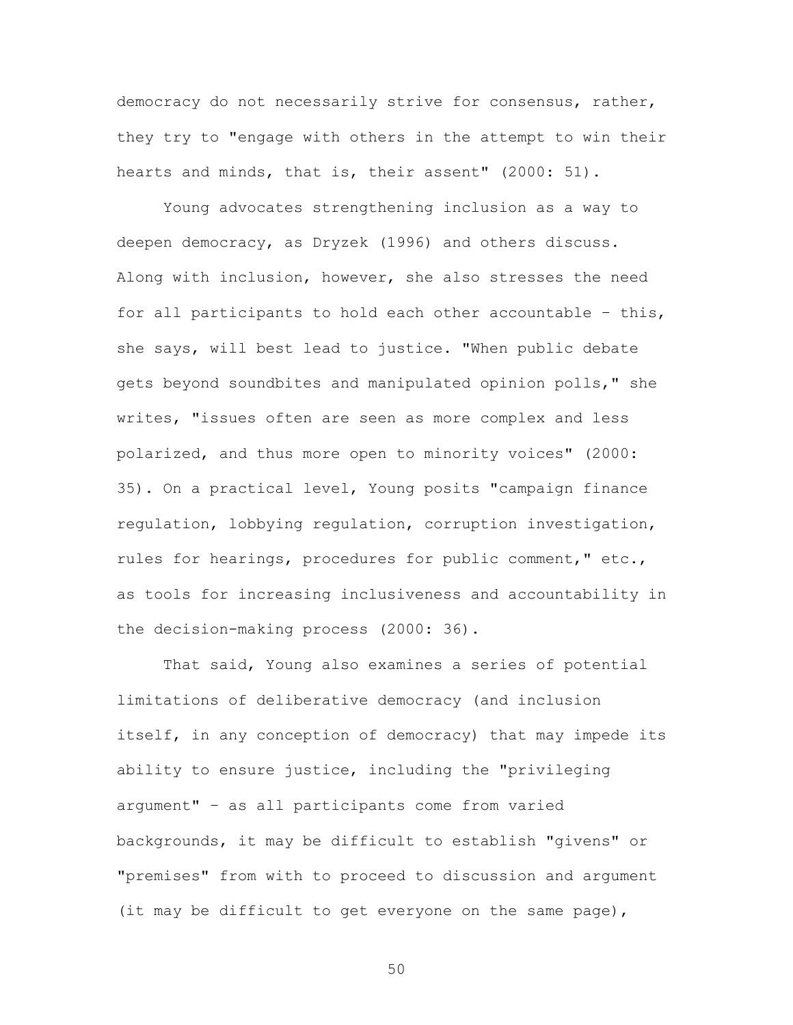democracy do not necessarily strive for consensus, rather, they try to "engage with others in the attempt to win their hearts and minds, that is, their assent" (2000: 51).

Young advocates strengthening inclusion as a way to deepen democracy, as Dryzek (1996) and others discuss. Along with inclusion, however, she also stresses the need for all participants to hold each other accountable – this, she says, will best lead to justice. "When public debate gets beyond soundbites and manipulated opinion polls," she writes, "issues often are seen as more complex and less polarized, and thus more open to minority voices" (2000: 35). On a practical level, Young posits "campaign finance regulation, lobbying regulation, corruption investigation, rules for hearings, procedures for public comment," etc., as tools for increasing inclusiveness and accountability in the decision-making process (2000: 36).

That said, Young also examines a series of potential limitations of deliberative democracy (and inclusion itself, in any conception of democracy) that may impede its ability to ensure justice, including the "privileging argument" – as all participants come from varied backgrounds, it may be difficult to establish "givens" or "premises" from with to proceed to discussion and argument (it may be difficult to get everyone on the same page),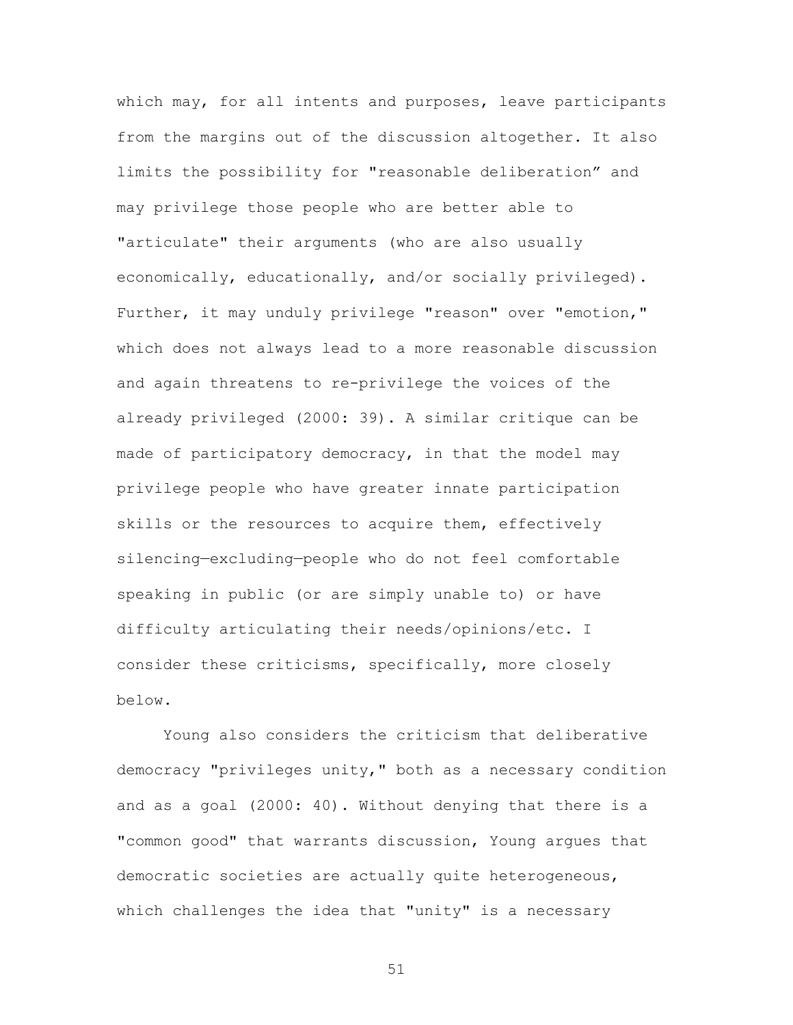which may, for all intents and purposes, leave participants from the margins out of the discussion altogether. It also limits the possibility for "reasonable deliberation" and may privilege those people who are better able to "articulate" their arguments (who are also usually economically, educationally, and/or socially privileged). Further, it may unduly privilege "reason" over "emotion," which does not always lead to a more reasonable discussion and again threatens to re-privilege the voices of the already privileged (2000: 39). A similar critique can be made of participatory democracy, in that the model may privilege people who have greater innate participation skills or the resources to acquire them, effectively silencing—excluding—people who do not feel comfortable speaking in public (or are simply unable to) or have difficulty articulating their needs/opinions/etc. I consider these criticisms, specifically, more closely below.

Young also considers the criticism that deliberative democracy "privileges unity," both as a necessary condition and as a goal (2000: 40). Without denying that there is a "common good" that warrants discussion, Young argues that democratic societies are actually quite heterogeneous, which challenges the idea that "unity" is a necessary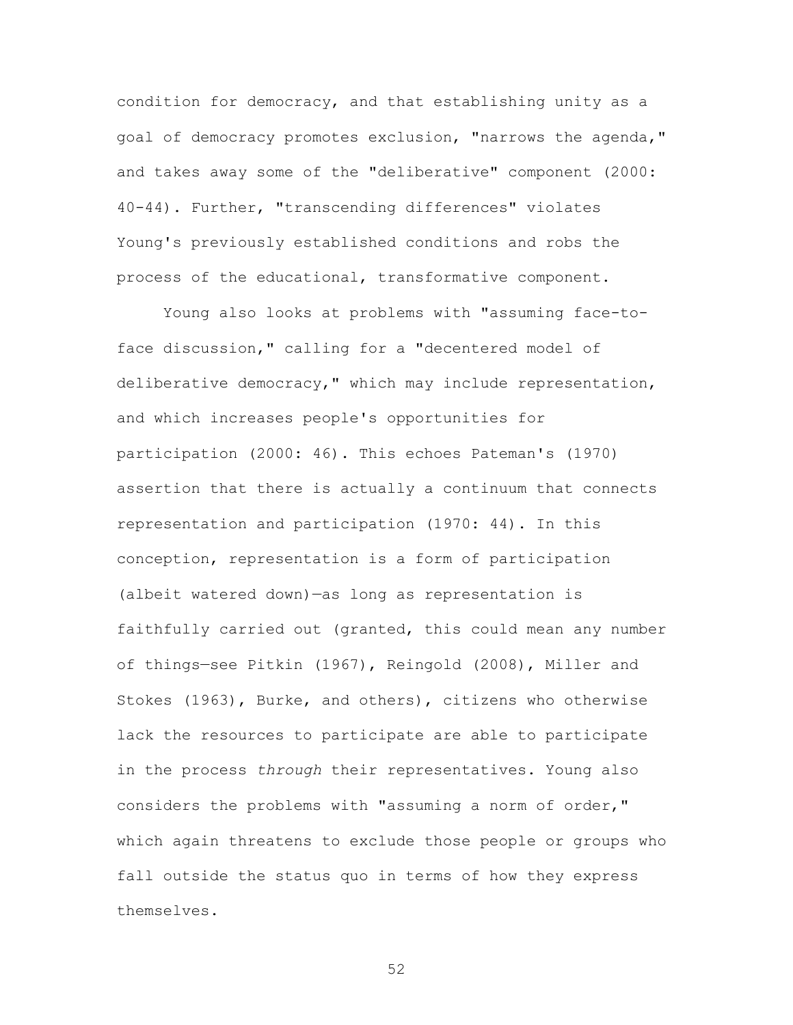condition for democracy, and that establishing unity as a goal of democracy promotes exclusion, "narrows the agenda," and takes away some of the "deliberative" component (2000: 40-44). Further, "transcending differences" violates Young's previously established conditions and robs the process of the educational, transformative component.

Young also looks at problems with "assuming face-toface discussion," calling for a "decentered model of deliberative democracy," which may include representation, and which increases people's opportunities for participation (2000: 46). This echoes Pateman's (1970) assertion that there is actually a continuum that connects representation and participation (1970: 44). In this conception, representation is a form of participation (albeit watered down)—as long as representation is faithfully carried out (granted, this could mean any number of things—see Pitkin (1967), Reingold (2008), Miller and Stokes (1963), Burke, and others), citizens who otherwise lack the resources to participate are able to participate in the process *through* their representatives. Young also considers the problems with "assuming a norm of order," which again threatens to exclude those people or groups who fall outside the status quo in terms of how they express themselves.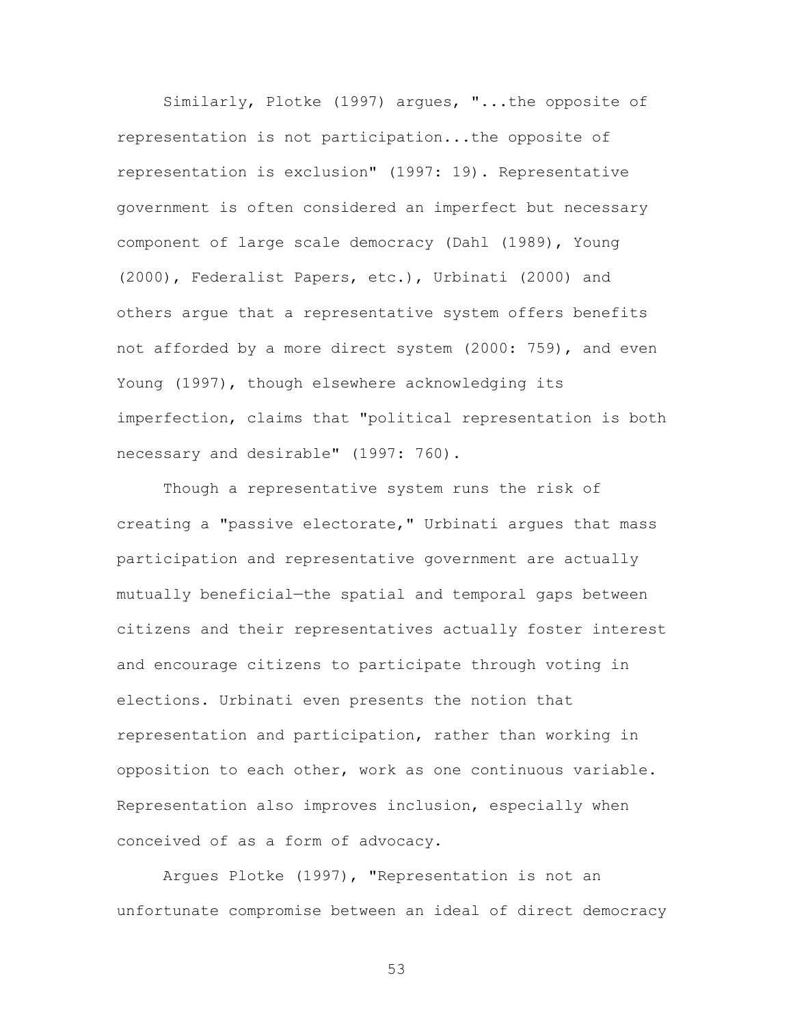Similarly, Plotke (1997) argues, "...the opposite of representation is not participation...the opposite of representation is exclusion" (1997: 19). Representative government is often considered an imperfect but necessary component of large scale democracy (Dahl (1989), Young (2000), Federalist Papers, etc.), Urbinati (2000) and others argue that a representative system offers benefits not afforded by a more direct system (2000: 759), and even Young (1997), though elsewhere acknowledging its imperfection, claims that "political representation is both necessary and desirable" (1997: 760).

Though a representative system runs the risk of creating a "passive electorate," Urbinati argues that mass participation and representative government are actually mutually beneficial—the spatial and temporal gaps between citizens and their representatives actually foster interest and encourage citizens to participate through voting in elections. Urbinati even presents the notion that representation and participation, rather than working in opposition to each other, work as one continuous variable. Representation also improves inclusion, especially when conceived of as a form of advocacy.

Argues Plotke (1997), "Representation is not an unfortunate compromise between an ideal of direct democracy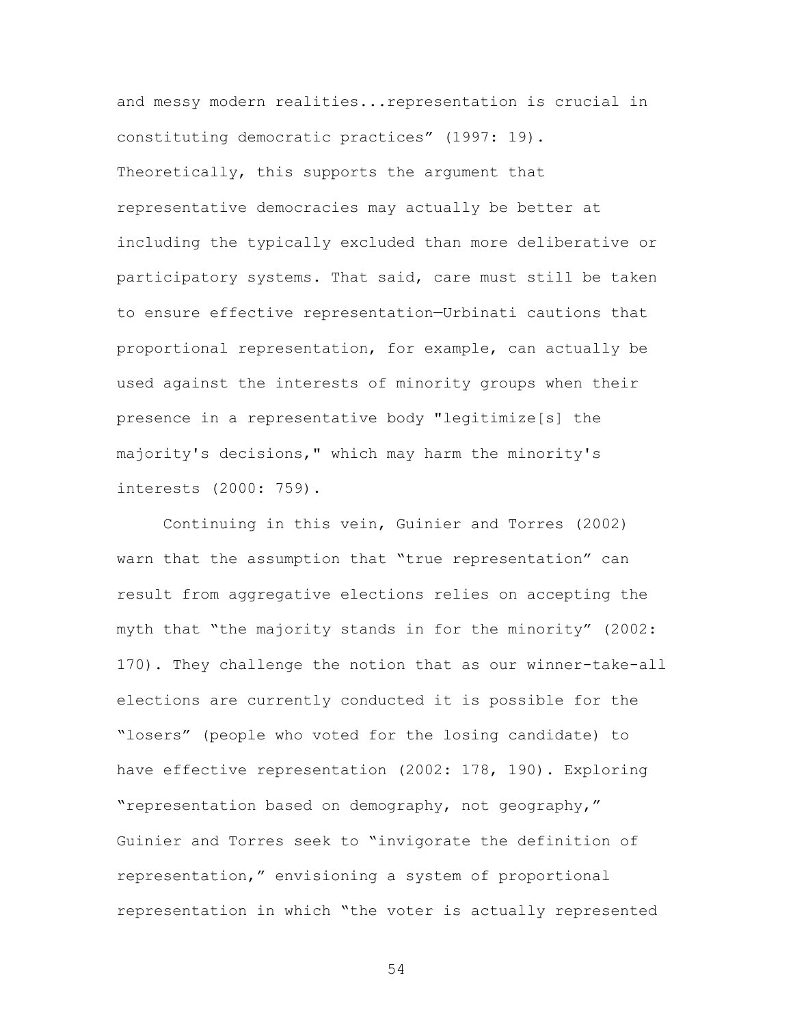and messy modern realities...representation is crucial in constituting democratic practices" (1997: 19). Theoretically, this supports the argument that representative democracies may actually be better at including the typically excluded than more deliberative or participatory systems. That said, care must still be taken to ensure effective representation—Urbinati cautions that proportional representation, for example, can actually be used against the interests of minority groups when their presence in a representative body "legitimize[s] the majority's decisions," which may harm the minority's interests (2000: 759).

Continuing in this vein, Guinier and Torres (2002) warn that the assumption that "true representation" can result from aggregative elections relies on accepting the myth that "the majority stands in for the minority" (2002: 170). They challenge the notion that as our winner-take-all elections are currently conducted it is possible for the "losers" (people who voted for the losing candidate) to have effective representation (2002: 178, 190). Exploring "representation based on demography, not geography," Guinier and Torres seek to "invigorate the definition of representation," envisioning a system of proportional representation in which "the voter is actually represented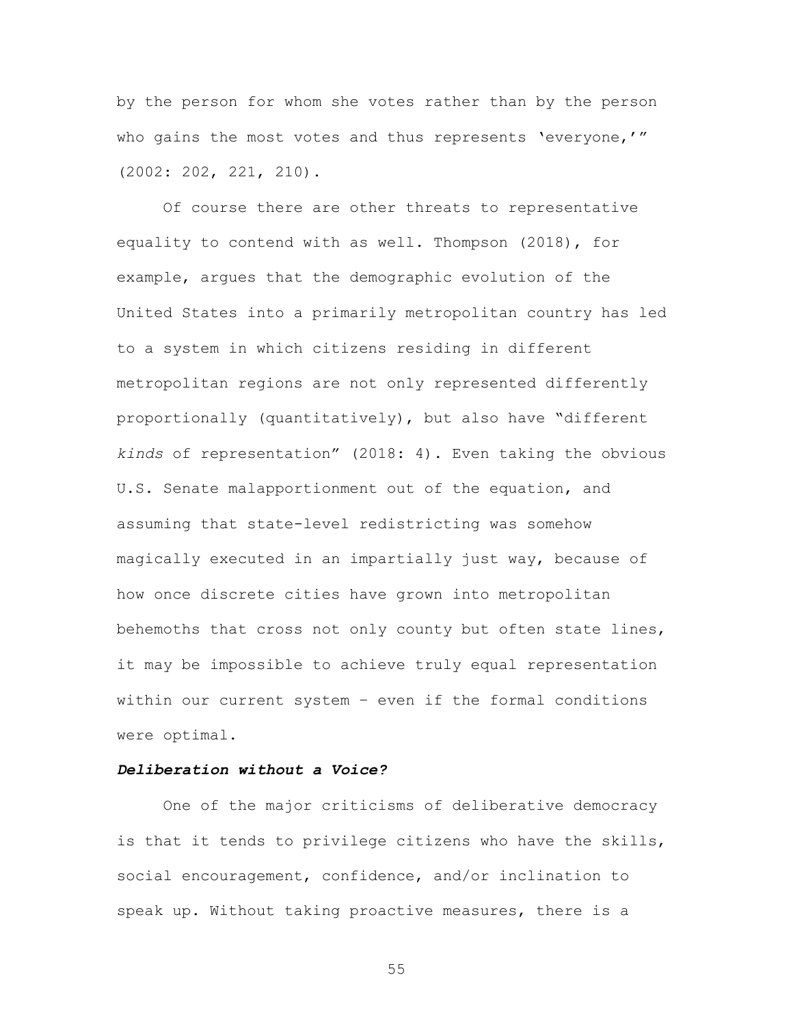by the person for whom she votes rather than by the person who gains the most votes and thus represents 'everyone,'" (2002: 202, 221, 210).

Of course there are other threats to representative equality to contend with as well. Thompson (2018), for example, argues that the demographic evolution of the United States into a primarily metropolitan country has led to a system in which citizens residing in different metropolitan regions are not only represented differently proportionally (quantitatively), but also have "different *kinds* of representation" (2018: 4). Even taking the obvious U.S. Senate malapportionment out of the equation, and assuming that state-level redistricting was somehow magically executed in an impartially just way, because of how once discrete cities have grown into metropolitan behemoths that cross not only county but often state lines, it may be impossible to achieve truly equal representation within our current system – even if the formal conditions were optimal.

# *Deliberation without a Voice?*

One of the major criticisms of deliberative democracy is that it tends to privilege citizens who have the skills, social encouragement, confidence, and/or inclination to speak up. Without taking proactive measures, there is a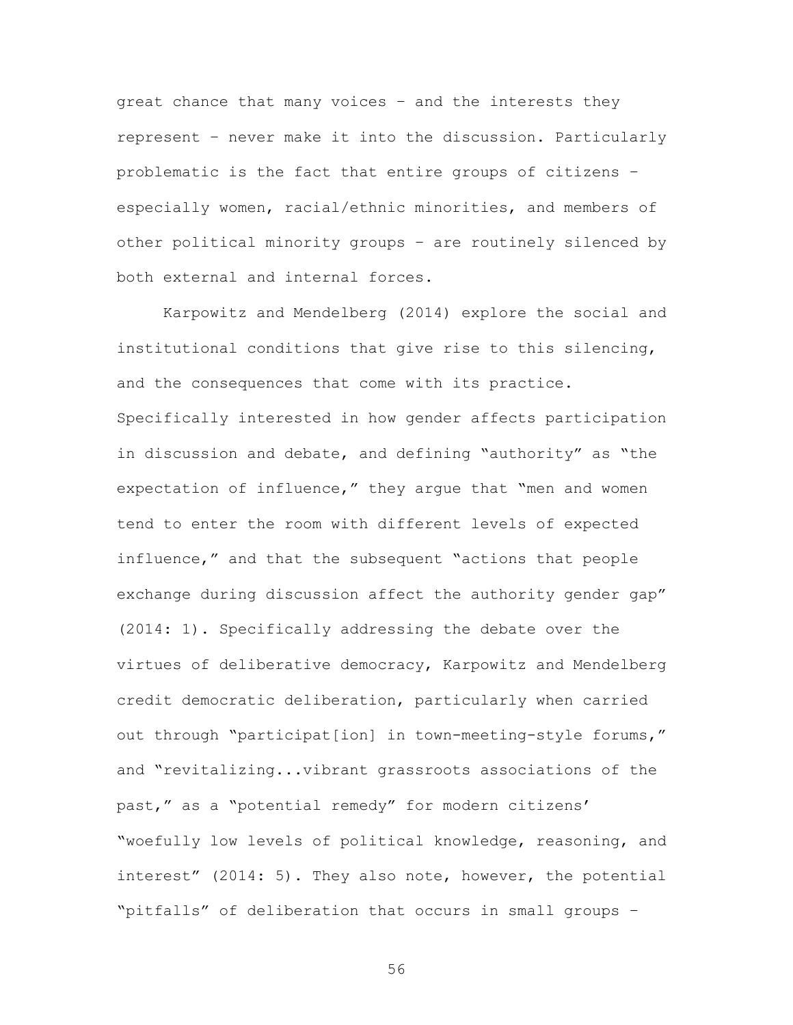great chance that many voices – and the interests they represent – never make it into the discussion. Particularly problematic is the fact that entire groups of citizens – especially women, racial/ethnic minorities, and members of other political minority groups – are routinely silenced by both external and internal forces.

Karpowitz and Mendelberg (2014) explore the social and institutional conditions that give rise to this silencing, and the consequences that come with its practice. Specifically interested in how gender affects participation in discussion and debate, and defining "authority" as "the expectation of influence," they argue that "men and women tend to enter the room with different levels of expected influence," and that the subsequent "actions that people exchange during discussion affect the authority gender gap" (2014: 1). Specifically addressing the debate over the virtues of deliberative democracy, Karpowitz and Mendelberg credit democratic deliberation, particularly when carried out through "participat[ion] in town-meeting-style forums," and "revitalizing...vibrant grassroots associations of the past," as a "potential remedy" for modern citizens' "woefully low levels of political knowledge, reasoning, and interest" (2014: 5). They also note, however, the potential "pitfalls" of deliberation that occurs in small groups –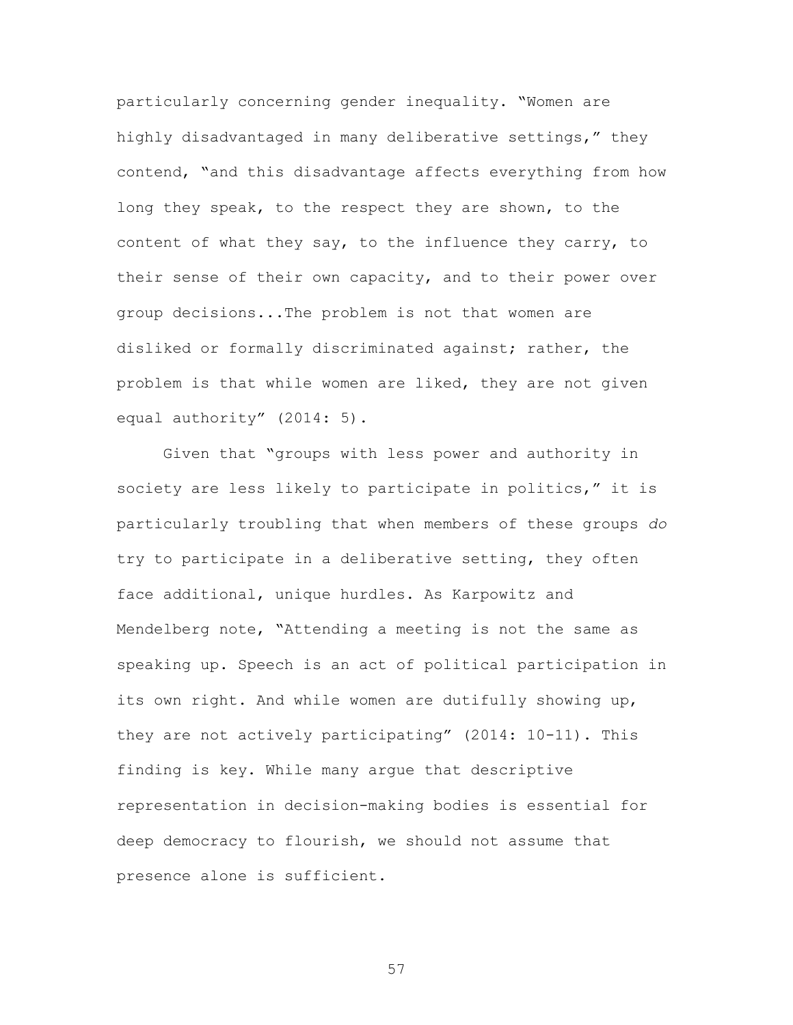particularly concerning gender inequality. "Women are highly disadvantaged in many deliberative settings," they contend, "and this disadvantage affects everything from how long they speak, to the respect they are shown, to the content of what they say, to the influence they carry, to their sense of their own capacity, and to their power over group decisions...The problem is not that women are disliked or formally discriminated against; rather, the problem is that while women are liked, they are not given equal authority" (2014: 5).

Given that "groups with less power and authority in society are less likely to participate in politics," it is particularly troubling that when members of these groups *do* try to participate in a deliberative setting, they often face additional, unique hurdles. As Karpowitz and Mendelberg note, "Attending a meeting is not the same as speaking up. Speech is an act of political participation in its own right. And while women are dutifully showing up, they are not actively participating" (2014: 10-11). This finding is key. While many argue that descriptive representation in decision-making bodies is essential for deep democracy to flourish, we should not assume that presence alone is sufficient.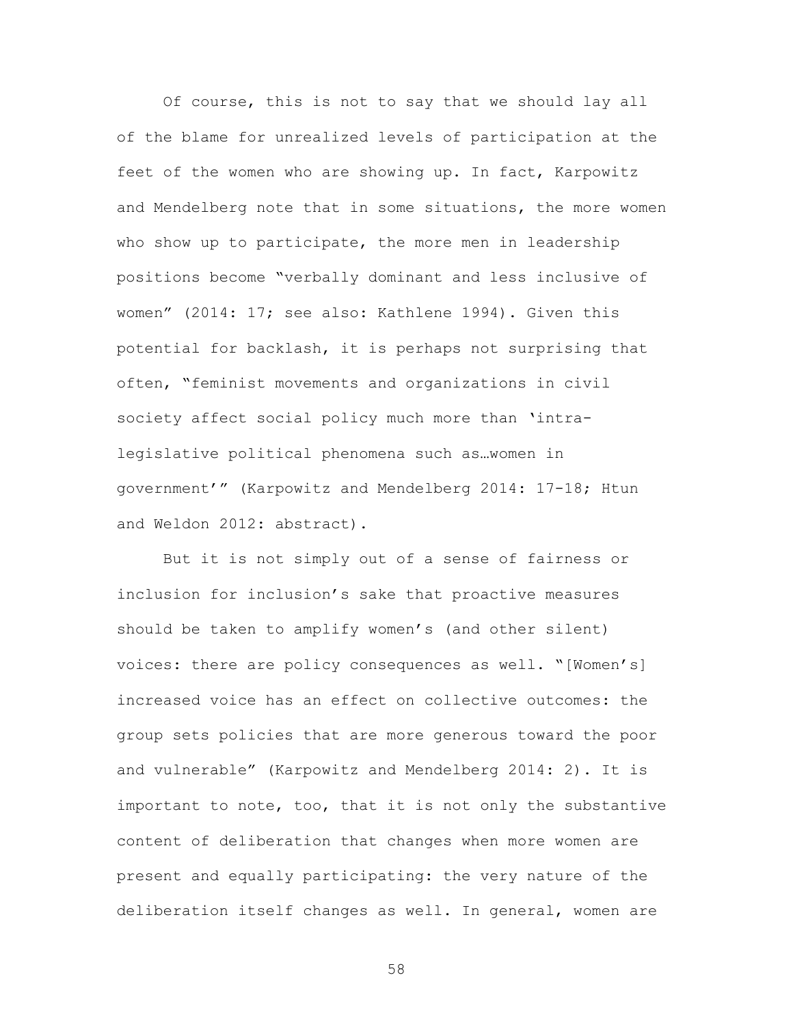Of course, this is not to say that we should lay all of the blame for unrealized levels of participation at the feet of the women who are showing up. In fact, Karpowitz and Mendelberg note that in some situations, the more women who show up to participate, the more men in leadership positions become "verbally dominant and less inclusive of women" (2014: 17; see also: Kathlene 1994). Given this potential for backlash, it is perhaps not surprising that often, "feminist movements and organizations in civil society affect social policy much more than 'intralegislative political phenomena such as…women in government'" (Karpowitz and Mendelberg 2014: 17-18; Htun and Weldon 2012: abstract).

But it is not simply out of a sense of fairness or inclusion for inclusion's sake that proactive measures should be taken to amplify women's (and other silent) voices: there are policy consequences as well. "[Women's] increased voice has an effect on collective outcomes: the group sets policies that are more generous toward the poor and vulnerable" (Karpowitz and Mendelberg 2014: 2). It is important to note, too, that it is not only the substantive content of deliberation that changes when more women are present and equally participating: the very nature of the deliberation itself changes as well. In general, women are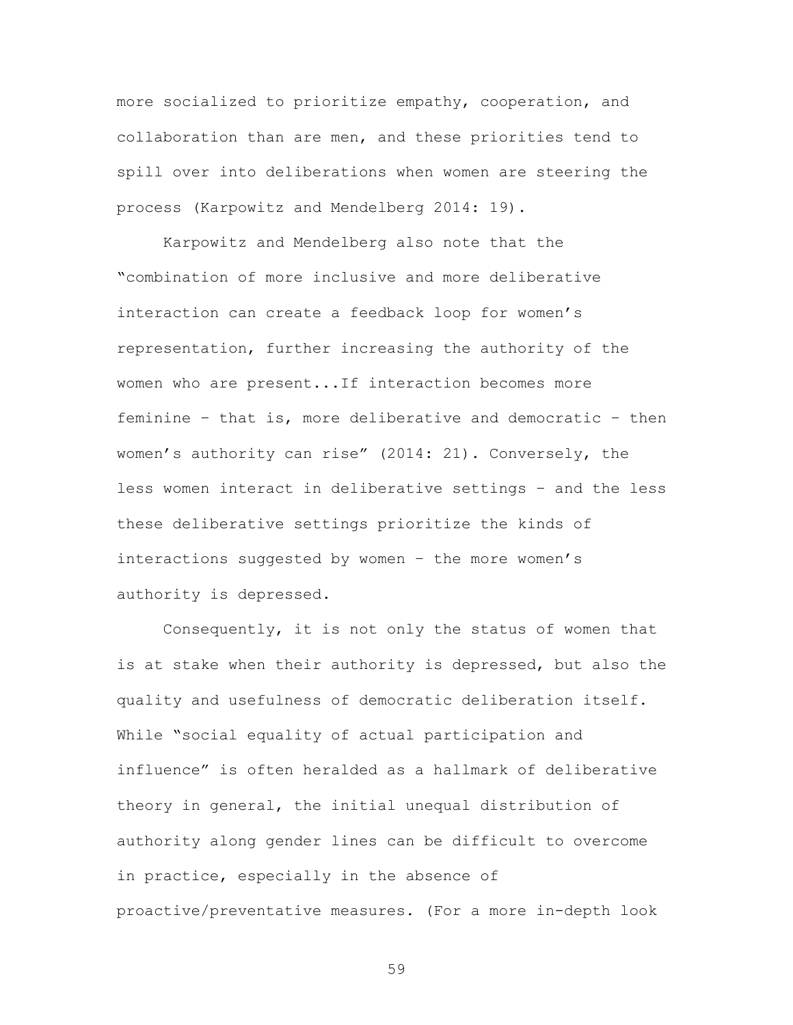more socialized to prioritize empathy, cooperation, and collaboration than are men, and these priorities tend to spill over into deliberations when women are steering the process (Karpowitz and Mendelberg 2014: 19).

Karpowitz and Mendelberg also note that the "combination of more inclusive and more deliberative interaction can create a feedback loop for women's representation, further increasing the authority of the women who are present...If interaction becomes more feminine – that is, more deliberative and democratic – then women's authority can rise" (2014: 21). Conversely, the less women interact in deliberative settings – and the less these deliberative settings prioritize the kinds of interactions suggested by women – the more women's authority is depressed.

Consequently, it is not only the status of women that is at stake when their authority is depressed, but also the quality and usefulness of democratic deliberation itself. While "social equality of actual participation and influence" is often heralded as a hallmark of deliberative theory in general, the initial unequal distribution of authority along gender lines can be difficult to overcome in practice, especially in the absence of proactive/preventative measures. (For a more in-depth look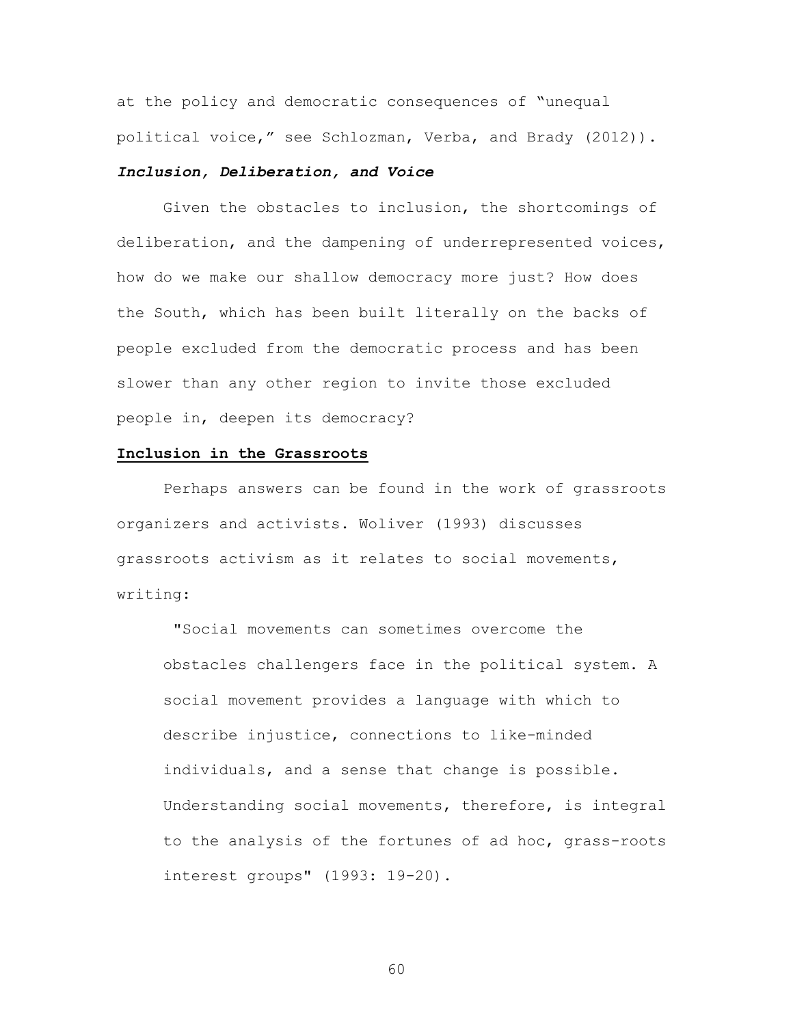at the policy and democratic consequences of "unequal political voice," see Schlozman, Verba, and Brady (2012)).

# *Inclusion, Deliberation, and Voice*

Given the obstacles to inclusion, the shortcomings of deliberation, and the dampening of underrepresented voices, how do we make our shallow democracy more just? How does the South, which has been built literally on the backs of people excluded from the democratic process and has been slower than any other region to invite those excluded people in, deepen its democracy?

#### **Inclusion in the Grassroots**

Perhaps answers can be found in the work of grassroots organizers and activists. Woliver (1993) discusses grassroots activism as it relates to social movements, writing:

"Social movements can sometimes overcome the obstacles challengers face in the political system. A social movement provides a language with which to describe injustice, connections to like-minded individuals, and a sense that change is possible. Understanding social movements, therefore, is integral to the analysis of the fortunes of ad hoc, grass-roots interest groups" (1993: 19-20).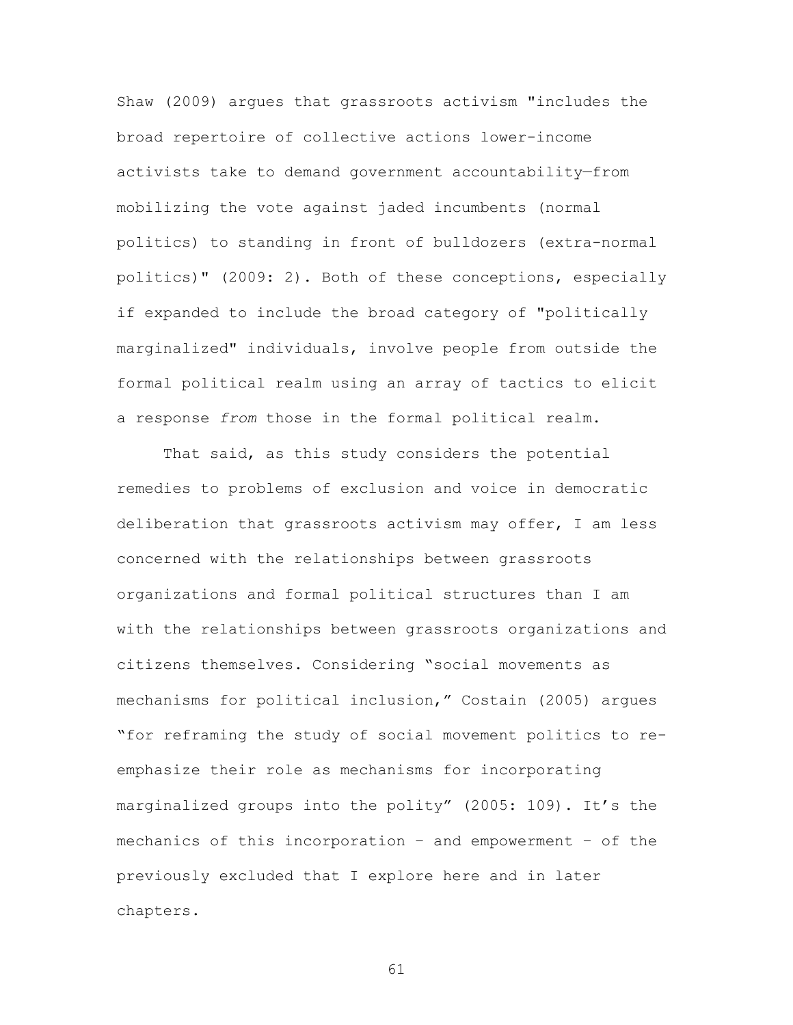Shaw (2009) argues that grassroots activism "includes the broad repertoire of collective actions lower-income activists take to demand government accountability—from mobilizing the vote against jaded incumbents (normal politics) to standing in front of bulldozers (extra-normal politics)" (2009: 2). Both of these conceptions, especially if expanded to include the broad category of "politically marginalized" individuals, involve people from outside the formal political realm using an array of tactics to elicit a response *from* those in the formal political realm.

That said, as this study considers the potential remedies to problems of exclusion and voice in democratic deliberation that grassroots activism may offer, I am less concerned with the relationships between grassroots organizations and formal political structures than I am with the relationships between grassroots organizations and citizens themselves. Considering "social movements as mechanisms for political inclusion," Costain (2005) argues "for reframing the study of social movement politics to reemphasize their role as mechanisms for incorporating marginalized groups into the polity" (2005: 109). It's the mechanics of this incorporation – and empowerment – of the previously excluded that I explore here and in later chapters.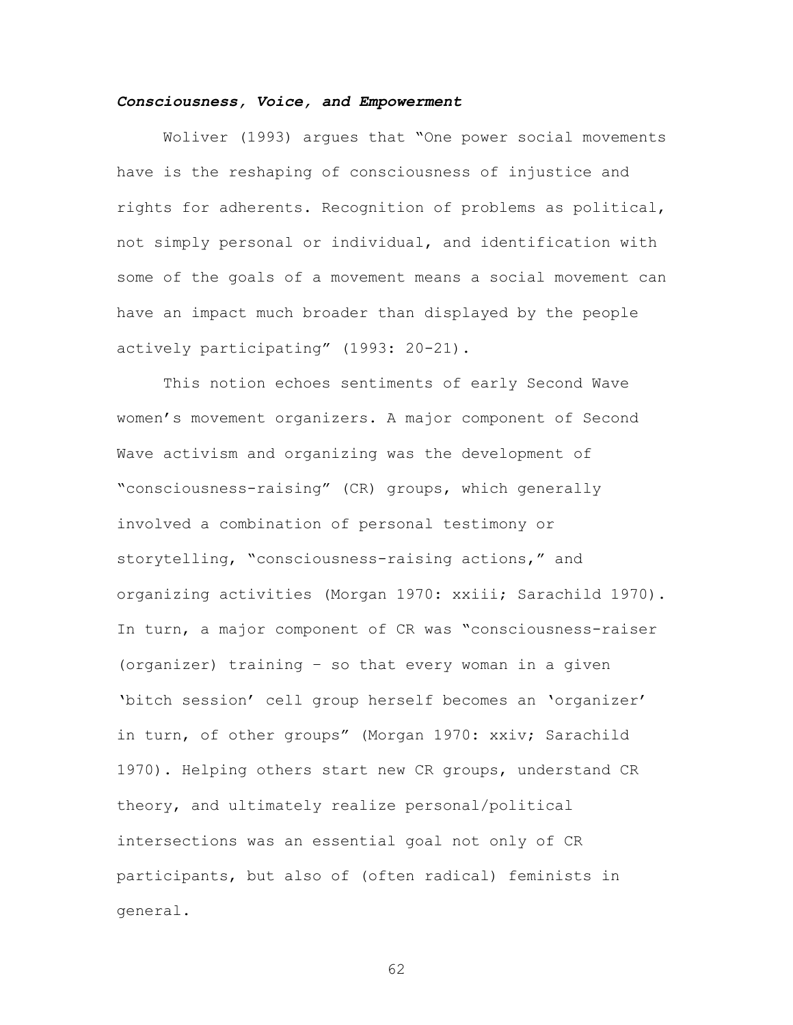## *Consciousness, Voice, and Empowerment*

Woliver (1993) argues that "One power social movements have is the reshaping of consciousness of injustice and rights for adherents. Recognition of problems as political, not simply personal or individual, and identification with some of the goals of a movement means a social movement can have an impact much broader than displayed by the people actively participating" (1993: 20-21).

This notion echoes sentiments of early Second Wave women's movement organizers. A major component of Second Wave activism and organizing was the development of "consciousness-raising" (CR) groups, which generally involved a combination of personal testimony or storytelling, "consciousness-raising actions," and organizing activities (Morgan 1970: xxiii; Sarachild 1970). In turn, a major component of CR was "consciousness-raiser (organizer) training – so that every woman in a given 'bitch session' cell group herself becomes an 'organizer' in turn, of other groups" (Morgan 1970: xxiv; Sarachild 1970). Helping others start new CR groups, understand CR theory, and ultimately realize personal/political intersections was an essential goal not only of CR participants, but also of (often radical) feminists in general.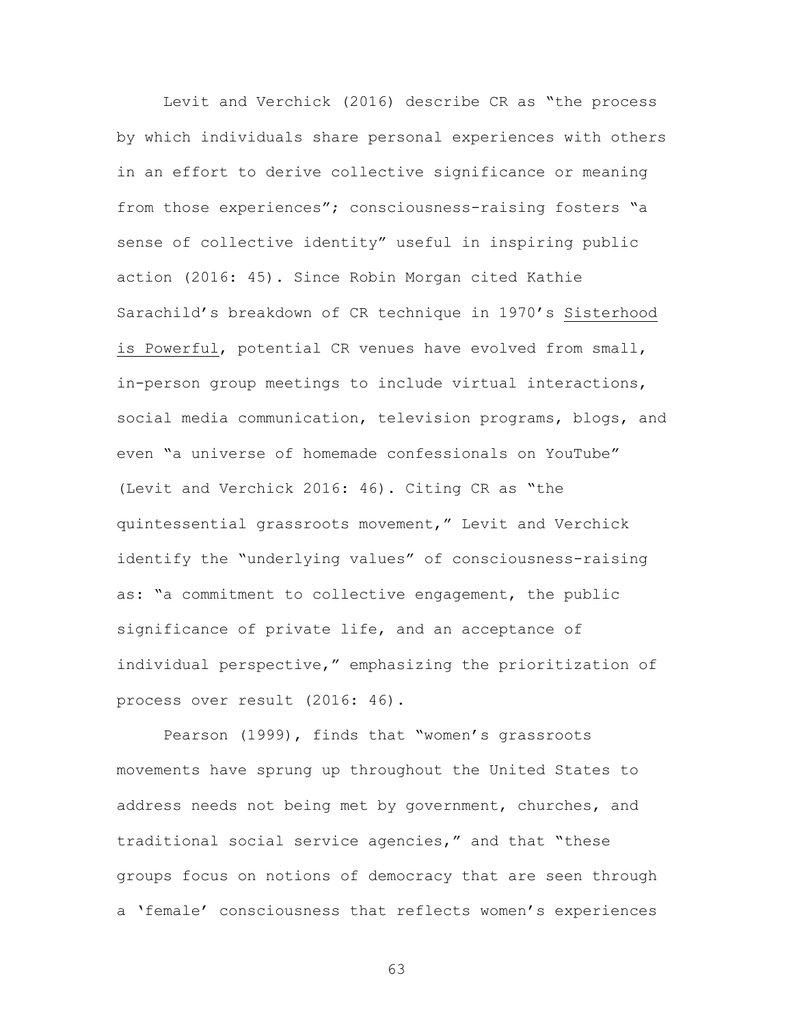Levit and Verchick (2016) describe CR as "the process by which individuals share personal experiences with others in an effort to derive collective significance or meaning from those experiences"; consciousness-raising fosters "a sense of collective identity" useful in inspiring public action (2016: 45). Since Robin Morgan cited Kathie Sarachild's breakdown of CR technique in 1970's Sisterhood is Powerful, potential CR venues have evolved from small, in-person group meetings to include virtual interactions, social media communication, television programs, blogs, and even "a universe of homemade confessionals on YouTube" (Levit and Verchick 2016: 46). Citing CR as "the quintessential grassroots movement," Levit and Verchick identify the "underlying values" of consciousness-raising as: "a commitment to collective engagement, the public significance of private life, and an acceptance of individual perspective," emphasizing the prioritization of process over result (2016: 46).

Pearson (1999), finds that "women's grassroots movements have sprung up throughout the United States to address needs not being met by government, churches, and traditional social service agencies," and that "these groups focus on notions of democracy that are seen through a 'female' consciousness that reflects women's experiences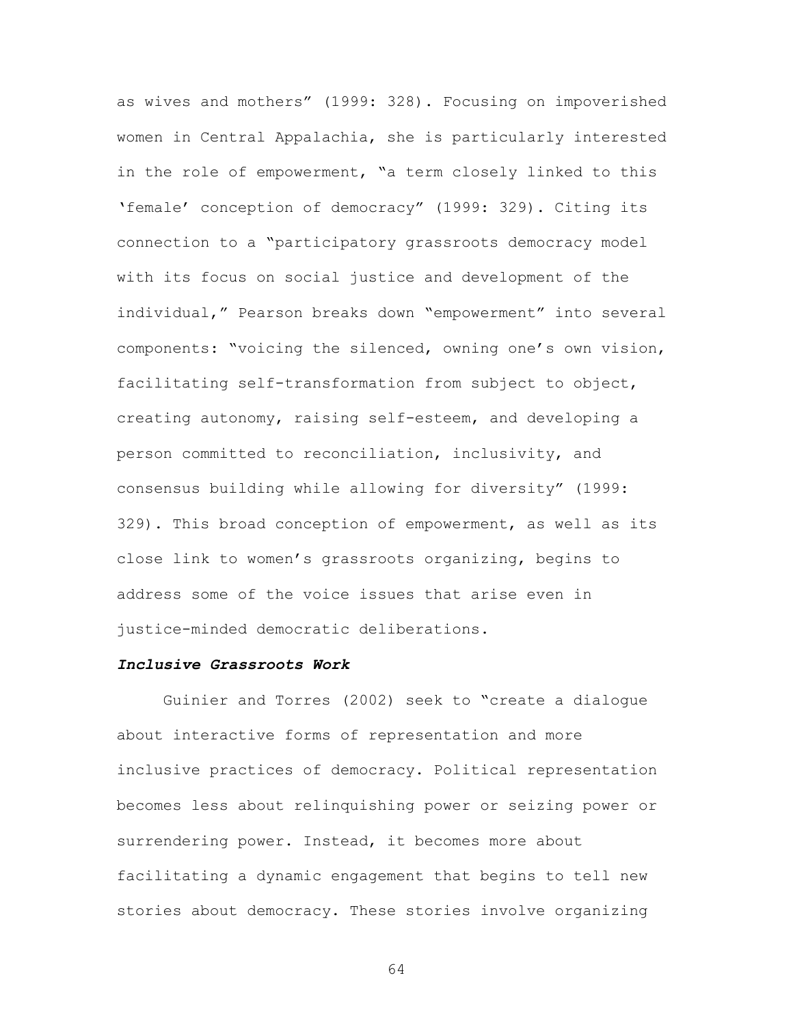as wives and mothers" (1999: 328). Focusing on impoverished women in Central Appalachia, she is particularly interested in the role of empowerment, "a term closely linked to this 'female' conception of democracy" (1999: 329). Citing its connection to a "participatory grassroots democracy model with its focus on social justice and development of the individual," Pearson breaks down "empowerment" into several components: "voicing the silenced, owning one's own vision, facilitating self-transformation from subject to object, creating autonomy, raising self-esteem, and developing a person committed to reconciliation, inclusivity, and consensus building while allowing for diversity" (1999: 329). This broad conception of empowerment, as well as its close link to women's grassroots organizing, begins to address some of the voice issues that arise even in justice-minded democratic deliberations.

# *Inclusive Grassroots Work*

Guinier and Torres (2002) seek to "create a dialogue about interactive forms of representation and more inclusive practices of democracy. Political representation becomes less about relinquishing power or seizing power or surrendering power. Instead, it becomes more about facilitating a dynamic engagement that begins to tell new stories about democracy. These stories involve organizing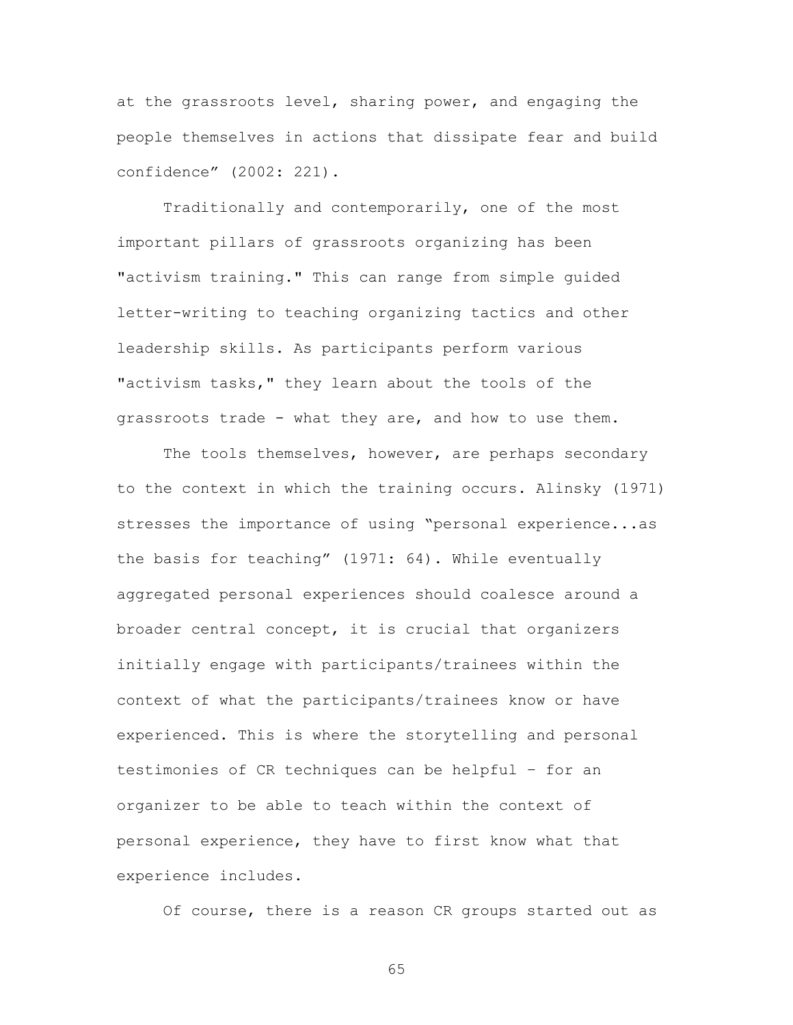at the grassroots level, sharing power, and engaging the people themselves in actions that dissipate fear and build confidence" (2002: 221).

Traditionally and contemporarily, one of the most important pillars of grassroots organizing has been "activism training." This can range from simple guided letter-writing to teaching organizing tactics and other leadership skills. As participants perform various "activism tasks," they learn about the tools of the grassroots trade - what they are, and how to use them.

The tools themselves, however, are perhaps secondary to the context in which the training occurs. Alinsky (1971) stresses the importance of using "personal experience...as the basis for teaching" (1971: 64). While eventually aggregated personal experiences should coalesce around a broader central concept, it is crucial that organizers initially engage with participants/trainees within the context of what the participants/trainees know or have experienced. This is where the storytelling and personal testimonies of CR techniques can be helpful – for an organizer to be able to teach within the context of personal experience, they have to first know what that experience includes.

Of course, there is a reason CR groups started out as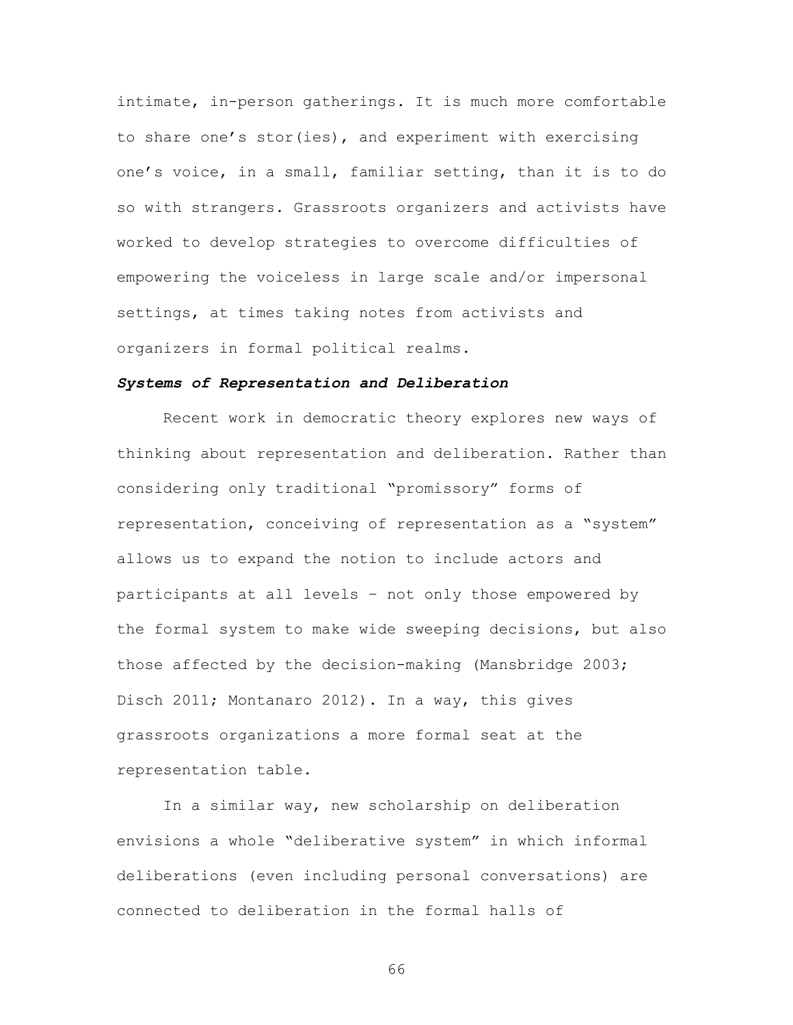intimate, in-person gatherings. It is much more comfortable to share one's stor(ies), and experiment with exercising one's voice, in a small, familiar setting, than it is to do so with strangers. Grassroots organizers and activists have worked to develop strategies to overcome difficulties of empowering the voiceless in large scale and/or impersonal settings, at times taking notes from activists and organizers in formal political realms.

## *Systems of Representation and Deliberation*

Recent work in democratic theory explores new ways of thinking about representation and deliberation. Rather than considering only traditional "promissory" forms of representation, conceiving of representation as a "system" allows us to expand the notion to include actors and participants at all levels – not only those empowered by the formal system to make wide sweeping decisions, but also those affected by the decision-making (Mansbridge 2003; Disch 2011; Montanaro 2012). In a way, this gives grassroots organizations a more formal seat at the representation table.

In a similar way, new scholarship on deliberation envisions a whole "deliberative system" in which informal deliberations (even including personal conversations) are connected to deliberation in the formal halls of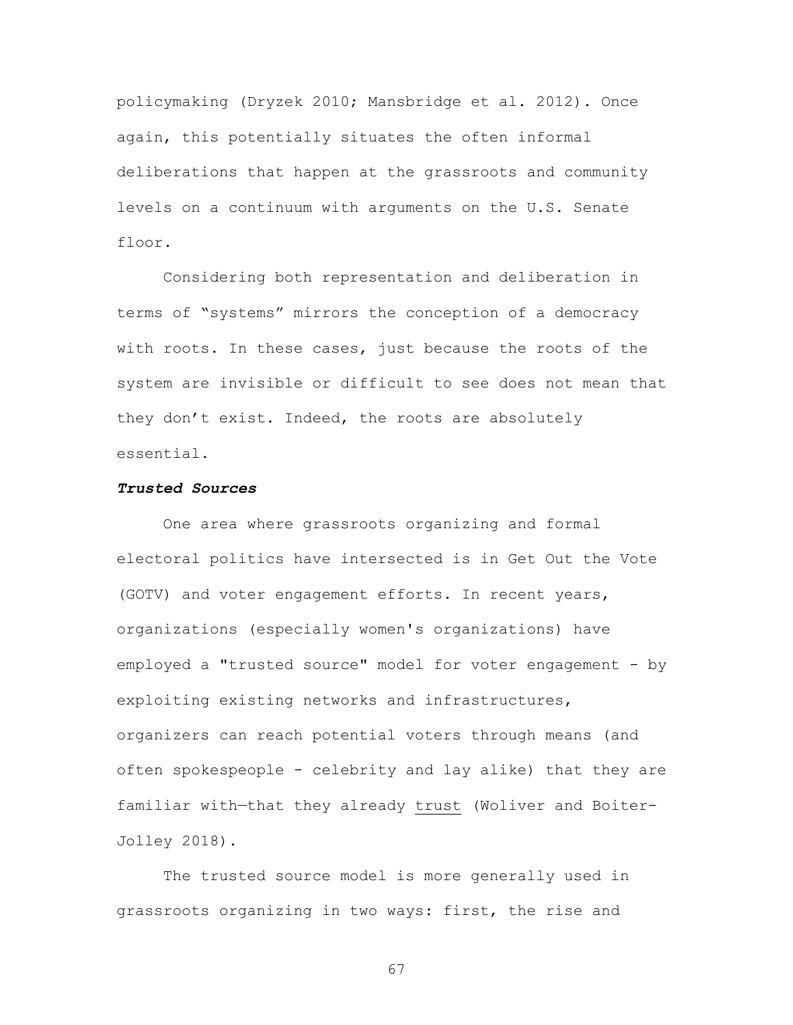policymaking (Dryzek 2010; Mansbridge et al. 2012). Once again, this potentially situates the often informal deliberations that happen at the grassroots and community levels on a continuum with arguments on the U.S. Senate floor.

Considering both representation and deliberation in terms of "systems" mirrors the conception of a democracy with roots. In these cases, just because the roots of the system are invisible or difficult to see does not mean that they don't exist. Indeed, the roots are absolutely essential.

#### *Trusted Sources*

One area where grassroots organizing and formal electoral politics have intersected is in Get Out the Vote (GOTV) and voter engagement efforts. In recent years, organizations (especially women's organizations) have employed a "trusted source" model for voter engagement - by exploiting existing networks and infrastructures, organizers can reach potential voters through means (and often spokespeople - celebrity and lay alike) that they are familiar with—that they already trust (Woliver and Boiter-Jolley 2018).

The trusted source model is more generally used in grassroots organizing in two ways: first, the rise and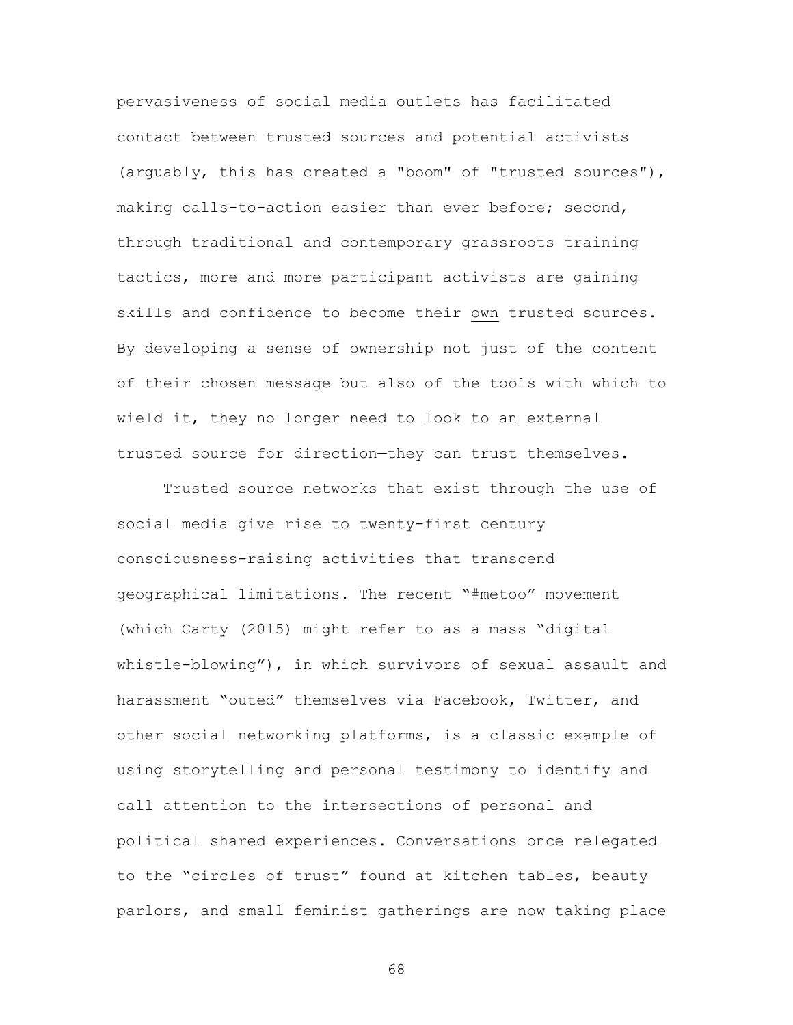pervasiveness of social media outlets has facilitated contact between trusted sources and potential activists (arguably, this has created a "boom" of "trusted sources"), making calls-to-action easier than ever before; second, through traditional and contemporary grassroots training tactics, more and more participant activists are gaining skills and confidence to become their own trusted sources. By developing a sense of ownership not just of the content of their chosen message but also of the tools with which to wield it, they no longer need to look to an external trusted source for direction—they can trust themselves.

Trusted source networks that exist through the use of social media give rise to twenty-first century consciousness-raising activities that transcend geographical limitations. The recent "#metoo" movement (which Carty (2015) might refer to as a mass "digital whistle-blowing"), in which survivors of sexual assault and harassment "outed" themselves via Facebook, Twitter, and other social networking platforms, is a classic example of using storytelling and personal testimony to identify and call attention to the intersections of personal and political shared experiences. Conversations once relegated to the "circles of trust" found at kitchen tables, beauty parlors, and small feminist gatherings are now taking place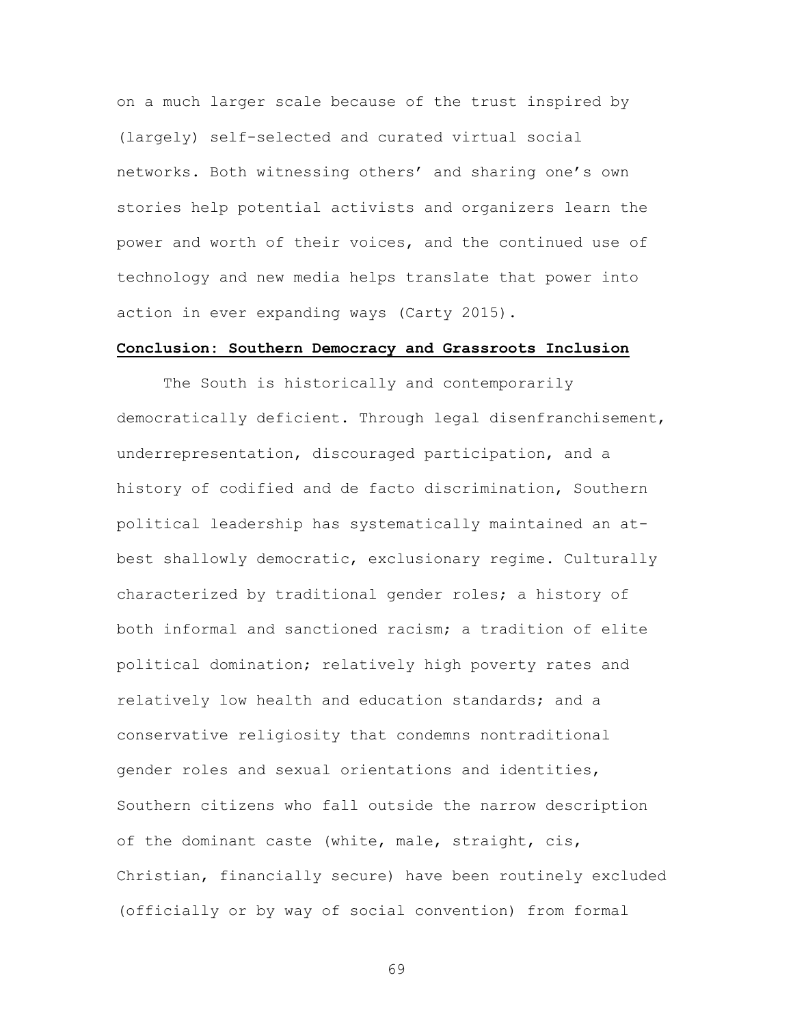on a much larger scale because of the trust inspired by (largely) self-selected and curated virtual social networks. Both witnessing others' and sharing one's own stories help potential activists and organizers learn the power and worth of their voices, and the continued use of technology and new media helps translate that power into action in ever expanding ways (Carty 2015).

#### **Conclusion: Southern Democracy and Grassroots Inclusion**

The South is historically and contemporarily democratically deficient. Through legal disenfranchisement, underrepresentation, discouraged participation, and a history of codified and de facto discrimination, Southern political leadership has systematically maintained an atbest shallowly democratic, exclusionary regime. Culturally characterized by traditional gender roles; a history of both informal and sanctioned racism; a tradition of elite political domination; relatively high poverty rates and relatively low health and education standards; and a conservative religiosity that condemns nontraditional gender roles and sexual orientations and identities, Southern citizens who fall outside the narrow description of the dominant caste (white, male, straight, cis, Christian, financially secure) have been routinely excluded (officially or by way of social convention) from formal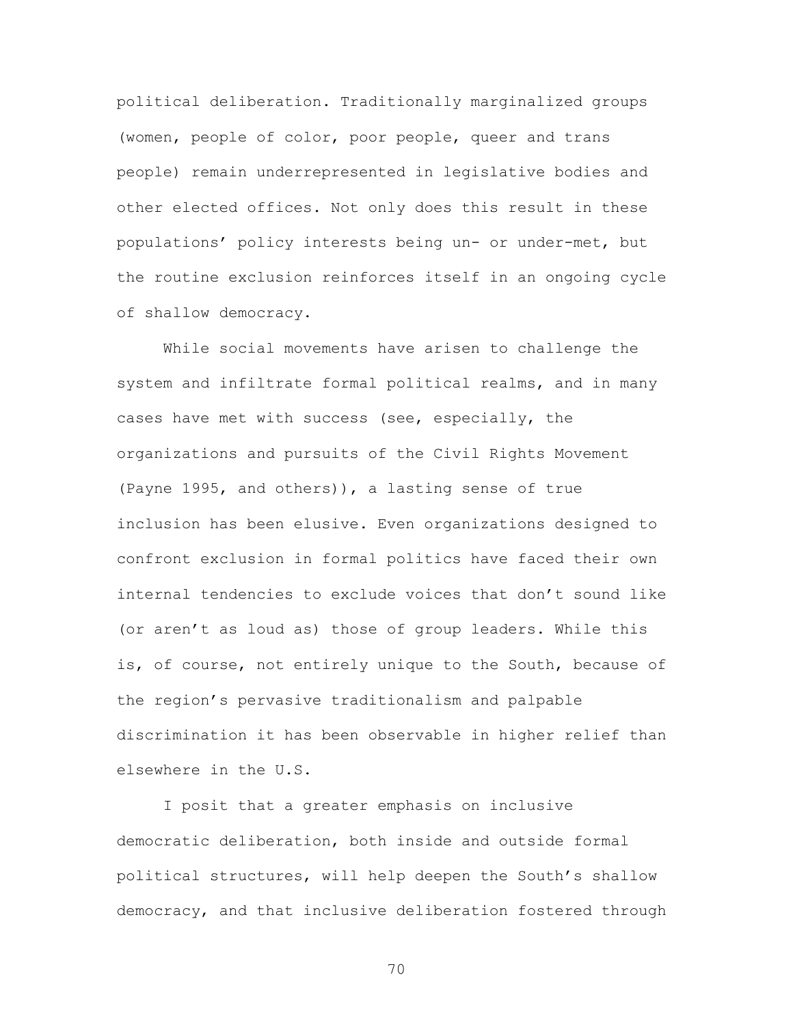political deliberation. Traditionally marginalized groups (women, people of color, poor people, queer and trans people) remain underrepresented in legislative bodies and other elected offices. Not only does this result in these populations' policy interests being un- or under-met, but the routine exclusion reinforces itself in an ongoing cycle of shallow democracy.

While social movements have arisen to challenge the system and infiltrate formal political realms, and in many cases have met with success (see, especially, the organizations and pursuits of the Civil Rights Movement (Payne 1995, and others)), a lasting sense of true inclusion has been elusive. Even organizations designed to confront exclusion in formal politics have faced their own internal tendencies to exclude voices that don't sound like (or aren't as loud as) those of group leaders. While this is, of course, not entirely unique to the South, because of the region's pervasive traditionalism and palpable discrimination it has been observable in higher relief than elsewhere in the U.S.

I posit that a greater emphasis on inclusive democratic deliberation, both inside and outside formal political structures, will help deepen the South's shallow democracy, and that inclusive deliberation fostered through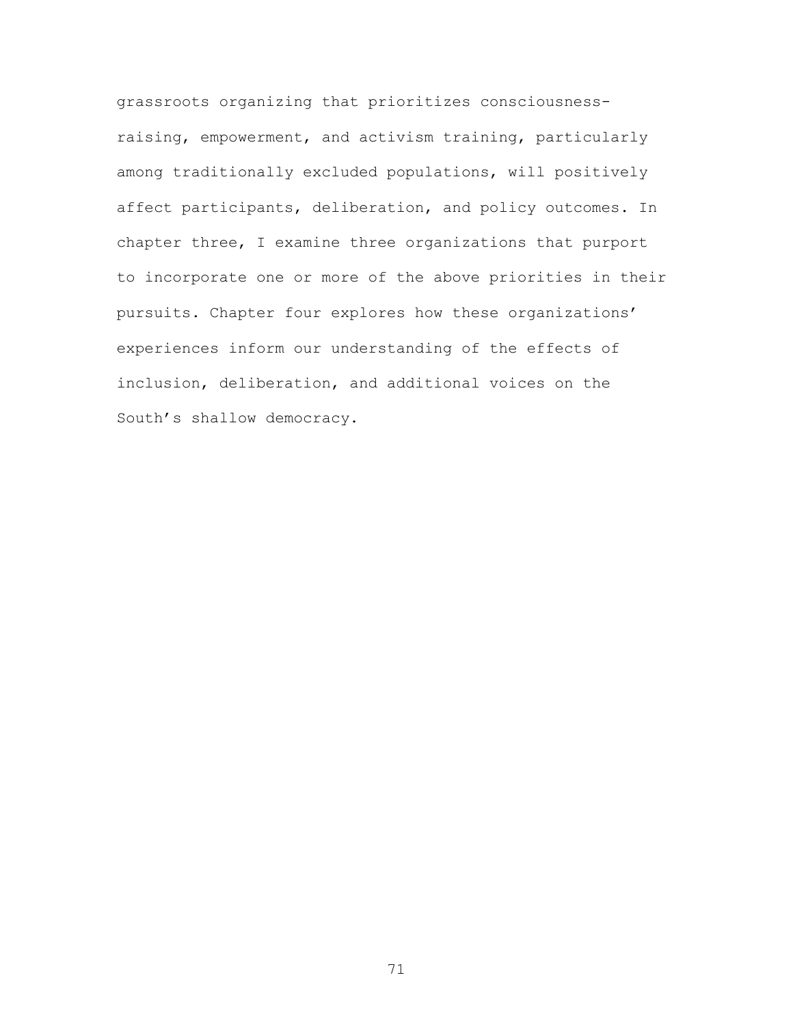grassroots organizing that prioritizes consciousnessraising, empowerment, and activism training, particularly among traditionally excluded populations, will positively affect participants, deliberation, and policy outcomes. In chapter three, I examine three organizations that purport to incorporate one or more of the above priorities in their pursuits. Chapter four explores how these organizations' experiences inform our understanding of the effects of inclusion, deliberation, and additional voices on the South's shallow democracy.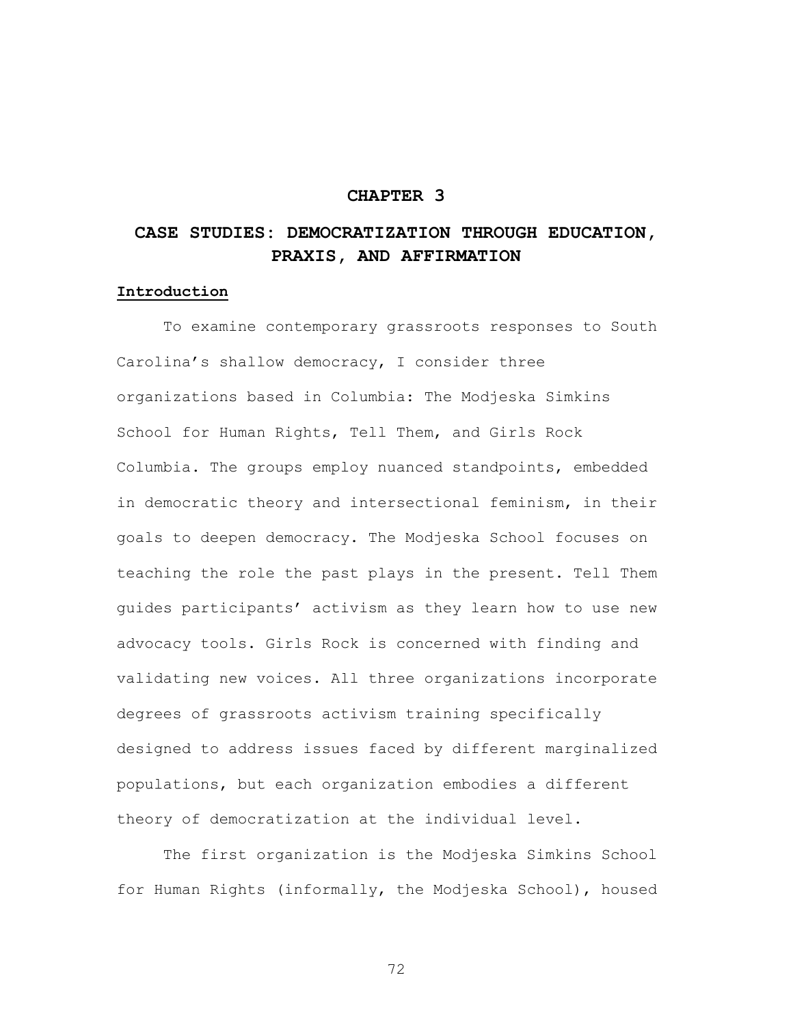# **CHAPTER 3**

# **CASE STUDIES: DEMOCRATIZATION THROUGH EDUCATION, PRAXIS, AND AFFIRMATION**

### **Introduction**

To examine contemporary grassroots responses to South Carolina's shallow democracy, I consider three organizations based in Columbia: The Modjeska Simkins School for Human Rights, Tell Them, and Girls Rock Columbia. The groups employ nuanced standpoints, embedded in democratic theory and intersectional feminism, in their goals to deepen democracy. The Modjeska School focuses on teaching the role the past plays in the present. Tell Them guides participants' activism as they learn how to use new advocacy tools. Girls Rock is concerned with finding and validating new voices. All three organizations incorporate degrees of grassroots activism training specifically designed to address issues faced by different marginalized populations, but each organization embodies a different theory of democratization at the individual level.

The first organization is the Modjeska Simkins School for Human Rights (informally, the Modjeska School), housed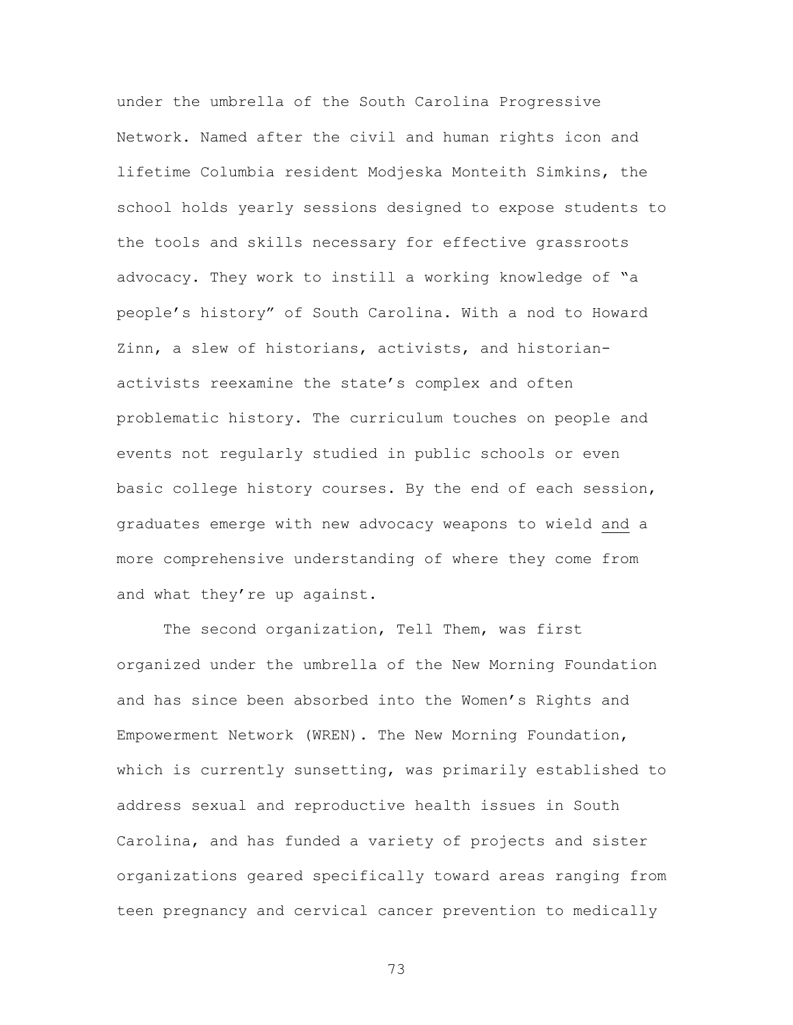under the umbrella of the South Carolina Progressive Network. Named after the civil and human rights icon and lifetime Columbia resident Modjeska Monteith Simkins, the school holds yearly sessions designed to expose students to the tools and skills necessary for effective grassroots advocacy. They work to instill a working knowledge of "a people's history" of South Carolina. With a nod to Howard Zinn, a slew of historians, activists, and historianactivists reexamine the state's complex and often problematic history. The curriculum touches on people and events not regularly studied in public schools or even basic college history courses. By the end of each session, graduates emerge with new advocacy weapons to wield and a more comprehensive understanding of where they come from and what they're up against.

The second organization, Tell Them, was first organized under the umbrella of the New Morning Foundation and has since been absorbed into the Women's Rights and Empowerment Network (WREN). The New Morning Foundation, which is currently sunsetting, was primarily established to address sexual and reproductive health issues in South Carolina, and has funded a variety of projects and sister organizations geared specifically toward areas ranging from teen pregnancy and cervical cancer prevention to medically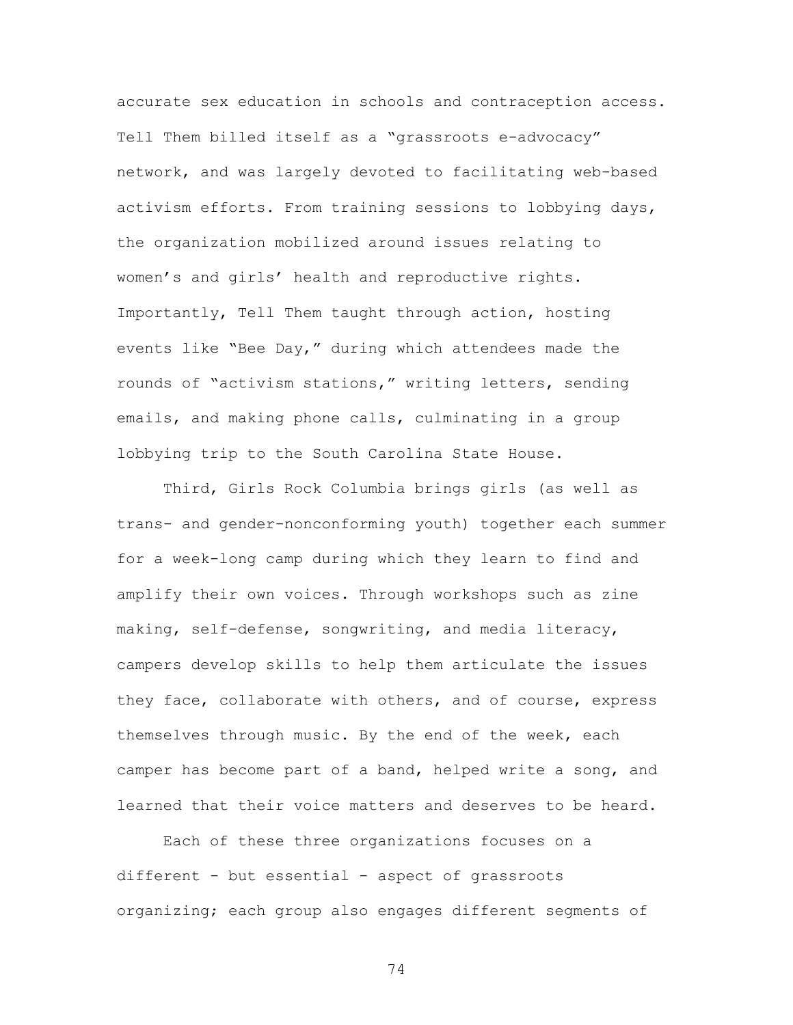accurate sex education in schools and contraception access. Tell Them billed itself as a "grassroots e-advocacy" network, and was largely devoted to facilitating web-based activism efforts. From training sessions to lobbying days, the organization mobilized around issues relating to women's and girls' health and reproductive rights. Importantly, Tell Them taught through action, hosting events like "Bee Day," during which attendees made the rounds of "activism stations," writing letters, sending emails, and making phone calls, culminating in a group lobbying trip to the South Carolina State House.

Third, Girls Rock Columbia brings girls (as well as trans- and gender-nonconforming youth) together each summer for a week-long camp during which they learn to find and amplify their own voices. Through workshops such as zine making, self-defense, songwriting, and media literacy, campers develop skills to help them articulate the issues they face, collaborate with others, and of course, express themselves through music. By the end of the week, each camper has become part of a band, helped write a song, and learned that their voice matters and deserves to be heard.

Each of these three organizations focuses on a different - but essential - aspect of grassroots organizing; each group also engages different segments of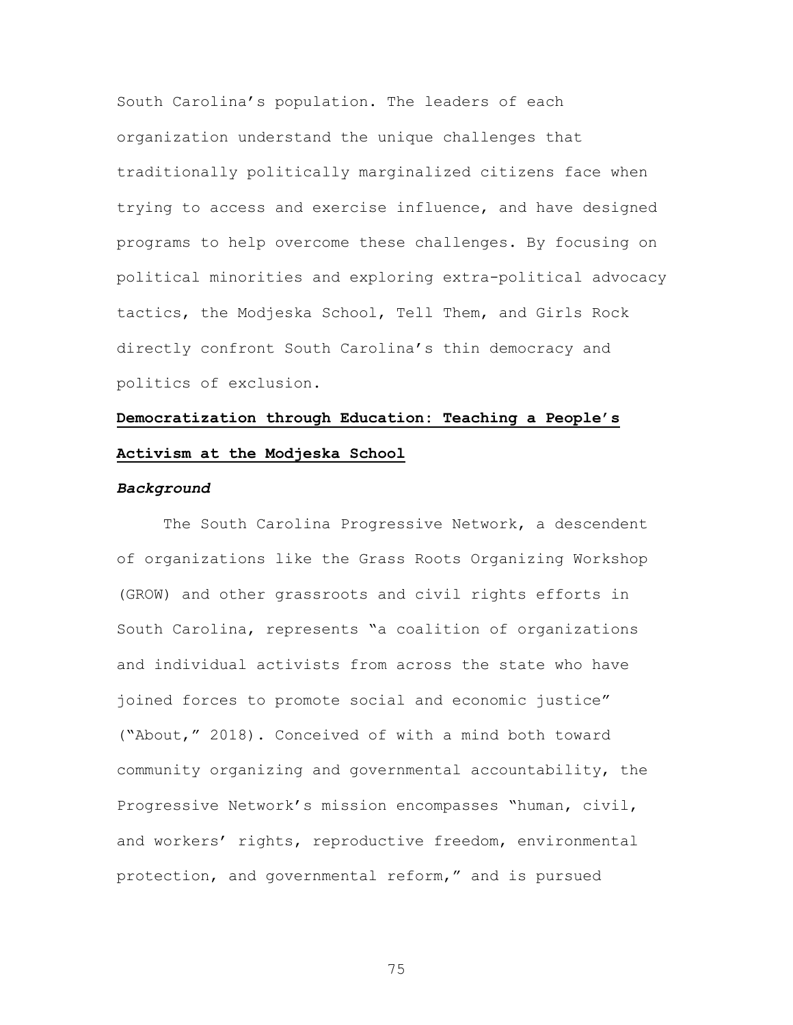South Carolina's population. The leaders of each organization understand the unique challenges that traditionally politically marginalized citizens face when trying to access and exercise influence, and have designed programs to help overcome these challenges. By focusing on political minorities and exploring extra-political advocacy tactics, the Modjeska School, Tell Them, and Girls Rock directly confront South Carolina's thin democracy and politics of exclusion.

# **Democratization through Education: Teaching a People's Activism at the Modjeska School**

#### *Background*

The South Carolina Progressive Network, a descendent of organizations like the Grass Roots Organizing Workshop (GROW) and other grassroots and civil rights efforts in South Carolina, represents "a coalition of organizations and individual activists from across the state who have joined forces to promote social and economic justice" ("About," 2018). Conceived of with a mind both toward community organizing and governmental accountability, the Progressive Network's mission encompasses "human, civil, and workers' rights, reproductive freedom, environmental protection, and governmental reform," and is pursued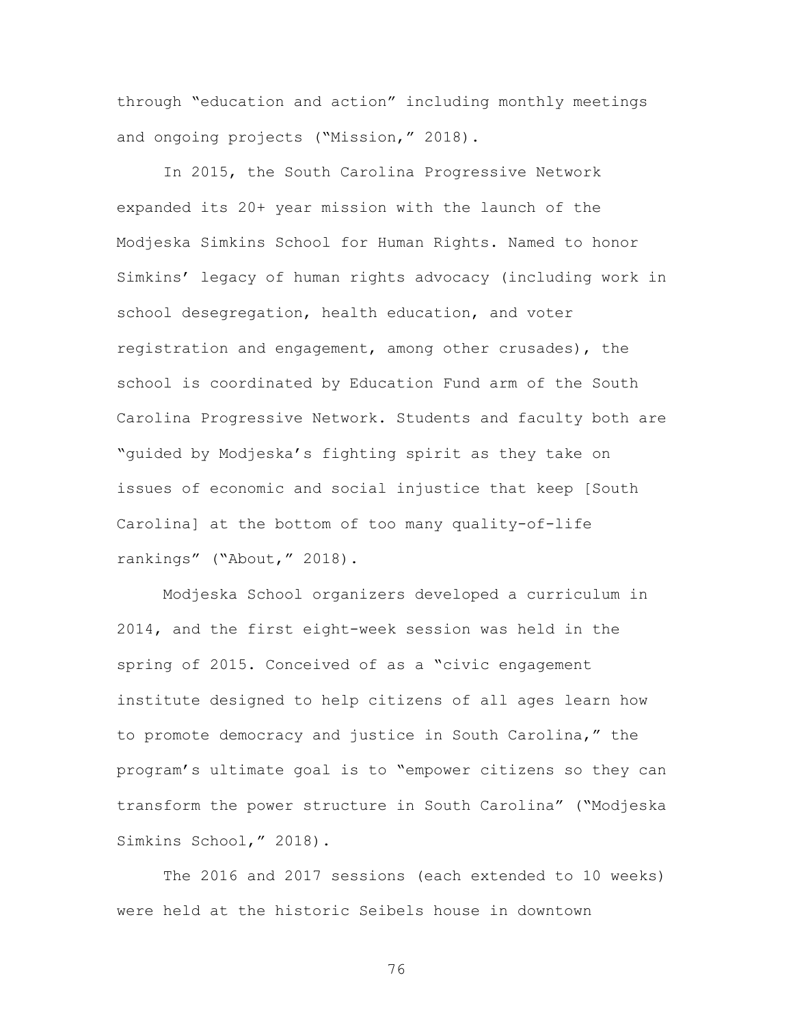through "education and action" including monthly meetings and ongoing projects ("Mission," 2018).

In 2015, the South Carolina Progressive Network expanded its 20+ year mission with the launch of the Modjeska Simkins School for Human Rights. Named to honor Simkins' legacy of human rights advocacy (including work in school desegregation, health education, and voter registration and engagement, among other crusades), the school is coordinated by Education Fund arm of the South Carolina Progressive Network. Students and faculty both are "guided by Modjeska's fighting spirit as they take on issues of economic and social injustice that keep [South Carolina] at the bottom of too many quality-of-life rankings" ("About," 2018).

Modjeska School organizers developed a curriculum in 2014, and the first eight-week session was held in the spring of 2015. Conceived of as a "civic engagement institute designed to help citizens of all ages learn how to promote democracy and justice in South Carolina," the program's ultimate goal is to "empower citizens so they can transform the power structure in South Carolina" ("Modjeska Simkins School," 2018).

The 2016 and 2017 sessions (each extended to 10 weeks) were held at the historic Seibels house in downtown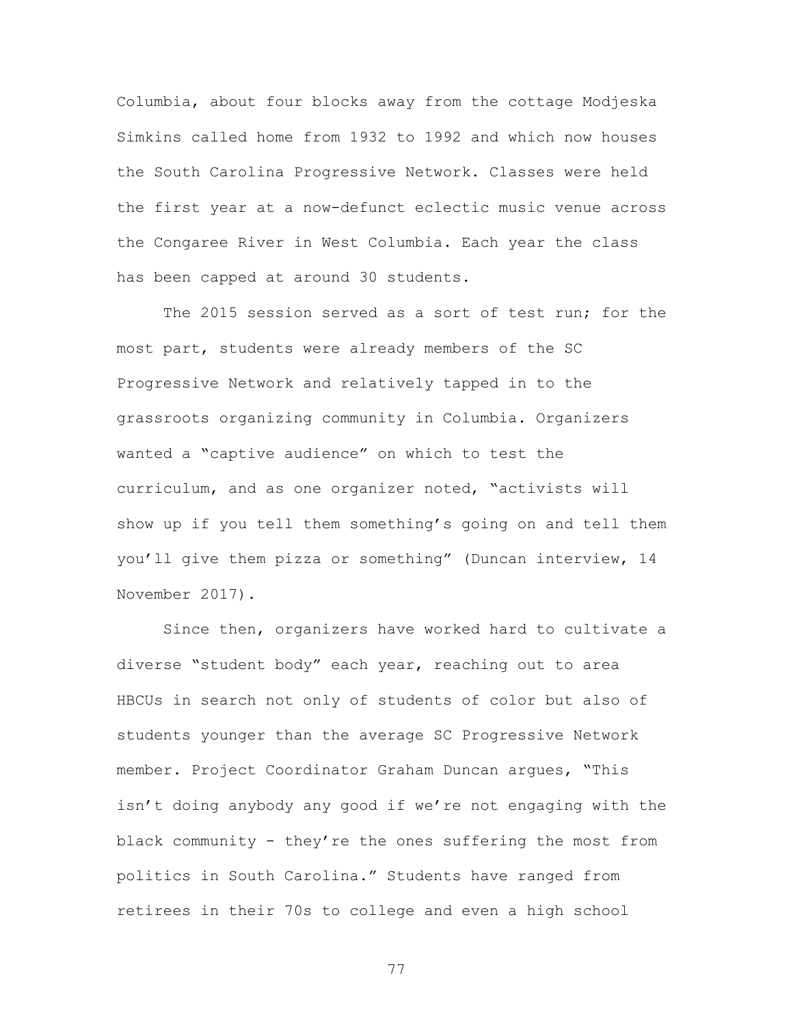Columbia, about four blocks away from the cottage Modjeska Simkins called home from 1932 to 1992 and which now houses the South Carolina Progressive Network. Classes were held the first year at a now-defunct eclectic music venue across the Congaree River in West Columbia. Each year the class has been capped at around 30 students.

The 2015 session served as a sort of test run; for the most part, students were already members of the SC Progressive Network and relatively tapped in to the grassroots organizing community in Columbia. Organizers wanted a "captive audience" on which to test the curriculum, and as one organizer noted, "activists will show up if you tell them something's going on and tell them you'll give them pizza or something" (Duncan interview, 14 November 2017).

Since then, organizers have worked hard to cultivate a diverse "student body" each year, reaching out to area HBCUs in search not only of students of color but also of students younger than the average SC Progressive Network member. Project Coordinator Graham Duncan argues, "This isn't doing anybody any good if we're not engaging with the black community - they're the ones suffering the most from politics in South Carolina." Students have ranged from retirees in their 70s to college and even a high school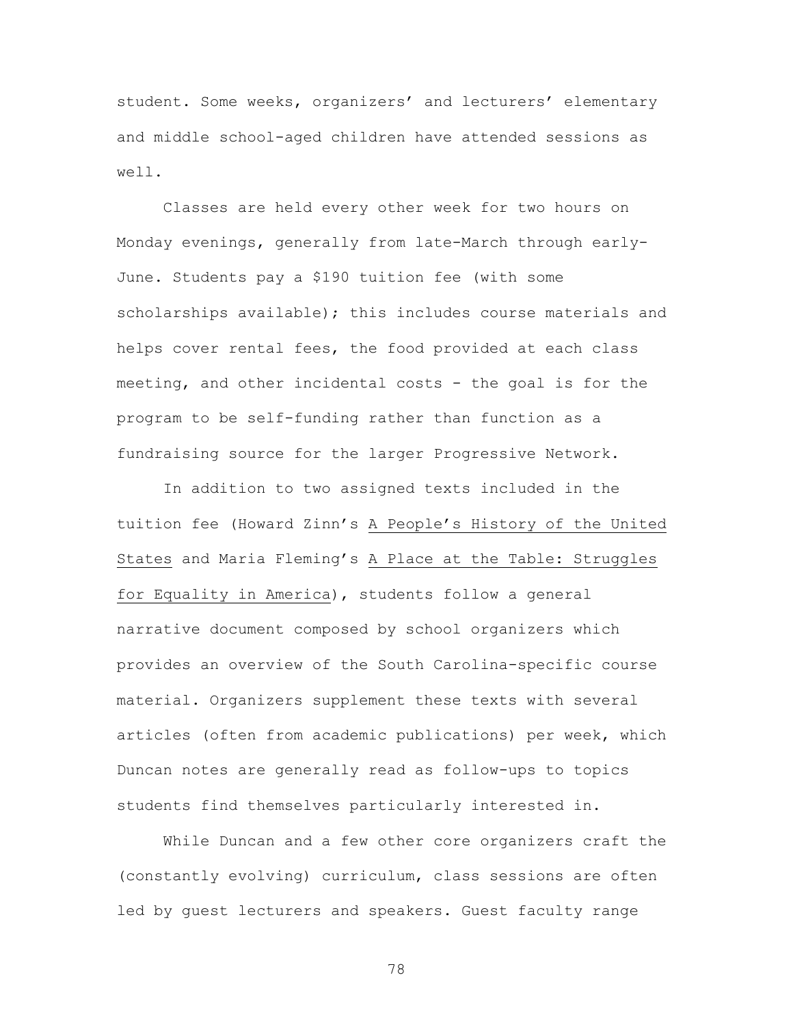student. Some weeks, organizers' and lecturers' elementary and middle school-aged children have attended sessions as well.

Classes are held every other week for two hours on Monday evenings, generally from late-March through early-June. Students pay a \$190 tuition fee (with some scholarships available); this includes course materials and helps cover rental fees, the food provided at each class meeting, and other incidental costs - the goal is for the program to be self-funding rather than function as a fundraising source for the larger Progressive Network.

In addition to two assigned texts included in the tuition fee (Howard Zinn's A People's History of the United States and Maria Fleming's A Place at the Table: Struggles for Equality in America), students follow a general narrative document composed by school organizers which provides an overview of the South Carolina-specific course material. Organizers supplement these texts with several articles (often from academic publications) per week, which Duncan notes are generally read as follow-ups to topics students find themselves particularly interested in.

While Duncan and a few other core organizers craft the (constantly evolving) curriculum, class sessions are often led by guest lecturers and speakers. Guest faculty range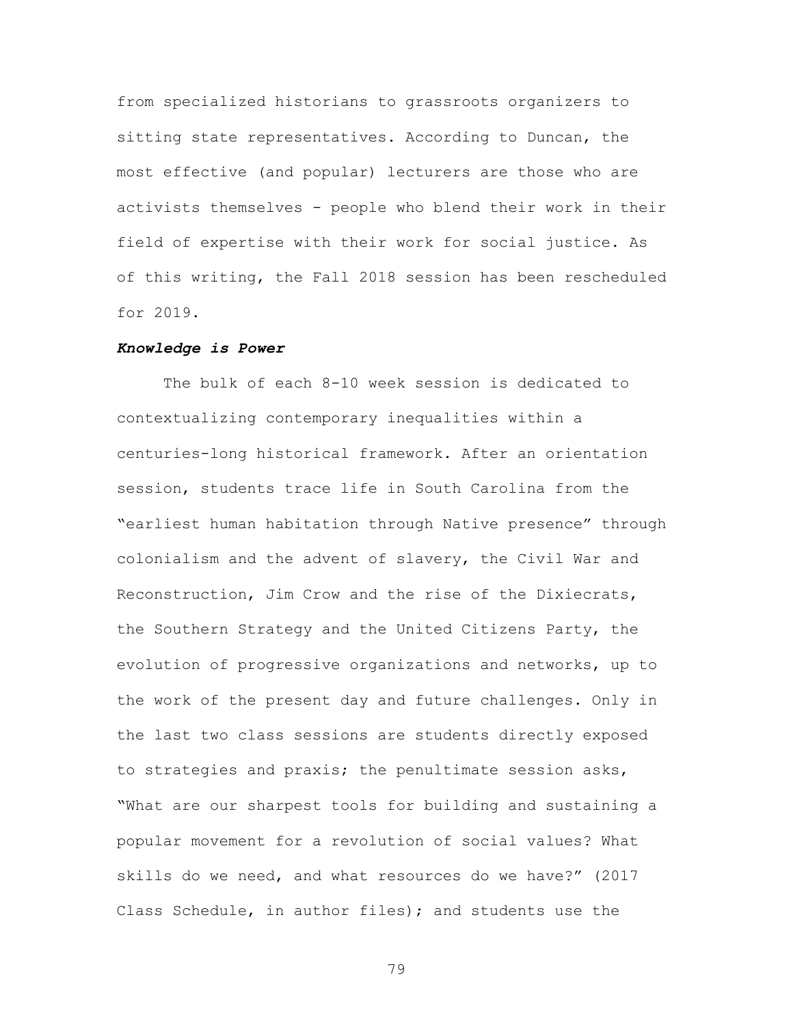from specialized historians to grassroots organizers to sitting state representatives. According to Duncan, the most effective (and popular) lecturers are those who are activists themselves - people who blend their work in their field of expertise with their work for social justice. As of this writing, the Fall 2018 session has been rescheduled for 2019.

#### *Knowledge is Power*

The bulk of each 8-10 week session is dedicated to contextualizing contemporary inequalities within a centuries-long historical framework. After an orientation session, students trace life in South Carolina from the "earliest human habitation through Native presence" through colonialism and the advent of slavery, the Civil War and Reconstruction, Jim Crow and the rise of the Dixiecrats, the Southern Strategy and the United Citizens Party, the evolution of progressive organizations and networks, up to the work of the present day and future challenges. Only in the last two class sessions are students directly exposed to strategies and praxis; the penultimate session asks, "What are our sharpest tools for building and sustaining a popular movement for a revolution of social values? What skills do we need, and what resources do we have?" (2017 Class Schedule, in author files); and students use the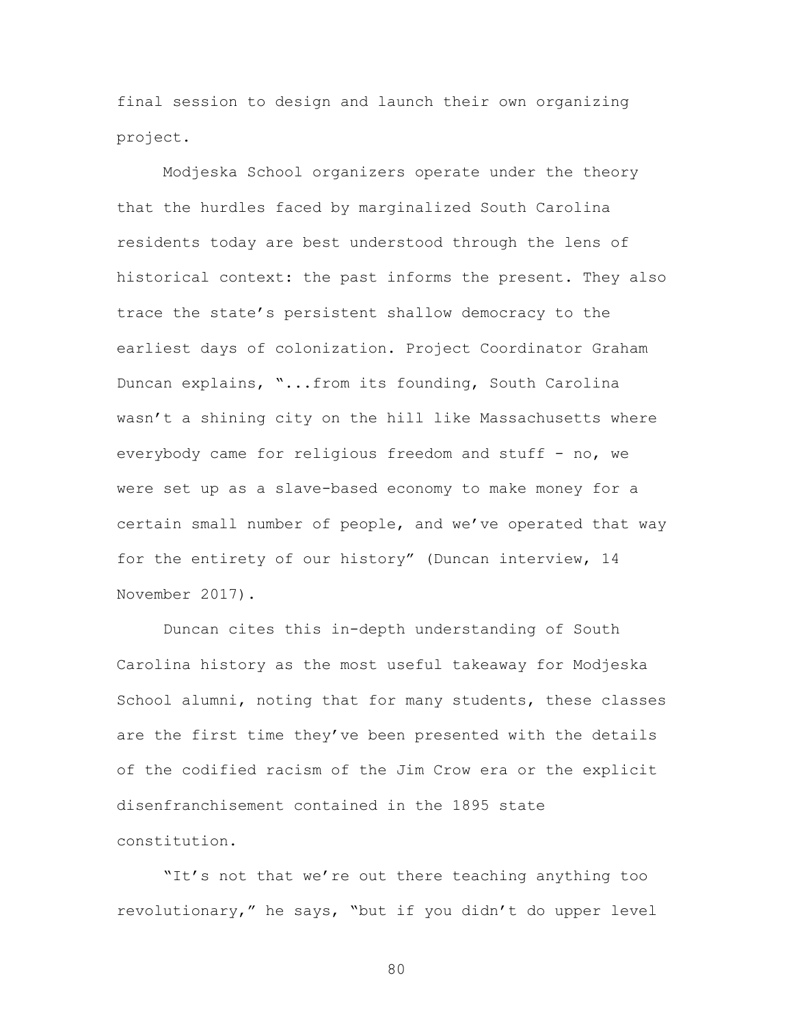final session to design and launch their own organizing project.

Modjeska School organizers operate under the theory that the hurdles faced by marginalized South Carolina residents today are best understood through the lens of historical context: the past informs the present. They also trace the state's persistent shallow democracy to the earliest days of colonization. Project Coordinator Graham Duncan explains, "...from its founding, South Carolina wasn't a shining city on the hill like Massachusetts where everybody came for religious freedom and stuff - no, we were set up as a slave-based economy to make money for a certain small number of people, and we've operated that way for the entirety of our history" (Duncan interview, 14 November 2017).

Duncan cites this in-depth understanding of South Carolina history as the most useful takeaway for Modjeska School alumni, noting that for many students, these classes are the first time they've been presented with the details of the codified racism of the Jim Crow era or the explicit disenfranchisement contained in the 1895 state constitution.

"It's not that we're out there teaching anything too revolutionary," he says, "but if you didn't do upper level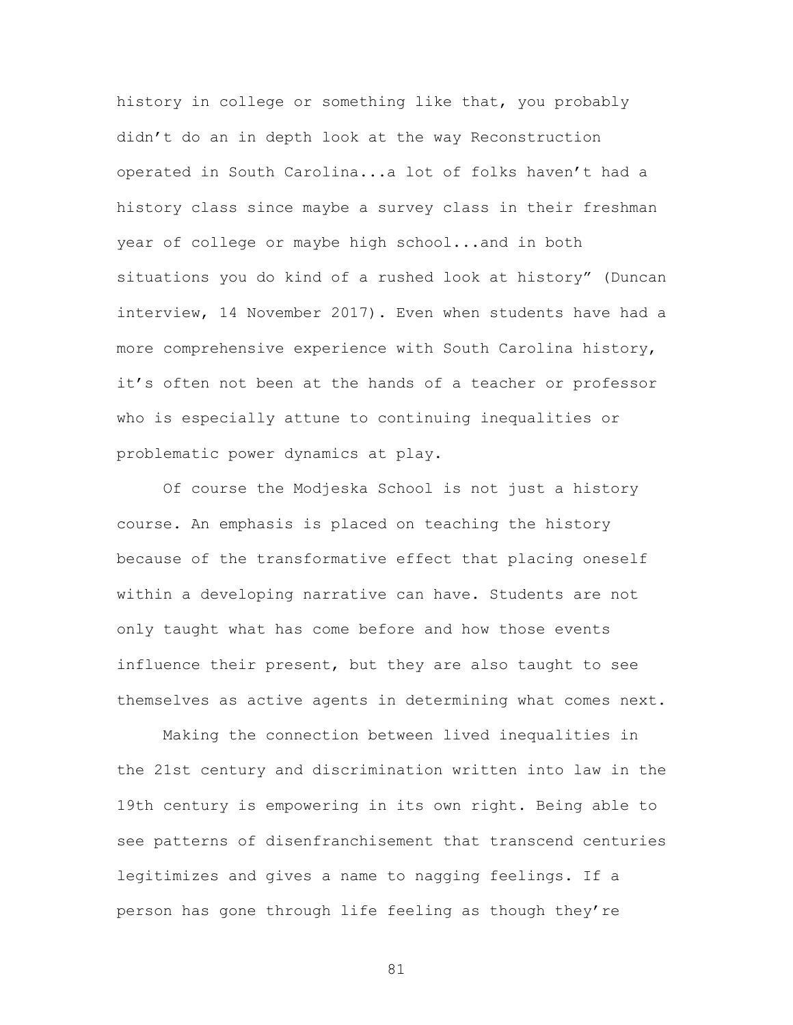history in college or something like that, you probably didn't do an in depth look at the way Reconstruction operated in South Carolina...a lot of folks haven't had a history class since maybe a survey class in their freshman year of college or maybe high school...and in both situations you do kind of a rushed look at history" (Duncan interview, 14 November 2017). Even when students have had a more comprehensive experience with South Carolina history, it's often not been at the hands of a teacher or professor who is especially attune to continuing inequalities or problematic power dynamics at play.

Of course the Modjeska School is not just a history course. An emphasis is placed on teaching the history because of the transformative effect that placing oneself within a developing narrative can have. Students are not only taught what has come before and how those events influence their present, but they are also taught to see themselves as active agents in determining what comes next.

Making the connection between lived inequalities in the 21st century and discrimination written into law in the 19th century is empowering in its own right. Being able to see patterns of disenfranchisement that transcend centuries legitimizes and gives a name to nagging feelings. If a person has gone through life feeling as though they're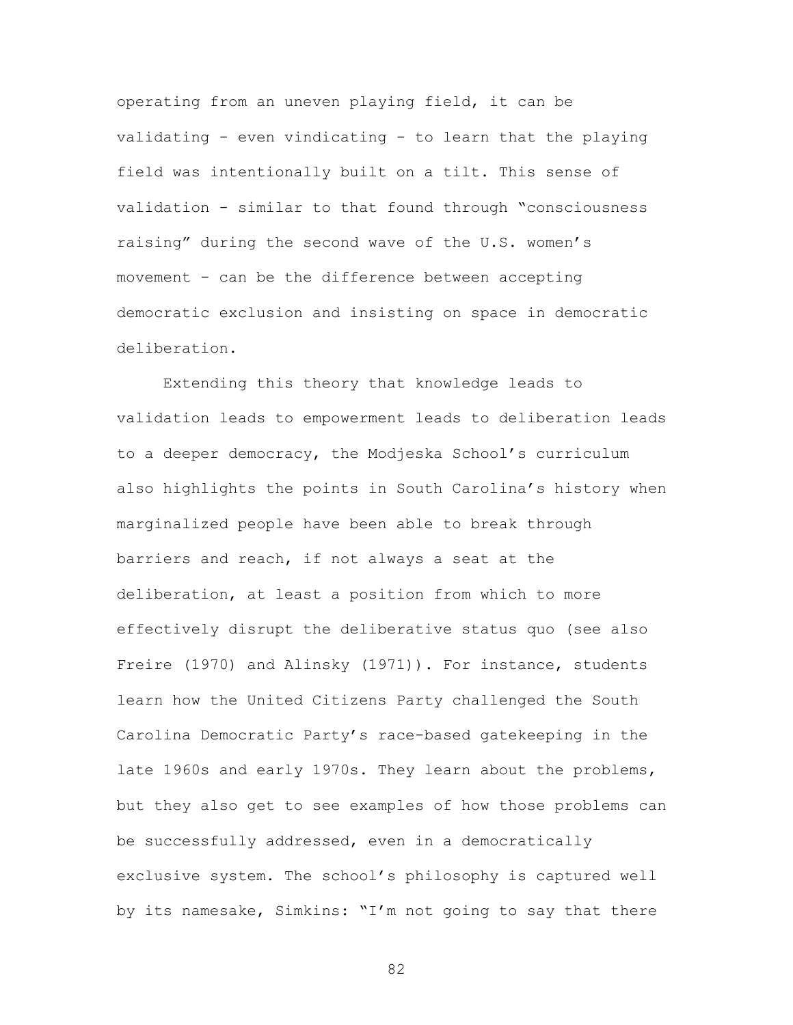operating from an uneven playing field, it can be validating - even vindicating - to learn that the playing field was intentionally built on a tilt. This sense of validation - similar to that found through "consciousness raising" during the second wave of the U.S. women's movement - can be the difference between accepting democratic exclusion and insisting on space in democratic deliberation.

Extending this theory that knowledge leads to validation leads to empowerment leads to deliberation leads to a deeper democracy, the Modjeska School's curriculum also highlights the points in South Carolina's history when marginalized people have been able to break through barriers and reach, if not always a seat at the deliberation, at least a position from which to more effectively disrupt the deliberative status quo (see also Freire (1970) and Alinsky (1971)). For instance, students learn how the United Citizens Party challenged the South Carolina Democratic Party's race-based gatekeeping in the late 1960s and early 1970s. They learn about the problems, but they also get to see examples of how those problems can be successfully addressed, even in a democratically exclusive system. The school's philosophy is captured well by its namesake, Simkins: "I'm not going to say that there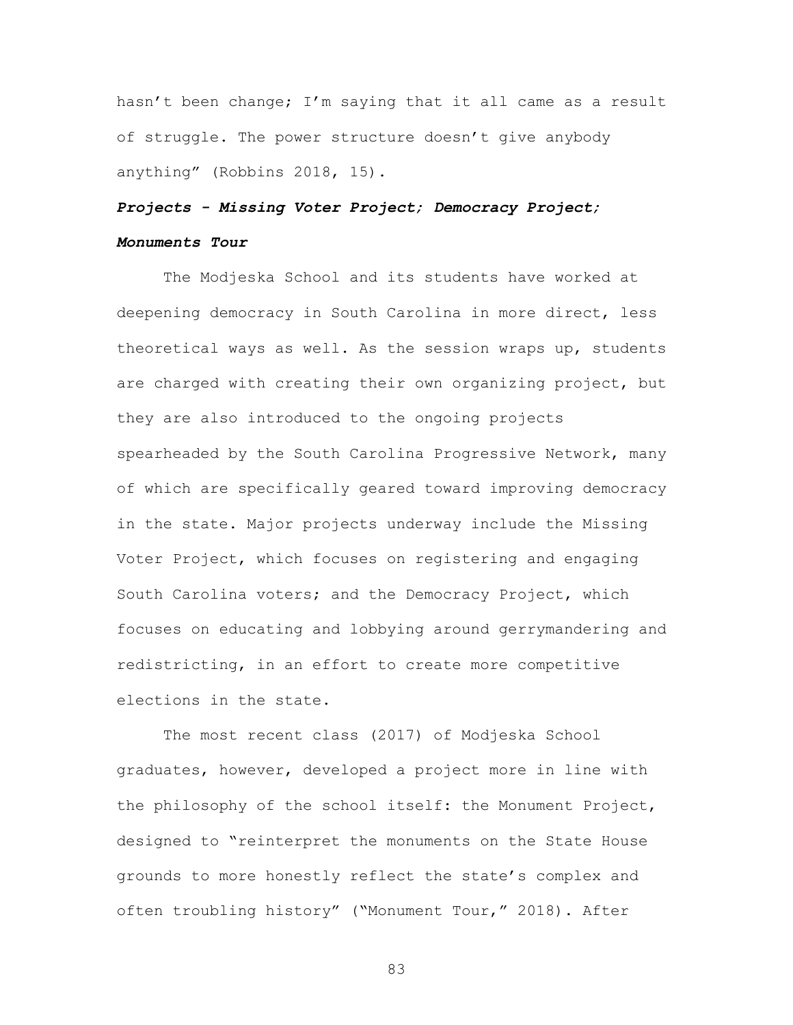hasn't been change; I'm saying that it all came as a result of struggle. The power structure doesn't give anybody anything" (Robbins 2018, 15).

# *Projects - Missing Voter Project; Democracy Project; Monuments Tour*

The Modjeska School and its students have worked at deepening democracy in South Carolina in more direct, less theoretical ways as well. As the session wraps up, students are charged with creating their own organizing project, but they are also introduced to the ongoing projects spearheaded by the South Carolina Progressive Network, many of which are specifically geared toward improving democracy in the state. Major projects underway include the Missing Voter Project, which focuses on registering and engaging South Carolina voters; and the Democracy Project, which focuses on educating and lobbying around gerrymandering and redistricting, in an effort to create more competitive elections in the state.

The most recent class (2017) of Modjeska School graduates, however, developed a project more in line with the philosophy of the school itself: the Monument Project, designed to "reinterpret the monuments on the State House grounds to more honestly reflect the state's complex and often troubling history" ("Monument Tour," 2018). After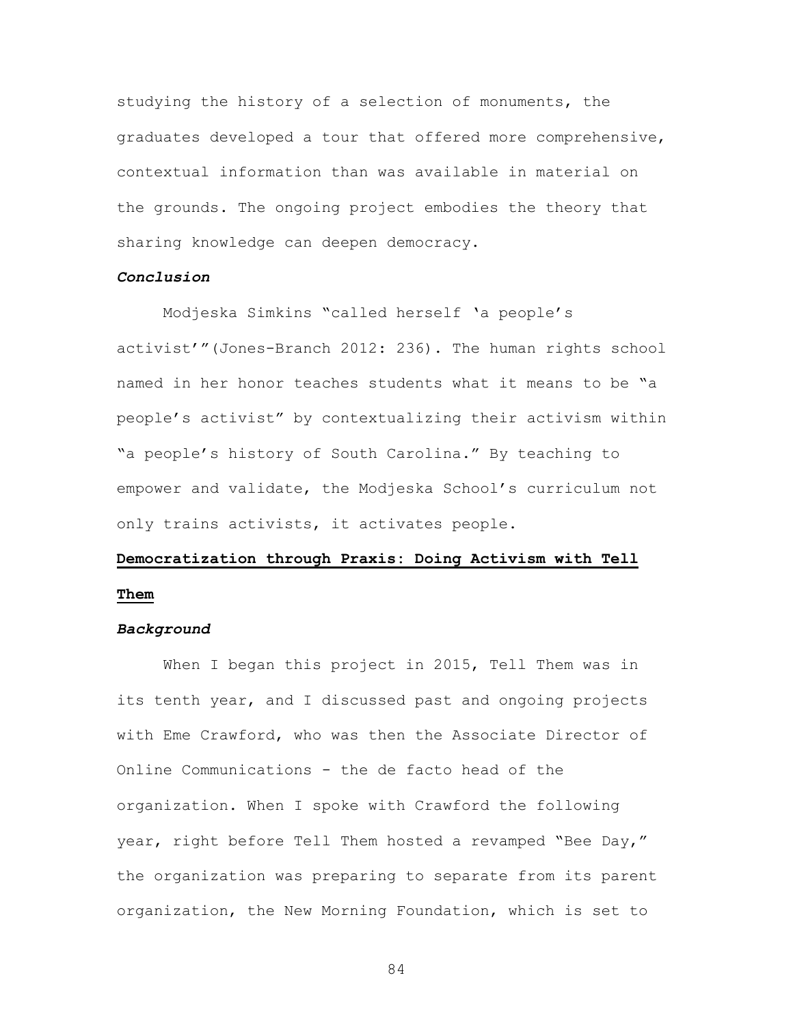studying the history of a selection of monuments, the graduates developed a tour that offered more comprehensive, contextual information than was available in material on the grounds. The ongoing project embodies the theory that sharing knowledge can deepen democracy.

# *Conclusion*

Modjeska Simkins "called herself 'a people's activist'"(Jones-Branch 2012: 236). The human rights school named in her honor teaches students what it means to be "a people's activist" by contextualizing their activism within "a people's history of South Carolina." By teaching to empower and validate, the Modjeska School's curriculum not only trains activists, it activates people.

# **Democratization through Praxis: Doing Activism with Tell Them**

#### *Background*

When I began this project in 2015, Tell Them was in its tenth year, and I discussed past and ongoing projects with Eme Crawford, who was then the Associate Director of Online Communications - the de facto head of the organization. When I spoke with Crawford the following year, right before Tell Them hosted a revamped "Bee Day," the organization was preparing to separate from its parent organization, the New Morning Foundation, which is set to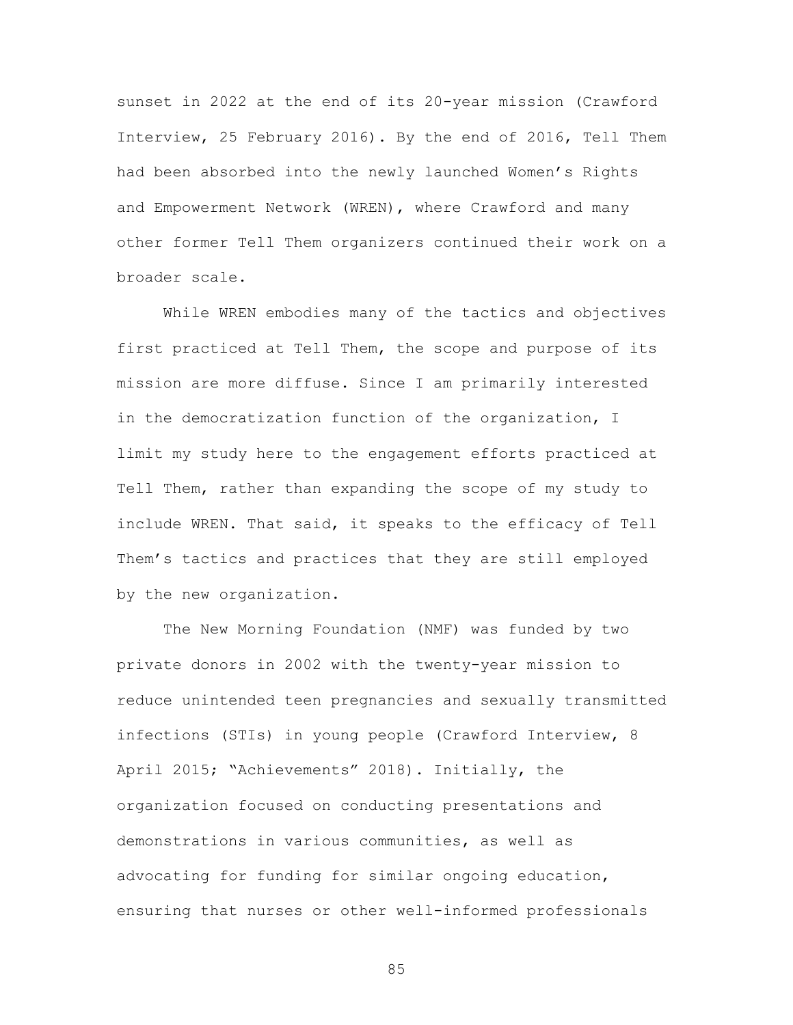sunset in 2022 at the end of its 20-year mission (Crawford Interview, 25 February 2016). By the end of 2016, Tell Them had been absorbed into the newly launched Women's Rights and Empowerment Network (WREN), where Crawford and many other former Tell Them organizers continued their work on a broader scale.

While WREN embodies many of the tactics and objectives first practiced at Tell Them, the scope and purpose of its mission are more diffuse. Since I am primarily interested in the democratization function of the organization, I limit my study here to the engagement efforts practiced at Tell Them, rather than expanding the scope of my study to include WREN. That said, it speaks to the efficacy of Tell Them's tactics and practices that they are still employed by the new organization.

The New Morning Foundation (NMF) was funded by two private donors in 2002 with the twenty-year mission to reduce unintended teen pregnancies and sexually transmitted infections (STIs) in young people (Crawford Interview, 8 April 2015; "Achievements" 2018). Initially, the organization focused on conducting presentations and demonstrations in various communities, as well as advocating for funding for similar ongoing education, ensuring that nurses or other well-informed professionals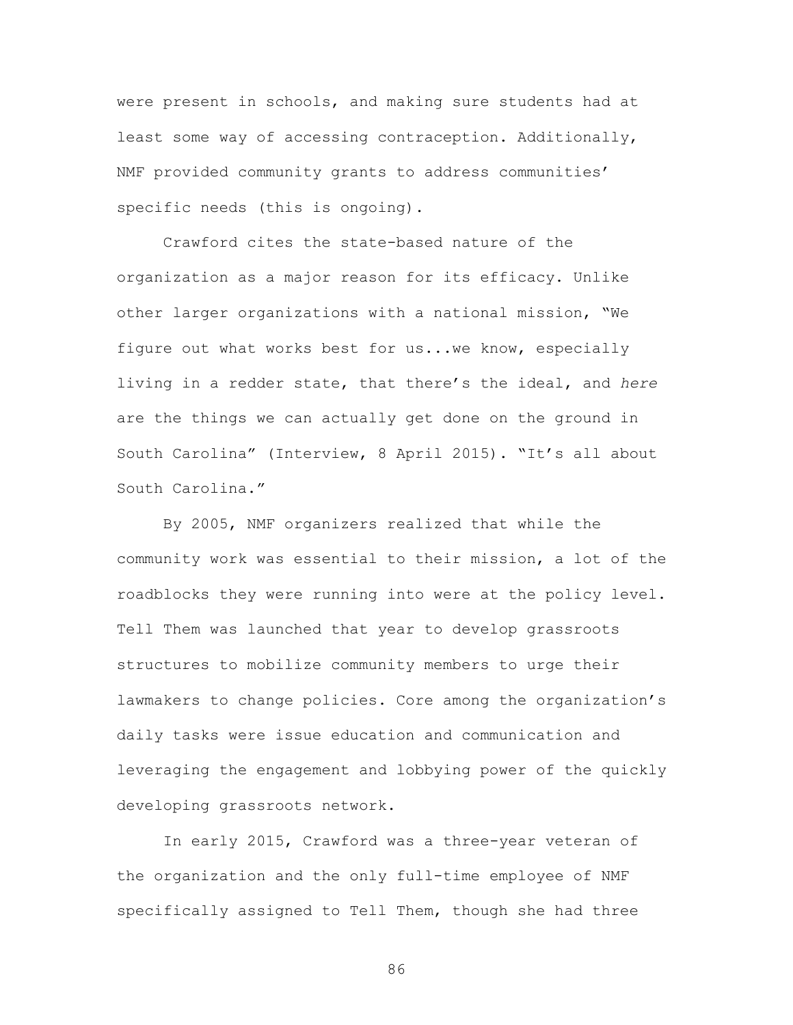were present in schools, and making sure students had at least some way of accessing contraception. Additionally, NMF provided community grants to address communities' specific needs (this is ongoing).

Crawford cites the state-based nature of the organization as a major reason for its efficacy. Unlike other larger organizations with a national mission, "We figure out what works best for us...we know, especially living in a redder state, that there's the ideal, and *here* are the things we can actually get done on the ground in South Carolina" (Interview, 8 April 2015). "It's all about South Carolina."

By 2005, NMF organizers realized that while the community work was essential to their mission, a lot of the roadblocks they were running into were at the policy level. Tell Them was launched that year to develop grassroots structures to mobilize community members to urge their lawmakers to change policies. Core among the organization's daily tasks were issue education and communication and leveraging the engagement and lobbying power of the quickly developing grassroots network.

In early 2015, Crawford was a three-year veteran of the organization and the only full-time employee of NMF specifically assigned to Tell Them, though she had three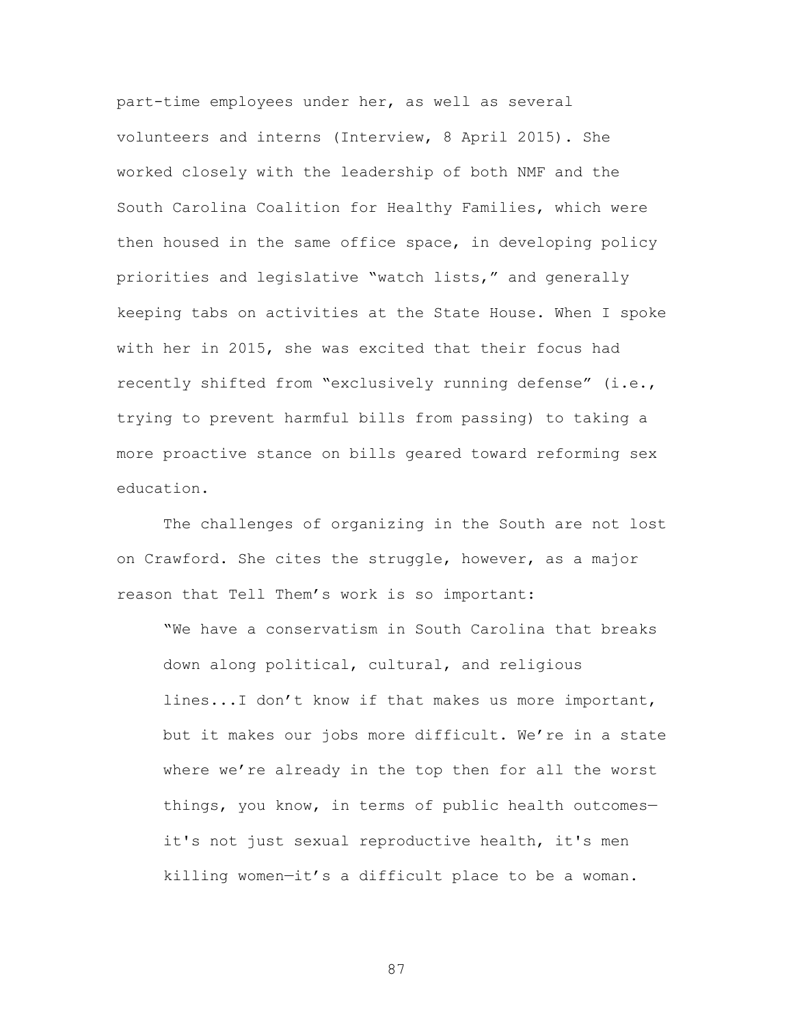part-time employees under her, as well as several volunteers and interns (Interview, 8 April 2015). She worked closely with the leadership of both NMF and the South Carolina Coalition for Healthy Families, which were then housed in the same office space, in developing policy priorities and legislative "watch lists," and generally keeping tabs on activities at the State House. When I spoke with her in 2015, she was excited that their focus had recently shifted from "exclusively running defense" (i.e., trying to prevent harmful bills from passing) to taking a more proactive stance on bills geared toward reforming sex education.

The challenges of organizing in the South are not lost on Crawford. She cites the struggle, however, as a major reason that Tell Them's work is so important:

"We have a conservatism in South Carolina that breaks down along political, cultural, and religious lines...I don't know if that makes us more important, but it makes our jobs more difficult. We're in a state where we're already in the top then for all the worst things, you know, in terms of public health outcomes it's not just sexual reproductive health, it's men killing women—it's a difficult place to be a woman.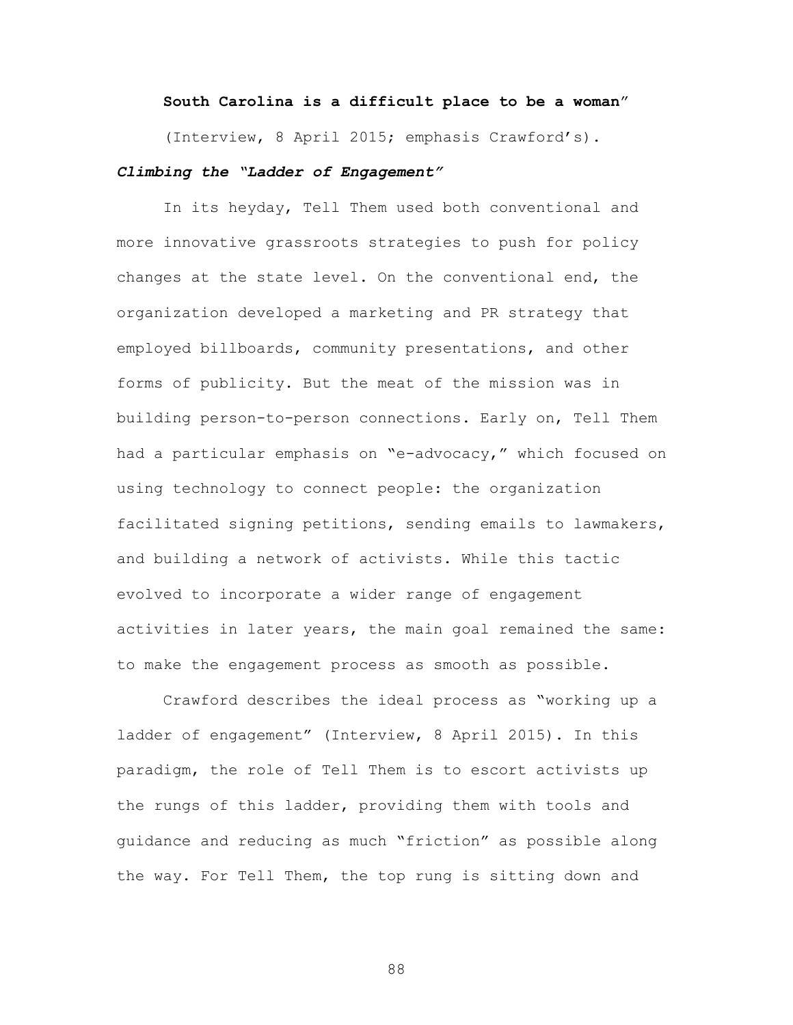### **South Carolina is a difficult place to be a woman**"

(Interview, 8 April 2015; emphasis Crawford's).

# *Climbing the "Ladder of Engagement"*

In its heyday, Tell Them used both conventional and more innovative grassroots strategies to push for policy changes at the state level. On the conventional end, the organization developed a marketing and PR strategy that employed billboards, community presentations, and other forms of publicity. But the meat of the mission was in building person-to-person connections. Early on, Tell Them had a particular emphasis on "e-advocacy," which focused on using technology to connect people: the organization facilitated signing petitions, sending emails to lawmakers, and building a network of activists. While this tactic evolved to incorporate a wider range of engagement activities in later years, the main goal remained the same: to make the engagement process as smooth as possible.

Crawford describes the ideal process as "working up a ladder of engagement" (Interview, 8 April 2015). In this paradigm, the role of Tell Them is to escort activists up the rungs of this ladder, providing them with tools and guidance and reducing as much "friction" as possible along the way. For Tell Them, the top rung is sitting down and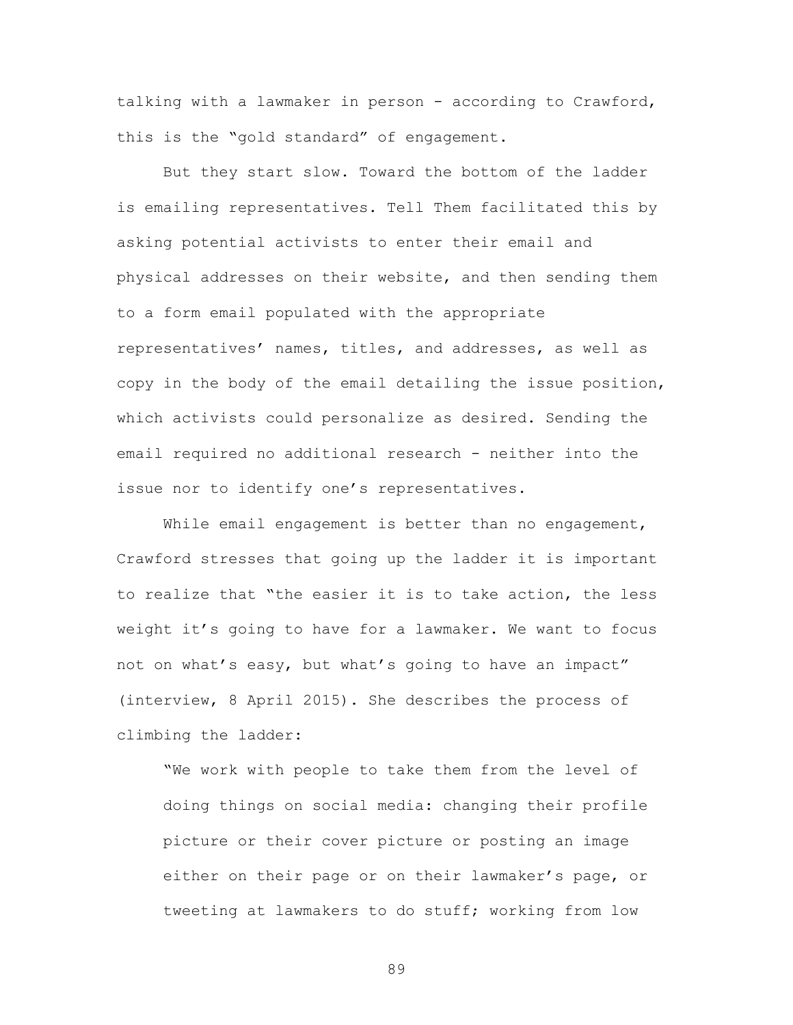talking with a lawmaker in person - according to Crawford, this is the "gold standard" of engagement.

But they start slow. Toward the bottom of the ladder is emailing representatives. Tell Them facilitated this by asking potential activists to enter their email and physical addresses on their website, and then sending them to a form email populated with the appropriate representatives' names, titles, and addresses, as well as copy in the body of the email detailing the issue position, which activists could personalize as desired. Sending the email required no additional research - neither into the issue nor to identify one's representatives.

While email engagement is better than no engagement, Crawford stresses that going up the ladder it is important to realize that "the easier it is to take action, the less weight it's going to have for a lawmaker. We want to focus not on what's easy, but what's going to have an impact" (interview, 8 April 2015). She describes the process of climbing the ladder:

"We work with people to take them from the level of doing things on social media: changing their profile picture or their cover picture or posting an image either on their page or on their lawmaker's page, or tweeting at lawmakers to do stuff; working from low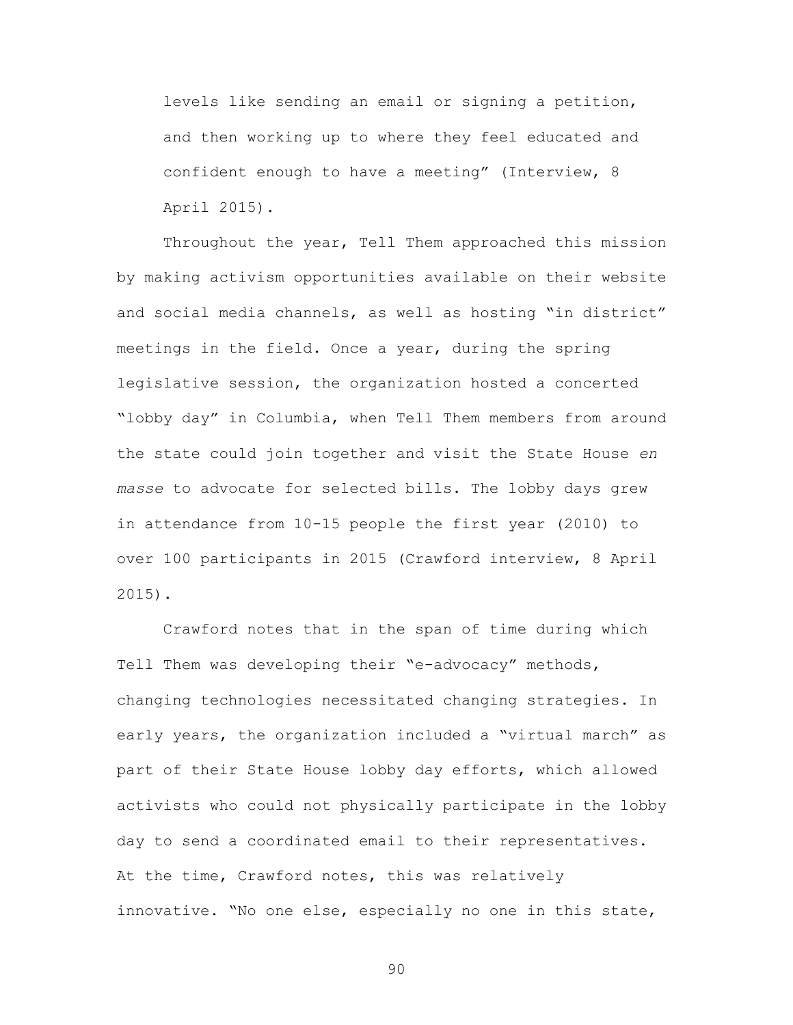levels like sending an email or signing a petition, and then working up to where they feel educated and confident enough to have a meeting" (Interview, 8 April 2015).

Throughout the year, Tell Them approached this mission by making activism opportunities available on their website and social media channels, as well as hosting "in district" meetings in the field. Once a year, during the spring legislative session, the organization hosted a concerted "lobby day" in Columbia, when Tell Them members from around the state could join together and visit the State House *en masse* to advocate for selected bills. The lobby days grew in attendance from 10-15 people the first year (2010) to over 100 participants in 2015 (Crawford interview, 8 April 2015).

Crawford notes that in the span of time during which Tell Them was developing their "e-advocacy" methods, changing technologies necessitated changing strategies. In early years, the organization included a "virtual march" as part of their State House lobby day efforts, which allowed activists who could not physically participate in the lobby day to send a coordinated email to their representatives. At the time, Crawford notes, this was relatively innovative. "No one else, especially no one in this state,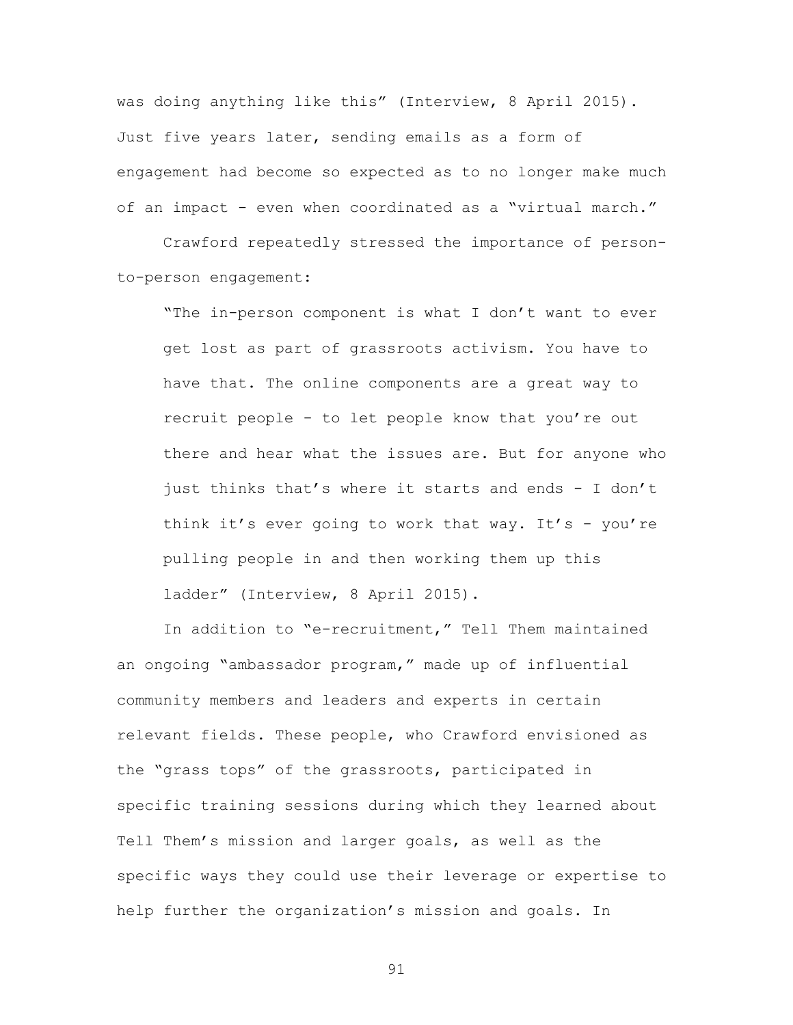was doing anything like this" (Interview, 8 April 2015). Just five years later, sending emails as a form of engagement had become so expected as to no longer make much of an impact - even when coordinated as a "virtual march."

Crawford repeatedly stressed the importance of personto-person engagement:

"The in-person component is what I don't want to ever get lost as part of grassroots activism. You have to have that. The online components are a great way to recruit people - to let people know that you're out there and hear what the issues are. But for anyone who just thinks that's where it starts and ends - I don't think it's ever going to work that way. It's - you're pulling people in and then working them up this ladder" (Interview, 8 April 2015).

In addition to "e-recruitment," Tell Them maintained an ongoing "ambassador program," made up of influential community members and leaders and experts in certain relevant fields. These people, who Crawford envisioned as the "grass tops" of the grassroots, participated in specific training sessions during which they learned about Tell Them's mission and larger goals, as well as the specific ways they could use their leverage or expertise to help further the organization's mission and goals. In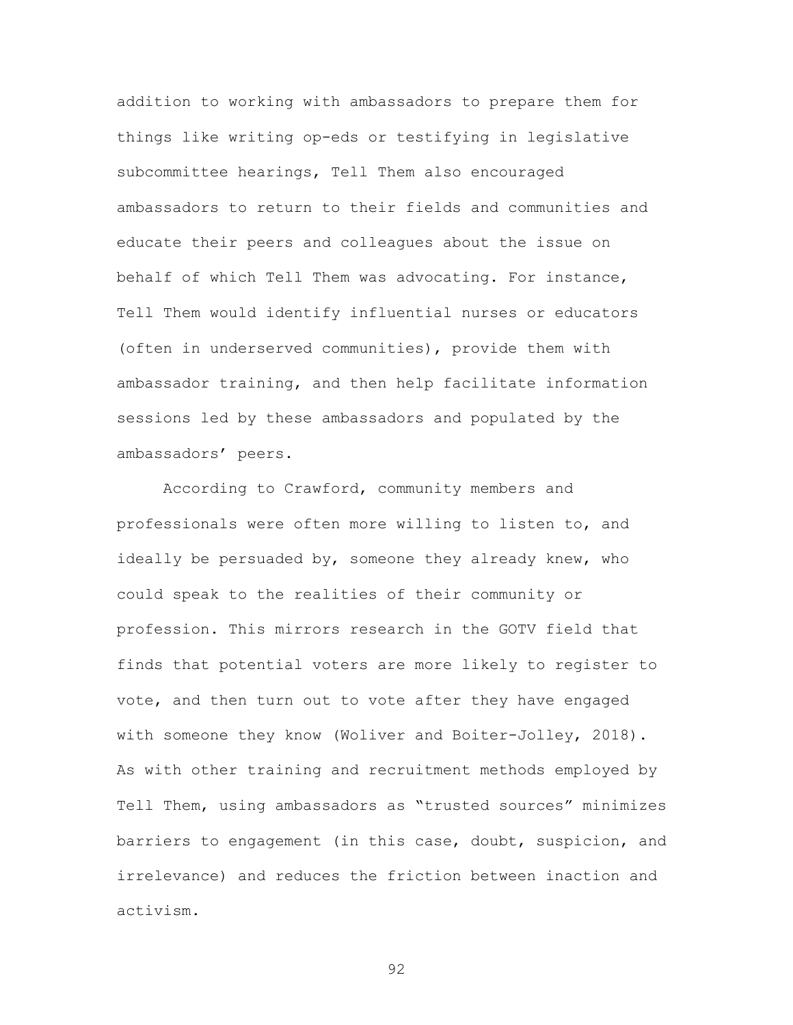addition to working with ambassadors to prepare them for things like writing op-eds or testifying in legislative subcommittee hearings, Tell Them also encouraged ambassadors to return to their fields and communities and educate their peers and colleagues about the issue on behalf of which Tell Them was advocating. For instance, Tell Them would identify influential nurses or educators (often in underserved communities), provide them with ambassador training, and then help facilitate information sessions led by these ambassadors and populated by the ambassadors' peers.

According to Crawford, community members and professionals were often more willing to listen to, and ideally be persuaded by, someone they already knew, who could speak to the realities of their community or profession. This mirrors research in the GOTV field that finds that potential voters are more likely to register to vote, and then turn out to vote after they have engaged with someone they know (Woliver and Boiter-Jolley, 2018). As with other training and recruitment methods employed by Tell Them, using ambassadors as "trusted sources" minimizes barriers to engagement (in this case, doubt, suspicion, and irrelevance) and reduces the friction between inaction and activism.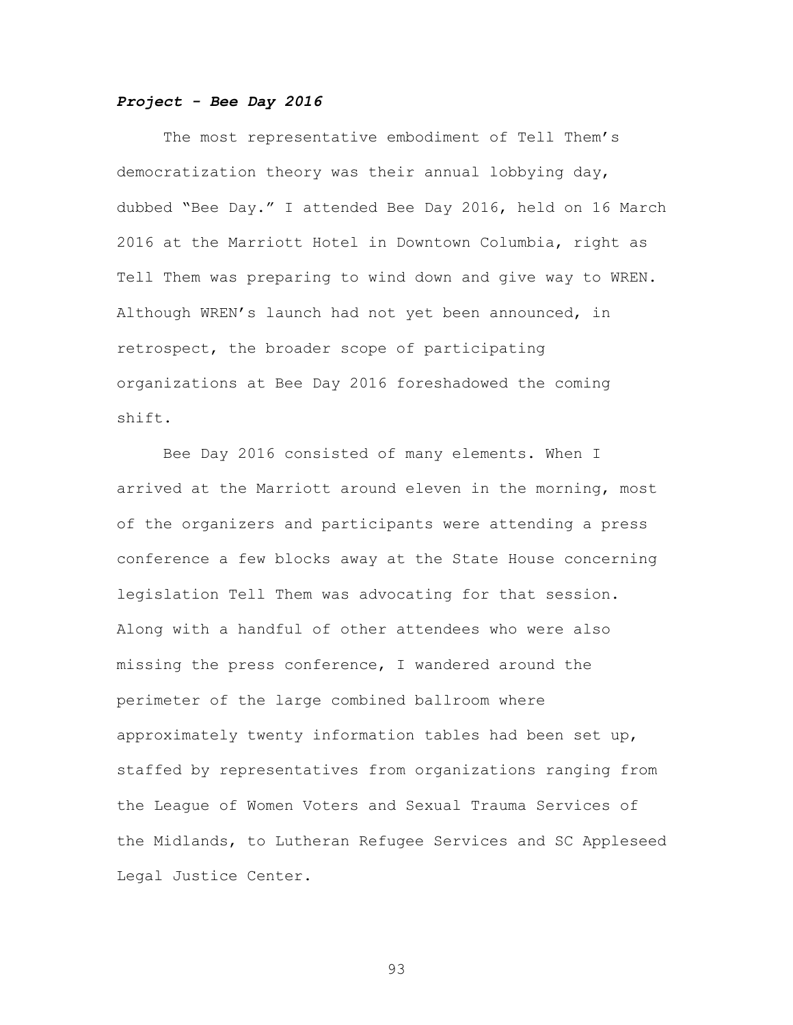# *Project - Bee Day 2016*

The most representative embodiment of Tell Them's democratization theory was their annual lobbying day, dubbed "Bee Day." I attended Bee Day 2016, held on 16 March 2016 at the Marriott Hotel in Downtown Columbia, right as Tell Them was preparing to wind down and give way to WREN. Although WREN's launch had not yet been announced, in retrospect, the broader scope of participating organizations at Bee Day 2016 foreshadowed the coming shift.

Bee Day 2016 consisted of many elements. When I arrived at the Marriott around eleven in the morning, most of the organizers and participants were attending a press conference a few blocks away at the State House concerning legislation Tell Them was advocating for that session. Along with a handful of other attendees who were also missing the press conference, I wandered around the perimeter of the large combined ballroom where approximately twenty information tables had been set up, staffed by representatives from organizations ranging from the League of Women Voters and Sexual Trauma Services of the Midlands, to Lutheran Refugee Services and SC Appleseed Legal Justice Center.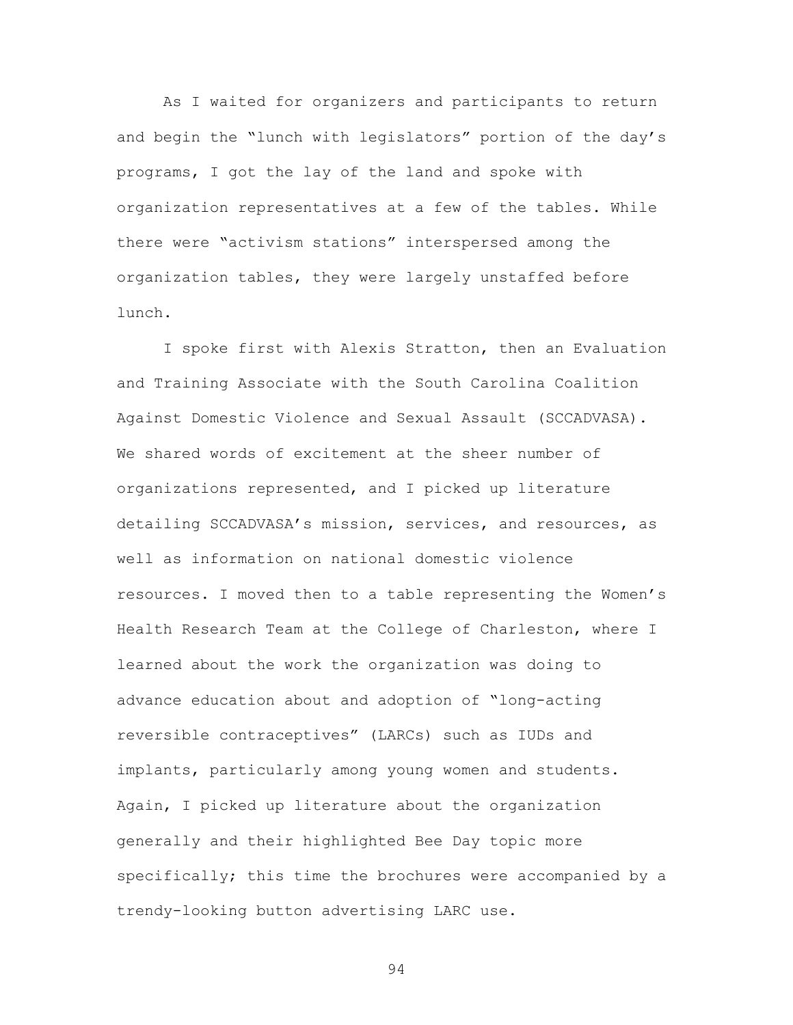As I waited for organizers and participants to return and begin the "lunch with legislators" portion of the day's programs, I got the lay of the land and spoke with organization representatives at a few of the tables. While there were "activism stations" interspersed among the organization tables, they were largely unstaffed before lunch.

I spoke first with Alexis Stratton, then an Evaluation and Training Associate with the South Carolina Coalition Against Domestic Violence and Sexual Assault (SCCADVASA). We shared words of excitement at the sheer number of organizations represented, and I picked up literature detailing SCCADVASA's mission, services, and resources, as well as information on national domestic violence resources. I moved then to a table representing the Women's Health Research Team at the College of Charleston, where I learned about the work the organization was doing to advance education about and adoption of "long-acting reversible contraceptives" (LARCs) such as IUDs and implants, particularly among young women and students. Again, I picked up literature about the organization generally and their highlighted Bee Day topic more specifically; this time the brochures were accompanied by a trendy-looking button advertising LARC use.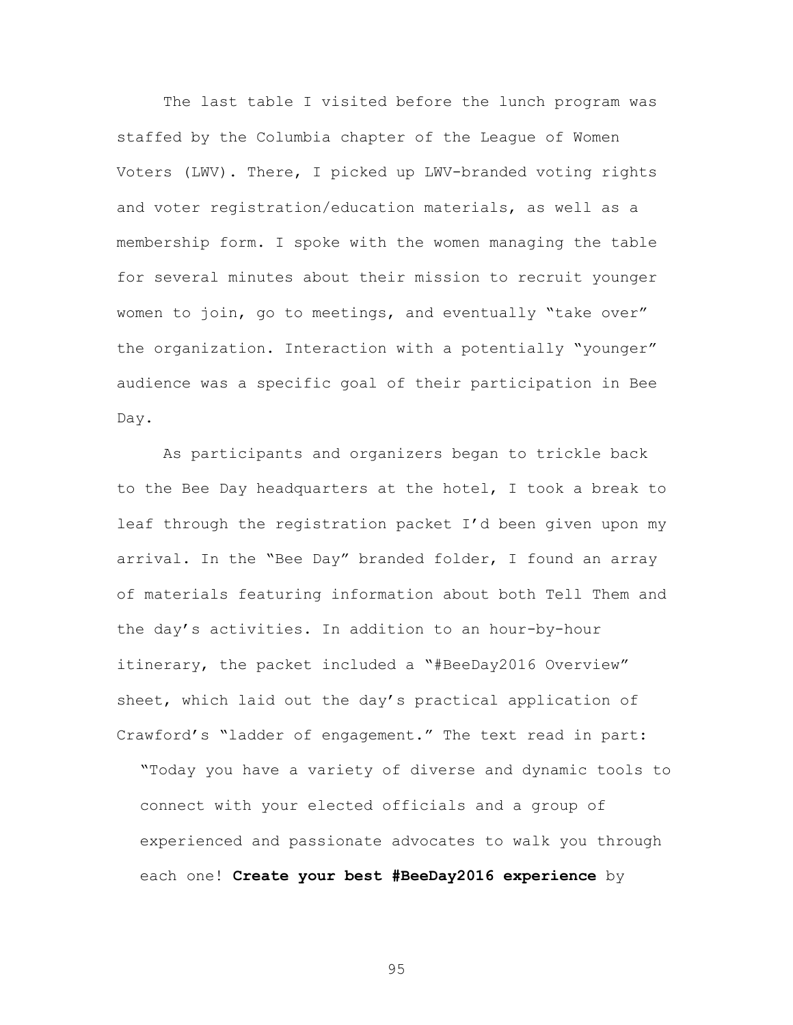The last table I visited before the lunch program was staffed by the Columbia chapter of the League of Women Voters (LWV). There, I picked up LWV-branded voting rights and voter registration/education materials, as well as a membership form. I spoke with the women managing the table for several minutes about their mission to recruit younger women to join, go to meetings, and eventually "take over" the organization. Interaction with a potentially "younger" audience was a specific goal of their participation in Bee Day.

As participants and organizers began to trickle back to the Bee Day headquarters at the hotel, I took a break to leaf through the registration packet I'd been given upon my arrival. In the "Bee Day" branded folder, I found an array of materials featuring information about both Tell Them and the day's activities. In addition to an hour-by-hour itinerary, the packet included a "#BeeDay2016 Overview" sheet, which laid out the day's practical application of Crawford's "ladder of engagement." The text read in part:

"Today you have a variety of diverse and dynamic tools to connect with your elected officials and a group of experienced and passionate advocates to walk you through each one! **Create your best #BeeDay2016 experience** by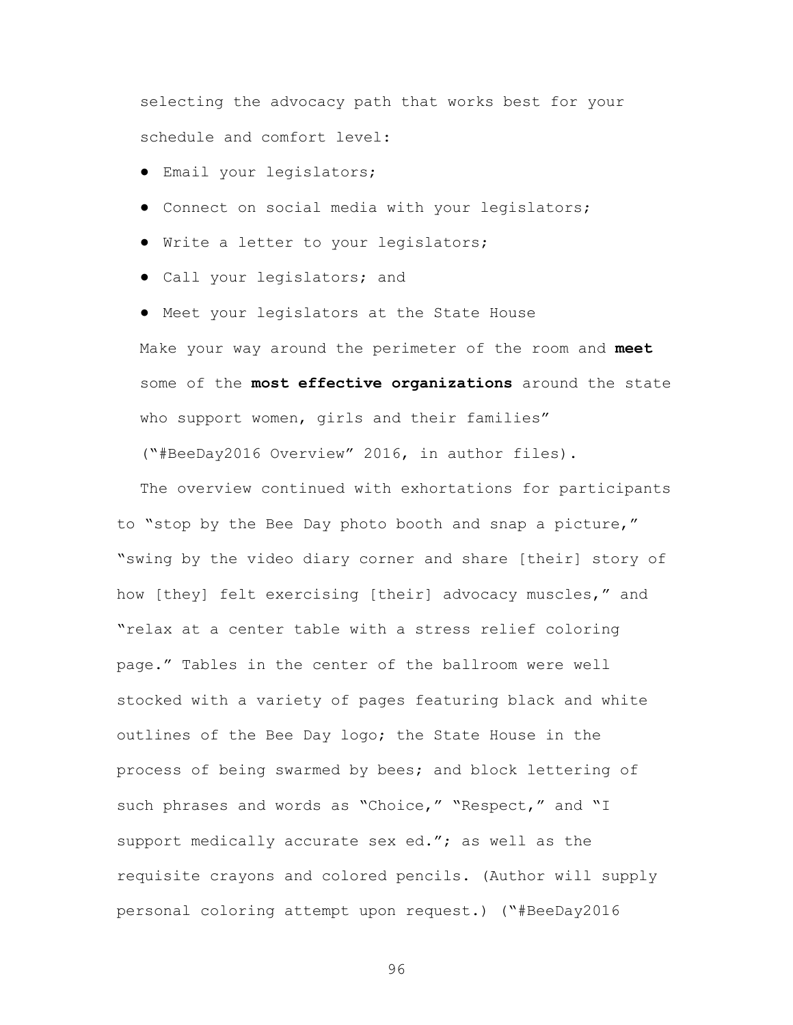selecting the advocacy path that works best for your schedule and comfort level:

- Email your legislators;
- Connect on social media with your legislators;
- Write a letter to your legislators;
- Call your legislators; and

● Meet your legislators at the State House Make your way around the perimeter of the room and **meet** some of the **most effective organizations** around the state who support women, girls and their families"

("#BeeDay2016 Overview" 2016, in author files).

The overview continued with exhortations for participants to "stop by the Bee Day photo booth and snap a picture," "swing by the video diary corner and share [their] story of how [they] felt exercising [their] advocacy muscles," and "relax at a center table with a stress relief coloring page." Tables in the center of the ballroom were well stocked with a variety of pages featuring black and white outlines of the Bee Day logo; the State House in the process of being swarmed by bees; and block lettering of such phrases and words as "Choice," "Respect," and "I support medically accurate sex ed."; as well as the requisite crayons and colored pencils. (Author will supply personal coloring attempt upon request.) ("#BeeDay2016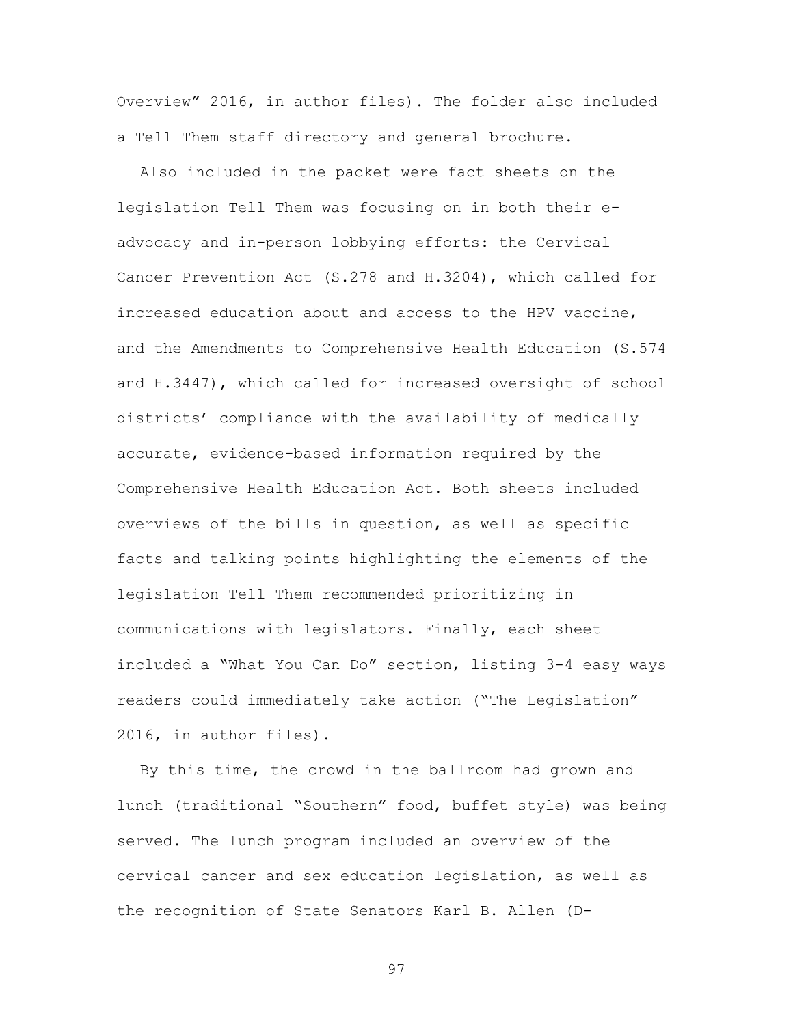Overview" 2016, in author files). The folder also included a Tell Them staff directory and general brochure.

Also included in the packet were fact sheets on the legislation Tell Them was focusing on in both their eadvocacy and in-person lobbying efforts: the Cervical Cancer Prevention Act (S.278 and H.3204), which called for increased education about and access to the HPV vaccine, and the Amendments to Comprehensive Health Education (S.574 and H.3447), which called for increased oversight of school districts' compliance with the availability of medically accurate, evidence-based information required by the Comprehensive Health Education Act. Both sheets included overviews of the bills in question, as well as specific facts and talking points highlighting the elements of the legislation Tell Them recommended prioritizing in communications with legislators. Finally, each sheet included a "What You Can Do" section, listing 3-4 easy ways readers could immediately take action ("The Legislation" 2016, in author files).

By this time, the crowd in the ballroom had grown and lunch (traditional "Southern" food, buffet style) was being served. The lunch program included an overview of the cervical cancer and sex education legislation, as well as the recognition of State Senators Karl B. Allen (D-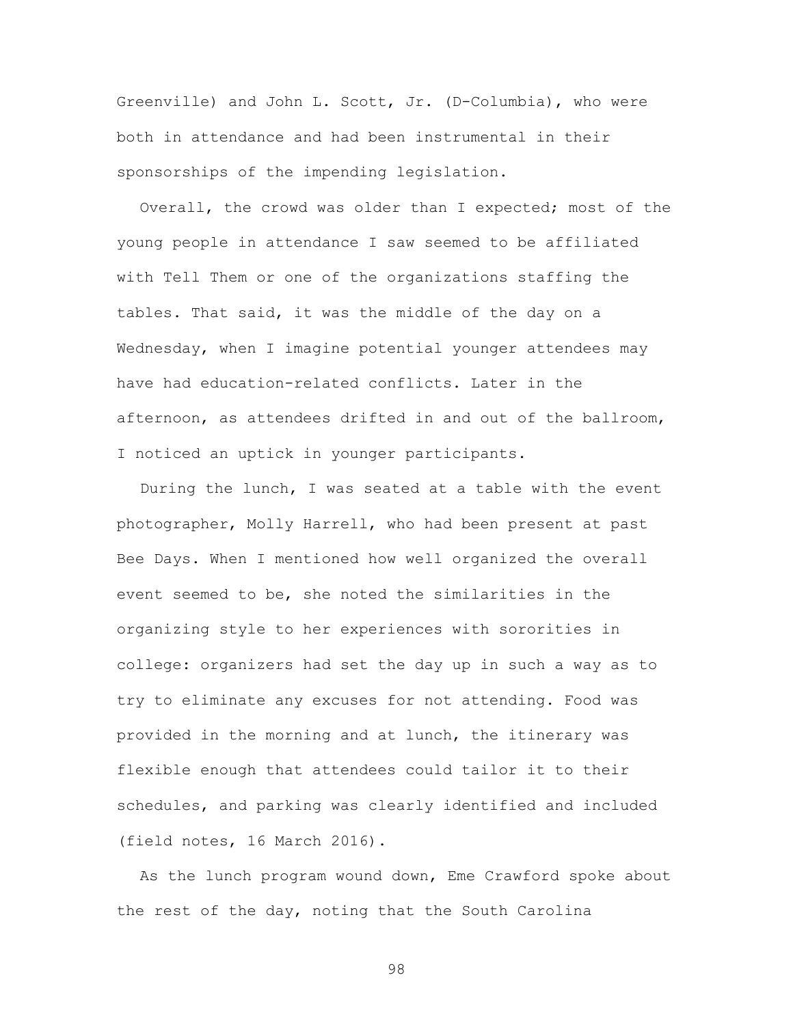Greenville) and John L. Scott, Jr. (D-Columbia), who were both in attendance and had been instrumental in their sponsorships of the impending legislation.

Overall, the crowd was older than I expected; most of the young people in attendance I saw seemed to be affiliated with Tell Them or one of the organizations staffing the tables. That said, it was the middle of the day on a Wednesday, when I imagine potential younger attendees may have had education-related conflicts. Later in the afternoon, as attendees drifted in and out of the ballroom, I noticed an uptick in younger participants.

During the lunch, I was seated at a table with the event photographer, Molly Harrell, who had been present at past Bee Days. When I mentioned how well organized the overall event seemed to be, she noted the similarities in the organizing style to her experiences with sororities in college: organizers had set the day up in such a way as to try to eliminate any excuses for not attending. Food was provided in the morning and at lunch, the itinerary was flexible enough that attendees could tailor it to their schedules, and parking was clearly identified and included (field notes, 16 March 2016).

As the lunch program wound down, Eme Crawford spoke about the rest of the day, noting that the South Carolina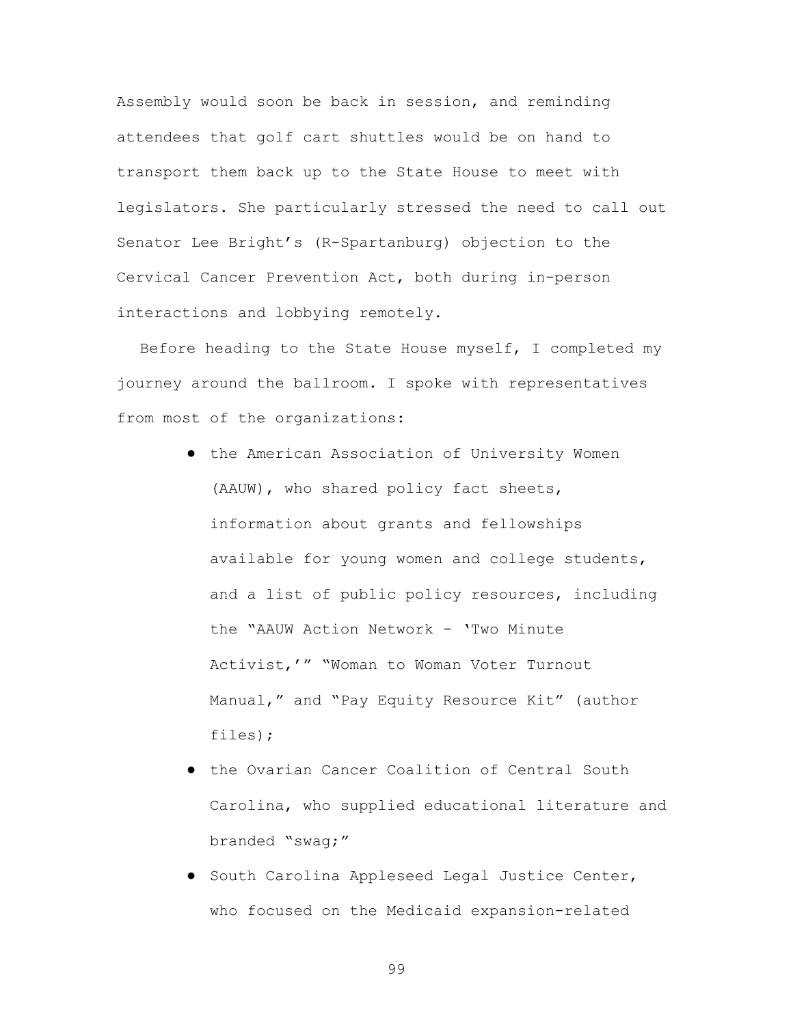Assembly would soon be back in session, and reminding attendees that golf cart shuttles would be on hand to transport them back up to the State House to meet with legislators. She particularly stressed the need to call out Senator Lee Bright's (R-Spartanburg) objection to the Cervical Cancer Prevention Act, both during in-person interactions and lobbying remotely.

Before heading to the State House myself, I completed my journey around the ballroom. I spoke with representatives from most of the organizations:

- the American Association of University Women (AAUW), who shared policy fact sheets, information about grants and fellowships available for young women and college students, and a list of public policy resources, including the "AAUW Action Network - 'Two Minute Activist,'" "Woman to Woman Voter Turnout Manual," and "Pay Equity Resource Kit" (author files);
- the Ovarian Cancer Coalition of Central South Carolina, who supplied educational literature and branded "swag;"
- South Carolina Appleseed Legal Justice Center, who focused on the Medicaid expansion-related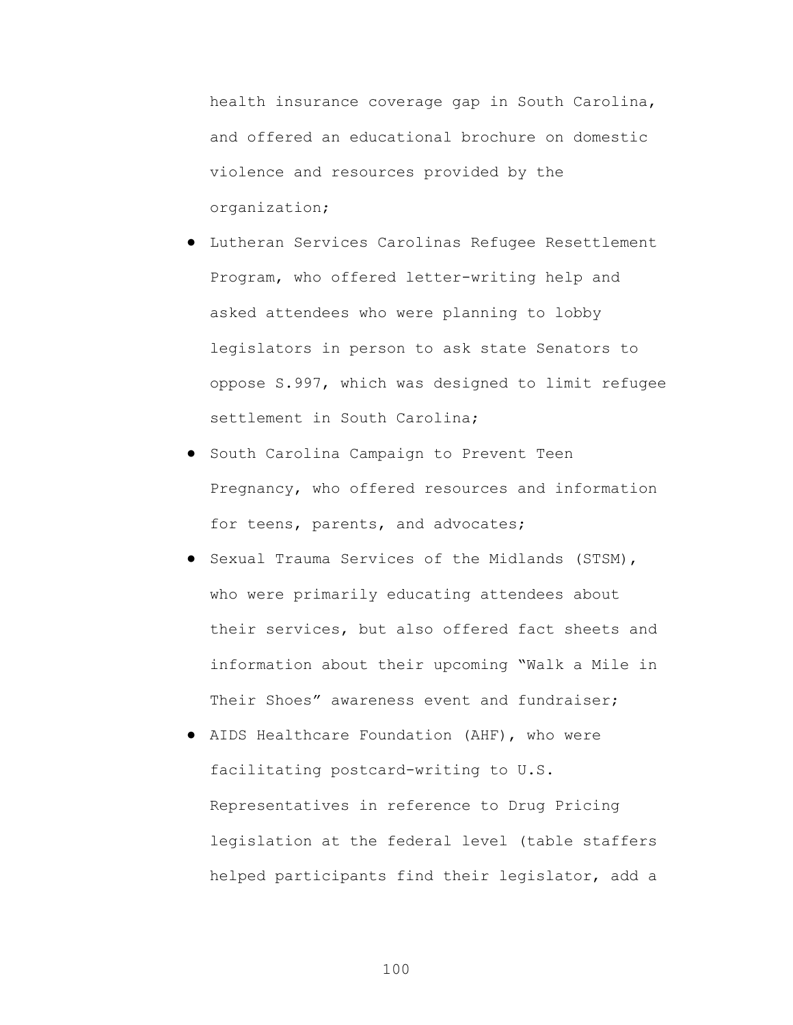health insurance coverage gap in South Carolina, and offered an educational brochure on domestic violence and resources provided by the organization;

- Lutheran Services Carolinas Refugee Resettlement Program, who offered letter-writing help and asked attendees who were planning to lobby legislators in person to ask state Senators to oppose S.997, which was designed to limit refugee settlement in South Carolina;
- South Carolina Campaign to Prevent Teen Pregnancy, who offered resources and information for teens, parents, and advocates;
- Sexual Trauma Services of the Midlands (STSM), who were primarily educating attendees about their services, but also offered fact sheets and information about their upcoming "Walk a Mile in Their Shoes" awareness event and fundraiser:
- AIDS Healthcare Foundation (AHF), who were facilitating postcard-writing to U.S. Representatives in reference to Drug Pricing legislation at the federal level (table staffers helped participants find their legislator, add a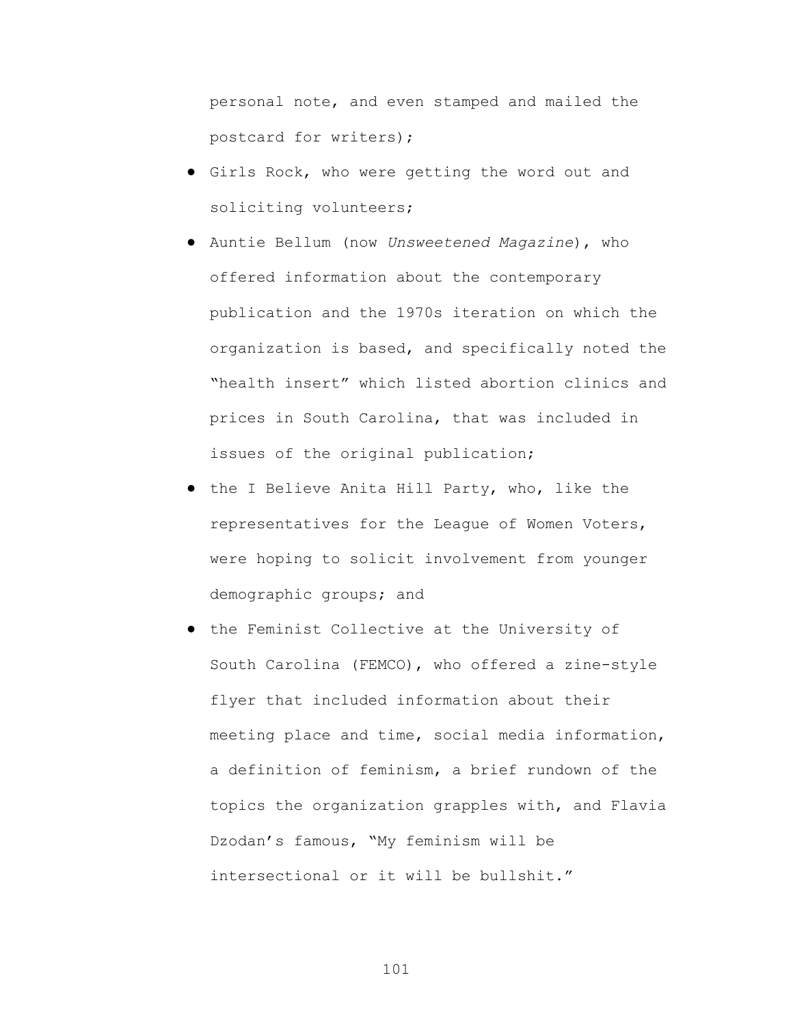personal note, and even stamped and mailed the postcard for writers);

- Girls Rock, who were getting the word out and soliciting volunteers;
- Auntie Bellum (now *Unsweetened Magazine*), who offered information about the contemporary publication and the 1970s iteration on which the organization is based, and specifically noted the "health insert" which listed abortion clinics and prices in South Carolina, that was included in issues of the original publication;
- the I Believe Anita Hill Party, who, like the representatives for the League of Women Voters, were hoping to solicit involvement from younger demographic groups; and
- the Feminist Collective at the University of South Carolina (FEMCO), who offered a zine-style flyer that included information about their meeting place and time, social media information, a definition of feminism, a brief rundown of the topics the organization grapples with, and Flavia Dzodan's famous, "My feminism will be intersectional or it will be bullshit."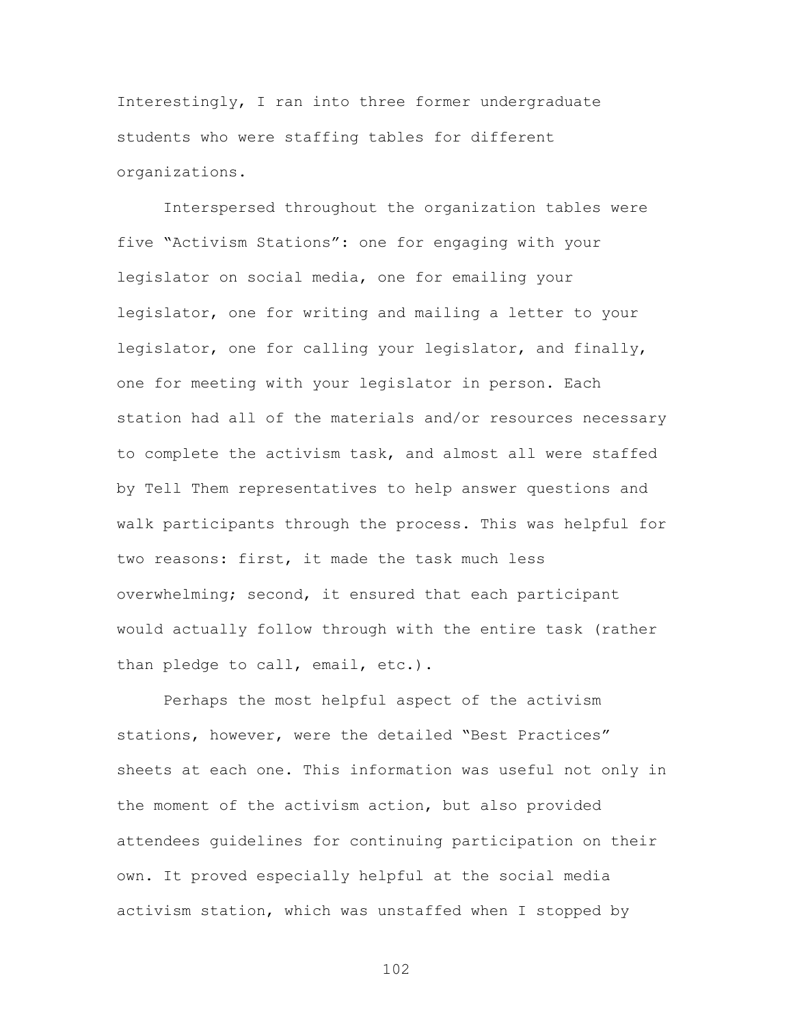Interestingly, I ran into three former undergraduate students who were staffing tables for different organizations.

Interspersed throughout the organization tables were five "Activism Stations": one for engaging with your legislator on social media, one for emailing your legislator, one for writing and mailing a letter to your legislator, one for calling your legislator, and finally, one for meeting with your legislator in person. Each station had all of the materials and/or resources necessary to complete the activism task, and almost all were staffed by Tell Them representatives to help answer questions and walk participants through the process. This was helpful for two reasons: first, it made the task much less overwhelming; second, it ensured that each participant would actually follow through with the entire task (rather than pledge to call, email, etc.).

Perhaps the most helpful aspect of the activism stations, however, were the detailed "Best Practices" sheets at each one. This information was useful not only in the moment of the activism action, but also provided attendees guidelines for continuing participation on their own. It proved especially helpful at the social media activism station, which was unstaffed when I stopped by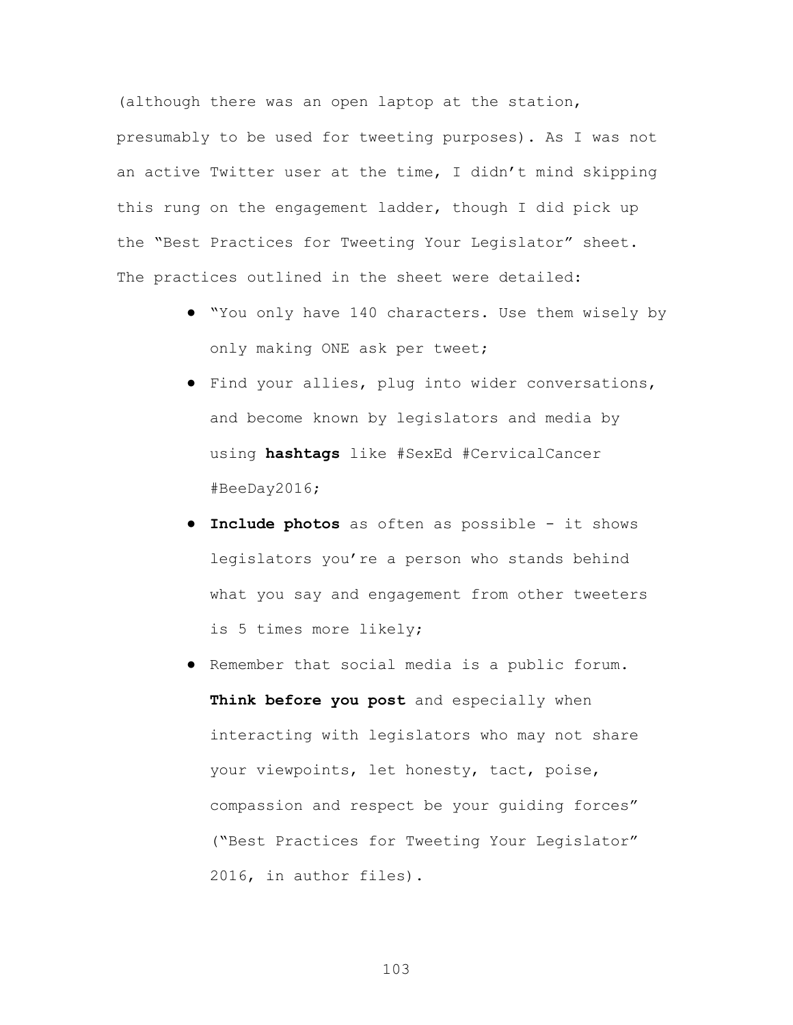(although there was an open laptop at the station, presumably to be used for tweeting purposes). As I was not an active Twitter user at the time, I didn't mind skipping this rung on the engagement ladder, though I did pick up the "Best Practices for Tweeting Your Legislator" sheet. The practices outlined in the sheet were detailed:

- "You only have 140 characters. Use them wisely by only making ONE ask per tweet;
- Find your allies, plug into wider conversations, and become known by legislators and media by using **hashtags** like #SexEd #CervicalCancer #BeeDay2016;
- **Include photos** as often as possible it shows legislators you're a person who stands behind what you say and engagement from other tweeters is 5 times more likely;
- Remember that social media is a public forum. **Think before you post** and especially when interacting with legislators who may not share your viewpoints, let honesty, tact, poise, compassion and respect be your guiding forces" ("Best Practices for Tweeting Your Legislator" 2016, in author files).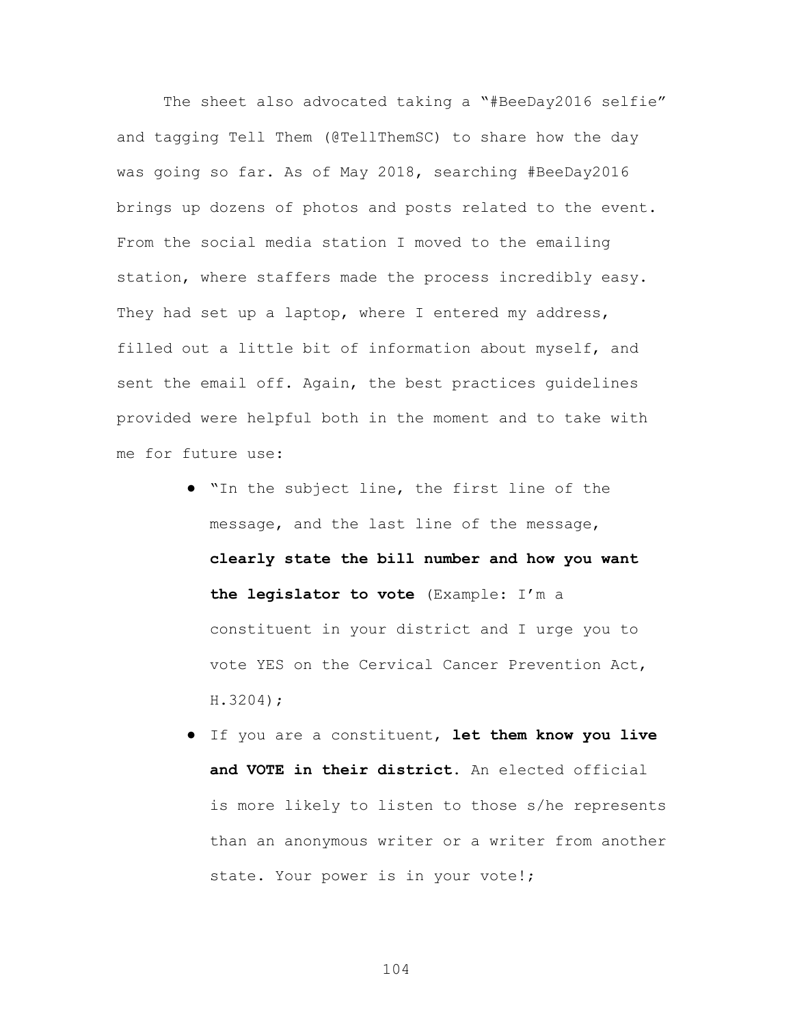The sheet also advocated taking a "#BeeDay2016 selfie" and tagging Tell Them (@TellThemSC) to share how the day was going so far. As of May 2018, searching #BeeDay2016 brings up dozens of photos and posts related to the event. From the social media station I moved to the emailing station, where staffers made the process incredibly easy. They had set up a laptop, where I entered my address, filled out a little bit of information about myself, and sent the email off. Again, the best practices guidelines provided were helpful both in the moment and to take with me for future use:

- "In the subject line, the first line of the message, and the last line of the message, **clearly state the bill number and how you want the legislator to vote** (Example: I'm a constituent in your district and I urge you to vote YES on the Cervical Cancer Prevention Act, H.3204);
- If you are a constituent, **let them know you live and VOTE in their district.** An elected official is more likely to listen to those s/he represents than an anonymous writer or a writer from another state. Your power is in your vote!;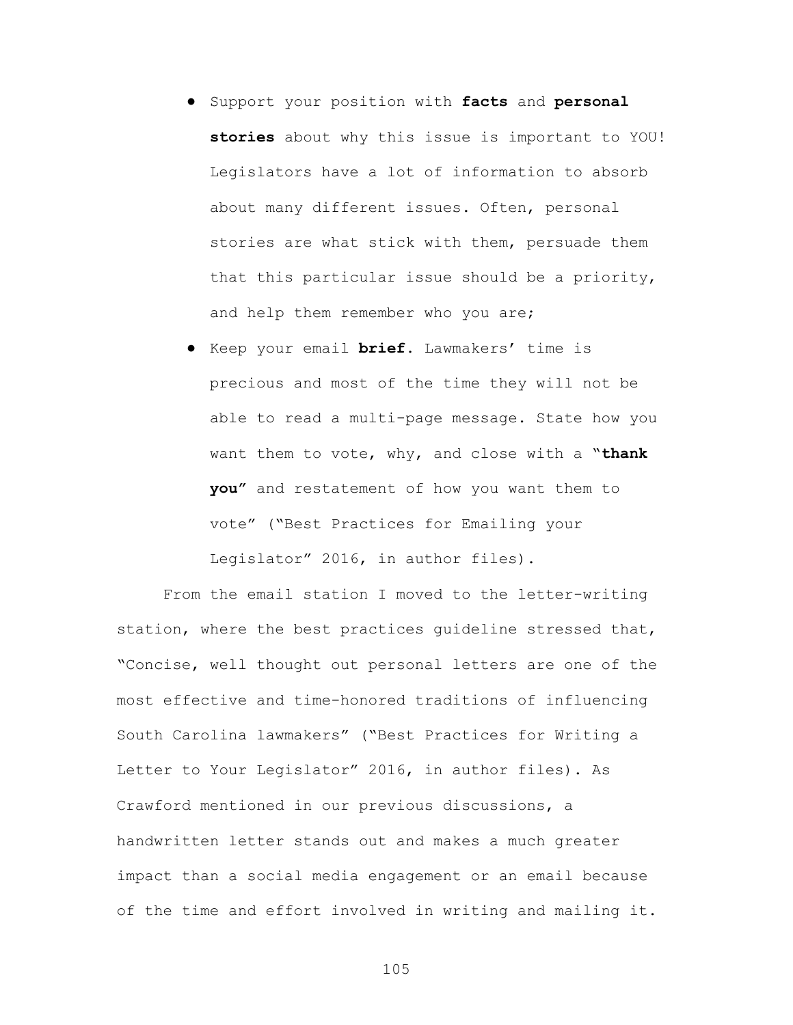- Support your position with **facts** and **personal stories** about why this issue is important to YOU! Legislators have a lot of information to absorb about many different issues. Often, personal stories are what stick with them, persuade them that this particular issue should be a priority, and help them remember who you are;
- Keep your email **brief**. Lawmakers' time is precious and most of the time they will not be able to read a multi-page message. State how you want them to vote, why, and close with a "**thank you"** and restatement of how you want them to vote" ("Best Practices for Emailing your Legislator" 2016, in author files).

From the email station I moved to the letter-writing station, where the best practices guideline stressed that, "Concise, well thought out personal letters are one of the most effective and time-honored traditions of influencing South Carolina lawmakers" ("Best Practices for Writing a Letter to Your Legislator" 2016, in author files). As Crawford mentioned in our previous discussions, a handwritten letter stands out and makes a much greater impact than a social media engagement or an email because of the time and effort involved in writing and mailing it.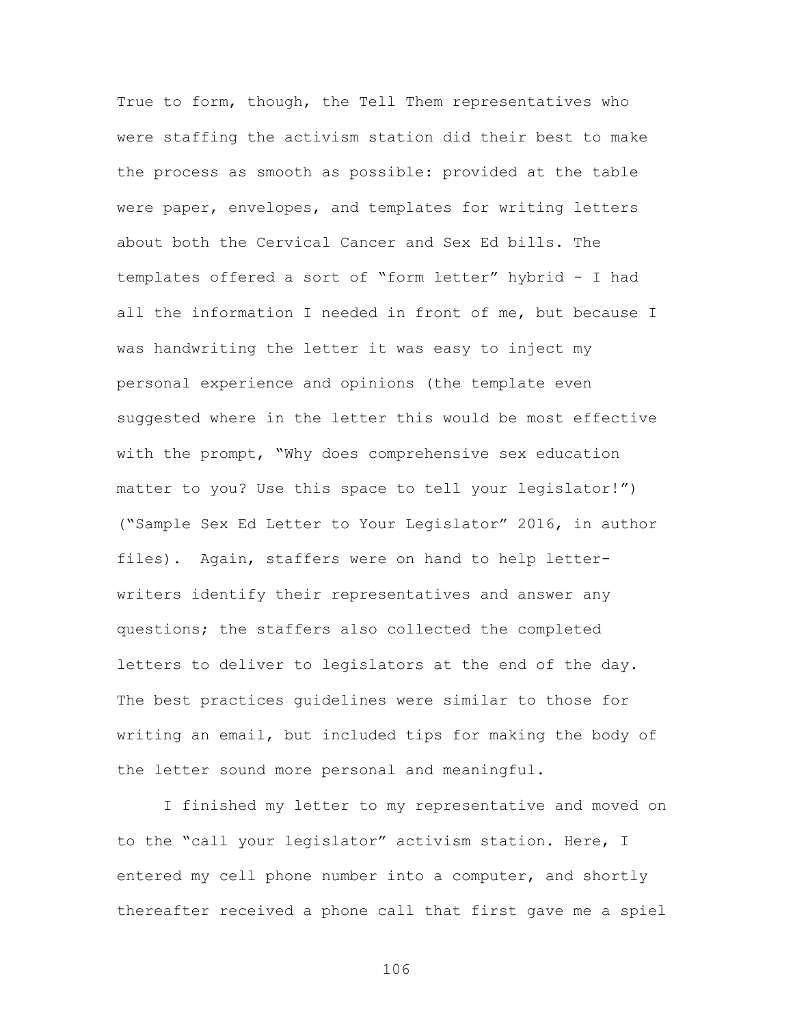True to form, though, the Tell Them representatives who were staffing the activism station did their best to make the process as smooth as possible: provided at the table were paper, envelopes, and templates for writing letters about both the Cervical Cancer and Sex Ed bills. The templates offered a sort of "form letter" hybrid - I had all the information I needed in front of me, but because I was handwriting the letter it was easy to inject my personal experience and opinions (the template even suggested where in the letter this would be most effective with the prompt, "Why does comprehensive sex education matter to you? Use this space to tell your legislator!") ("Sample Sex Ed Letter to Your Legislator" 2016, in author files). Again, staffers were on hand to help letterwriters identify their representatives and answer any questions; the staffers also collected the completed letters to deliver to legislators at the end of the day. The best practices guidelines were similar to those for writing an email, but included tips for making the body of the letter sound more personal and meaningful.

I finished my letter to my representative and moved on to the "call your legislator" activism station. Here, I entered my cell phone number into a computer, and shortly thereafter received a phone call that first gave me a spiel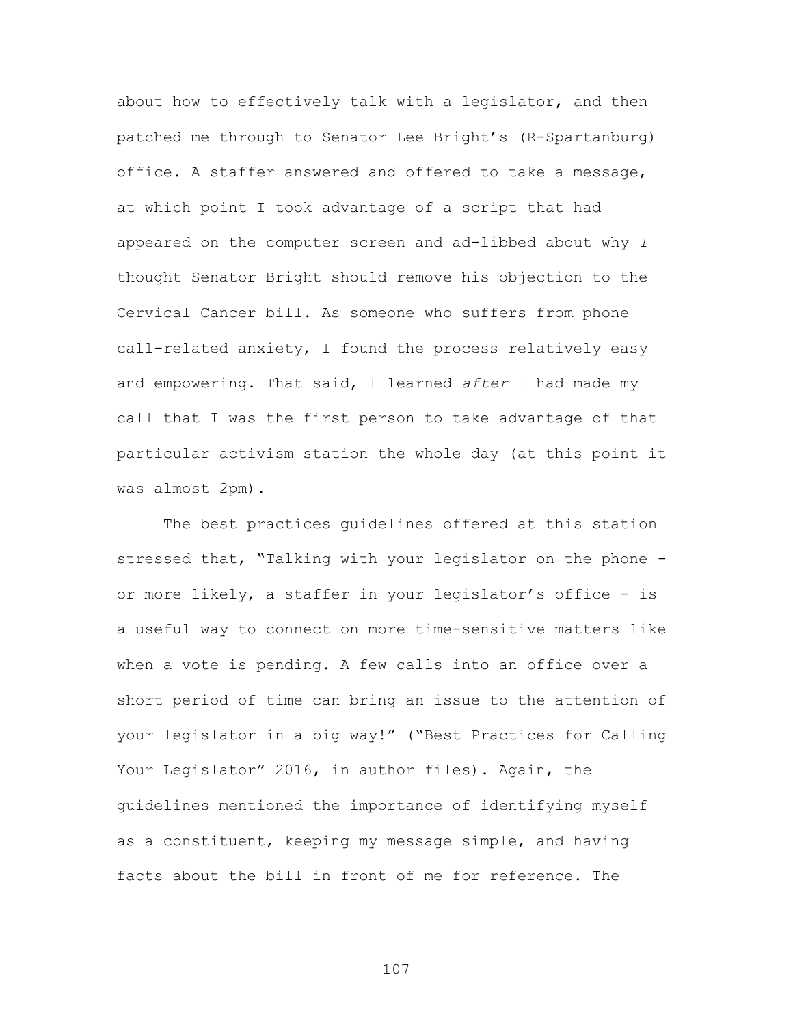about how to effectively talk with a legislator, and then patched me through to Senator Lee Bright's (R-Spartanburg) office. A staffer answered and offered to take a message, at which point I took advantage of a script that had appeared on the computer screen and ad-libbed about why *I* thought Senator Bright should remove his objection to the Cervical Cancer bill. As someone who suffers from phone call-related anxiety, I found the process relatively easy and empowering. That said, I learned *after* I had made my call that I was the first person to take advantage of that particular activism station the whole day (at this point it was almost 2pm).

The best practices guidelines offered at this station stressed that, "Talking with your legislator on the phone or more likely, a staffer in your legislator's office - is a useful way to connect on more time-sensitive matters like when a vote is pending. A few calls into an office over a short period of time can bring an issue to the attention of your legislator in a big way!" ("Best Practices for Calling Your Legislator" 2016, in author files). Again, the guidelines mentioned the importance of identifying myself as a constituent, keeping my message simple, and having facts about the bill in front of me for reference. The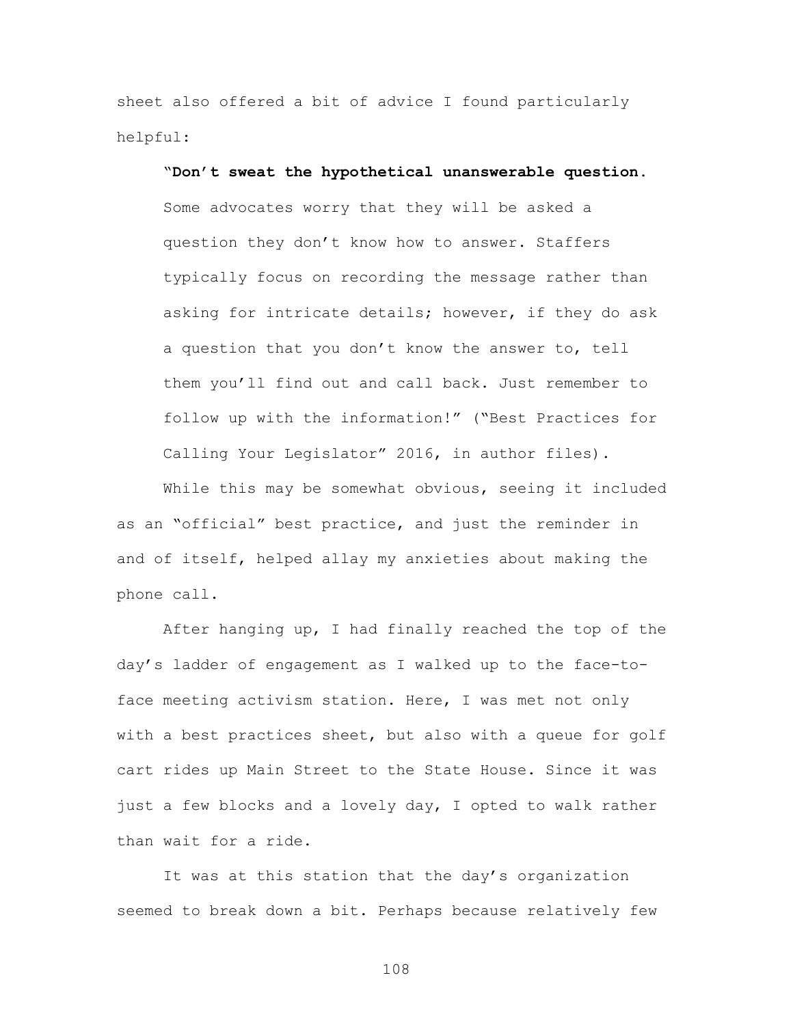sheet also offered a bit of advice I found particularly helpful:

"**Don't sweat the hypothetical unanswerable question**. Some advocates worry that they will be asked a question they don't know how to answer. Staffers typically focus on recording the message rather than asking for intricate details; however, if they do ask a question that you don't know the answer to, tell them you'll find out and call back. Just remember to follow up with the information!" ("Best Practices for Calling Your Legislator" 2016, in author files).

While this may be somewhat obvious, seeing it included as an "official" best practice, and just the reminder in and of itself, helped allay my anxieties about making the phone call.

After hanging up, I had finally reached the top of the day's ladder of engagement as I walked up to the face-toface meeting activism station. Here, I was met not only with a best practices sheet, but also with a queue for golf cart rides up Main Street to the State House. Since it was just a few blocks and a lovely day, I opted to walk rather than wait for a ride.

It was at this station that the day's organization seemed to break down a bit. Perhaps because relatively few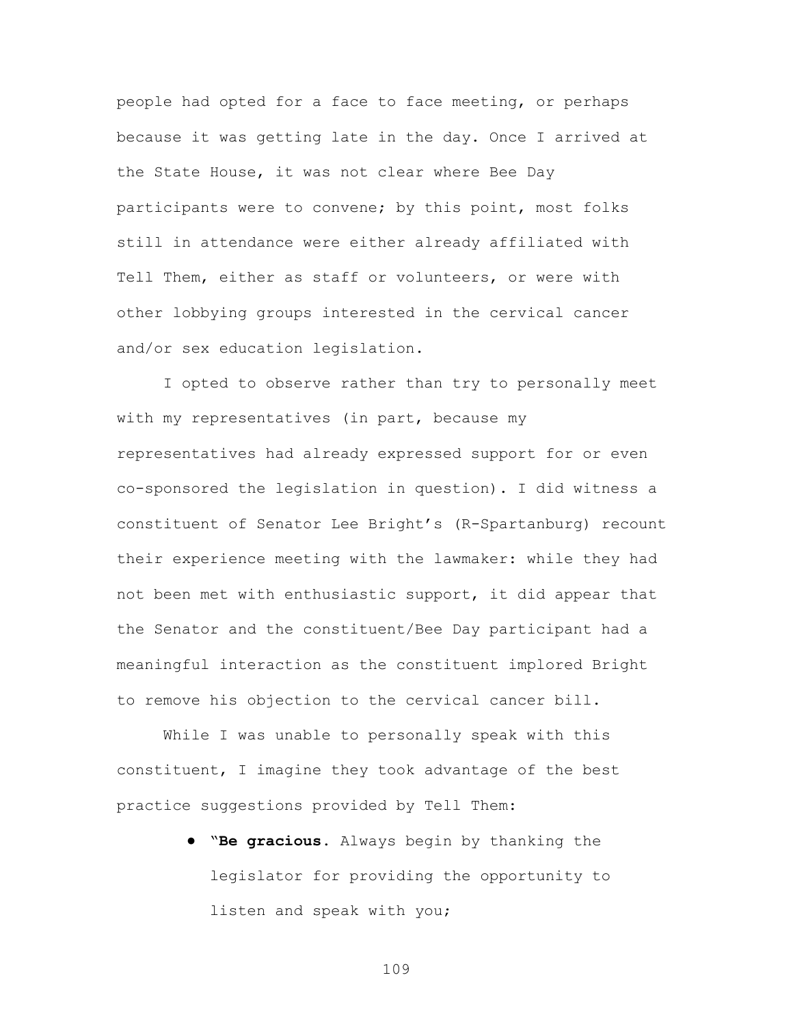people had opted for a face to face meeting, or perhaps because it was getting late in the day. Once I arrived at the State House, it was not clear where Bee Day participants were to convene; by this point, most folks still in attendance were either already affiliated with Tell Them, either as staff or volunteers, or were with other lobbying groups interested in the cervical cancer and/or sex education legislation.

I opted to observe rather than try to personally meet with my representatives (in part, because my representatives had already expressed support for or even co-sponsored the legislation in question). I did witness a constituent of Senator Lee Bright's (R-Spartanburg) recount their experience meeting with the lawmaker: while they had not been met with enthusiastic support, it did appear that the Senator and the constituent/Bee Day participant had a meaningful interaction as the constituent implored Bright to remove his objection to the cervical cancer bill.

While I was unable to personally speak with this constituent, I imagine they took advantage of the best practice suggestions provided by Tell Them:

> ● "**Be gracious**. Always begin by thanking the legislator for providing the opportunity to listen and speak with you;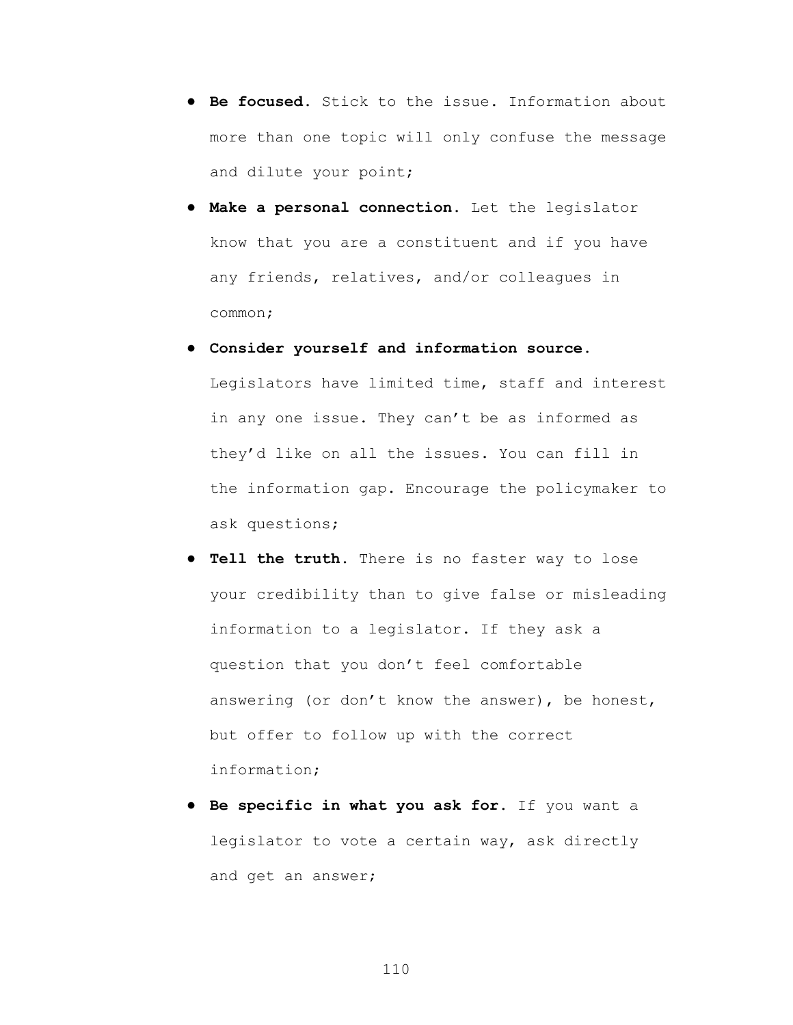- **Be focused**. Stick to the issue. Information about more than one topic will only confuse the message and dilute your point;
- **Make a personal connection.** Let the legislator know that you are a constituent and if you have any friends, relatives, and/or colleagues in common;
- **Consider yourself and information source.**  Legislators have limited time, staff and interest in any one issue. They can't be as informed as they'd like on all the issues. You can fill in the information gap. Encourage the policymaker to ask questions;
- **Tell the truth**. There is no faster way to lose your credibility than to give false or misleading information to a legislator. If they ask a question that you don't feel comfortable answering (or don't know the answer), be honest, but offer to follow up with the correct information;
- **Be specific in what you ask for.** If you want a legislator to vote a certain way, ask directly and get an answer;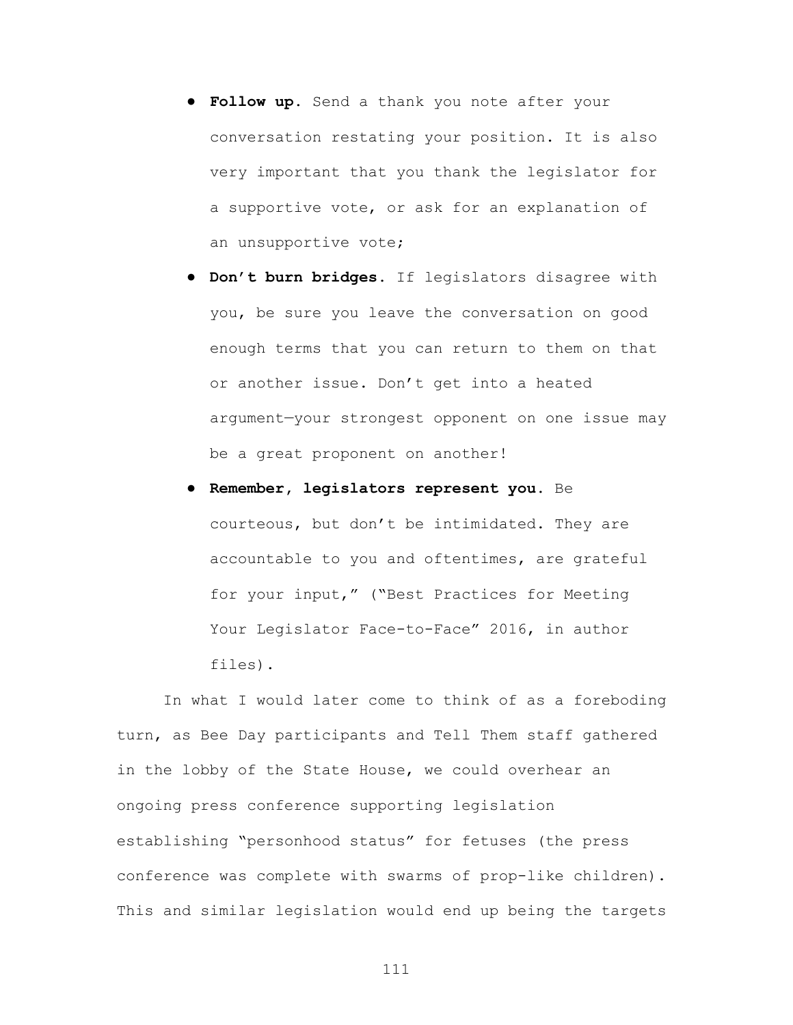- **Follow up.** Send a thank you note after your conversation restating your position. It is also very important that you thank the legislator for a supportive vote, or ask for an explanation of an unsupportive vote;
- **Don't burn bridges.** If legislators disagree with you, be sure you leave the conversation on good enough terms that you can return to them on that or another issue. Don't get into a heated argument—your strongest opponent on one issue may be a great proponent on another!
- **Remember, legislators represent you.** Be courteous, but don't be intimidated. They are accountable to you and oftentimes, are grateful for your input," ("Best Practices for Meeting Your Legislator Face-to-Face" 2016, in author files).

In what I would later come to think of as a foreboding turn, as Bee Day participants and Tell Them staff gathered in the lobby of the State House, we could overhear an ongoing press conference supporting legislation establishing "personhood status" for fetuses (the press conference was complete with swarms of prop-like children). This and similar legislation would end up being the targets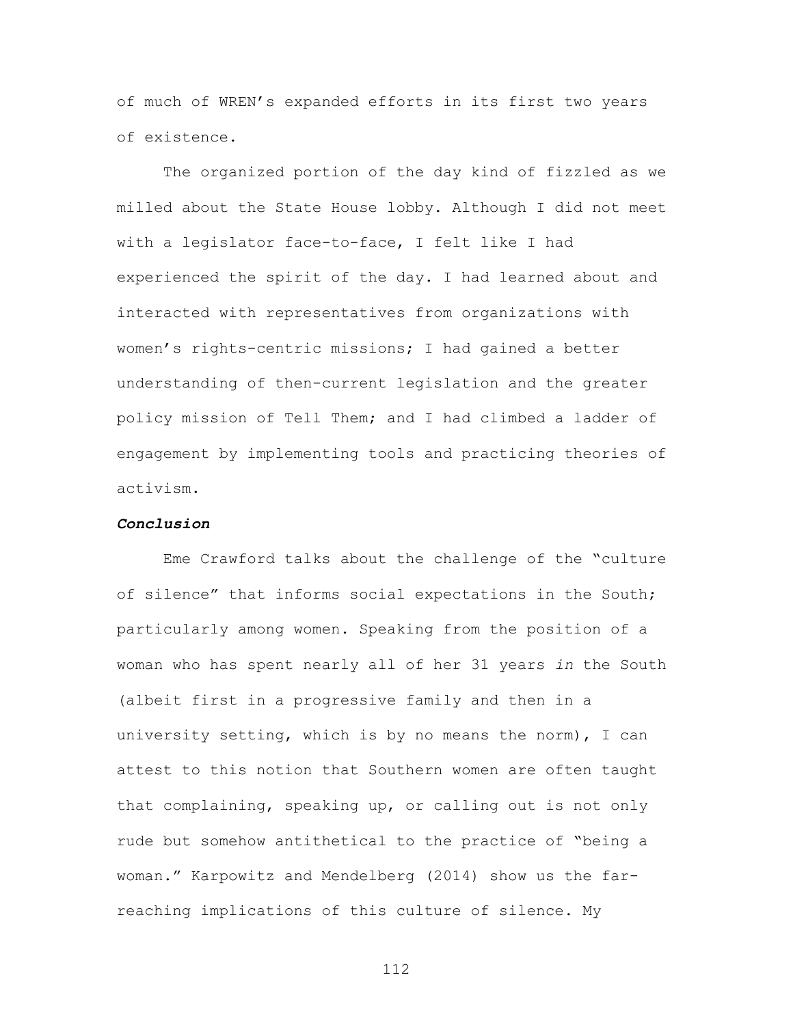of much of WREN's expanded efforts in its first two years of existence.

The organized portion of the day kind of fizzled as we milled about the State House lobby. Although I did not meet with a legislator face-to-face, I felt like I had experienced the spirit of the day. I had learned about and interacted with representatives from organizations with women's rights-centric missions; I had gained a better understanding of then-current legislation and the greater policy mission of Tell Them; and I had climbed a ladder of engagement by implementing tools and practicing theories of activism.

### *Conclusion*

Eme Crawford talks about the challenge of the "culture of silence" that informs social expectations in the South; particularly among women. Speaking from the position of a woman who has spent nearly all of her 31 years *in* the South (albeit first in a progressive family and then in a university setting, which is by no means the norm), I can attest to this notion that Southern women are often taught that complaining, speaking up, or calling out is not only rude but somehow antithetical to the practice of "being a woman." Karpowitz and Mendelberg (2014) show us the farreaching implications of this culture of silence. My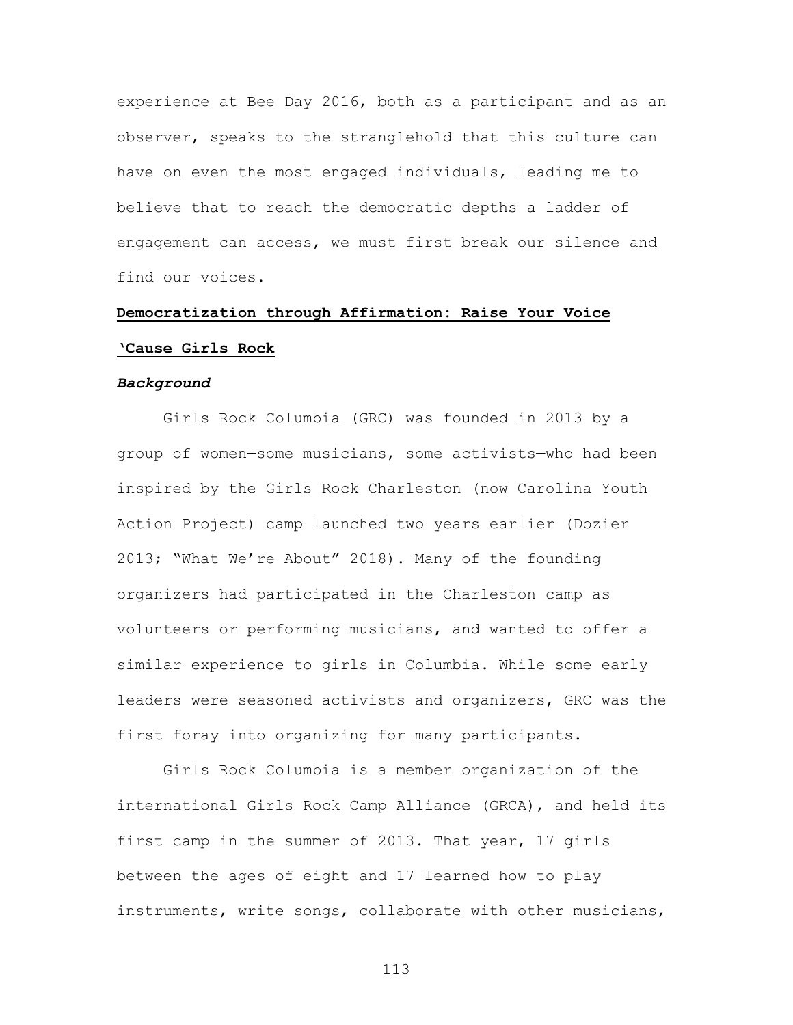experience at Bee Day 2016, both as a participant and as an observer, speaks to the stranglehold that this culture can have on even the most engaged individuals, leading me to believe that to reach the democratic depths a ladder of engagement can access, we must first break our silence and find our voices.

# **Democratization through Affirmation: Raise Your Voice 'Cause Girls Rock**

#### *Background*

Girls Rock Columbia (GRC) was founded in 2013 by a group of women—some musicians, some activists—who had been inspired by the Girls Rock Charleston (now Carolina Youth Action Project) camp launched two years earlier (Dozier 2013; "What We're About" 2018). Many of the founding organizers had participated in the Charleston camp as volunteers or performing musicians, and wanted to offer a similar experience to girls in Columbia. While some early leaders were seasoned activists and organizers, GRC was the first foray into organizing for many participants.

Girls Rock Columbia is a member organization of the international Girls Rock Camp Alliance (GRCA), and held its first camp in the summer of 2013. That year, 17 girls between the ages of eight and 17 learned how to play instruments, write songs, collaborate with other musicians,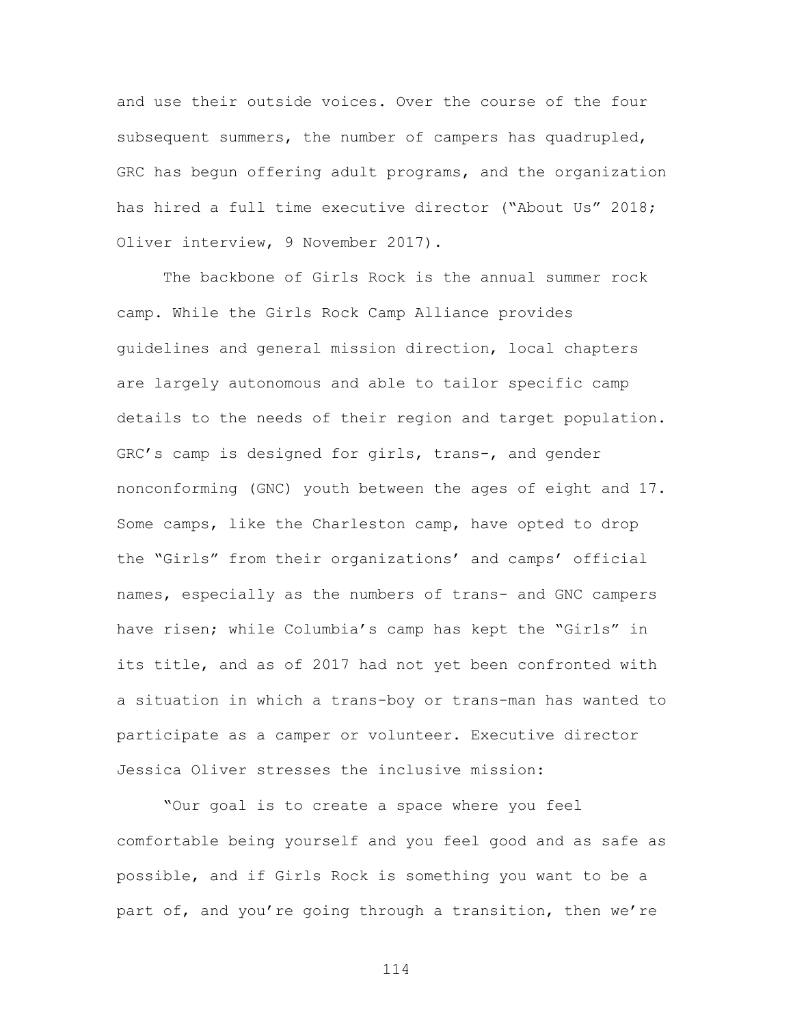and use their outside voices. Over the course of the four subsequent summers, the number of campers has quadrupled, GRC has begun offering adult programs, and the organization has hired a full time executive director ("About Us" 2018; Oliver interview, 9 November 2017).

The backbone of Girls Rock is the annual summer rock camp. While the Girls Rock Camp Alliance provides guidelines and general mission direction, local chapters are largely autonomous and able to tailor specific camp details to the needs of their region and target population. GRC's camp is designed for girls, trans-, and gender nonconforming (GNC) youth between the ages of eight and 17. Some camps, like the Charleston camp, have opted to drop the "Girls" from their organizations' and camps' official names, especially as the numbers of trans- and GNC campers have risen; while Columbia's camp has kept the "Girls" in its title, and as of 2017 had not yet been confronted with a situation in which a trans-boy or trans-man has wanted to participate as a camper or volunteer. Executive director Jessica Oliver stresses the inclusive mission:

"Our goal is to create a space where you feel comfortable being yourself and you feel good and as safe as possible, and if Girls Rock is something you want to be a part of, and you're going through a transition, then we're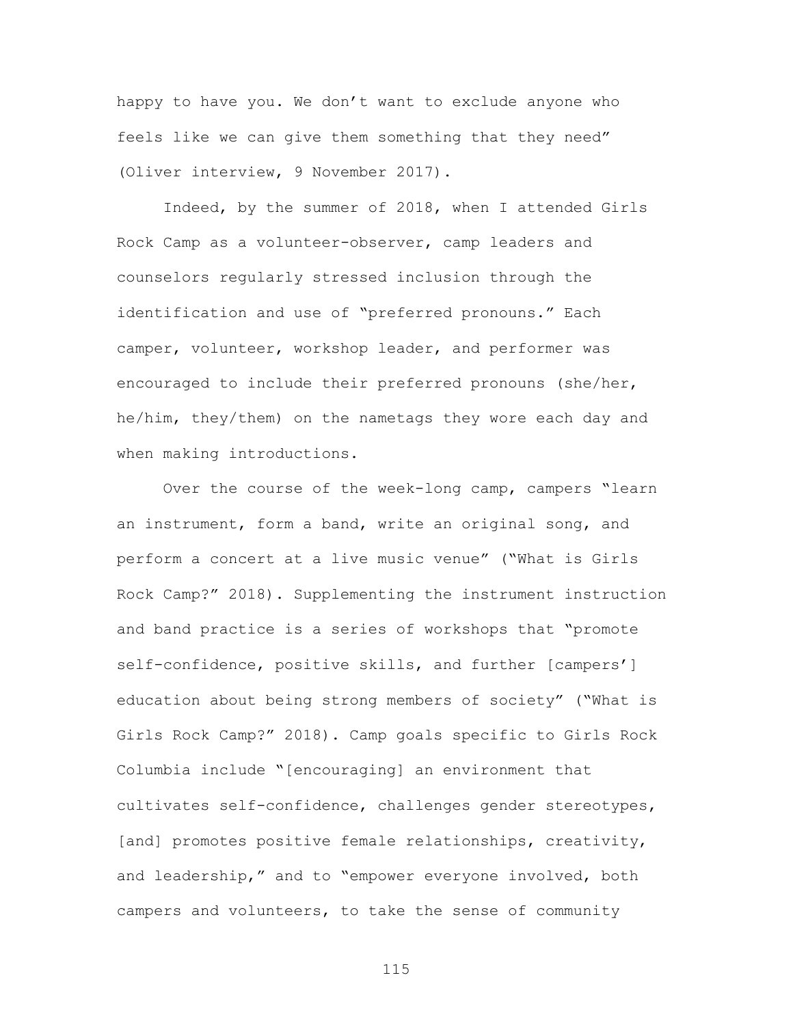happy to have you. We don't want to exclude anyone who feels like we can give them something that they need" (Oliver interview, 9 November 2017).

Indeed, by the summer of 2018, when I attended Girls Rock Camp as a volunteer-observer, camp leaders and counselors regularly stressed inclusion through the identification and use of "preferred pronouns." Each camper, volunteer, workshop leader, and performer was encouraged to include their preferred pronouns (she/her, he/him, they/them) on the nametags they wore each day and when making introductions.

Over the course of the week-long camp, campers "learn an instrument, form a band, write an original song, and perform a concert at a live music venue" ("What is Girls Rock Camp?" 2018). Supplementing the instrument instruction and band practice is a series of workshops that "promote self-confidence, positive skills, and further [campers'] education about being strong members of society" ("What is Girls Rock Camp?" 2018). Camp goals specific to Girls Rock Columbia include "[encouraging] an environment that cultivates self-confidence, challenges gender stereotypes, [and] promotes positive female relationships, creativity, and leadership," and to "empower everyone involved, both campers and volunteers, to take the sense of community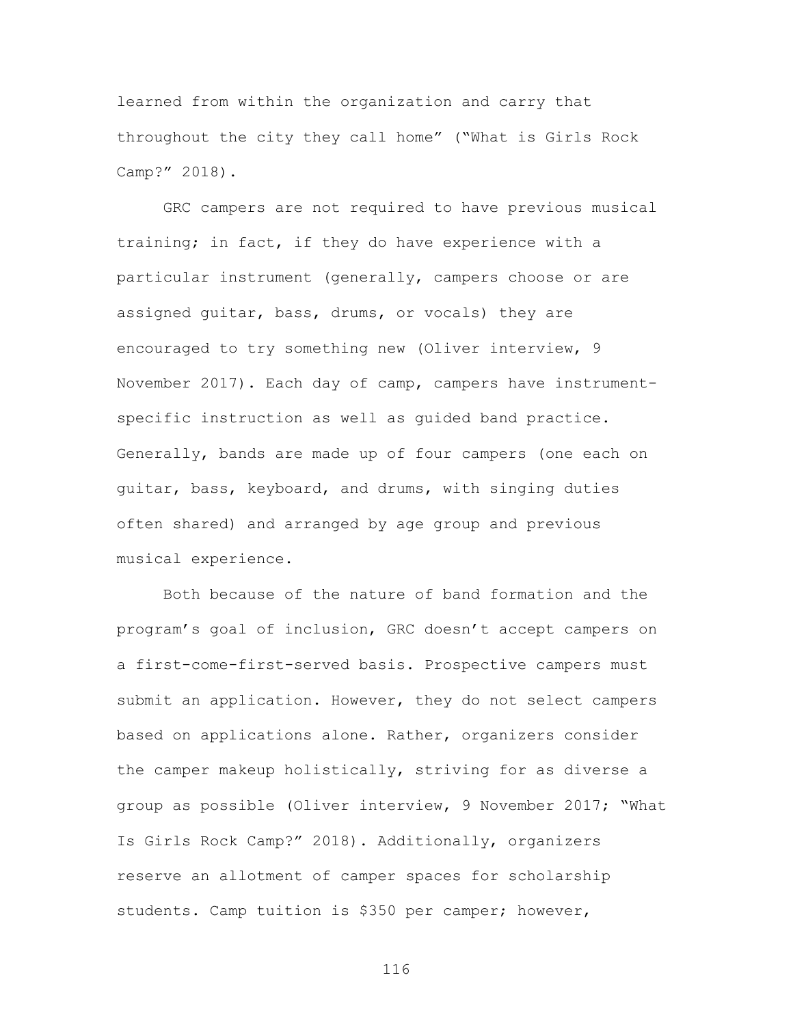learned from within the organization and carry that throughout the city they call home" ("What is Girls Rock Camp?" 2018).

GRC campers are not required to have previous musical training; in fact, if they do have experience with a particular instrument (generally, campers choose or are assigned guitar, bass, drums, or vocals) they are encouraged to try something new (Oliver interview, 9 November 2017). Each day of camp, campers have instrumentspecific instruction as well as guided band practice. Generally, bands are made up of four campers (one each on guitar, bass, keyboard, and drums, with singing duties often shared) and arranged by age group and previous musical experience.

Both because of the nature of band formation and the program's goal of inclusion, GRC doesn't accept campers on a first-come-first-served basis. Prospective campers must submit an application. However, they do not select campers based on applications alone. Rather, organizers consider the camper makeup holistically, striving for as diverse a group as possible (Oliver interview, 9 November 2017; "What Is Girls Rock Camp?" 2018). Additionally, organizers reserve an allotment of camper spaces for scholarship students. Camp tuition is \$350 per camper; however,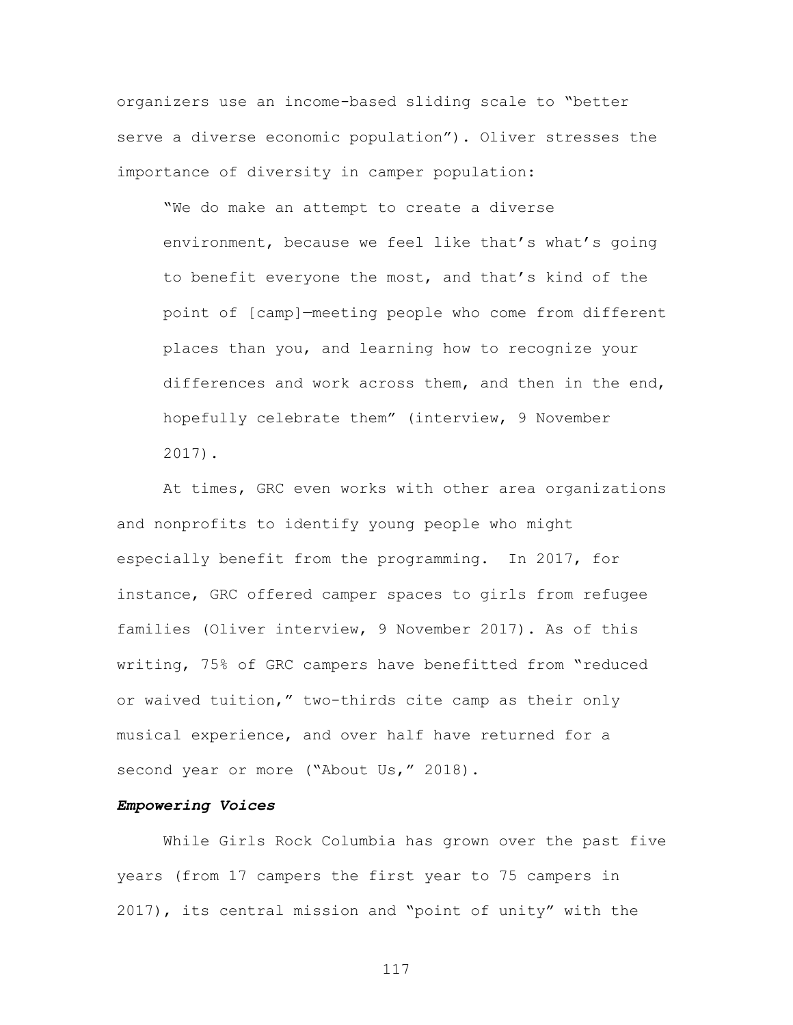organizers use an income-based sliding scale to "better serve a diverse economic population"). Oliver stresses the importance of diversity in camper population:

"We do make an attempt to create a diverse environment, because we feel like that's what's going to benefit everyone the most, and that's kind of the point of [camp]—meeting people who come from different places than you, and learning how to recognize your differences and work across them, and then in the end, hopefully celebrate them" (interview, 9 November 2017).

At times, GRC even works with other area organizations and nonprofits to identify young people who might especially benefit from the programming. In 2017, for instance, GRC offered camper spaces to girls from refugee families (Oliver interview, 9 November 2017). As of this writing, 75% of GRC campers have benefitted from "reduced or waived tuition," two-thirds cite camp as their only musical experience, and over half have returned for a second year or more ("About Us," 2018).

#### *Empowering Voices*

While Girls Rock Columbia has grown over the past five years (from 17 campers the first year to 75 campers in 2017), its central mission and "point of unity" with the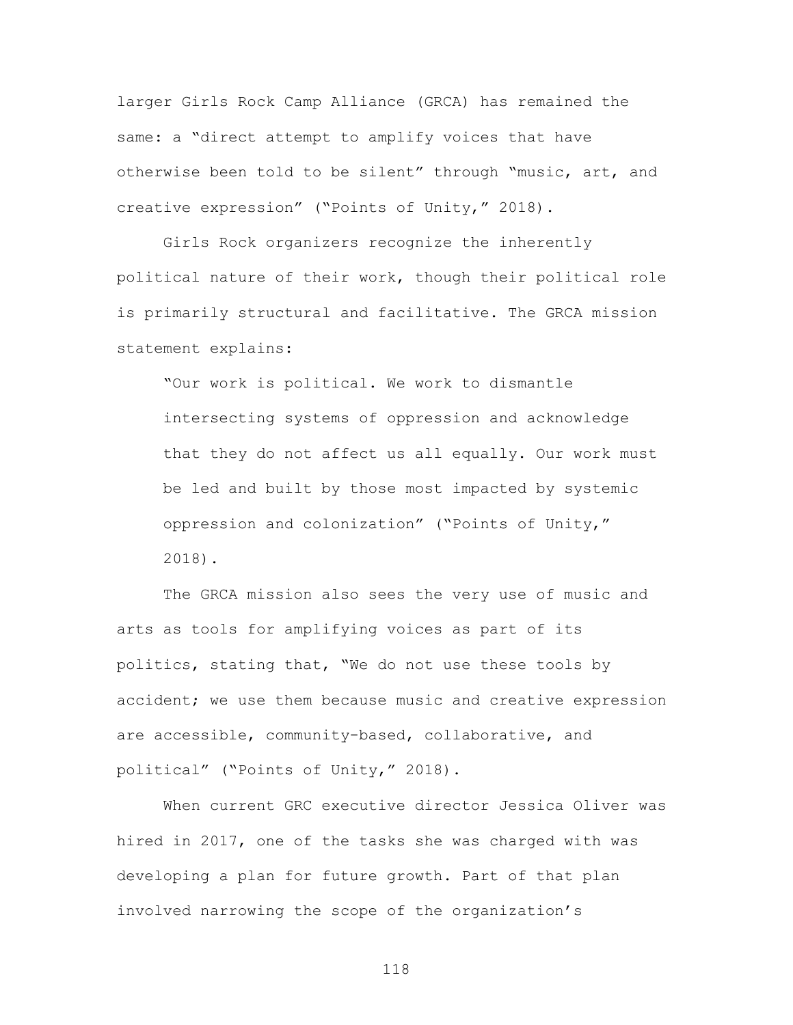larger Girls Rock Camp Alliance (GRCA) has remained the same: a "direct attempt to amplify voices that have otherwise been told to be silent" through "music, art, and creative expression" ("Points of Unity," 2018).

Girls Rock organizers recognize the inherently political nature of their work, though their political role is primarily structural and facilitative. The GRCA mission statement explains:

"Our work is political. We work to dismantle intersecting systems of oppression and acknowledge that they do not affect us all equally. Our work must be led and built by those most impacted by systemic oppression and colonization" ("Points of Unity," 2018).

The GRCA mission also sees the very use of music and arts as tools for amplifying voices as part of its politics, stating that, "We do not use these tools by accident; we use them because music and creative expression are accessible, community-based, collaborative, and political" ("Points of Unity," 2018).

When current GRC executive director Jessica Oliver was hired in 2017, one of the tasks she was charged with was developing a plan for future growth. Part of that plan involved narrowing the scope of the organization's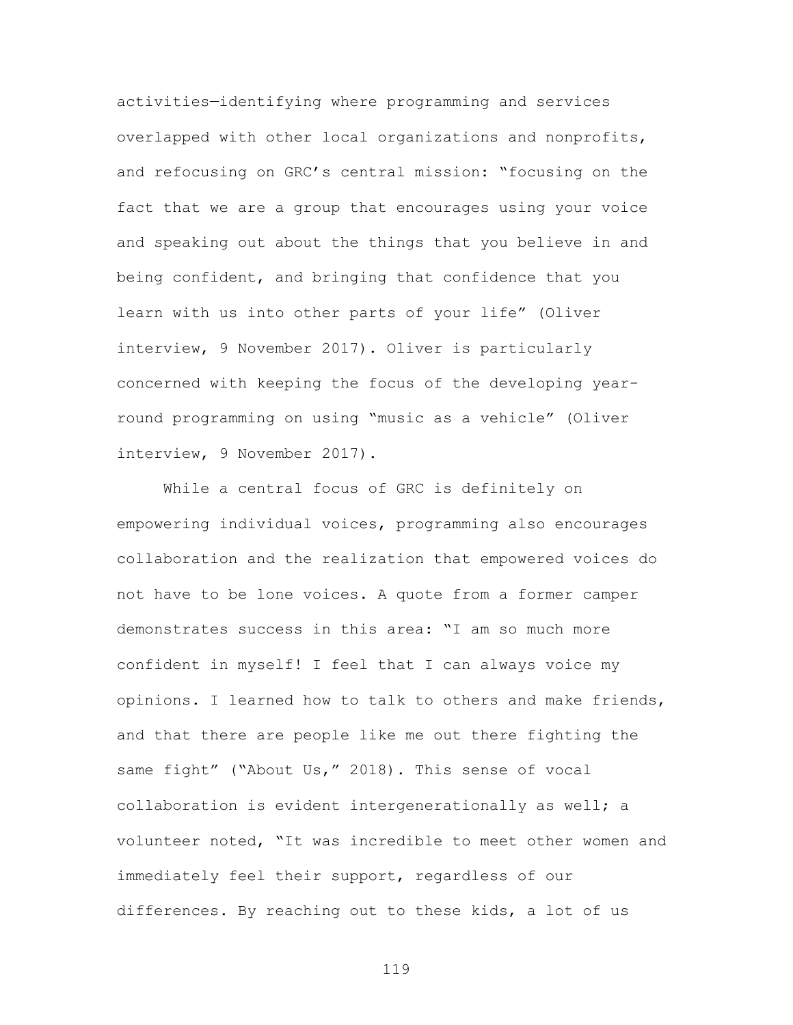activities—identifying where programming and services overlapped with other local organizations and nonprofits, and refocusing on GRC's central mission: "focusing on the fact that we are a group that encourages using your voice and speaking out about the things that you believe in and being confident, and bringing that confidence that you learn with us into other parts of your life" (Oliver interview, 9 November 2017). Oliver is particularly concerned with keeping the focus of the developing yearround programming on using "music as a vehicle" (Oliver interview, 9 November 2017).

While a central focus of GRC is definitely on empowering individual voices, programming also encourages collaboration and the realization that empowered voices do not have to be lone voices. A quote from a former camper demonstrates success in this area: "I am so much more confident in myself! I feel that I can always voice my opinions. I learned how to talk to others and make friends, and that there are people like me out there fighting the same fight" ("About Us," 2018). This sense of vocal collaboration is evident intergenerationally as well; a volunteer noted, "It was incredible to meet other women and immediately feel their support, regardless of our differences. By reaching out to these kids, a lot of us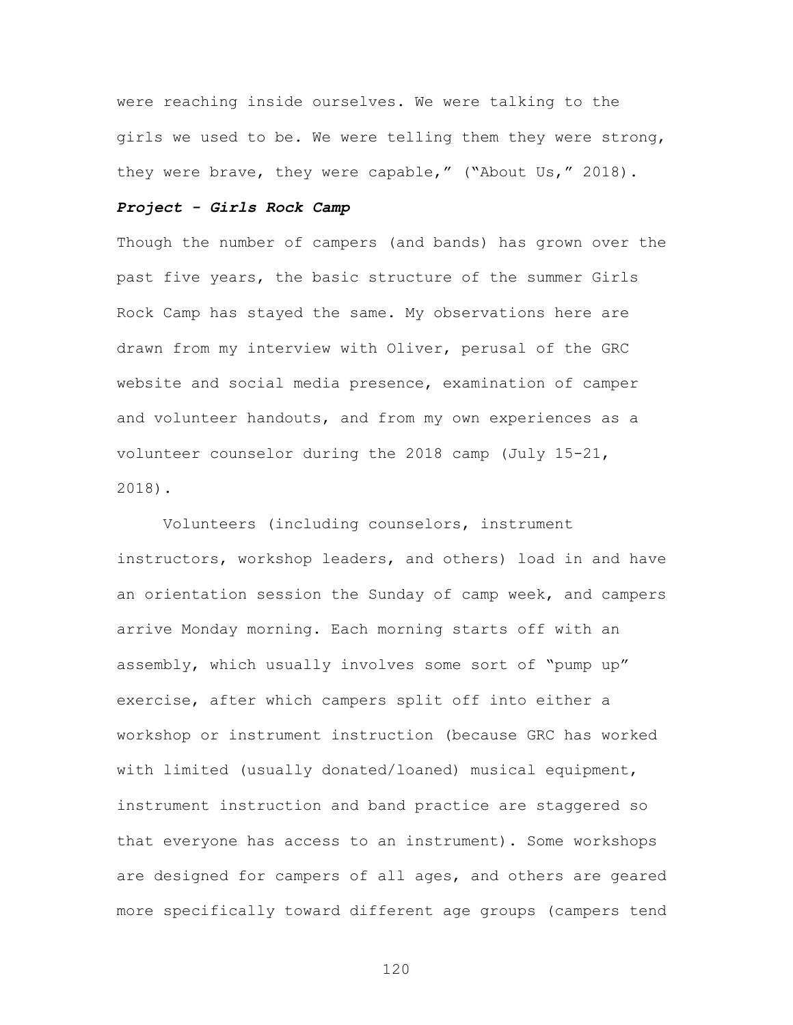were reaching inside ourselves. We were talking to the girls we used to be. We were telling them they were strong, they were brave, they were capable," ("About Us," 2018).

## *Project - Girls Rock Camp*

Though the number of campers (and bands) has grown over the past five years, the basic structure of the summer Girls Rock Camp has stayed the same. My observations here are drawn from my interview with Oliver, perusal of the GRC website and social media presence, examination of camper and volunteer handouts, and from my own experiences as a volunteer counselor during the 2018 camp (July 15-21, 2018).

Volunteers (including counselors, instrument instructors, workshop leaders, and others) load in and have an orientation session the Sunday of camp week, and campers arrive Monday morning. Each morning starts off with an assembly, which usually involves some sort of "pump up" exercise, after which campers split off into either a workshop or instrument instruction (because GRC has worked with limited (usually donated/loaned) musical equipment, instrument instruction and band practice are staggered so that everyone has access to an instrument). Some workshops are designed for campers of all ages, and others are geared more specifically toward different age groups (campers tend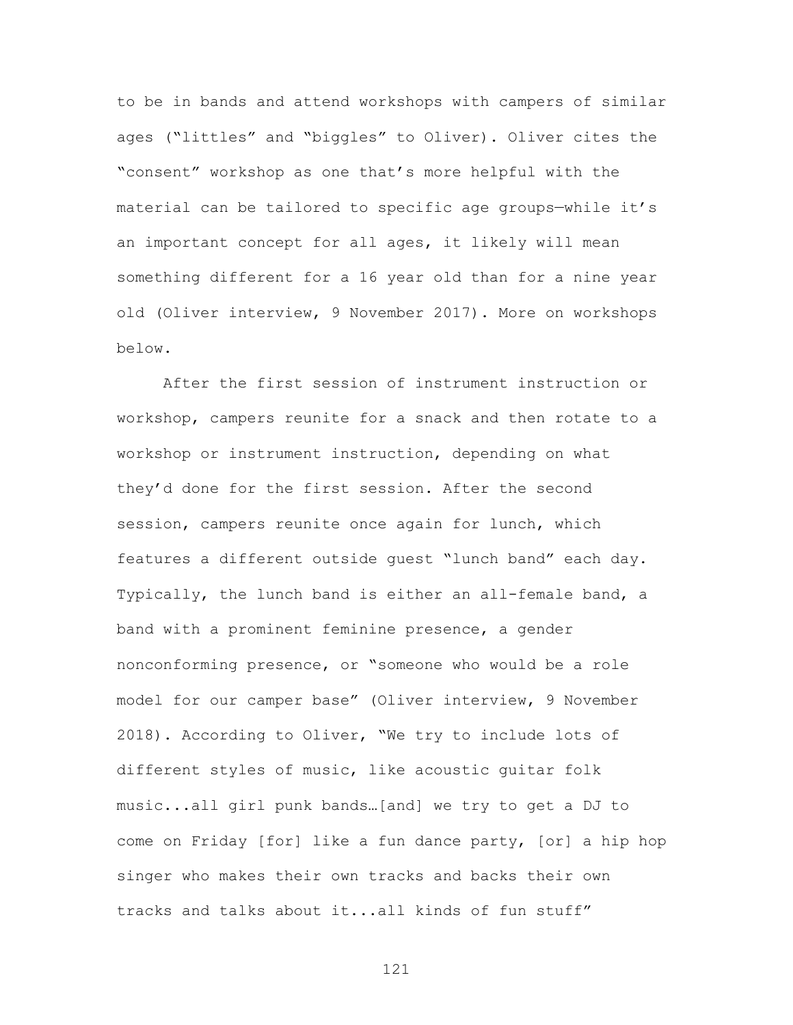to be in bands and attend workshops with campers of similar ages ("littles" and "biggles" to Oliver). Oliver cites the "consent" workshop as one that's more helpful with the material can be tailored to specific age groups—while it's an important concept for all ages, it likely will mean something different for a 16 year old than for a nine year old (Oliver interview, 9 November 2017). More on workshops below.

After the first session of instrument instruction or workshop, campers reunite for a snack and then rotate to a workshop or instrument instruction, depending on what they'd done for the first session. After the second session, campers reunite once again for lunch, which features a different outside guest "lunch band" each day. Typically, the lunch band is either an all-female band, a band with a prominent feminine presence, a gender nonconforming presence, or "someone who would be a role model for our camper base" (Oliver interview, 9 November 2018). According to Oliver, "We try to include lots of different styles of music, like acoustic guitar folk music...all girl punk bands…[and] we try to get a DJ to come on Friday [for] like a fun dance party, [or] a hip hop singer who makes their own tracks and backs their own tracks and talks about it...all kinds of fun stuff"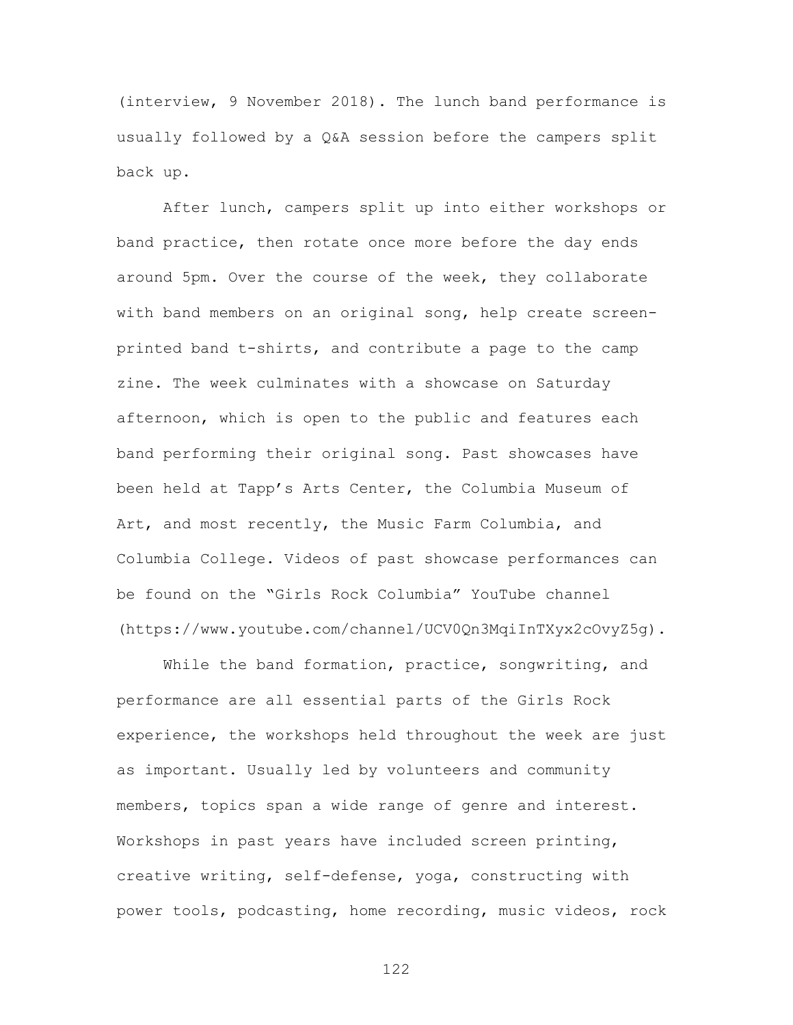(interview, 9 November 2018). The lunch band performance is usually followed by a Q&A session before the campers split back up.

After lunch, campers split up into either workshops or band practice, then rotate once more before the day ends around 5pm. Over the course of the week, they collaborate with band members on an original song, help create screenprinted band t-shirts, and contribute a page to the camp zine. The week culminates with a showcase on Saturday afternoon, which is open to the public and features each band performing their original song. Past showcases have been held at Tapp's Arts Center, the Columbia Museum of Art, and most recently, the Music Farm Columbia, and Columbia College. Videos of past showcase performances can be found on the "Girls Rock Columbia" YouTube channel (https://www.youtube.com/channel/UCV0Qn3MqiInTXyx2cOvyZ5g).

While the band formation, practice, songwriting, and performance are all essential parts of the Girls Rock experience, the workshops held throughout the week are just as important. Usually led by volunteers and community members, topics span a wide range of genre and interest. Workshops in past years have included screen printing, creative writing, self-defense, yoga, constructing with power tools, podcasting, home recording, music videos, rock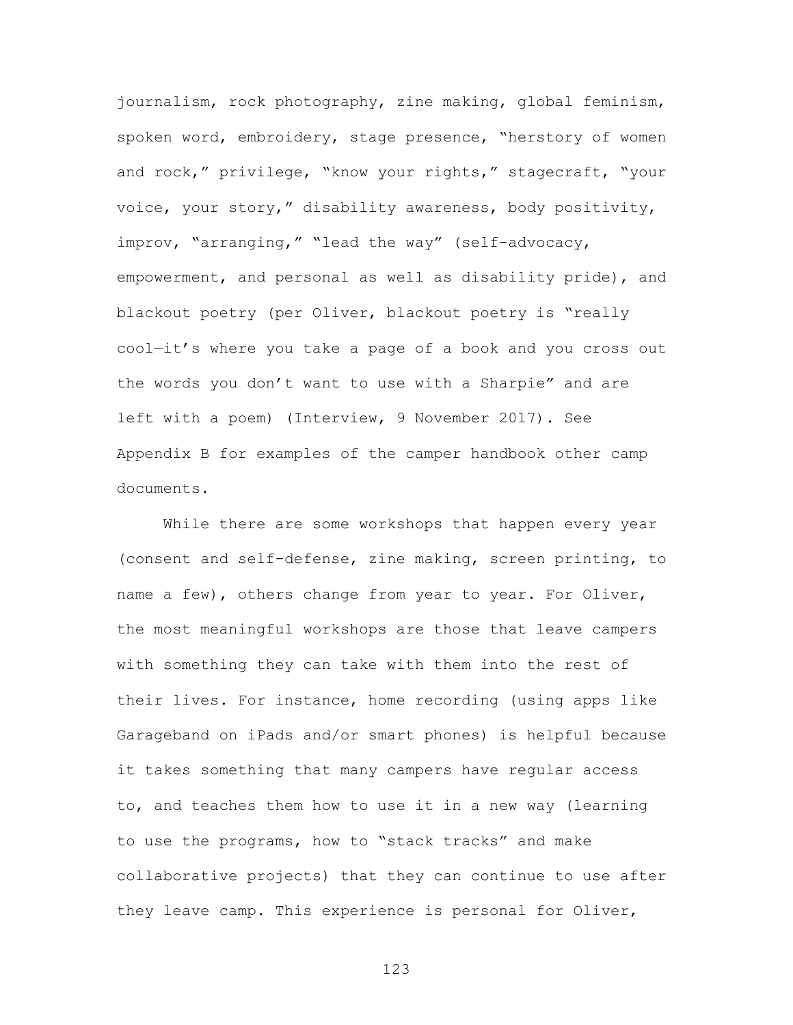journalism, rock photography, zine making, global feminism, spoken word, embroidery, stage presence, "herstory of women and rock," privilege, "know your rights," stagecraft, "your voice, your story," disability awareness, body positivity, improv, "arranging," "lead the way" (self-advocacy, empowerment, and personal as well as disability pride), and blackout poetry (per Oliver, blackout poetry is "really cool—it's where you take a page of a book and you cross out the words you don't want to use with a Sharpie" and are left with a poem) (Interview, 9 November 2017). See Appendix B for examples of the camper handbook other camp documents.

While there are some workshops that happen every year (consent and self-defense, zine making, screen printing, to name a few), others change from year to year. For Oliver, the most meaningful workshops are those that leave campers with something they can take with them into the rest of their lives. For instance, home recording (using apps like Garageband on iPads and/or smart phones) is helpful because it takes something that many campers have regular access to, and teaches them how to use it in a new way (learning to use the programs, how to "stack tracks" and make collaborative projects) that they can continue to use after they leave camp. This experience is personal for Oliver,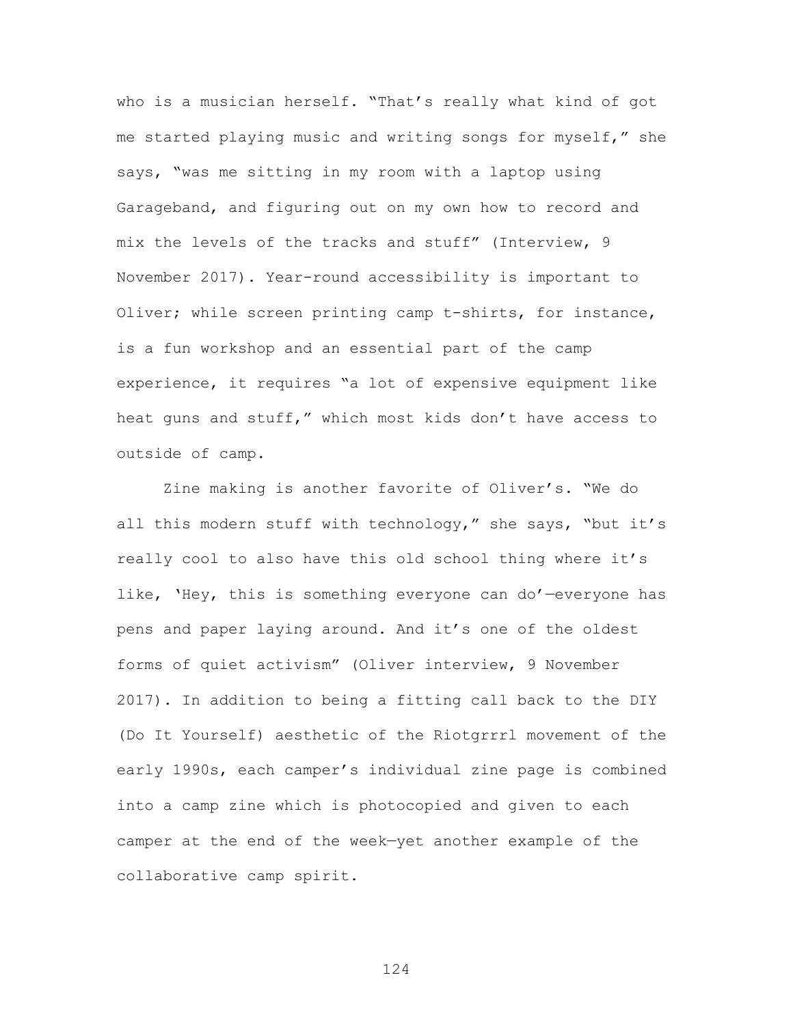who is a musician herself. "That's really what kind of got me started playing music and writing songs for myself," she says, "was me sitting in my room with a laptop using Garageband, and figuring out on my own how to record and mix the levels of the tracks and stuff" (Interview, 9 November 2017). Year-round accessibility is important to Oliver; while screen printing camp t-shirts, for instance, is a fun workshop and an essential part of the camp experience, it requires "a lot of expensive equipment like heat guns and stuff," which most kids don't have access to outside of camp.

Zine making is another favorite of Oliver's. "We do all this modern stuff with technology," she says, "but it's really cool to also have this old school thing where it's like, 'Hey, this is something everyone can do'—everyone has pens and paper laying around. And it's one of the oldest forms of quiet activism" (Oliver interview, 9 November 2017). In addition to being a fitting call back to the DIY (Do It Yourself) aesthetic of the Riotgrrrl movement of the early 1990s, each camper's individual zine page is combined into a camp zine which is photocopied and given to each camper at the end of the week—yet another example of the collaborative camp spirit.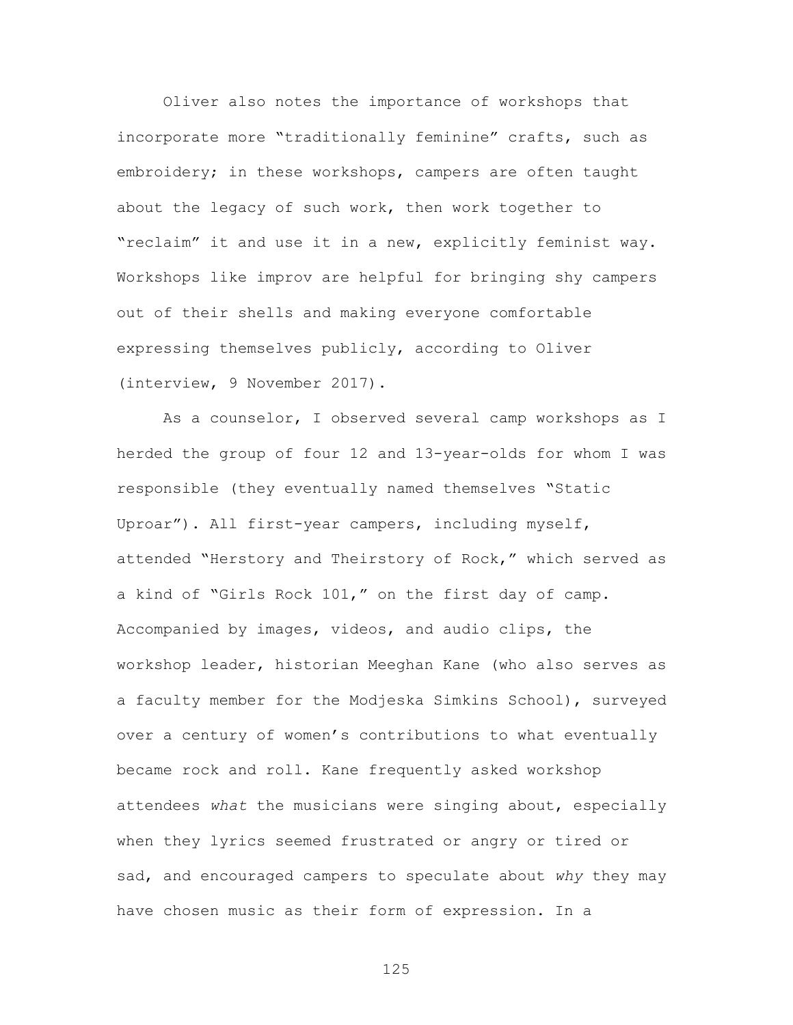Oliver also notes the importance of workshops that incorporate more "traditionally feminine" crafts, such as embroidery; in these workshops, campers are often taught about the legacy of such work, then work together to "reclaim" it and use it in a new, explicitly feminist way. Workshops like improv are helpful for bringing shy campers out of their shells and making everyone comfortable expressing themselves publicly, according to Oliver (interview, 9 November 2017).

As a counselor, I observed several camp workshops as I herded the group of four 12 and 13-year-olds for whom I was responsible (they eventually named themselves "Static Uproar"). All first-year campers, including myself, attended "Herstory and Theirstory of Rock," which served as a kind of "Girls Rock 101," on the first day of camp. Accompanied by images, videos, and audio clips, the workshop leader, historian Meeghan Kane (who also serves as a faculty member for the Modjeska Simkins School), surveyed over a century of women's contributions to what eventually became rock and roll. Kane frequently asked workshop attendees *what* the musicians were singing about, especially when they lyrics seemed frustrated or angry or tired or sad, and encouraged campers to speculate about *why* they may have chosen music as their form of expression. In a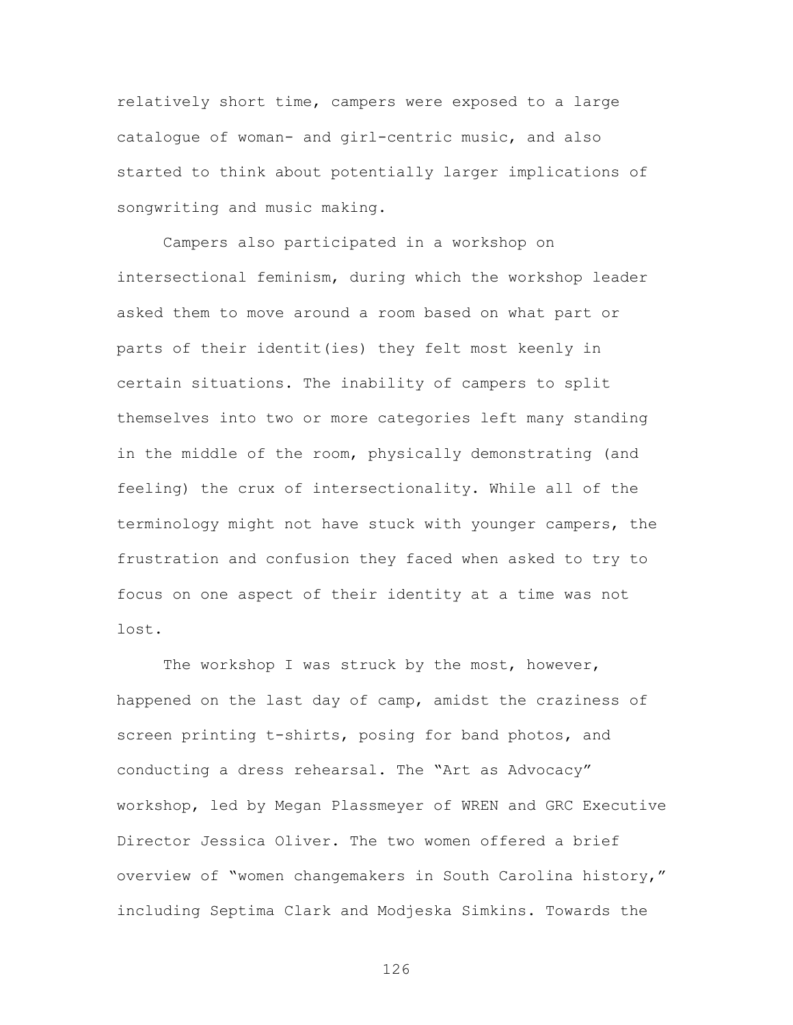relatively short time, campers were exposed to a large catalogue of woman- and girl-centric music, and also started to think about potentially larger implications of songwriting and music making.

Campers also participated in a workshop on intersectional feminism, during which the workshop leader asked them to move around a room based on what part or parts of their identit(ies) they felt most keenly in certain situations. The inability of campers to split themselves into two or more categories left many standing in the middle of the room, physically demonstrating (and feeling) the crux of intersectionality. While all of the terminology might not have stuck with younger campers, the frustration and confusion they faced when asked to try to focus on one aspect of their identity at a time was not lost.

The workshop I was struck by the most, however, happened on the last day of camp, amidst the craziness of screen printing t-shirts, posing for band photos, and conducting a dress rehearsal. The "Art as Advocacy" workshop, led by Megan Plassmeyer of WREN and GRC Executive Director Jessica Oliver. The two women offered a brief overview of "women changemakers in South Carolina history," including Septima Clark and Modjeska Simkins. Towards the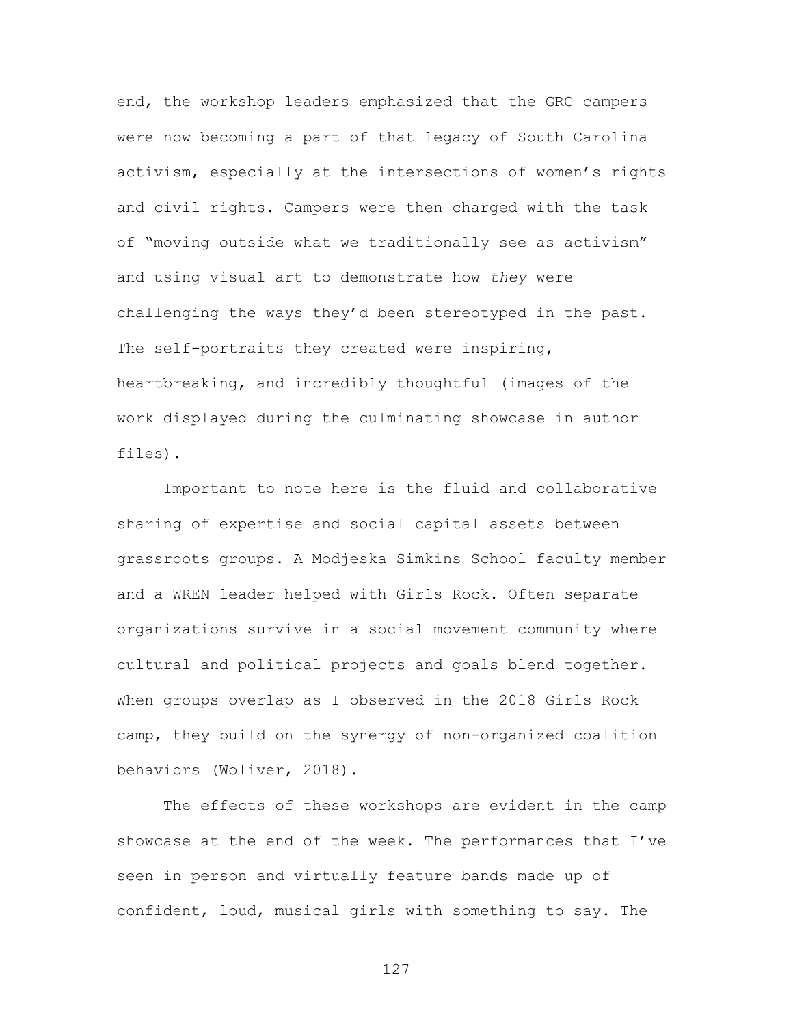end, the workshop leaders emphasized that the GRC campers were now becoming a part of that legacy of South Carolina activism, especially at the intersections of women's rights and civil rights. Campers were then charged with the task of "moving outside what we traditionally see as activism" and using visual art to demonstrate how *they* were challenging the ways they'd been stereotyped in the past. The self-portraits they created were inspiring, heartbreaking, and incredibly thoughtful (images of the work displayed during the culminating showcase in author files).

Important to note here is the fluid and collaborative sharing of expertise and social capital assets between grassroots groups. A Modjeska Simkins School faculty member and a WREN leader helped with Girls Rock. Often separate organizations survive in a social movement community where cultural and political projects and goals blend together. When groups overlap as I observed in the 2018 Girls Rock camp, they build on the synergy of non-organized coalition behaviors (Woliver, 2018).

The effects of these workshops are evident in the camp showcase at the end of the week. The performances that I've seen in person and virtually feature bands made up of confident, loud, musical girls with something to say. The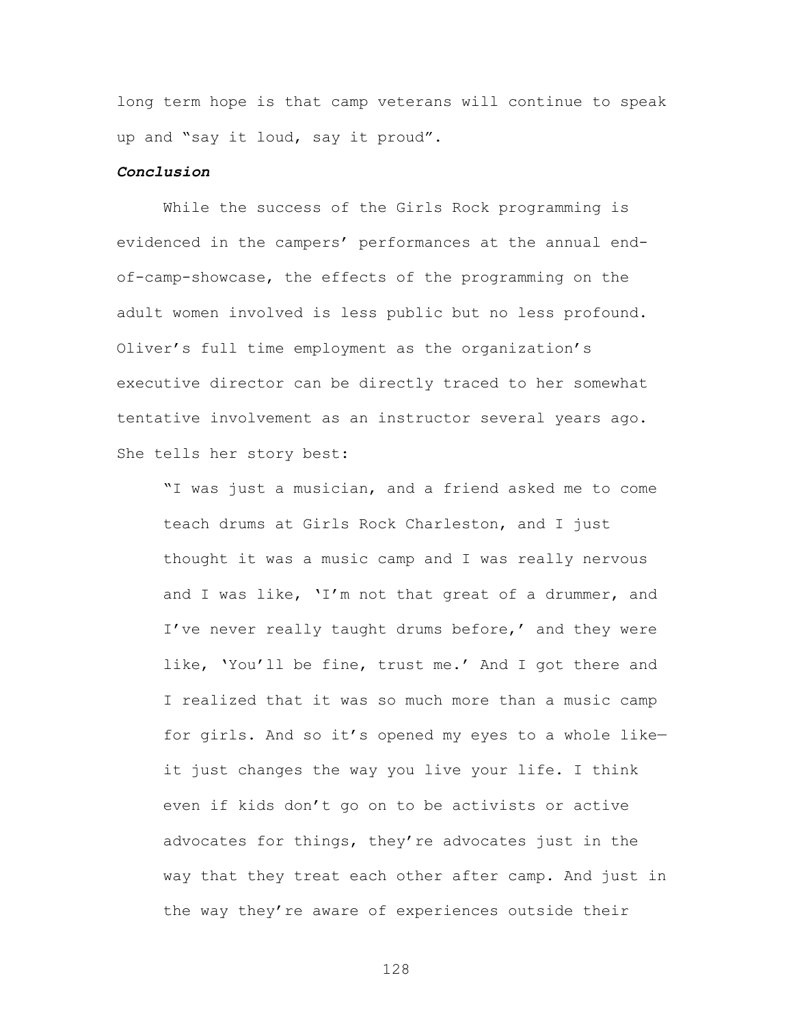long term hope is that camp veterans will continue to speak up and "say it loud, say it proud".

# *Conclusion*

While the success of the Girls Rock programming is evidenced in the campers' performances at the annual endof-camp-showcase, the effects of the programming on the adult women involved is less public but no less profound. Oliver's full time employment as the organization's executive director can be directly traced to her somewhat tentative involvement as an instructor several years ago. She tells her story best:

"I was just a musician, and a friend asked me to come teach drums at Girls Rock Charleston, and I just thought it was a music camp and I was really nervous and I was like, 'I'm not that great of a drummer, and I've never really taught drums before,' and they were like, 'You'll be fine, trust me.' And I got there and I realized that it was so much more than a music camp for girls. And so it's opened my eyes to a whole like it just changes the way you live your life. I think even if kids don't go on to be activists or active advocates for things, they're advocates just in the way that they treat each other after camp. And just in the way they're aware of experiences outside their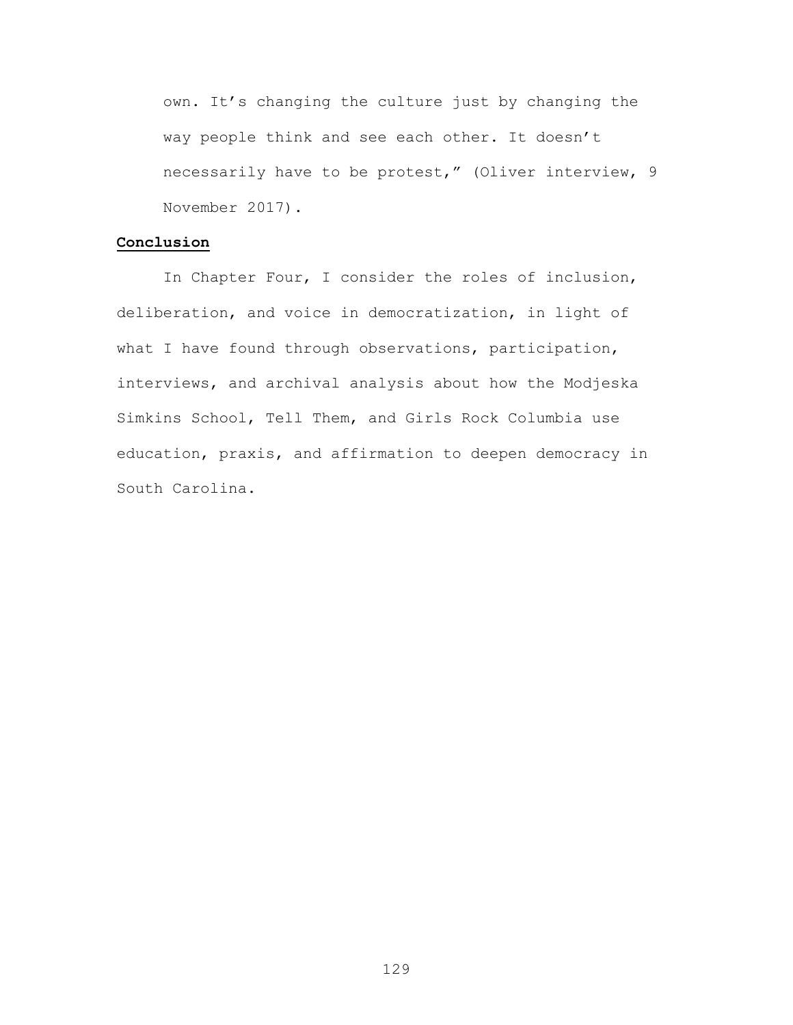own. It's changing the culture just by changing the way people think and see each other. It doesn't necessarily have to be protest," (Oliver interview, 9 November 2017).

## **Conclusion**

In Chapter Four, I consider the roles of inclusion, deliberation, and voice in democratization, in light of what I have found through observations, participation, interviews, and archival analysis about how the Modjeska Simkins School, Tell Them, and Girls Rock Columbia use education, praxis, and affirmation to deepen democracy in South Carolina.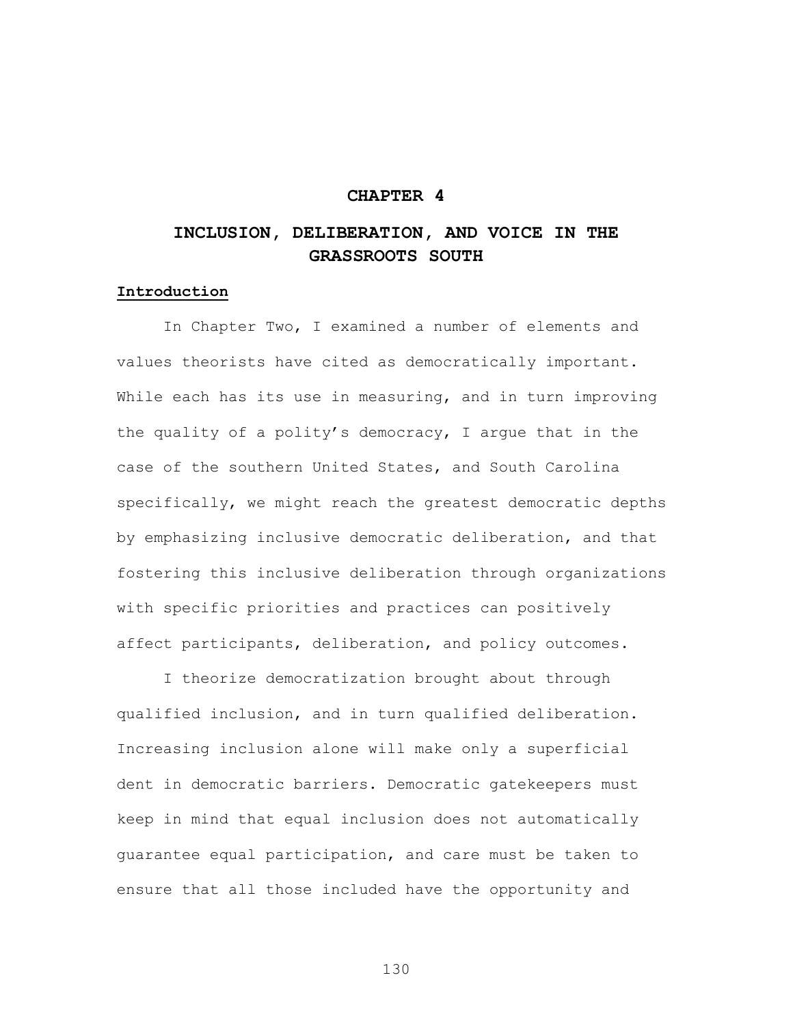# **CHAPTER 4**

# **INCLUSION, DELIBERATION, AND VOICE IN THE GRASSROOTS SOUTH**

# **Introduction**

In Chapter Two, I examined a number of elements and values theorists have cited as democratically important. While each has its use in measuring, and in turn improving the quality of a polity's democracy, I argue that in the case of the southern United States, and South Carolina specifically, we might reach the greatest democratic depths by emphasizing inclusive democratic deliberation, and that fostering this inclusive deliberation through organizations with specific priorities and practices can positively affect participants, deliberation, and policy outcomes.

I theorize democratization brought about through qualified inclusion, and in turn qualified deliberation. Increasing inclusion alone will make only a superficial dent in democratic barriers. Democratic gatekeepers must keep in mind that equal inclusion does not automatically guarantee equal participation, and care must be taken to ensure that all those included have the opportunity and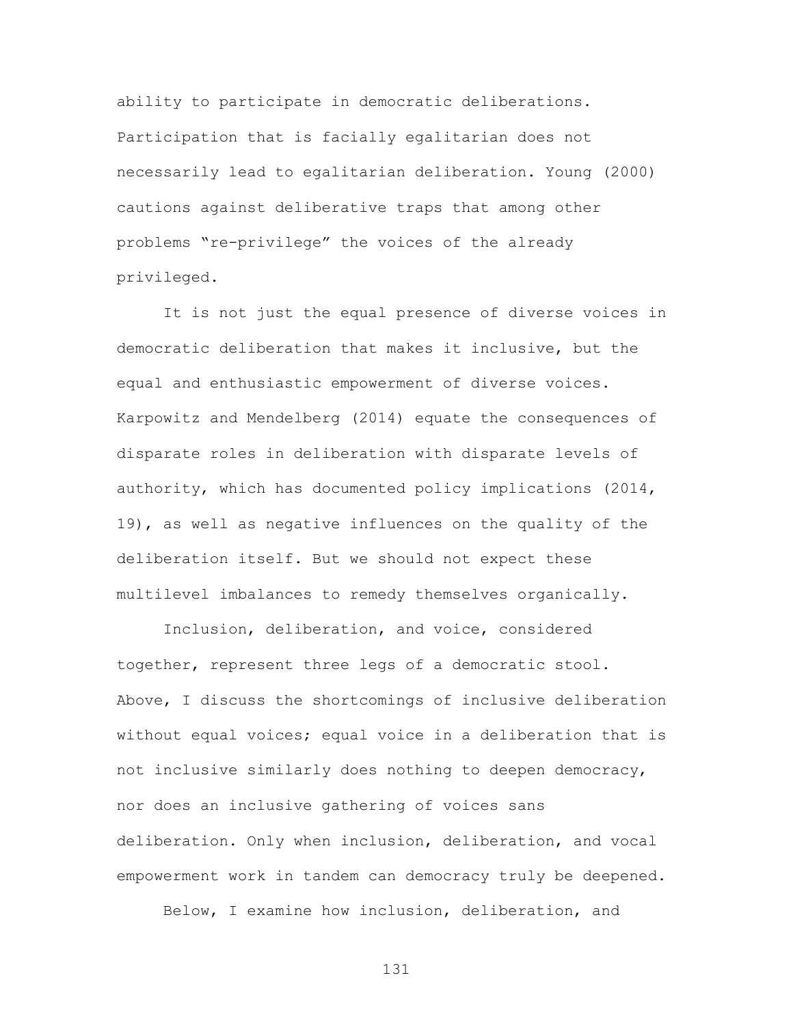ability to participate in democratic deliberations. Participation that is facially egalitarian does not necessarily lead to egalitarian deliberation. Young (2000) cautions against deliberative traps that among other problems "re-privilege" the voices of the already privileged.

It is not just the equal presence of diverse voices in democratic deliberation that makes it inclusive, but the equal and enthusiastic empowerment of diverse voices. Karpowitz and Mendelberg (2014) equate the consequences of disparate roles in deliberation with disparate levels of authority, which has documented policy implications (2014, 19), as well as negative influences on the quality of the deliberation itself. But we should not expect these multilevel imbalances to remedy themselves organically.

Inclusion, deliberation, and voice, considered together, represent three legs of a democratic stool. Above, I discuss the shortcomings of inclusive deliberation without equal voices; equal voice in a deliberation that is not inclusive similarly does nothing to deepen democracy, nor does an inclusive gathering of voices sans deliberation. Only when inclusion, deliberation, and vocal empowerment work in tandem can democracy truly be deepened.

Below, I examine how inclusion, deliberation, and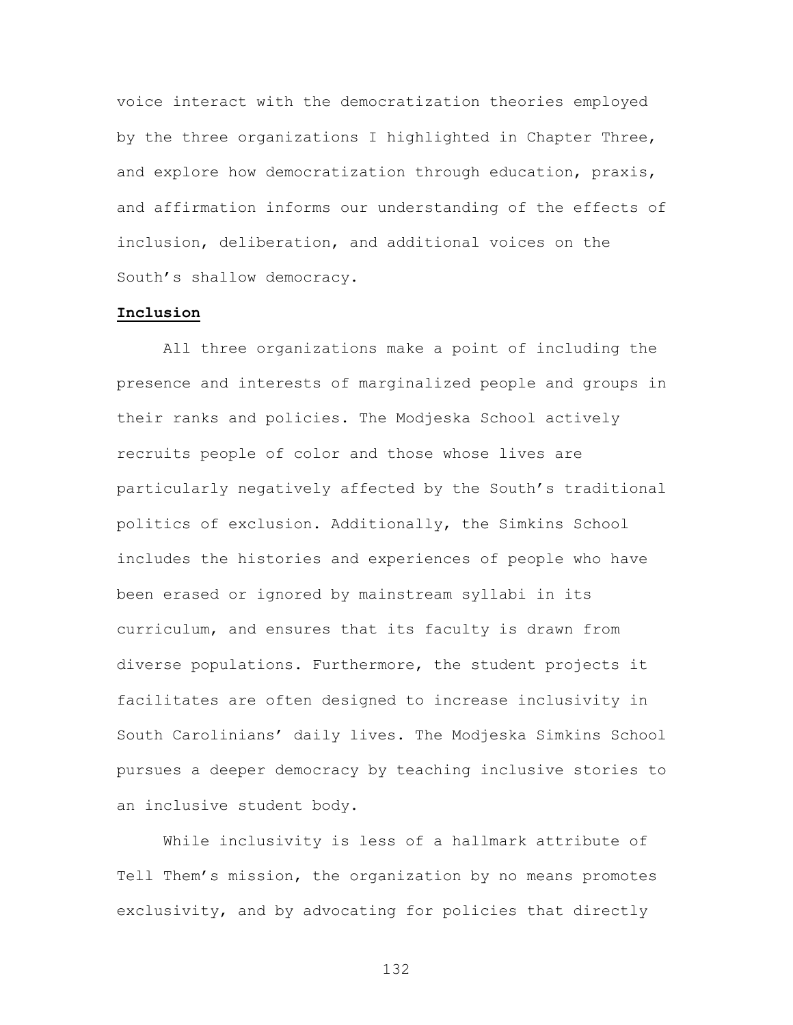voice interact with the democratization theories employed by the three organizations I highlighted in Chapter Three, and explore how democratization through education, praxis, and affirmation informs our understanding of the effects of inclusion, deliberation, and additional voices on the South's shallow democracy.

# **Inclusion**

All three organizations make a point of including the presence and interests of marginalized people and groups in their ranks and policies. The Modjeska School actively recruits people of color and those whose lives are particularly negatively affected by the South's traditional politics of exclusion. Additionally, the Simkins School includes the histories and experiences of people who have been erased or ignored by mainstream syllabi in its curriculum, and ensures that its faculty is drawn from diverse populations. Furthermore, the student projects it facilitates are often designed to increase inclusivity in South Carolinians' daily lives. The Modjeska Simkins School pursues a deeper democracy by teaching inclusive stories to an inclusive student body.

While inclusivity is less of a hallmark attribute of Tell Them's mission, the organization by no means promotes exclusivity, and by advocating for policies that directly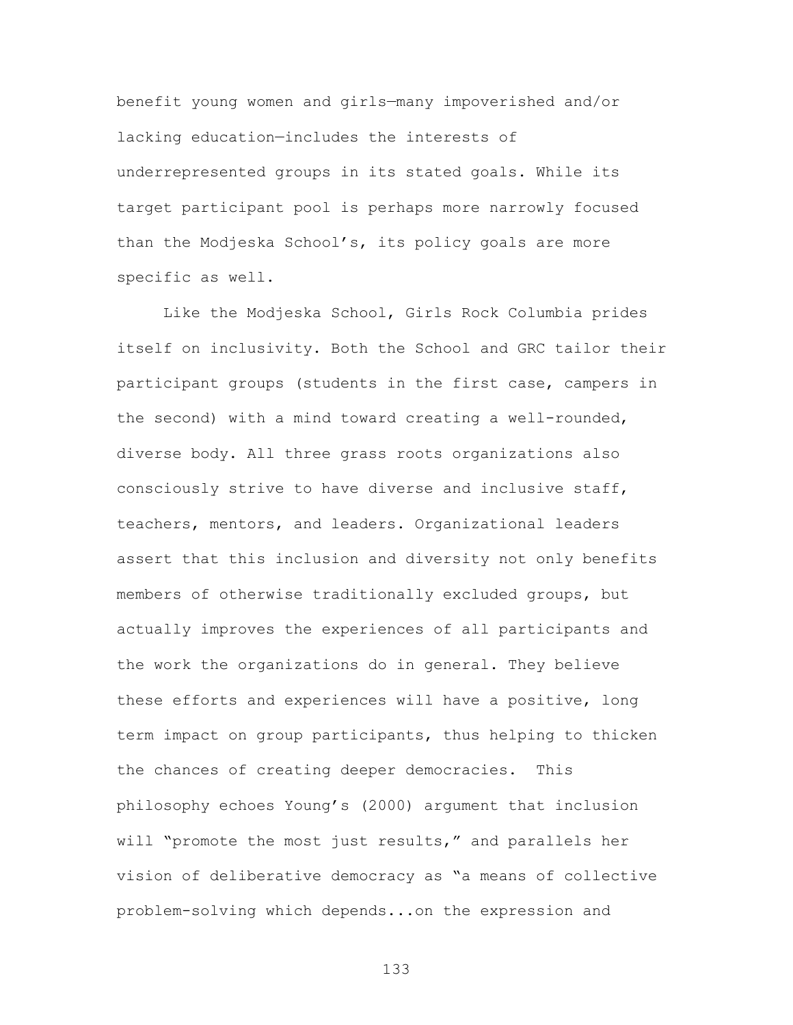benefit young women and girls—many impoverished and/or lacking education—includes the interests of underrepresented groups in its stated goals. While its target participant pool is perhaps more narrowly focused than the Modjeska School's, its policy goals are more specific as well.

Like the Modjeska School, Girls Rock Columbia prides itself on inclusivity. Both the School and GRC tailor their participant groups (students in the first case, campers in the second) with a mind toward creating a well-rounded, diverse body. All three grass roots organizations also consciously strive to have diverse and inclusive staff, teachers, mentors, and leaders. Organizational leaders assert that this inclusion and diversity not only benefits members of otherwise traditionally excluded groups, but actually improves the experiences of all participants and the work the organizations do in general. They believe these efforts and experiences will have a positive, long term impact on group participants, thus helping to thicken the chances of creating deeper democracies. This philosophy echoes Young's (2000) argument that inclusion will "promote the most just results," and parallels her vision of deliberative democracy as "a means of collective problem-solving which depends...on the expression and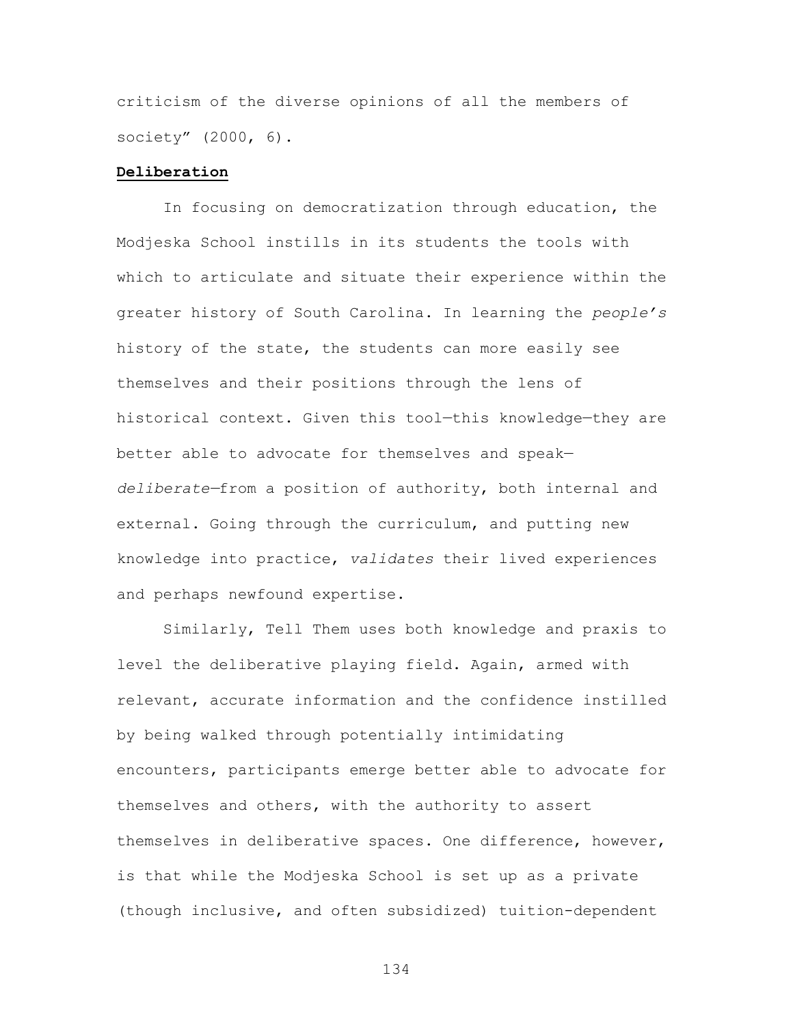criticism of the diverse opinions of all the members of society" (2000, 6).

#### **Deliberation**

In focusing on democratization through education, the Modjeska School instills in its students the tools with which to articulate and situate their experience within the greater history of South Carolina. In learning the *people's* history of the state, the students can more easily see themselves and their positions through the lens of historical context. Given this tool—this knowledge—they are better able to advocate for themselves and speak *deliberate—*from a position of authority, both internal and external. Going through the curriculum, and putting new knowledge into practice, *validates* their lived experiences and perhaps newfound expertise.

Similarly, Tell Them uses both knowledge and praxis to level the deliberative playing field. Again, armed with relevant, accurate information and the confidence instilled by being walked through potentially intimidating encounters, participants emerge better able to advocate for themselves and others, with the authority to assert themselves in deliberative spaces. One difference, however, is that while the Modjeska School is set up as a private (though inclusive, and often subsidized) tuition-dependent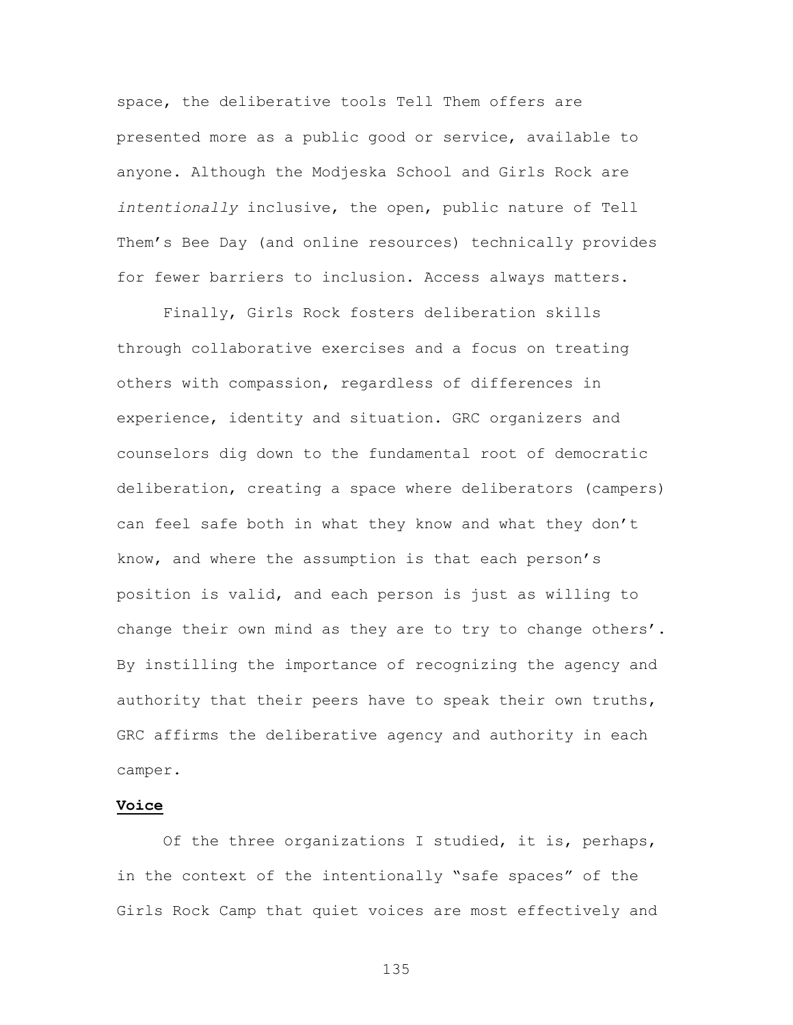space, the deliberative tools Tell Them offers are presented more as a public good or service, available to anyone. Although the Modjeska School and Girls Rock are *intentionally* inclusive, the open, public nature of Tell Them's Bee Day (and online resources) technically provides for fewer barriers to inclusion. Access always matters.

Finally, Girls Rock fosters deliberation skills through collaborative exercises and a focus on treating others with compassion, regardless of differences in experience, identity and situation. GRC organizers and counselors dig down to the fundamental root of democratic deliberation, creating a space where deliberators (campers) can feel safe both in what they know and what they don't know, and where the assumption is that each person's position is valid, and each person is just as willing to change their own mind as they are to try to change others'. By instilling the importance of recognizing the agency and authority that their peers have to speak their own truths, GRC affirms the deliberative agency and authority in each camper.

#### **Voice**

Of the three organizations I studied, it is, perhaps, in the context of the intentionally "safe spaces" of the Girls Rock Camp that quiet voices are most effectively and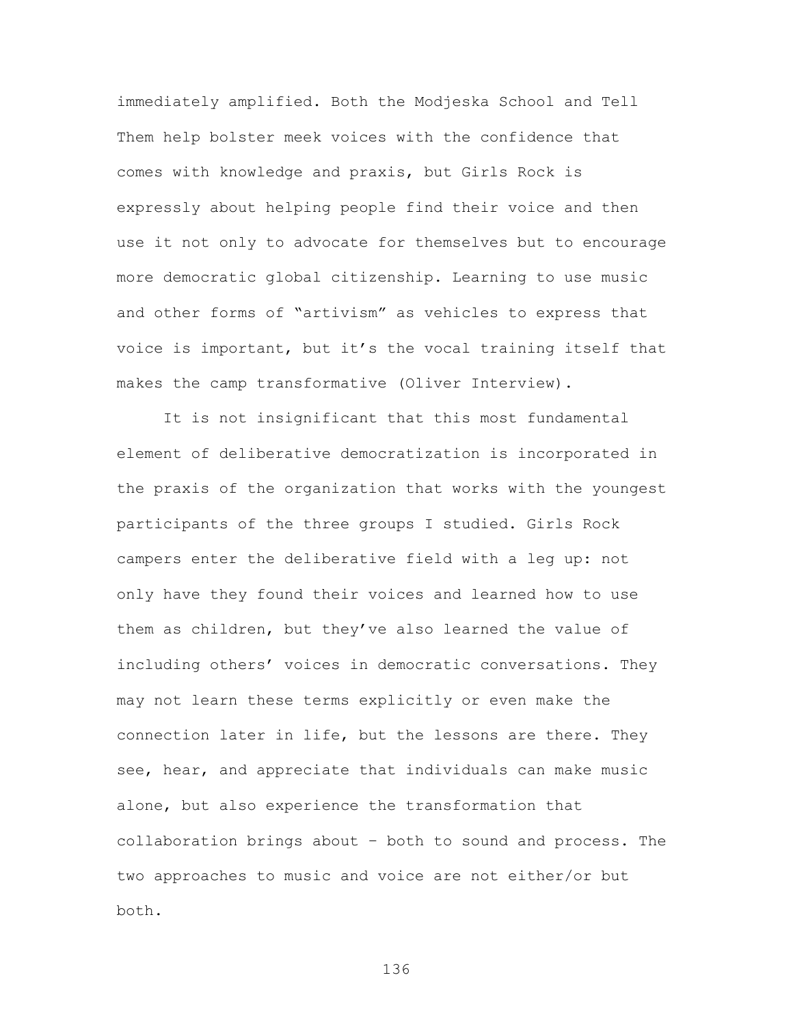immediately amplified. Both the Modjeska School and Tell Them help bolster meek voices with the confidence that comes with knowledge and praxis, but Girls Rock is expressly about helping people find their voice and then use it not only to advocate for themselves but to encourage more democratic global citizenship. Learning to use music and other forms of "artivism" as vehicles to express that voice is important, but it's the vocal training itself that makes the camp transformative (Oliver Interview).

It is not insignificant that this most fundamental element of deliberative democratization is incorporated in the praxis of the organization that works with the youngest participants of the three groups I studied. Girls Rock campers enter the deliberative field with a leg up: not only have they found their voices and learned how to use them as children, but they've also learned the value of including others' voices in democratic conversations. They may not learn these terms explicitly or even make the connection later in life, but the lessons are there. They see, hear, and appreciate that individuals can make music alone, but also experience the transformation that collaboration brings about – both to sound and process. The two approaches to music and voice are not either/or but both.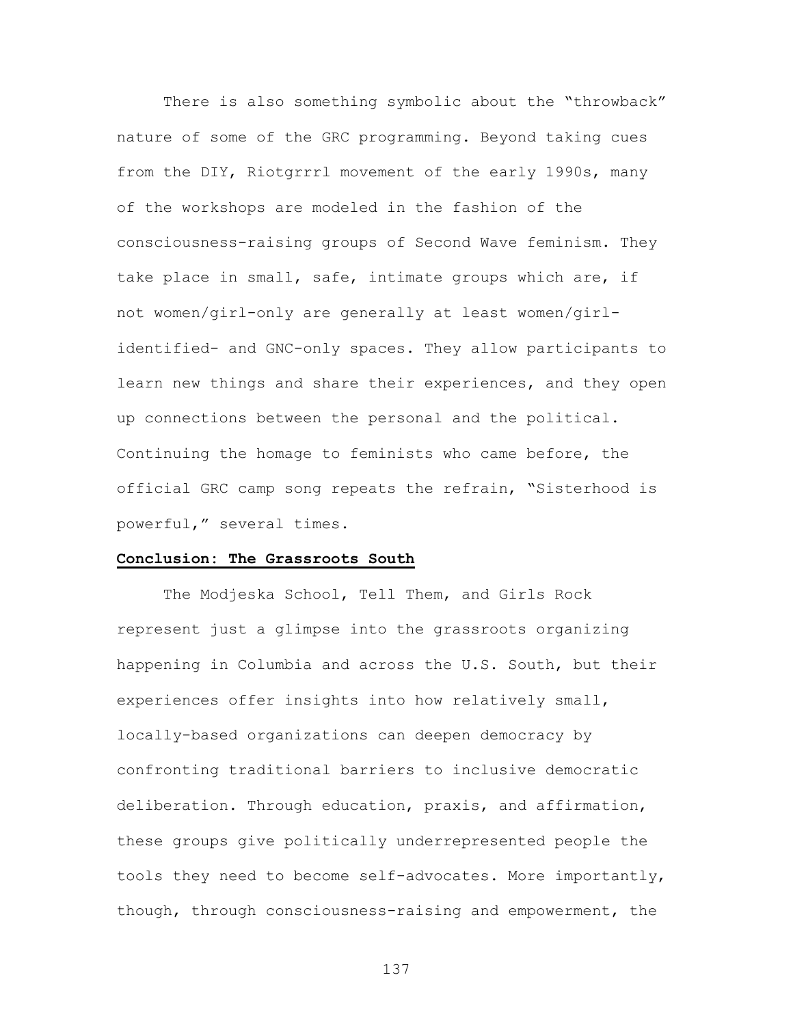There is also something symbolic about the "throwback" nature of some of the GRC programming. Beyond taking cues from the DIY, Riotgrrrl movement of the early 1990s, many of the workshops are modeled in the fashion of the consciousness-raising groups of Second Wave feminism. They take place in small, safe, intimate groups which are, if not women/girl-only are generally at least women/girlidentified- and GNC-only spaces. They allow participants to learn new things and share their experiences, and they open up connections between the personal and the political. Continuing the homage to feminists who came before, the official GRC camp song repeats the refrain, "Sisterhood is powerful," several times.

#### **Conclusion: The Grassroots South**

The Modjeska School, Tell Them, and Girls Rock represent just a glimpse into the grassroots organizing happening in Columbia and across the U.S. South, but their experiences offer insights into how relatively small, locally-based organizations can deepen democracy by confronting traditional barriers to inclusive democratic deliberation. Through education, praxis, and affirmation, these groups give politically underrepresented people the tools they need to become self-advocates. More importantly, though, through consciousness-raising and empowerment, the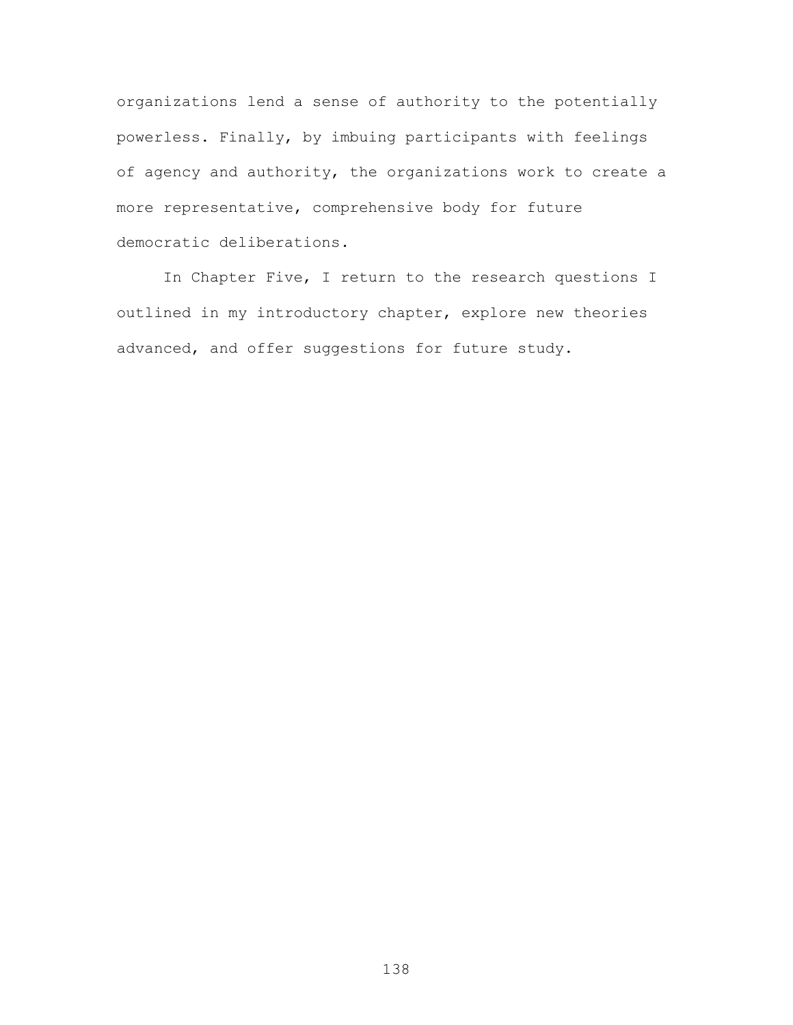organizations lend a sense of authority to the potentially powerless. Finally, by imbuing participants with feelings of agency and authority, the organizations work to create a more representative, comprehensive body for future democratic deliberations.

In Chapter Five, I return to the research questions I outlined in my introductory chapter, explore new theories advanced, and offer suggestions for future study.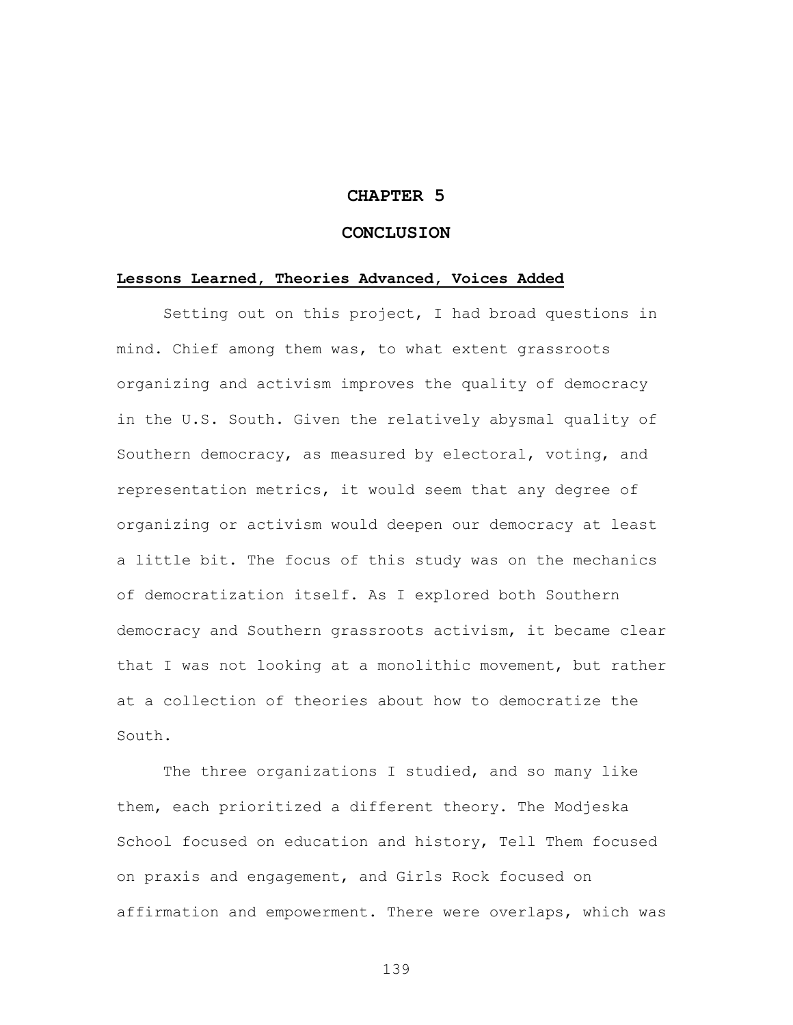### **CHAPTER 5**

#### **CONCLUSION**

#### **Lessons Learned, Theories Advanced, Voices Added**

Setting out on this project, I had broad questions in mind. Chief among them was, to what extent grassroots organizing and activism improves the quality of democracy in the U.S. South. Given the relatively abysmal quality of Southern democracy, as measured by electoral, voting, and representation metrics, it would seem that any degree of organizing or activism would deepen our democracy at least a little bit. The focus of this study was on the mechanics of democratization itself. As I explored both Southern democracy and Southern grassroots activism, it became clear that I was not looking at a monolithic movement, but rather at a collection of theories about how to democratize the South.

The three organizations I studied, and so many like them, each prioritized a different theory. The Modjeska School focused on education and history, Tell Them focused on praxis and engagement, and Girls Rock focused on affirmation and empowerment. There were overlaps, which was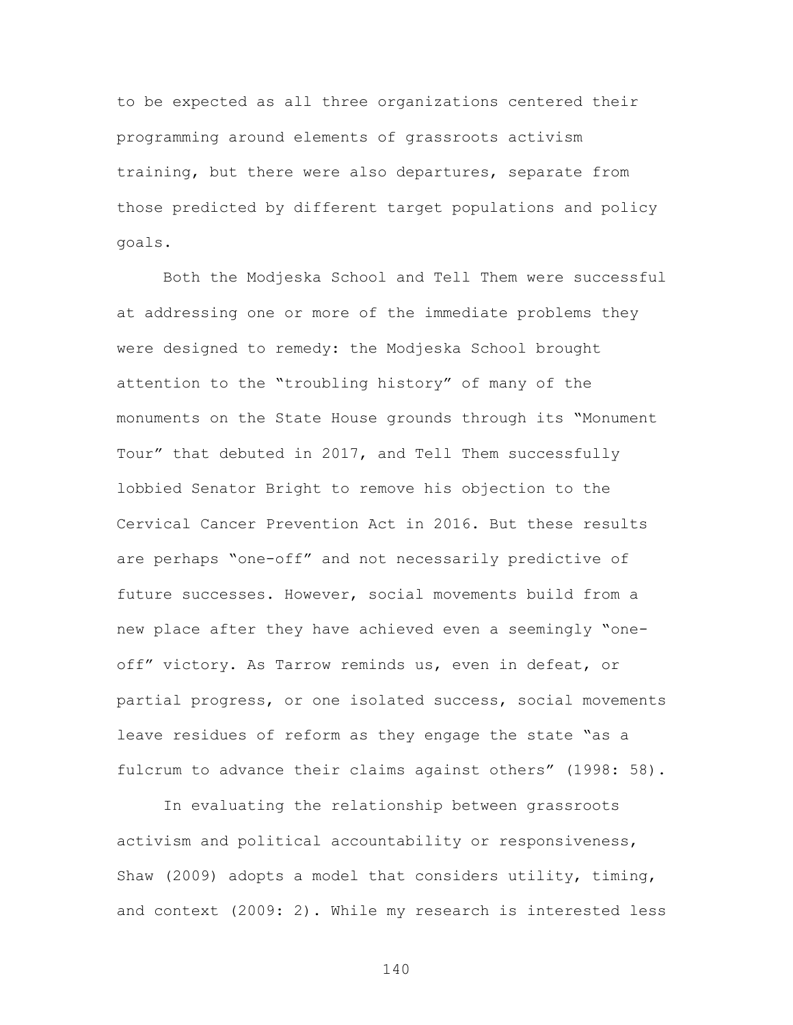to be expected as all three organizations centered their programming around elements of grassroots activism training, but there were also departures, separate from those predicted by different target populations and policy goals.

Both the Modjeska School and Tell Them were successful at addressing one or more of the immediate problems they were designed to remedy: the Modjeska School brought attention to the "troubling history" of many of the monuments on the State House grounds through its "Monument Tour" that debuted in 2017, and Tell Them successfully lobbied Senator Bright to remove his objection to the Cervical Cancer Prevention Act in 2016. But these results are perhaps "one-off" and not necessarily predictive of future successes. However, social movements build from a new place after they have achieved even a seemingly "oneoff" victory. As Tarrow reminds us, even in defeat, or partial progress, or one isolated success, social movements leave residues of reform as they engage the state "as a fulcrum to advance their claims against others" (1998: 58).

In evaluating the relationship between grassroots activism and political accountability or responsiveness, Shaw (2009) adopts a model that considers utility, timing, and context (2009: 2). While my research is interested less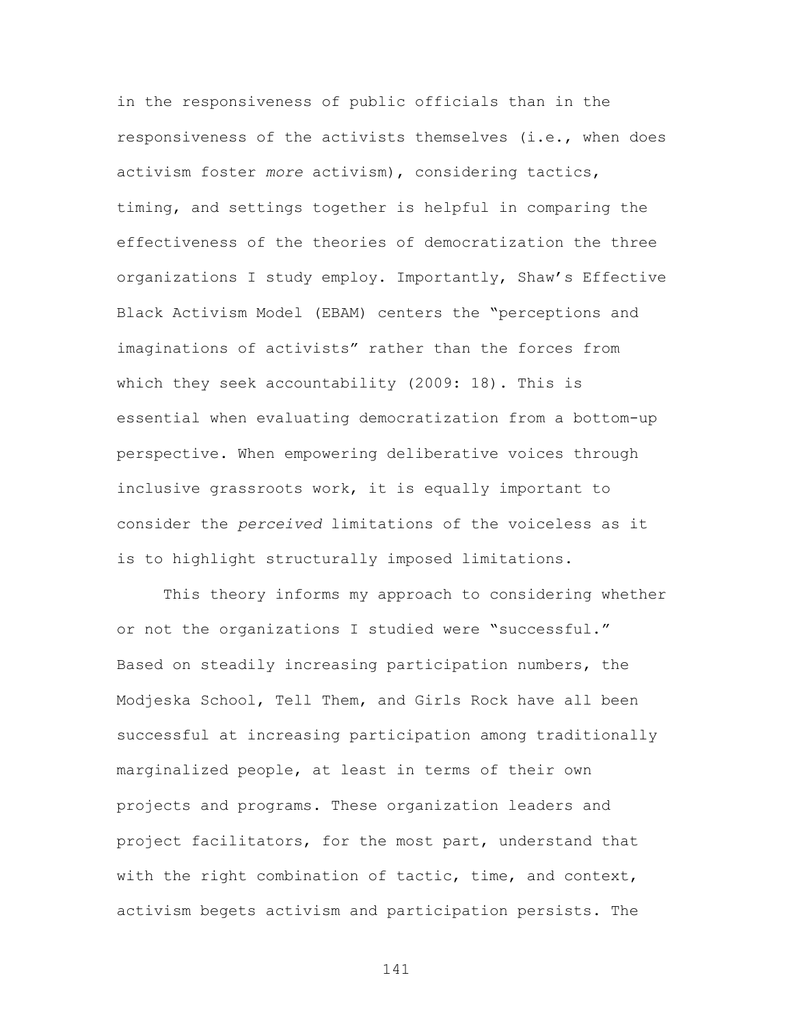in the responsiveness of public officials than in the responsiveness of the activists themselves (i.e., when does activism foster *more* activism), considering tactics, timing, and settings together is helpful in comparing the effectiveness of the theories of democratization the three organizations I study employ. Importantly, Shaw's Effective Black Activism Model (EBAM) centers the "perceptions and imaginations of activists" rather than the forces from which they seek accountability (2009: 18). This is essential when evaluating democratization from a bottom-up perspective. When empowering deliberative voices through inclusive grassroots work, it is equally important to consider the *perceived* limitations of the voiceless as it is to highlight structurally imposed limitations.

This theory informs my approach to considering whether or not the organizations I studied were "successful." Based on steadily increasing participation numbers, the Modjeska School, Tell Them, and Girls Rock have all been successful at increasing participation among traditionally marginalized people, at least in terms of their own projects and programs. These organization leaders and project facilitators, for the most part, understand that with the right combination of tactic, time, and context, activism begets activism and participation persists. The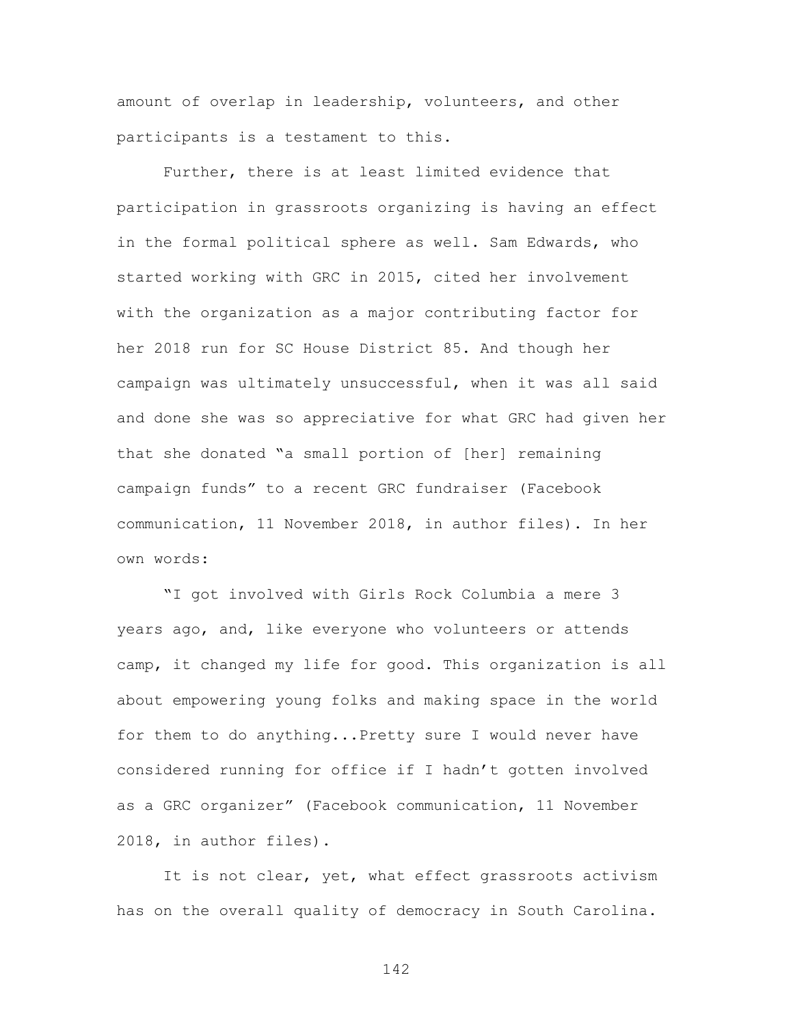amount of overlap in leadership, volunteers, and other participants is a testament to this.

Further, there is at least limited evidence that participation in grassroots organizing is having an effect in the formal political sphere as well. Sam Edwards, who started working with GRC in 2015, cited her involvement with the organization as a major contributing factor for her 2018 run for SC House District 85. And though her campaign was ultimately unsuccessful, when it was all said and done she was so appreciative for what GRC had given her that she donated "a small portion of [her] remaining campaign funds" to a recent GRC fundraiser (Facebook communication, 11 November 2018, in author files). In her own words:

"I got involved with Girls Rock Columbia a mere 3 years ago, and, like everyone who volunteers or attends camp, it changed my life for good. This organization is all about empowering young folks and making space in the world for them to do anything...Pretty sure I would never have considered running for office if I hadn't gotten involved as a GRC organizer" (Facebook communication, 11 November 2018, in author files).

It is not clear, yet, what effect grassroots activism has on the overall quality of democracy in South Carolina.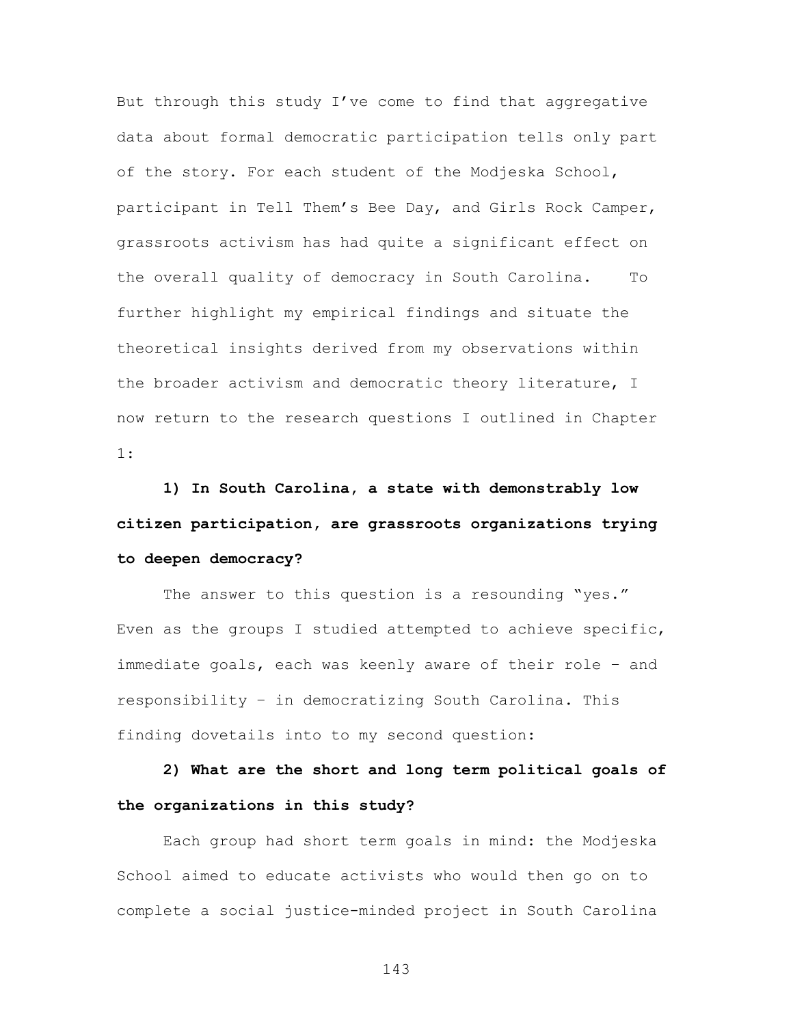But through this study I've come to find that aggregative data about formal democratic participation tells only part of the story. For each student of the Modjeska School, participant in Tell Them's Bee Day, and Girls Rock Camper, grassroots activism has had quite a significant effect on the overall quality of democracy in South Carolina. To further highlight my empirical findings and situate the theoretical insights derived from my observations within the broader activism and democratic theory literature, I now return to the research questions I outlined in Chapter 1:

**1) In South Carolina, a state with demonstrably low citizen participation, are grassroots organizations trying to deepen democracy?**

The answer to this question is a resounding "yes." Even as the groups I studied attempted to achieve specific, immediate goals, each was keenly aware of their role – and responsibility – in democratizing South Carolina. This finding dovetails into to my second question:

**2) What are the short and long term political goals of the organizations in this study?**

Each group had short term goals in mind: the Modjeska School aimed to educate activists who would then go on to complete a social justice-minded project in South Carolina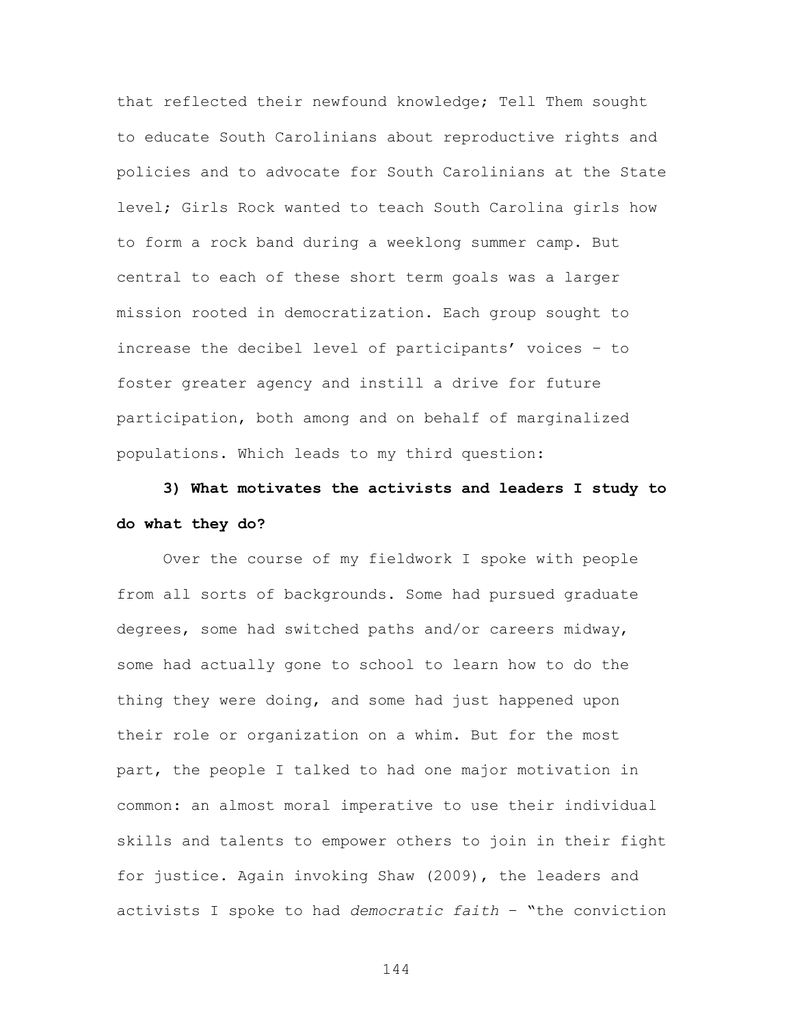that reflected their newfound knowledge; Tell Them sought to educate South Carolinians about reproductive rights and policies and to advocate for South Carolinians at the State level; Girls Rock wanted to teach South Carolina girls how to form a rock band during a weeklong summer camp. But central to each of these short term goals was a larger mission rooted in democratization. Each group sought to increase the decibel level of participants' voices – to foster greater agency and instill a drive for future participation, both among and on behalf of marginalized populations. Which leads to my third question:

# **3) What motivates the activists and leaders I study to do what they do?**

Over the course of my fieldwork I spoke with people from all sorts of backgrounds. Some had pursued graduate degrees, some had switched paths and/or careers midway, some had actually gone to school to learn how to do the thing they were doing, and some had just happened upon their role or organization on a whim. But for the most part, the people I talked to had one major motivation in common: an almost moral imperative to use their individual skills and talents to empower others to join in their fight for justice. Again invoking Shaw (2009), the leaders and activists I spoke to had *democratic faith* – "the conviction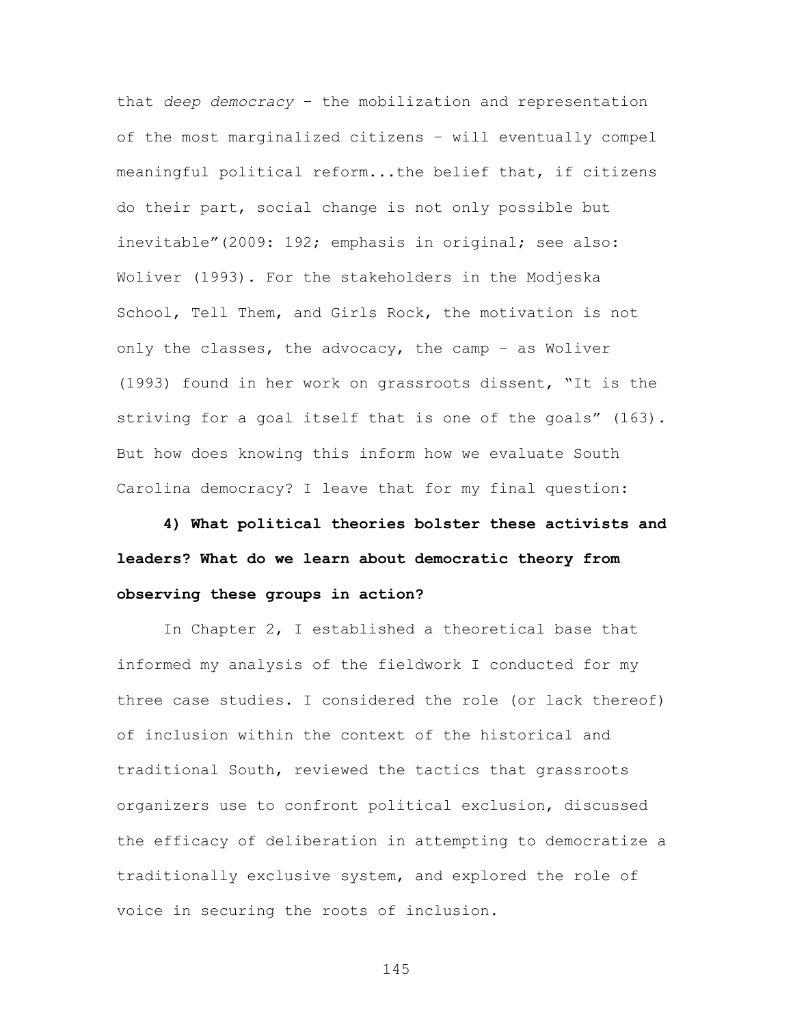that *deep democracy* – the mobilization and representation of the most marginalized citizens – will eventually compel meaningful political reform...the belief that, if citizens do their part, social change is not only possible but inevitable"(2009: 192; emphasis in original; see also: Woliver (1993). For the stakeholders in the Modjeska School, Tell Them, and Girls Rock, the motivation is not only the classes, the advocacy, the camp – as Woliver (1993) found in her work on grassroots dissent, "It is the striving for a goal itself that is one of the goals" (163). But how does knowing this inform how we evaluate South Carolina democracy? I leave that for my final question:

**4) What political theories bolster these activists and leaders? What do we learn about democratic theory from observing these groups in action?**

In Chapter 2, I established a theoretical base that informed my analysis of the fieldwork I conducted for my three case studies. I considered the role (or lack thereof) of inclusion within the context of the historical and traditional South, reviewed the tactics that grassroots organizers use to confront political exclusion, discussed the efficacy of deliberation in attempting to democratize a traditionally exclusive system, and explored the role of voice in securing the roots of inclusion.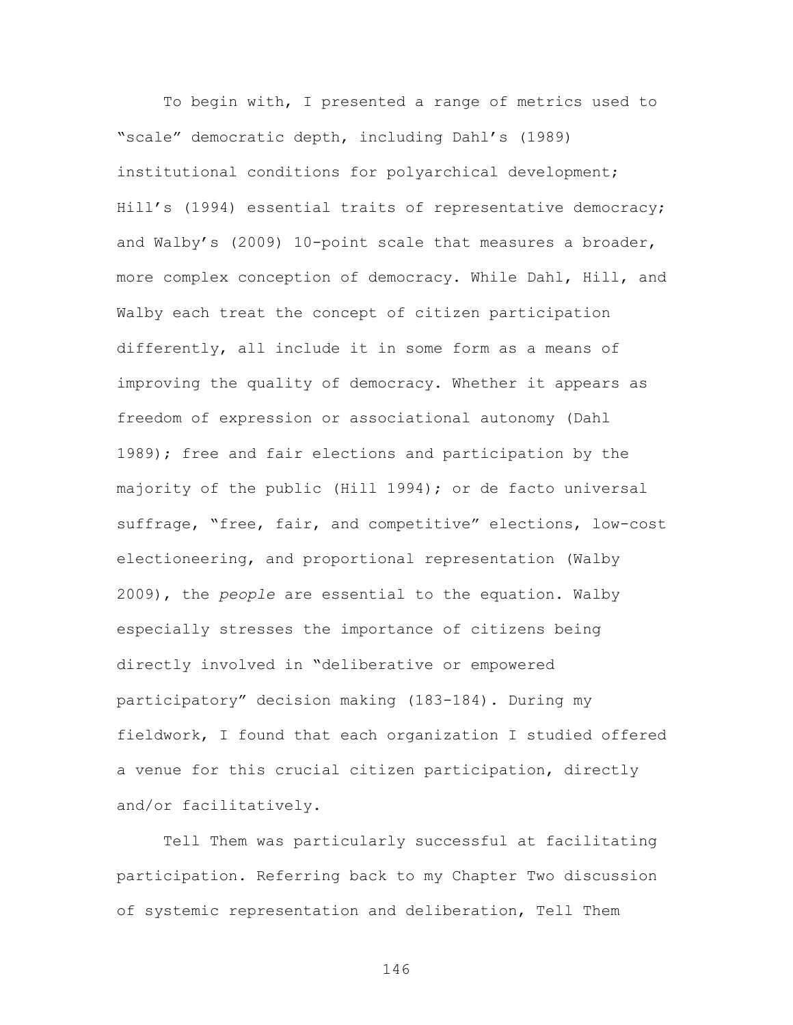To begin with, I presented a range of metrics used to "scale" democratic depth, including Dahl's (1989) institutional conditions for polyarchical development; Hill's (1994) essential traits of representative democracy; and Walby's (2009) 10-point scale that measures a broader, more complex conception of democracy. While Dahl, Hill, and Walby each treat the concept of citizen participation differently, all include it in some form as a means of improving the quality of democracy. Whether it appears as freedom of expression or associational autonomy (Dahl 1989); free and fair elections and participation by the majority of the public (Hill 1994); or de facto universal suffrage, "free, fair, and competitive" elections, low-cost electioneering, and proportional representation (Walby 2009), the *people* are essential to the equation. Walby especially stresses the importance of citizens being directly involved in "deliberative or empowered participatory" decision making (183-184). During my fieldwork, I found that each organization I studied offered a venue for this crucial citizen participation, directly and/or facilitatively.

Tell Them was particularly successful at facilitating participation. Referring back to my Chapter Two discussion of systemic representation and deliberation, Tell Them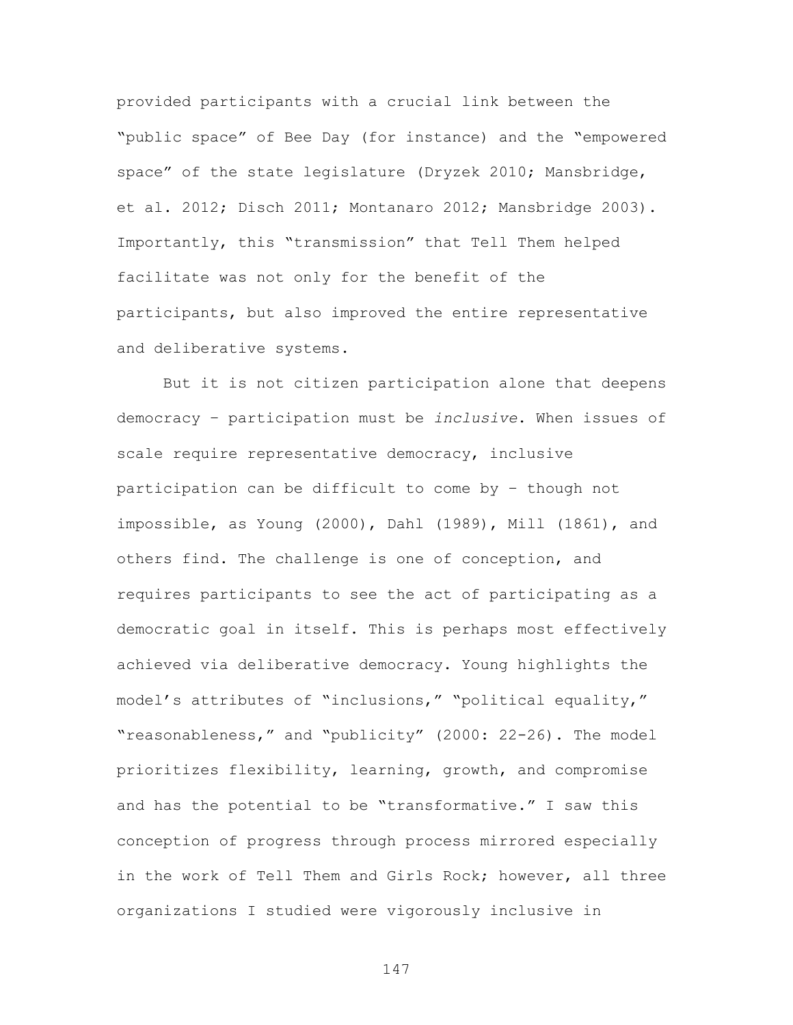provided participants with a crucial link between the "public space" of Bee Day (for instance) and the "empowered space" of the state legislature (Dryzek 2010; Mansbridge, et al. 2012; Disch 2011; Montanaro 2012; Mansbridge 2003). Importantly, this "transmission" that Tell Them helped facilitate was not only for the benefit of the participants, but also improved the entire representative and deliberative systems.

But it is not citizen participation alone that deepens democracy – participation must be *inclusive*. When issues of scale require representative democracy, inclusive participation can be difficult to come by – though not impossible, as Young (2000), Dahl (1989), Mill (1861), and others find. The challenge is one of conception, and requires participants to see the act of participating as a democratic goal in itself. This is perhaps most effectively achieved via deliberative democracy. Young highlights the model's attributes of "inclusions," "political equality," "reasonableness," and "publicity" (2000: 22-26). The model prioritizes flexibility, learning, growth, and compromise and has the potential to be "transformative." I saw this conception of progress through process mirrored especially in the work of Tell Them and Girls Rock; however, all three organizations I studied were vigorously inclusive in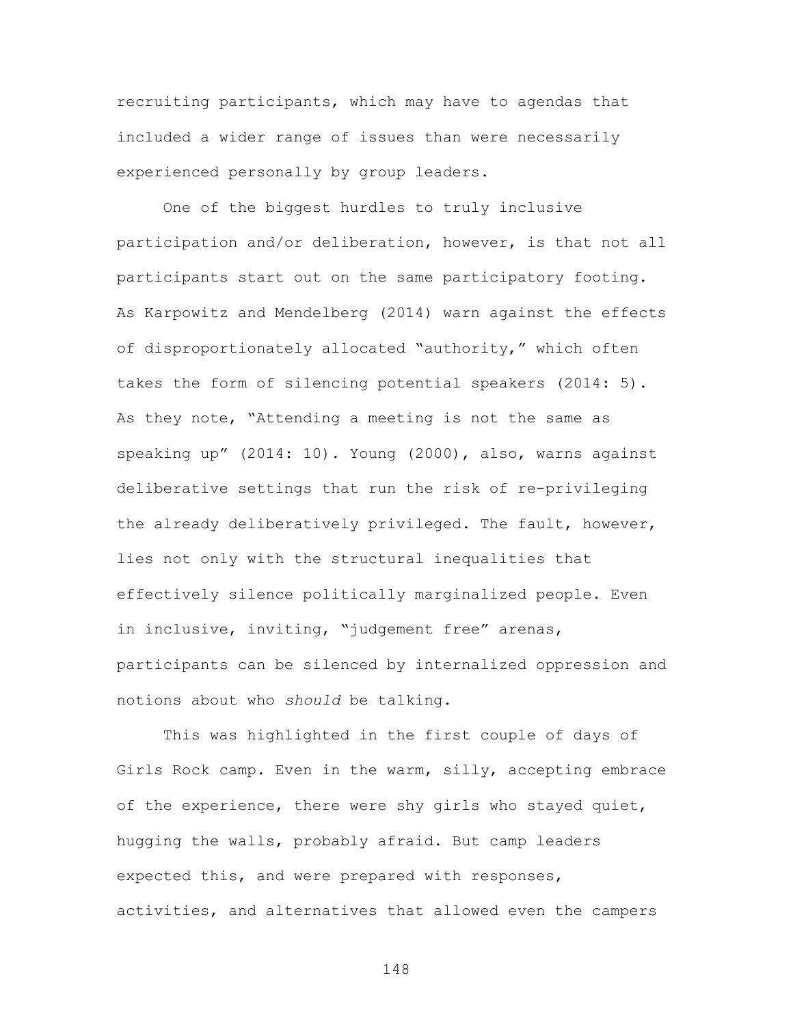recruiting participants, which may have to agendas that included a wider range of issues than were necessarily experienced personally by group leaders.

One of the biggest hurdles to truly inclusive participation and/or deliberation, however, is that not all participants start out on the same participatory footing. As Karpowitz and Mendelberg (2014) warn against the effects of disproportionately allocated "authority," which often takes the form of silencing potential speakers (2014: 5). As they note, "Attending a meeting is not the same as speaking up" (2014: 10). Young (2000), also, warns against deliberative settings that run the risk of re-privileging the already deliberatively privileged. The fault, however, lies not only with the structural inequalities that effectively silence politically marginalized people. Even in inclusive, inviting, "judgement free" arenas, participants can be silenced by internalized oppression and notions about who *should* be talking.

This was highlighted in the first couple of days of Girls Rock camp. Even in the warm, silly, accepting embrace of the experience, there were shy girls who stayed quiet, hugging the walls, probably afraid. But camp leaders expected this, and were prepared with responses, activities, and alternatives that allowed even the campers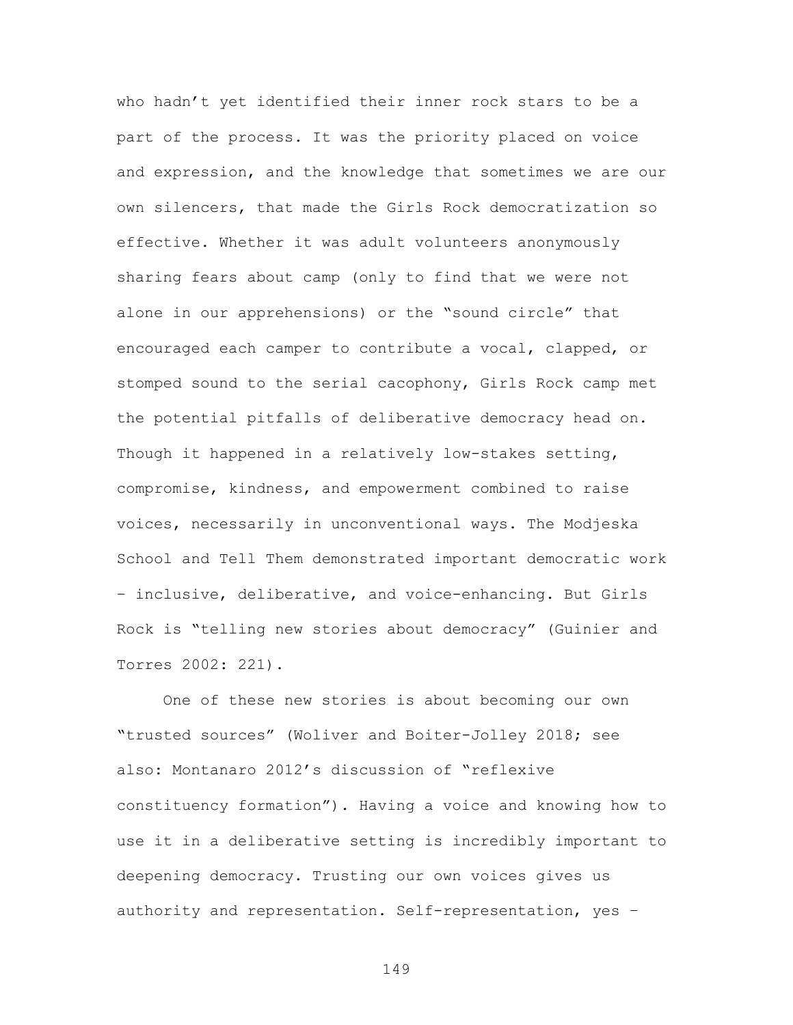who hadn't yet identified their inner rock stars to be a part of the process. It was the priority placed on voice and expression, and the knowledge that sometimes we are our own silencers, that made the Girls Rock democratization so effective. Whether it was adult volunteers anonymously sharing fears about camp (only to find that we were not alone in our apprehensions) or the "sound circle" that encouraged each camper to contribute a vocal, clapped, or stomped sound to the serial cacophony, Girls Rock camp met the potential pitfalls of deliberative democracy head on. Though it happened in a relatively low-stakes setting, compromise, kindness, and empowerment combined to raise voices, necessarily in unconventional ways. The Modjeska School and Tell Them demonstrated important democratic work – inclusive, deliberative, and voice-enhancing. But Girls Rock is "telling new stories about democracy" (Guinier and Torres 2002: 221).

One of these new stories is about becoming our own "trusted sources" (Woliver and Boiter-Jolley 2018; see also: Montanaro 2012's discussion of "reflexive constituency formation"). Having a voice and knowing how to use it in a deliberative setting is incredibly important to deepening democracy. Trusting our own voices gives us authority and representation. Self-representation, yes –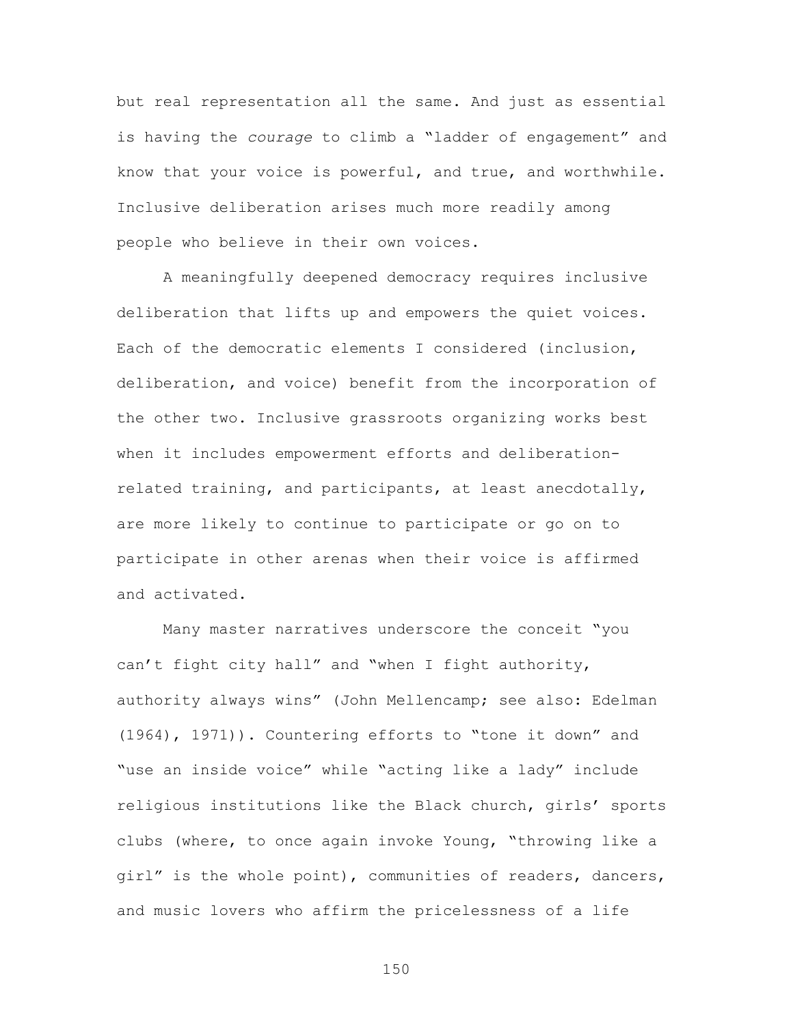but real representation all the same. And just as essential is having the *courage* to climb a "ladder of engagement" and know that your voice is powerful, and true, and worthwhile. Inclusive deliberation arises much more readily among people who believe in their own voices.

A meaningfully deepened democracy requires inclusive deliberation that lifts up and empowers the quiet voices. Each of the democratic elements I considered (inclusion, deliberation, and voice) benefit from the incorporation of the other two. Inclusive grassroots organizing works best when it includes empowerment efforts and deliberationrelated training, and participants, at least anecdotally, are more likely to continue to participate or go on to participate in other arenas when their voice is affirmed and activated.

Many master narratives underscore the conceit "you can't fight city hall" and "when I fight authority, authority always wins" (John Mellencamp; see also: Edelman (1964), 1971)). Countering efforts to "tone it down" and "use an inside voice" while "acting like a lady" include religious institutions like the Black church, girls' sports clubs (where, to once again invoke Young, "throwing like a girl" is the whole point), communities of readers, dancers, and music lovers who affirm the pricelessness of a life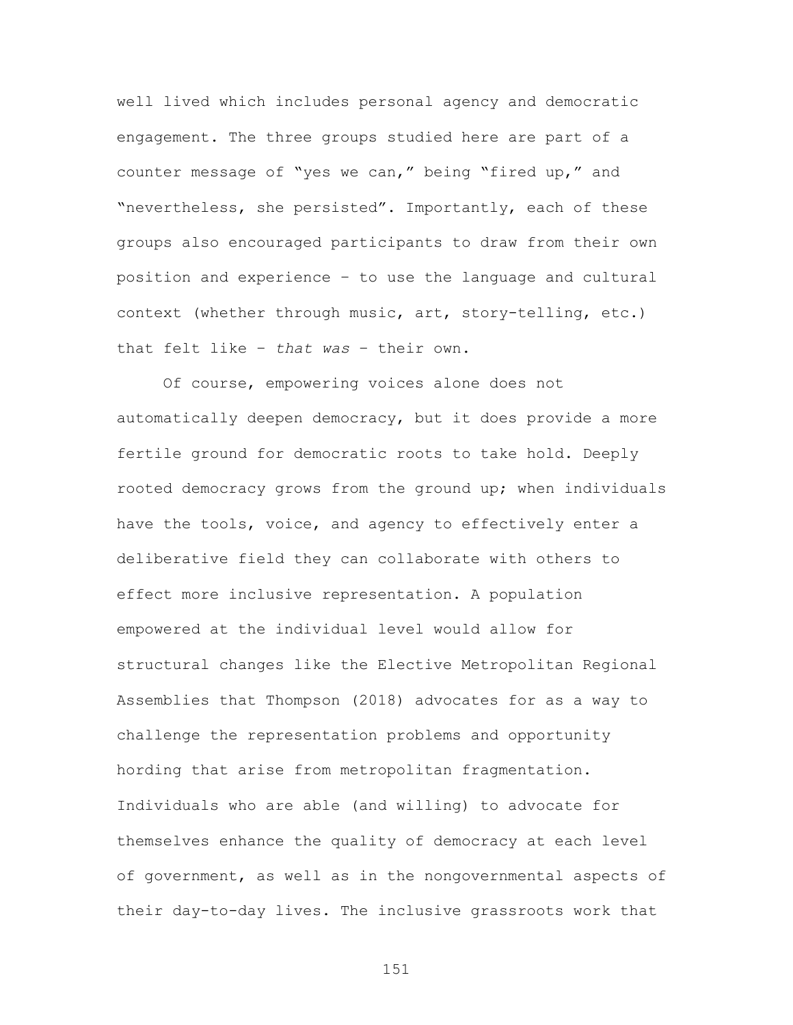well lived which includes personal agency and democratic engagement. The three groups studied here are part of a counter message of "yes we can," being "fired up," and "nevertheless, she persisted". Importantly, each of these groups also encouraged participants to draw from their own position and experience – to use the language and cultural context (whether through music, art, story-telling, etc.) that felt like – *that was* – their own.

Of course, empowering voices alone does not automatically deepen democracy, but it does provide a more fertile ground for democratic roots to take hold. Deeply rooted democracy grows from the ground up; when individuals have the tools, voice, and agency to effectively enter a deliberative field they can collaborate with others to effect more inclusive representation. A population empowered at the individual level would allow for structural changes like the Elective Metropolitan Regional Assemblies that Thompson (2018) advocates for as a way to challenge the representation problems and opportunity hording that arise from metropolitan fragmentation. Individuals who are able (and willing) to advocate for themselves enhance the quality of democracy at each level of government, as well as in the nongovernmental aspects of their day-to-day lives. The inclusive grassroots work that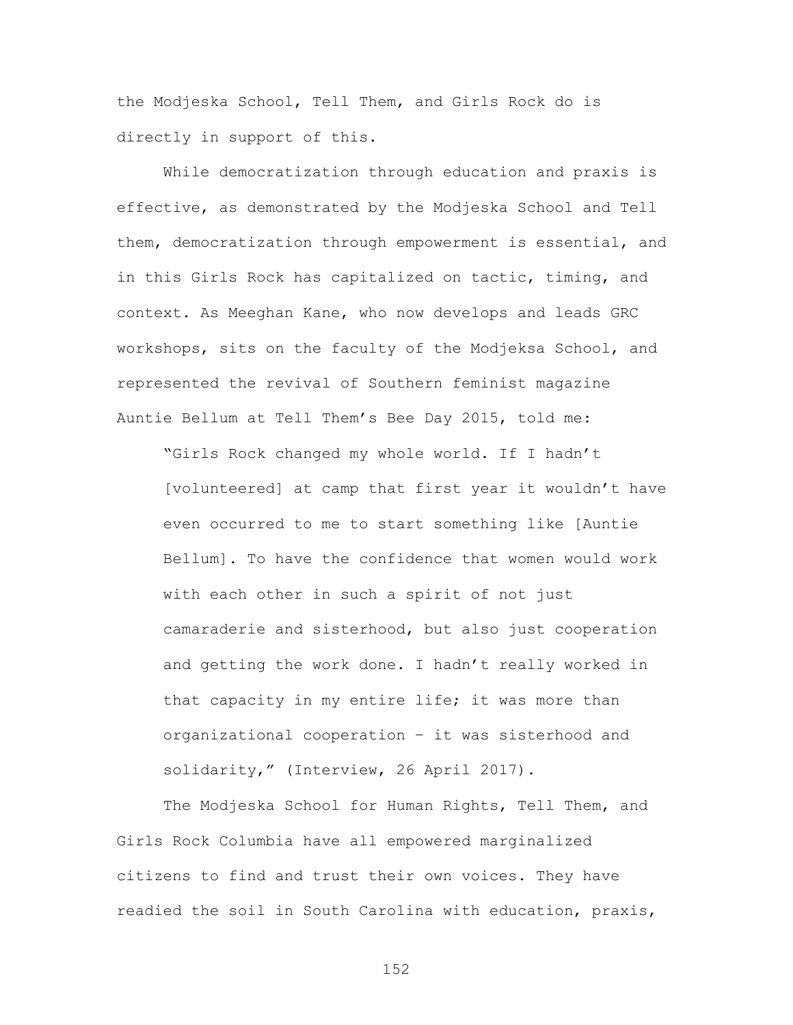the Modjeska School, Tell Them, and Girls Rock do is directly in support of this.

While democratization through education and praxis is effective, as demonstrated by the Modjeska School and Tell them, democratization through empowerment is essential, and in this Girls Rock has capitalized on tactic, timing, and context. As Meeghan Kane, who now develops and leads GRC workshops, sits on the faculty of the Modjeksa School, and represented the revival of Southern feminist magazine Auntie Bellum at Tell Them's Bee Day 2015, told me:

"Girls Rock changed my whole world. If I hadn't [volunteered] at camp that first year it wouldn't have even occurred to me to start something like [Auntie Bellum]. To have the confidence that women would work with each other in such a spirit of not just camaraderie and sisterhood, but also just cooperation and getting the work done. I hadn't really worked in that capacity in my entire life; it was more than organizational cooperation – it was sisterhood and solidarity," (Interview, 26 April 2017).

The Modjeska School for Human Rights, Tell Them, and Girls Rock Columbia have all empowered marginalized citizens to find and trust their own voices. They have readied the soil in South Carolina with education, praxis,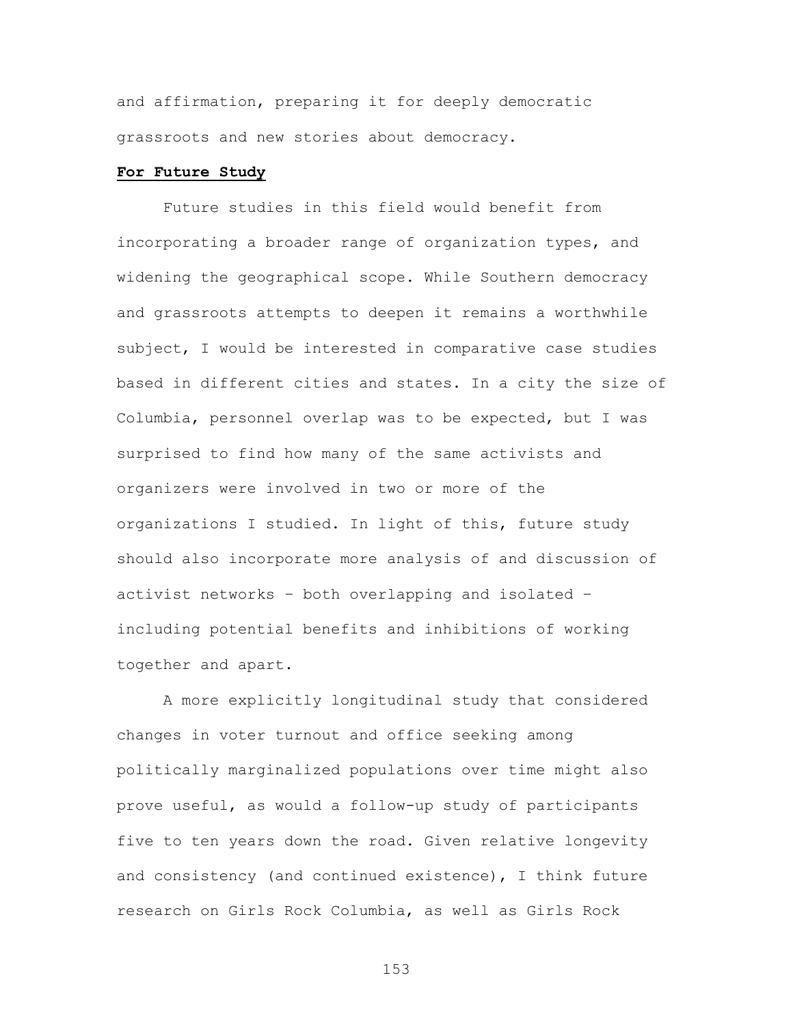and affirmation, preparing it for deeply democratic grassroots and new stories about democracy.

#### **For Future Study**

Future studies in this field would benefit from incorporating a broader range of organization types, and widening the geographical scope. While Southern democracy and grassroots attempts to deepen it remains a worthwhile subject, I would be interested in comparative case studies based in different cities and states. In a city the size of Columbia, personnel overlap was to be expected, but I was surprised to find how many of the same activists and organizers were involved in two or more of the organizations I studied. In light of this, future study should also incorporate more analysis of and discussion of activist networks – both overlapping and isolated – including potential benefits and inhibitions of working together and apart.

A more explicitly longitudinal study that considered changes in voter turnout and office seeking among politically marginalized populations over time might also prove useful, as would a follow-up study of participants five to ten years down the road. Given relative longevity and consistency (and continued existence), I think future research on Girls Rock Columbia, as well as Girls Rock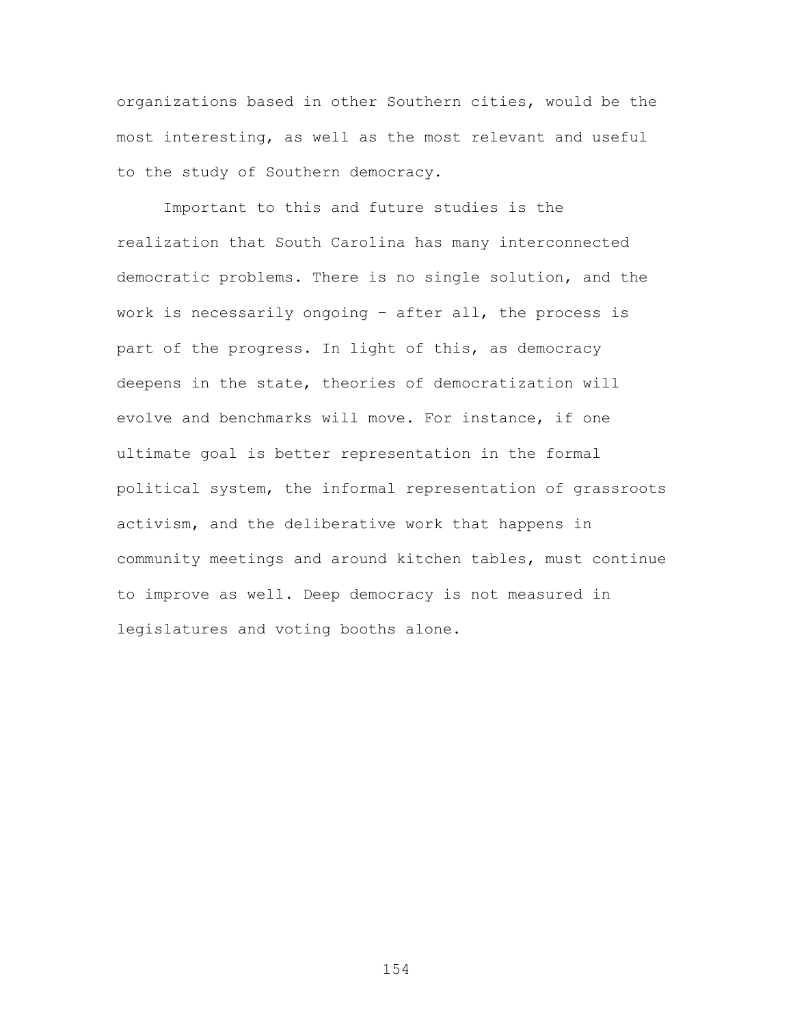organizations based in other Southern cities, would be the most interesting, as well as the most relevant and useful to the study of Southern democracy.

Important to this and future studies is the realization that South Carolina has many interconnected democratic problems. There is no single solution, and the work is necessarily ongoing – after all, the process is part of the progress. In light of this, as democracy deepens in the state, theories of democratization will evolve and benchmarks will move. For instance, if one ultimate goal is better representation in the formal political system, the informal representation of grassroots activism, and the deliberative work that happens in community meetings and around kitchen tables, must continue to improve as well. Deep democracy is not measured in legislatures and voting booths alone.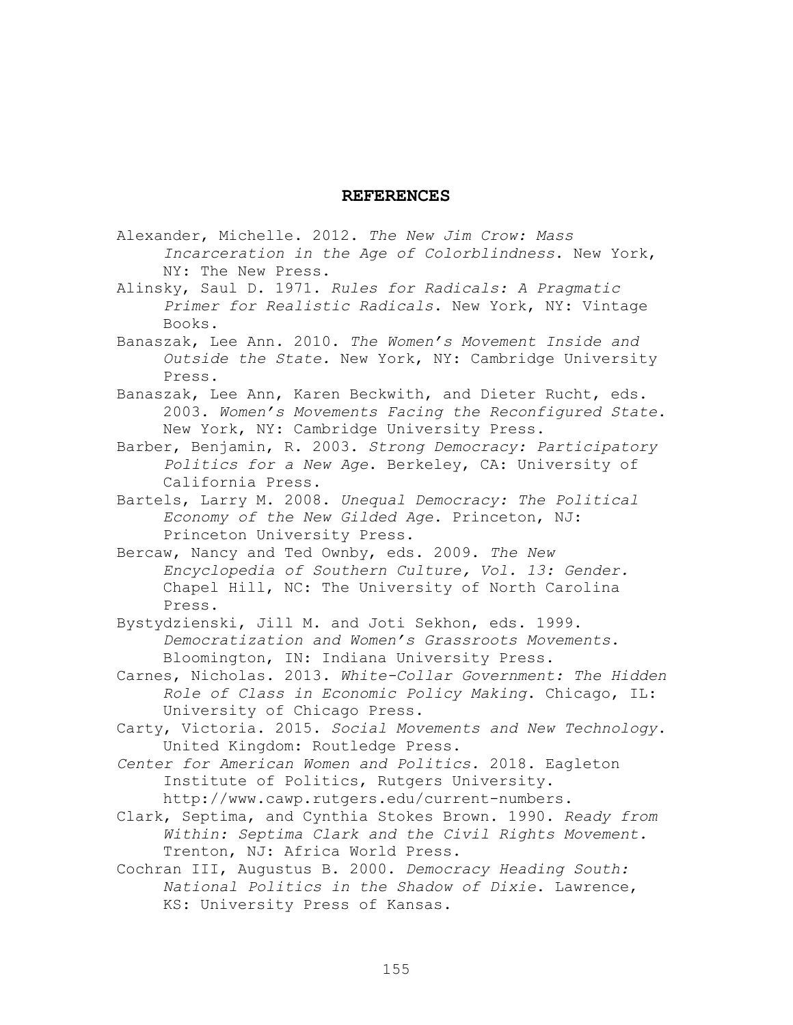#### **REFERENCES**

- Alexander, Michelle. 2012. *The New Jim Crow: Mass Incarceration in the Age of Colorblindness*. New York, NY: The New Press.
- Alinsky, Saul D. 1971. *Rules for Radicals: A Pragmatic Primer for Realistic Radicals*. New York, NY: Vintage Books.
- Banaszak, Lee Ann. 2010. *The Women's Movement Inside and Outside the State.* New York, NY: Cambridge University Press.
- Banaszak, Lee Ann, Karen Beckwith, and Dieter Rucht, eds. 2003. *Women's Movements Facing the Reconfigured State*. New York, NY: Cambridge University Press.
- Barber, Benjamin, R. 2003. *Strong Democracy: Participatory Politics for a New Age*. Berkeley, CA: University of California Press.
- Bartels, Larry M. 2008. *Unequal Democracy: The Political Economy of the New Gilded Age*. Princeton, NJ: Princeton University Press.
- Bercaw, Nancy and Ted Ownby, eds. 2009. *The New Encyclopedia of Southern Culture, Vol. 13: Gender.*  Chapel Hill, NC: The University of North Carolina Press.
- Bystydzienski, Jill M. and Joti Sekhon, eds. 1999. *Democratization and Women's Grassroots Movements*. Bloomington, IN: Indiana University Press.
- Carnes, Nicholas. 2013. *White-Collar Government: The Hidden Role of Class in Economic Policy Making*. Chicago, IL: University of Chicago Press.
- Carty, Victoria. 2015. *Social Movements and New Technology*. United Kingdom: Routledge Press.
- *Center for American Women and Politics.* 2018. Eagleton Institute of Politics, Rutgers University. http://www.cawp.rutgers.edu/current-numbers.
- Clark, Septima, and Cynthia Stokes Brown. 1990. *Ready from Within: Septima Clark and the Civil Rights Movement.* Trenton, NJ: Africa World Press.
- Cochran III, Augustus B. 2000. *Democracy Heading South: National Politics in the Shadow of Dixie*. Lawrence, KS: University Press of Kansas.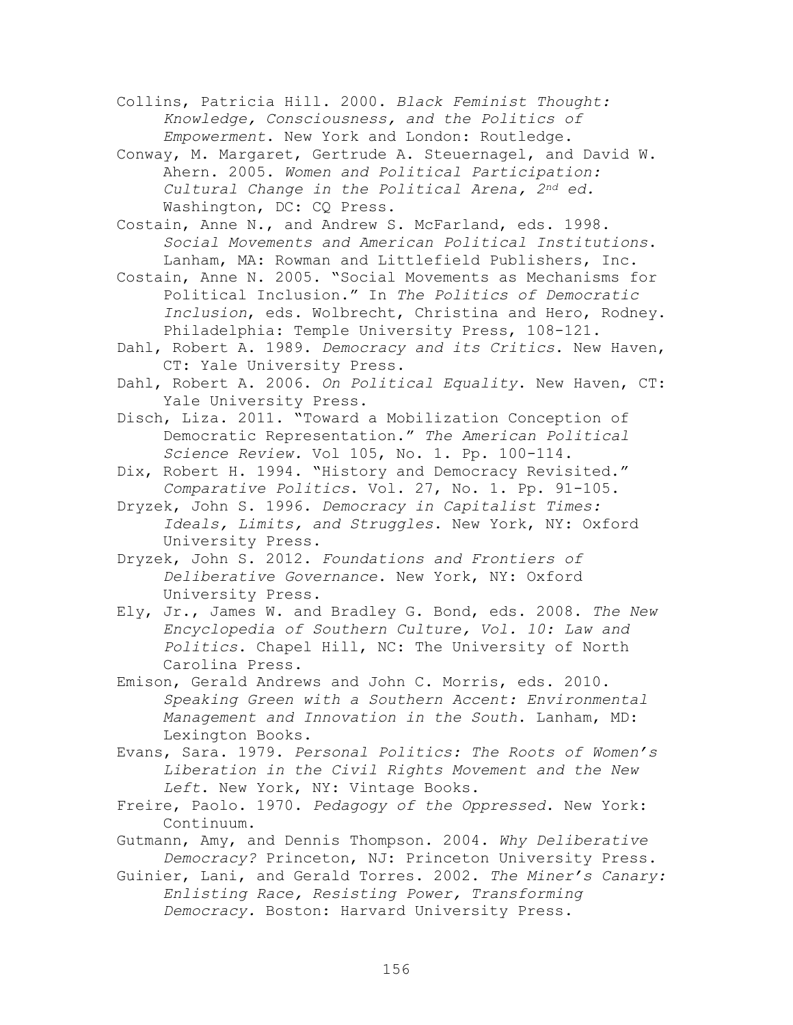Collins, Patricia Hill. 2000. *Black Feminist Thought: Knowledge, Consciousness, and the Politics of Empowerment*. New York and London: Routledge.

Conway, M. Margaret, Gertrude A. Steuernagel, and David W. Ahern. 2005. *Women and Political Participation: Cultural Change in the Political Arena, 2nd ed.*  Washington, DC: CQ Press.

Costain, Anne N., and Andrew S. McFarland, eds. 1998. *Social Movements and American Political Institutions*. Lanham, MA: Rowman and Littlefield Publishers, Inc.

- Costain, Anne N. 2005. "Social Movements as Mechanisms for Political Inclusion." In *The Politics of Democratic Inclusion*, eds. Wolbrecht, Christina and Hero, Rodney. Philadelphia: Temple University Press, 108-121.
- Dahl, Robert A. 1989. *Democracy and its Critics*. New Haven, CT: Yale University Press.
- Dahl, Robert A. 2006. *On Political Equality*. New Haven, CT: Yale University Press.
- Disch, Liza. 2011. "Toward a Mobilization Conception of Democratic Representation." *The American Political Science Review.* Vol 105, No. 1. Pp. 100-114.
- Dix, Robert H. 1994. "History and Democracy Revisited." *Comparative Politics*. Vol. 27, No. 1. Pp. 91-105.
- Dryzek, John S. 1996. *Democracy in Capitalist Times: Ideals, Limits, and Struggles*. New York, NY: Oxford University Press.
- Dryzek, John S. 2012. *Foundations and Frontiers of Deliberative Governance*. New York, NY: Oxford University Press.
- Ely, Jr., James W. and Bradley G. Bond, eds. 2008. *The New Encyclopedia of Southern Culture, Vol. 10: Law and Politics*. Chapel Hill, NC: The University of North Carolina Press.
- Emison, Gerald Andrews and John C. Morris, eds. 2010. *Speaking Green with a Southern Accent: Environmental Management and Innovation in the South*. Lanham, MD: Lexington Books.
- Evans, Sara. 1979. *Personal Politics: The Roots of Women's Liberation in the Civil Rights Movement and the New Left*. New York, NY: Vintage Books.
- Freire, Paolo. 1970. *Pedagogy of the Oppressed*. New York: Continuum.
- Gutmann, Amy, and Dennis Thompson. 2004. *Why Deliberative Democracy?* Princeton, NJ: Princeton University Press.
- Guinier, Lani, and Gerald Torres. 2002. *The Miner's Canary: Enlisting Race, Resisting Power, Transforming Democracy.* Boston: Harvard University Press.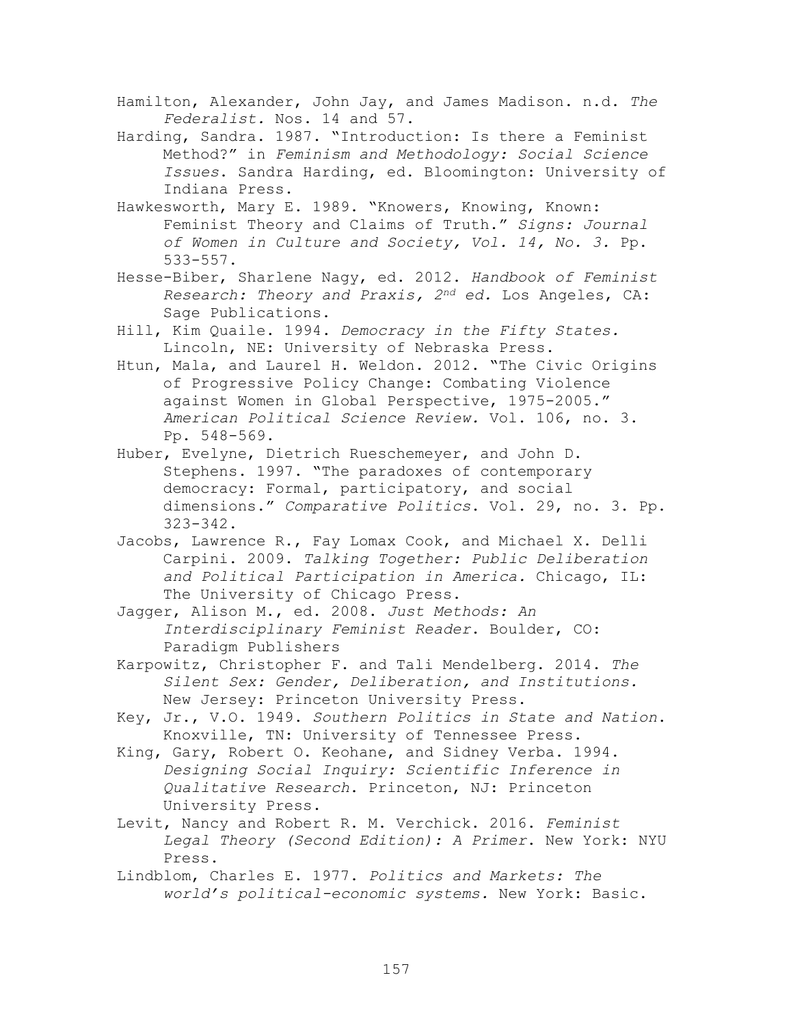- Hamilton, Alexander, John Jay, and James Madison. n.d. *The Federalist.* Nos. 14 and 57.
- Harding, Sandra. 1987. "Introduction: Is there a Feminist Method?" in *Feminism and Methodology: Social Science Issues*. Sandra Harding, ed. Bloomington: University of Indiana Press.
- Hawkesworth, Mary E. 1989. "Knowers, Knowing, Known: Feminist Theory and Claims of Truth." *Signs: Journal of Women in Culture and Society, Vol. 14, No. 3.* Pp. 533-557.
- Hesse-Biber, Sharlene Nagy, ed. 2012. *Handbook of Feminist Research: Theory and Praxis, 2nd ed.* Los Angeles, CA: Sage Publications.
- Hill, Kim Quaile. 1994. *Democracy in the Fifty States.* Lincoln, NE: University of Nebraska Press.
- Htun, Mala, and Laurel H. Weldon. 2012. "The Civic Origins of Progressive Policy Change: Combating Violence against Women in Global Perspective, 1975-2005." *American Political Science Review.* Vol. 106, no. 3. Pp. 548-569.
- Huber, Evelyne, Dietrich Rueschemeyer, and John D. Stephens. 1997. "The paradoxes of contemporary democracy: Formal, participatory, and social dimensions." *Comparative Politics*. Vol. 29, no. 3. Pp. 323-342.
- Jacobs, Lawrence R., Fay Lomax Cook, and Michael X. Delli Carpini. 2009. *Talking Together: Public Deliberation and Political Participation in America.* Chicago, IL: The University of Chicago Press.
- Jagger, Alison M., ed. 2008. *Just Methods: An Interdisciplinary Feminist Reader*. Boulder, CO: Paradigm Publishers
- Karpowitz, Christopher F. and Tali Mendelberg. 2014. *The Silent Sex: Gender, Deliberation, and Institutions.*  New Jersey: Princeton University Press.
- Key, Jr., V.O. 1949. *Southern Politics in State and Nation*. Knoxville, TN: University of Tennessee Press.
- King, Gary, Robert O. Keohane, and Sidney Verba. 1994. *Designing Social Inquiry: Scientific Inference in Qualitative Research*. Princeton, NJ: Princeton University Press.
- Levit, Nancy and Robert R. M. Verchick. 2016. *Feminist Legal Theory (Second Edition): A Primer*. New York: NYU Press.
- Lindblom, Charles E. 1977. *Politics and Markets: The world's political-economic systems.* New York: Basic.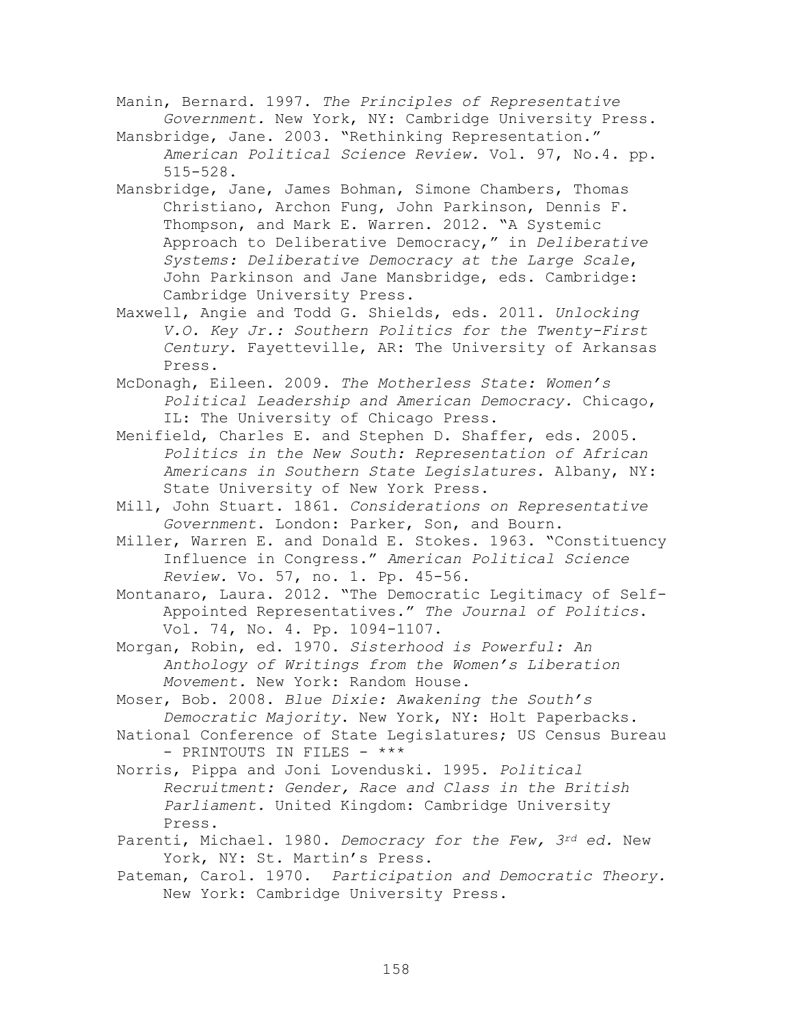Manin, Bernard. 1997. *The Principles of Representative Government.* New York, NY: Cambridge University Press.

Mansbridge, Jane. 2003. "Rethinking Representation." *American Political Science Review.* Vol. 97, No.4. pp. 515-528.

- Mansbridge, Jane, James Bohman, Simone Chambers, Thomas Christiano, Archon Fung, John Parkinson, Dennis F. Thompson, and Mark E. Warren. 2012. "A Systemic Approach to Deliberative Democracy," in *Deliberative Systems: Deliberative Democracy at the Large Scale*, John Parkinson and Jane Mansbridge, eds. Cambridge: Cambridge University Press.
- Maxwell, Angie and Todd G. Shields, eds. 2011. *Unlocking V.O. Key Jr.: Southern Politics for the Twenty-First Century*. Fayetteville, AR: The University of Arkansas Press.

McDonagh, Eileen. 2009. *The Motherless State: Women's Political Leadership and American Democracy.* Chicago, IL: The University of Chicago Press.

- Menifield, Charles E. and Stephen D. Shaffer, eds. 2005. *Politics in the New South: Representation of African Americans in Southern State Legislatures*. Albany, NY: State University of New York Press.
- Mill, John Stuart. 1861. *Considerations on Representative Government*. London: Parker, Son, and Bourn.
- Miller, Warren E. and Donald E. Stokes. 1963. "Constituency Influence in Congress." *American Political Science Review.* Vo. 57, no. 1. Pp. 45-56.

Montanaro, Laura. 2012. "The Democratic Legitimacy of Self-Appointed Representatives." *The Journal of Politics*. Vol. 74, No. 4. Pp. 1094-1107.

Morgan, Robin, ed. 1970. *Sisterhood is Powerful: An Anthology of Writings from the Women's Liberation Movement.* New York: Random House.

Moser, Bob. 2008. *Blue Dixie: Awakening the South's Democratic Majority*. New York, NY: Holt Paperbacks.

- National Conference of State Legislatures; US Census Bureau - PRINTOUTS IN FILES - \*\*\*
- Norris, Pippa and Joni Lovenduski. 1995. *Political Recruitment: Gender, Race and Class in the British Parliament.* United Kingdom: Cambridge University Press.
- Parenti, Michael. 1980. *Democracy for the Few, 3rd ed.* New York, NY: St. Martin's Press.
- Pateman, Carol. 1970. *Participation and Democratic Theory.*  New York: Cambridge University Press.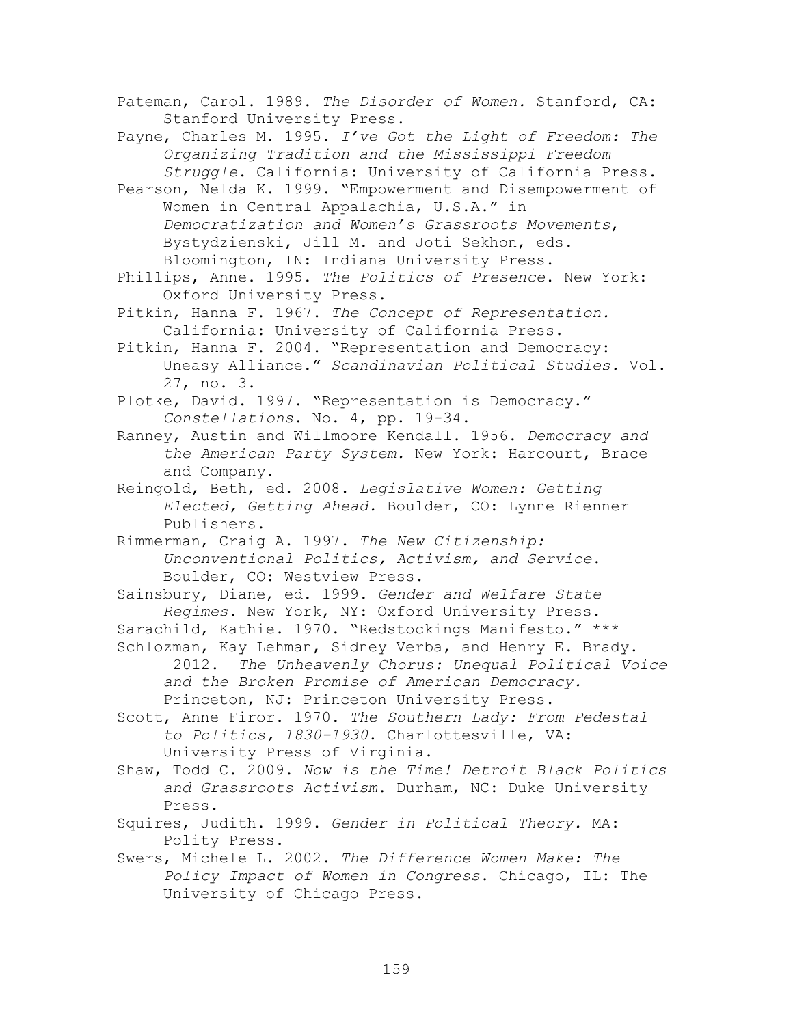Pateman, Carol. 1989. *The Disorder of Women.* Stanford, CA: Stanford University Press.

Payne, Charles M. 1995. *I've Got the Light of Freedom: The Organizing Tradition and the Mississippi Freedom Struggle*. California: University of California Press.

Pearson, Nelda K. 1999. "Empowerment and Disempowerment of Women in Central Appalachia, U.S.A." in *Democratization and Women's Grassroots Movements*, Bystydzienski, Jill M. and Joti Sekhon, eds. Bloomington, IN: Indiana University Press.

Phillips, Anne. 1995. *The Politics of Presence*. New York: Oxford University Press.

Pitkin, Hanna F. 1967. *The Concept of Representation.* California: University of California Press.

Pitkin, Hanna F. 2004. "Representation and Democracy: Uneasy Alliance." *Scandinavian Political Studies.* Vol. 27, no. 3.

Plotke, David. 1997. "Representation is Democracy." *Constellations*. No. 4, pp. 19-34.

Ranney, Austin and Willmoore Kendall. 1956. *Democracy and the American Party System.* New York: Harcourt, Brace and Company.

Reingold, Beth, ed. 2008. *Legislative Women: Getting Elected, Getting Ahead.* Boulder, CO: Lynne Rienner Publishers.

Rimmerman, Craig A. 1997. *The New Citizenship: Unconventional Politics, Activism, and Service*. Boulder, CO: Westview Press.

Sainsbury, Diane, ed. 1999. *Gender and Welfare State Regimes*. New York, NY: Oxford University Press.

Sarachild, Kathie. 1970. "Redstockings Manifesto." \*\*\*

Schlozman, Kay Lehman, Sidney Verba, and Henry E. Brady. 2012. *The Unheavenly Chorus: Unequal Political Voice and the Broken Promise of American Democracy.* Princeton, NJ: Princeton University Press.

Scott, Anne Firor. 1970. *The Southern Lady: From Pedestal to Politics, 1830-1930*. Charlottesville, VA: University Press of Virginia.

Shaw, Todd C. 2009. *Now is the Time! Detroit Black Politics and Grassroots Activism*. Durham, NC: Duke University Press.

- Squires, Judith. 1999. *Gender in Political Theory.* MA: Polity Press.
- Swers, Michele L. 2002. *The Difference Women Make: The Policy Impact of Women in Congress*. Chicago, IL: The University of Chicago Press.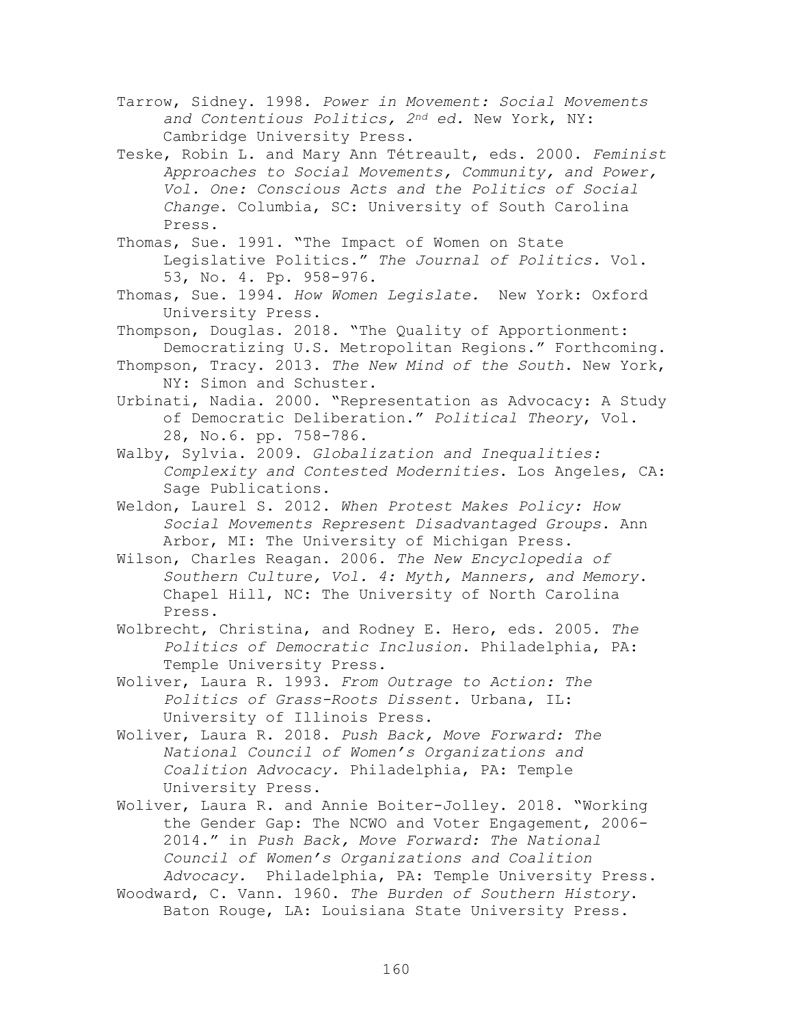- Tarrow, Sidney. 1998. *Power in Movement: Social Movements and Contentious Politics, 2nd ed.* New York, NY: Cambridge University Press.
- Teske, Robin L. and Mary Ann Tétreault, eds. 2000. *Feminist Approaches to Social Movements, Community, and Power, Vol. One: Conscious Acts and the Politics of Social Change*. Columbia, SC: University of South Carolina Press.
- Thomas, Sue. 1991. "The Impact of Women on State Legislative Politics." *The Journal of Politics.* Vol. 53, No. 4. Pp. 958-976.
- Thomas, Sue. 1994. *How Women Legislate.* New York: Oxford University Press.
- Thompson, Douglas. 2018. "The Quality of Apportionment: Democratizing U.S. Metropolitan Regions." Forthcoming.
- Thompson, Tracy. 2013. *The New Mind of the South*. New York, NY: Simon and Schuster.
- Urbinati, Nadia. 2000. "Representation as Advocacy: A Study of Democratic Deliberation." *Political Theory*, Vol. 28, No.6. pp. 758-786.
- Walby, Sylvia. 2009. *Globalization and Inequalities: Complexity and Contested Modernities*. Los Angeles, CA: Sage Publications.
- Weldon, Laurel S. 2012. *When Protest Makes Policy: How Social Movements Represent Disadvantaged Groups*. Ann Arbor, MI: The University of Michigan Press.
- Wilson, Charles Reagan. 2006. *The New Encyclopedia of Southern Culture, Vol. 4: Myth, Manners, and Memory*. Chapel Hill, NC: The University of North Carolina Press.
- Wolbrecht, Christina, and Rodney E. Hero, eds. 2005. *The Politics of Democratic Inclusion*. Philadelphia, PA: Temple University Press.
- Woliver, Laura R. 1993. *From Outrage to Action: The Politics of Grass-Roots Dissent.* Urbana, IL: University of Illinois Press.
- Woliver, Laura R. 2018. *Push Back, Move Forward: The National Council of Women's Organizations and Coalition Advocacy.* Philadelphia, PA: Temple University Press.
- Woliver, Laura R. and Annie Boiter-Jolley. 2018. "Working the Gender Gap: The NCWO and Voter Engagement, 2006- 2014." in *Push Back, Move Forward: The National Council of Women's Organizations and Coalition Advocacy.* Philadelphia, PA: Temple University Press.
- Woodward, C. Vann. 1960. *The Burden of Southern History*. Baton Rouge, LA: Louisiana State University Press.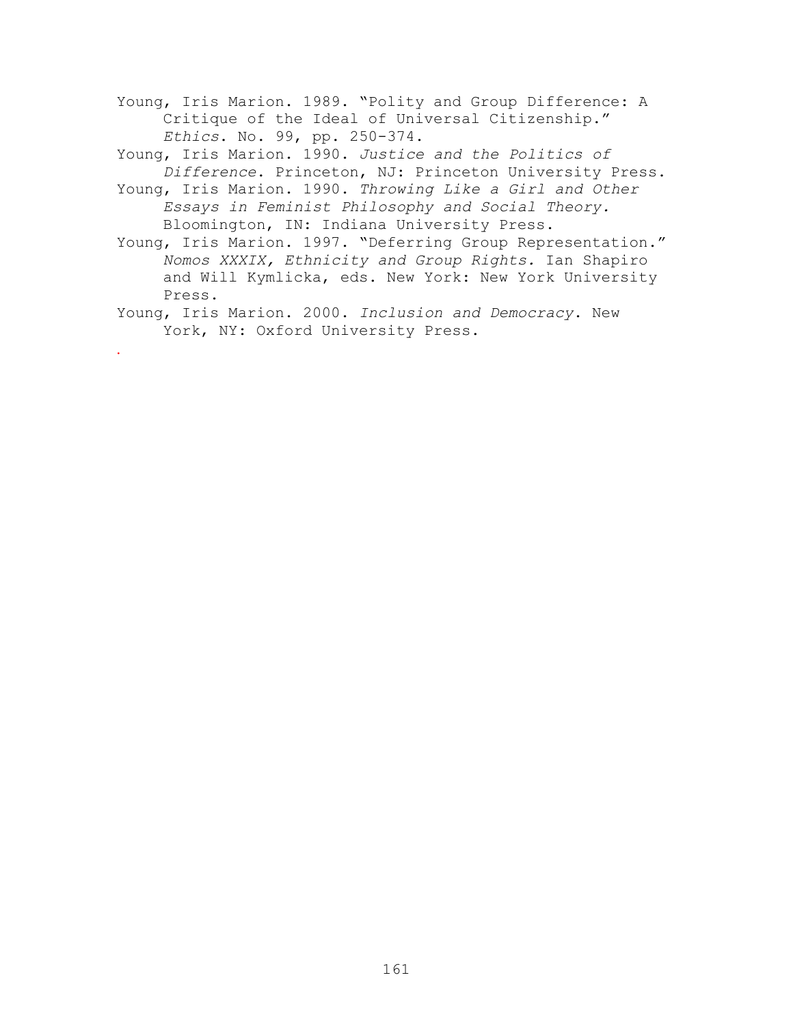Young, Iris Marion. 1989. "Polity and Group Difference: A Critique of the Ideal of Universal Citizenship." *Ethics*. No. 99, pp. 250-374.

Young, Iris Marion. 1990. *Justice and the Politics of Difference*. Princeton, NJ: Princeton University Press.

- Young, Iris Marion. 1990. *Throwing Like a Girl and Other Essays in Feminist Philosophy and Social Theory.*  Bloomington, IN: Indiana University Press.
- Young, Iris Marion. 1997. "Deferring Group Representation." *Nomos XXXIX, Ethnicity and Group Rights.* Ian Shapiro and Will Kymlicka, eds. New York: New York University Press.

Young, Iris Marion. 2000. *Inclusion and Democracy*. New York, NY: Oxford University Press.

.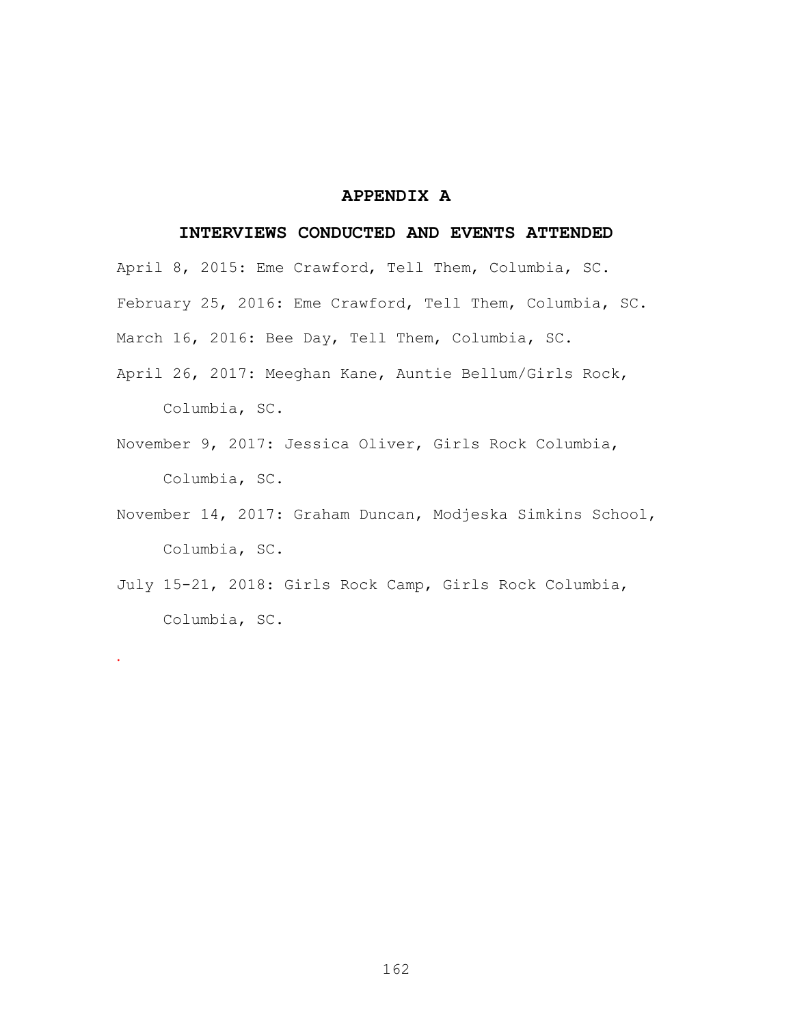## **APPENDIX A**

#### **INTERVIEWS CONDUCTED AND EVENTS ATTENDED**

April 8, 2015: Eme Crawford, Tell Them, Columbia, SC. February 25, 2016: Eme Crawford, Tell Them, Columbia, SC. March 16, 2016: Bee Day, Tell Them, Columbia, SC.

- April 26, 2017: Meeghan Kane, Auntie Bellum/Girls Rock, Columbia, SC.
- November 9, 2017: Jessica Oliver, Girls Rock Columbia, Columbia, SC.
- November 14, 2017: Graham Duncan, Modjeska Simkins School, Columbia, SC.
- July 15-21, 2018: Girls Rock Camp, Girls Rock Columbia, Columbia, SC.

.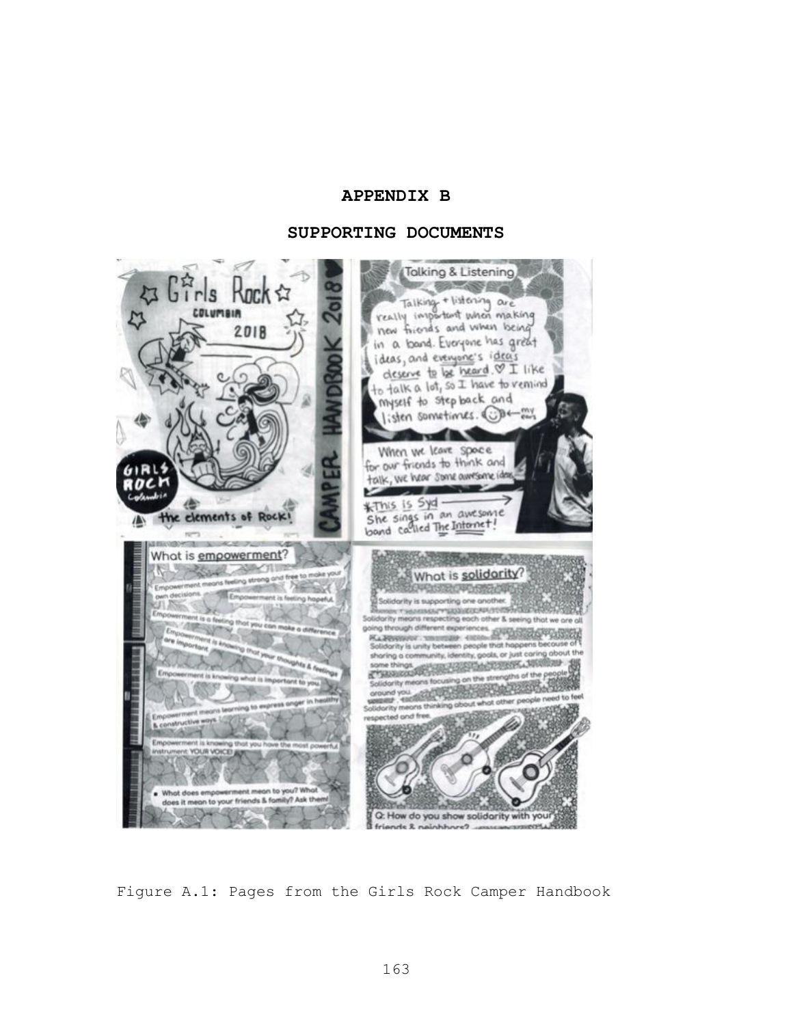## **APPENDIX B**

#### **SUPPORTING DOCUMENTS**



Figure A.1: Pages from the Girls Rock Camper Handbook